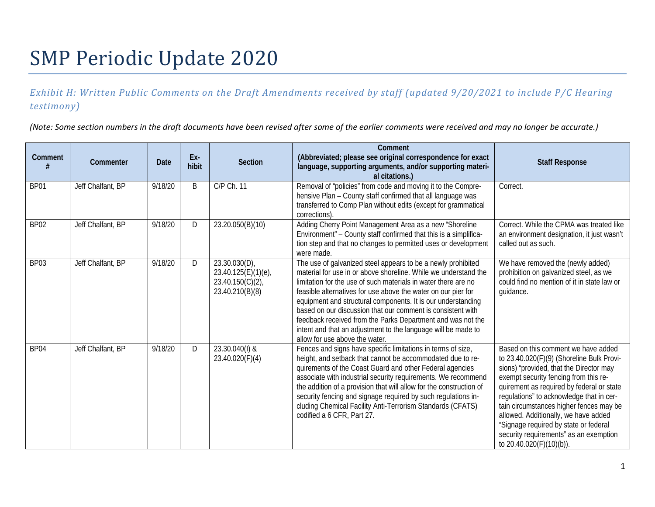# SMP Periodic Update 2020

## *Exhibit H: Written Public Comments on the Draft Amendments received by staff (updated 9/20/2021 to include P/C Hearing testimony)*

*(Note: Some section numbers in the draft documents have been revised after some of the earlier comments were received and may no longer be accurate.)* 

| <b>Comment</b>   | Commenter         | Date    | Ex-<br>hibit | <b>Section</b>                                                                    | Comment<br>(Abbreviated; please see original correspondence for exact<br>language, supporting arguments, and/or supporting materi-<br>al citations.)                                                                                                                                                                                                                                                                                                                                                                                                                | <b>Staff Response</b>                                                                                                                                                                                                                                                                                                                                                                                                                                           |
|------------------|-------------------|---------|--------------|-----------------------------------------------------------------------------------|---------------------------------------------------------------------------------------------------------------------------------------------------------------------------------------------------------------------------------------------------------------------------------------------------------------------------------------------------------------------------------------------------------------------------------------------------------------------------------------------------------------------------------------------------------------------|-----------------------------------------------------------------------------------------------------------------------------------------------------------------------------------------------------------------------------------------------------------------------------------------------------------------------------------------------------------------------------------------------------------------------------------------------------------------|
| BP01             | Jeff Chalfant, BP | 9/18/20 | B            | C/P Ch. 11                                                                        | Removal of "policies" from code and moving it to the Compre-<br>hensive Plan - County staff confirmed that all language was<br>transferred to Comp Plan without edits (except for grammatical<br>corrections)                                                                                                                                                                                                                                                                                                                                                       | Correct.                                                                                                                                                                                                                                                                                                                                                                                                                                                        |
| BP <sub>02</sub> | Jeff Chalfant, BP | 9/18/20 | D            | 23.20.050(B)(10)                                                                  | Adding Cherry Point Management Area as a new "Shoreline<br>Environment" - County staff confirmed that this is a simplifica-<br>tion step and that no changes to permitted uses or development<br>were made.                                                                                                                                                                                                                                                                                                                                                         | Correct. While the CPMA was treated like<br>an environment designation, it just wasn't<br>called out as such.                                                                                                                                                                                                                                                                                                                                                   |
| BP03             | Jeff Chalfant, BP | 9/18/20 | D            | $23.30.030(D)$ ,<br>23.40.125(E)(1)(e),<br>$23.40.150(C)(2)$ ,<br>23.40.210(B)(8) | The use of galvanized steel appears to be a newly prohibited<br>material for use in or above shoreline. While we understand the<br>limitation for the use of such materials in water there are no<br>feasible alternatives for use above the water on our pier for<br>equipment and structural components. It is our understanding<br>based on our discussion that our comment is consistent with<br>feedback received from the Parks Department and was not the<br>intent and that an adjustment to the language will be made to<br>allow for use above the water. | We have removed the (newly added)<br>prohibition on galvanized steel, as we<br>could find no mention of it in state law or<br>guidance.                                                                                                                                                                                                                                                                                                                         |
| BP04             | Jeff Chalfant, BP | 9/18/20 | D            | 23.30.040(I) &<br>23.40.020(F)(4)                                                 | Fences and signs have specific limitations in terms of size,<br>height, and setback that cannot be accommodated due to re-<br>quirements of the Coast Guard and other Federal agencies<br>associate with industrial security requirements. We recommend<br>the addition of a provision that will allow for the construction of<br>security fencing and signage required by such regulations in-<br>cluding Chemical Facility Anti-Terrorism Standards (CFATS)<br>codified a 6 CFR, Part 27.                                                                         | Based on this comment we have added<br>to 23.40.020(F)(9) (Shoreline Bulk Provi-<br>sions) "provided, that the Director may<br>exempt security fencing from this re-<br>quirement as required by federal or state<br>regulations" to acknowledge that in cer-<br>tain circumstances higher fences may be<br>allowed. Additionally, we have added<br>"Signage required by state or federal<br>security requirements" as an exemption<br>to 20.40.020(F)(10)(b)). |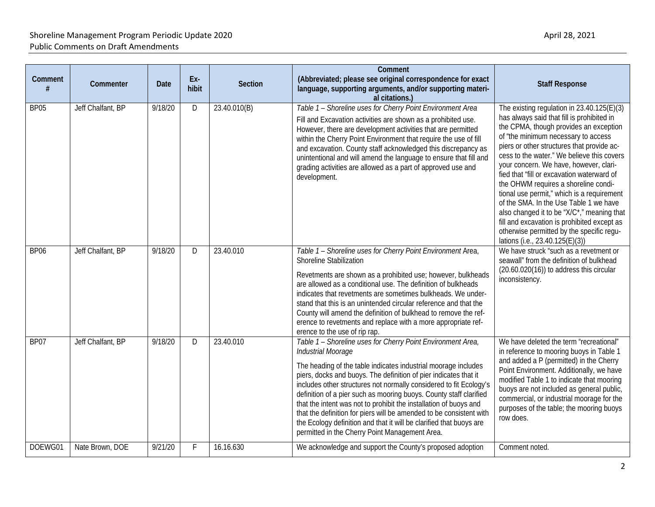| Comment     | Commenter         | <b>Date</b> | Ex-<br>hibit | <b>Section</b> | Comment<br>(Abbreviated; please see original correspondence for exact<br>language, supporting arguments, and/or supporting materi-<br>al citations.)                                                                                                                                                                                                                                                                                                                                                                                                                                                                                     | <b>Staff Response</b>                                                                                                                                                                                                                                                                                                                                                                                                                                                                                                                                                                                                                                                      |
|-------------|-------------------|-------------|--------------|----------------|------------------------------------------------------------------------------------------------------------------------------------------------------------------------------------------------------------------------------------------------------------------------------------------------------------------------------------------------------------------------------------------------------------------------------------------------------------------------------------------------------------------------------------------------------------------------------------------------------------------------------------------|----------------------------------------------------------------------------------------------------------------------------------------------------------------------------------------------------------------------------------------------------------------------------------------------------------------------------------------------------------------------------------------------------------------------------------------------------------------------------------------------------------------------------------------------------------------------------------------------------------------------------------------------------------------------------|
| <b>BP05</b> | Jeff Chalfant, BP | 9/18/20     | D            | 23.40.010(B)   | Table 1 - Shoreline uses for Cherry Point Environment Area<br>Fill and Excavation activities are shown as a prohibited use.<br>However, there are development activities that are permitted<br>within the Cherry Point Environment that require the use of fill<br>and excavation. County staff acknowledged this discrepancy as<br>unintentional and will amend the language to ensure that fill and<br>grading activities are allowed as a part of approved use and<br>development.                                                                                                                                                    | The existing regulation in 23.40.125(E)(3)<br>has always said that fill is prohibited in<br>the CPMA, though provides an exception<br>of "the minimum necessary to access<br>piers or other structures that provide ac-<br>cess to the water." We believe this covers<br>your concern. We have, however, clari-<br>fied that "fill or excavation waterward of<br>the OHWM requires a shoreline condi-<br>tional use permit," which is a requirement<br>of the SMA. In the Use Table 1 we have<br>also changed it to be "X/C"," meaning that<br>fill and excavation is prohibited except as<br>otherwise permitted by the specific regu-<br>lations (i.e., 23.40.125(E)(3)) |
| <b>BP06</b> | Jeff Chalfant, BP | 9/18/20     | D            | 23.40.010      | Table 1 - Shoreline uses for Cherry Point Environment Area,<br><b>Shoreline Stabilization</b><br>Revetments are shown as a prohibited use; however, bulkheads<br>are allowed as a conditional use. The definition of bulkheads<br>indicates that revetments are sometimes bulkheads. We under-<br>stand that this is an unintended circular reference and that the<br>County will amend the definition of bulkhead to remove the ref-<br>erence to revetments and replace with a more appropriate ref-<br>erence to the use of rip rap.                                                                                                  | We have struck "such as a revetment or<br>seawall" from the definition of bulkhead<br>$(20.60.020(16))$ to address this circular<br>inconsistency.                                                                                                                                                                                                                                                                                                                                                                                                                                                                                                                         |
| BP07        | Jeff Chalfant, BP | 9/18/20     | D            | 23.40.010      | Table 1 - Shoreline uses for Cherry Point Environment Area,<br>Industrial Moorage<br>The heading of the table indicates industrial moorage includes<br>piers, docks and buoys. The definition of pier indicates that it<br>includes other structures not normally considered to fit Ecology's<br>definition of a pier such as mooring buoys. County staff clarified<br>that the intent was not to prohibit the installation of buoys and<br>that the definition for piers will be amended to be consistent with<br>the Ecology definition and that it will be clarified that buoys are<br>permitted in the Cherry Point Management Area. | We have deleted the term "recreational"<br>in reference to mooring buoys in Table 1<br>and added a P (permitted) in the Cherry<br>Point Environment. Additionally, we have<br>modified Table 1 to indicate that mooring<br>buoys are not included as general public,<br>commercial, or industrial moorage for the<br>purposes of the table; the mooring buoys<br>row does.                                                                                                                                                                                                                                                                                                 |
| DOEWG01     | Nate Brown, DOE   | 9/21/20     | F.           | 16.16.630      | We acknowledge and support the County's proposed adoption                                                                                                                                                                                                                                                                                                                                                                                                                                                                                                                                                                                | Comment noted.                                                                                                                                                                                                                                                                                                                                                                                                                                                                                                                                                                                                                                                             |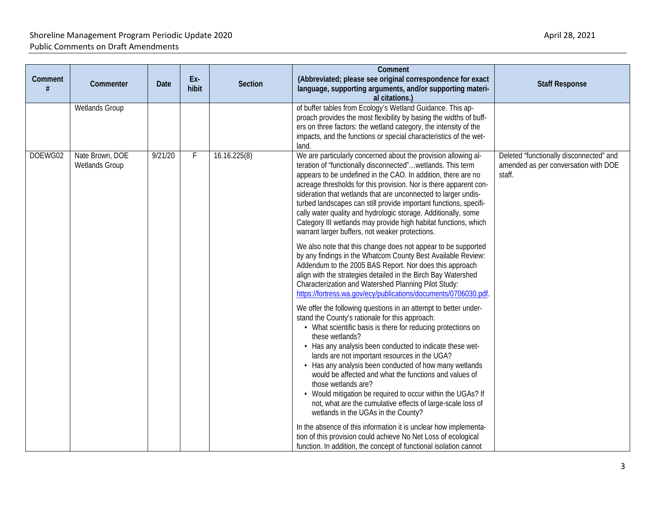| Comment<br># | Commenter                                | <b>Date</b> | Ex-<br>hibit | <b>Section</b> | Comment<br>(Abbreviated; please see original correspondence for exact<br>language, supporting arguments, and/or supporting materi-<br>al citations.)                                                                                                                                                                                                                                                                                                                                                                                                                                                                                                                                                   | <b>Staff Response</b>                                                                     |
|--------------|------------------------------------------|-------------|--------------|----------------|--------------------------------------------------------------------------------------------------------------------------------------------------------------------------------------------------------------------------------------------------------------------------------------------------------------------------------------------------------------------------------------------------------------------------------------------------------------------------------------------------------------------------------------------------------------------------------------------------------------------------------------------------------------------------------------------------------|-------------------------------------------------------------------------------------------|
|              | <b>Wetlands Group</b>                    |             |              |                | of buffer tables from Ecology's Wetland Guidance. This ap-<br>proach provides the most flexibility by basing the widths of buff-<br>ers on three factors: the wetland category, the intensity of the<br>impacts, and the functions or special characteristics of the wet-<br>land.                                                                                                                                                                                                                                                                                                                                                                                                                     |                                                                                           |
| DOEWG02      | Nate Brown, DOE<br><b>Wetlands Group</b> | 9/21/20     | F            | 16.16.225(8)   | We are particularly concerned about the provision allowing al-<br>teration of "functionally disconnected"wetlands. This term<br>appears to be undefined in the CAO. In addition, there are no<br>acreage thresholds for this provision. Nor is there apparent con-<br>sideration that wetlands that are unconnected to larger undis-<br>turbed landscapes can still provide important functions, specifi-<br>cally water quality and hydrologic storage. Additionally, some<br>Category III wetlands may provide high habitat functions, which<br>warrant larger buffers, not weaker protections.                                                                                                      | Deleted "functionally disconnected" and<br>amended as per conversation with DOE<br>staff. |
|              |                                          |             |              |                | We also note that this change does not appear to be supported<br>by any findings in the Whatcom County Best Available Review:<br>Addendum to the 2005 BAS Report. Nor does this approach<br>align with the strategies detailed in the Birch Bay Watershed<br>Characterization and Watershed Planning Pilot Study:<br>https://fortress.wa.gov/ecy/publications/documents/0706030.pdf.                                                                                                                                                                                                                                                                                                                   |                                                                                           |
|              |                                          |             |              |                | We offer the following questions in an attempt to better under-<br>stand the County's rationale for this approach:<br>• What scientific basis is there for reducing protections on<br>these wetlands?<br>• Has any analysis been conducted to indicate these wet-<br>lands are not important resources in the UGA?<br>• Has any analysis been conducted of how many wetlands<br>would be affected and what the functions and values of<br>those wetlands are?<br>• Would mitigation be required to occur within the UGAs? If<br>not, what are the cumulative effects of large-scale loss of<br>wetlands in the UGAs in the County?<br>In the absence of this information it is unclear how implementa- |                                                                                           |
|              |                                          |             |              |                | tion of this provision could achieve No Net Loss of ecological<br>function. In addition, the concept of functional isolation cannot                                                                                                                                                                                                                                                                                                                                                                                                                                                                                                                                                                    |                                                                                           |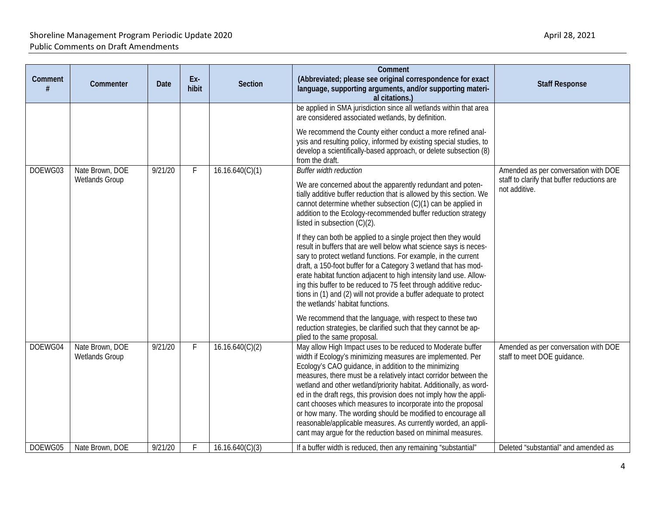| Comment | Commenter                                | Date    | Ex-<br>hibit | Section         | Comment<br>(Abbreviated; please see original correspondence for exact<br>language, supporting arguments, and/or supporting materi-<br>al citations.)                                                                                                                                                                                                                                                                                                                                                                                                                                                                                                                 | <b>Staff Response</b>                                                                                |
|---------|------------------------------------------|---------|--------------|-----------------|----------------------------------------------------------------------------------------------------------------------------------------------------------------------------------------------------------------------------------------------------------------------------------------------------------------------------------------------------------------------------------------------------------------------------------------------------------------------------------------------------------------------------------------------------------------------------------------------------------------------------------------------------------------------|------------------------------------------------------------------------------------------------------|
|         |                                          |         |              |                 | be applied in SMA jurisdiction since all wetlands within that area<br>are considered associated wetlands, by definition.                                                                                                                                                                                                                                                                                                                                                                                                                                                                                                                                             |                                                                                                      |
|         |                                          |         |              |                 | We recommend the County either conduct a more refined anal-<br>ysis and resulting policy, informed by existing special studies, to<br>develop a scientifically-based approach, or delete subsection (8)<br>from the draft.                                                                                                                                                                                                                                                                                                                                                                                                                                           |                                                                                                      |
| DOEWG03 | Nate Brown, DOE<br><b>Wetlands Group</b> | 9/21/20 | $\mathsf{F}$ | 16.16.640(C)(1) | <b>Buffer width reduction</b><br>We are concerned about the apparently redundant and poten-<br>tially additive buffer reduction that is allowed by this section. We<br>cannot determine whether subsection (C)(1) can be applied in<br>addition to the Ecology-recommended buffer reduction strategy<br>listed in subsection $(C)(2)$ .                                                                                                                                                                                                                                                                                                                              | Amended as per conversation with DOE<br>staff to clarify that buffer reductions are<br>not additive. |
|         |                                          |         |              |                 | If they can both be applied to a single project then they would<br>result in buffers that are well below what science says is neces-<br>sary to protect wetland functions. For example, in the current<br>draft, a 150-foot buffer for a Category 3 wetland that has mod-<br>erate habitat function adjacent to high intensity land use. Allow-<br>ing this buffer to be reduced to 75 feet through additive reduc-<br>tions in (1) and (2) will not provide a buffer adequate to protect<br>the wetlands' habitat functions.                                                                                                                                        |                                                                                                      |
|         |                                          |         |              |                 | We recommend that the language, with respect to these two<br>reduction strategies, be clarified such that they cannot be ap-<br>plied to the same proposal.                                                                                                                                                                                                                                                                                                                                                                                                                                                                                                          |                                                                                                      |
| DOEWG04 | Nate Brown, DOE<br><b>Wetlands Group</b> | 9/21/20 | $\mathsf{F}$ | 16.16.640(C)(2) | May allow High Impact uses to be reduced to Moderate buffer<br>width if Ecology's minimizing measures are implemented. Per<br>Ecology's CAO guidance, in addition to the minimizing<br>measures, there must be a relatively intact corridor between the<br>wetland and other wetland/priority habitat. Additionally, as word-<br>ed in the draft regs, this provision does not imply how the appli-<br>cant chooses which measures to incorporate into the proposal<br>or how many. The wording should be modified to encourage all<br>reasonable/applicable measures. As currently worded, an appli-<br>cant may argue for the reduction based on minimal measures. | Amended as per conversation with DOE<br>staff to meet DOE guidance.                                  |
| DOEWG05 | Nate Brown, DOE                          | 9/21/20 | Ė            | 16.16.640(C)(3) | If a buffer width is reduced, then any remaining "substantial"                                                                                                                                                                                                                                                                                                                                                                                                                                                                                                                                                                                                       | Deleted "substantial" and amended as                                                                 |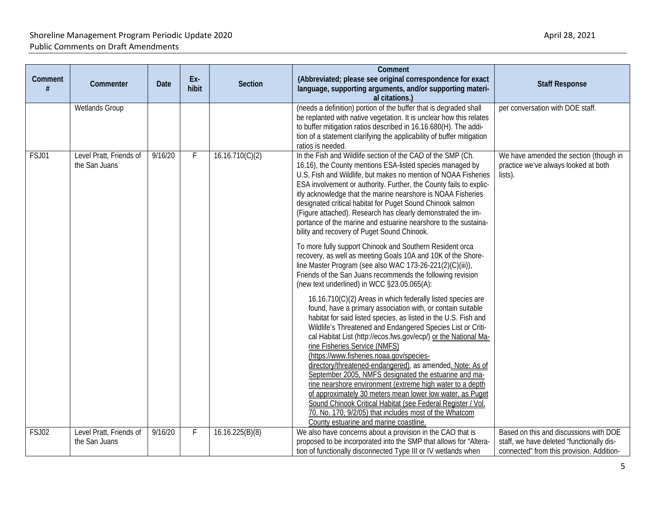| Comment | Commenter                                | Date    | Ex-<br>hibit | <b>Section</b>  | Comment<br>(Abbreviated; please see original correspondence for exact<br>language, supporting arguments, and/or supporting materi-                                                                                                                                                                                                                                                                                                                                                                                                                                                                                                                                                                                                                                                                                                                                                                                                                                                                                                                                                                                                                                                                                                                                                                                                                                                                                                                                                                                                                                                                                                         | <b>Staff Response</b>                                                                                                            |
|---------|------------------------------------------|---------|--------------|-----------------|--------------------------------------------------------------------------------------------------------------------------------------------------------------------------------------------------------------------------------------------------------------------------------------------------------------------------------------------------------------------------------------------------------------------------------------------------------------------------------------------------------------------------------------------------------------------------------------------------------------------------------------------------------------------------------------------------------------------------------------------------------------------------------------------------------------------------------------------------------------------------------------------------------------------------------------------------------------------------------------------------------------------------------------------------------------------------------------------------------------------------------------------------------------------------------------------------------------------------------------------------------------------------------------------------------------------------------------------------------------------------------------------------------------------------------------------------------------------------------------------------------------------------------------------------------------------------------------------------------------------------------------------|----------------------------------------------------------------------------------------------------------------------------------|
|         | Wetlands Group                           |         |              |                 | al citations.)<br>(needs a definition) portion of the buffer that is degraded shall<br>be replanted with native vegetation. It is unclear how this relates<br>to buffer mitigation ratios described in 16.16.680(H). The addi-<br>tion of a statement clarifying the applicability of buffer mitigation                                                                                                                                                                                                                                                                                                                                                                                                                                                                                                                                                                                                                                                                                                                                                                                                                                                                                                                                                                                                                                                                                                                                                                                                                                                                                                                                    | per conversation with DOE staff.                                                                                                 |
| FSJ01   | Level Pratt, Friends of<br>the San Juans | 9/16/20 | F.           | 16.16.710(C)(2) | ratios is needed.<br>In the Fish and Wildlife section of the CAO of the SMP (Ch.<br>16.16), the County mentions ESA-listed species managed by<br>U.S. Fish and Wildlife, but makes no mention of NOAA Fisheries<br>ESA involvement or authority. Further, the County fails to explic-<br>itly acknowledge that the marine nearshore is NOAA Fisheries<br>designated critical habitat for Puget Sound Chinook salmon<br>(Figure attached). Research has clearly demonstrated the im-<br>portance of the marine and estuarine nearshore to the sustaina-<br>bility and recovery of Puget Sound Chinook.<br>To more fully support Chinook and Southern Resident orca<br>recovery, as well as meeting Goals 10A and 10K of the Shore-<br>line Master Program (see also WAC 173-26-221(2)(C)(iii)),<br>Friends of the San Juans recommends the following revision<br>(new text underlined) in WCC §23.05.065(A):<br>16.16.710(C)(2) Areas in which federally listed species are<br>found, have a primary association with, or contain suitable<br>habitat for said listed species, as listed in the U.S. Fish and<br>Wildlife's Threatened and Endangered Species List or Criti-<br>cal Habitat List (http://ecos.fws.gov/ecp/) or the National Ma-<br>rine Fisheries Service (NMFS)<br>(https://www.fisheries.noaa.gov/species-<br>directory/threatened-endangered), as amended. Note: As of<br>September 2005, NMFS designated the estuarine and ma-<br>rine nearshore environment (extreme high water to a depth<br>of approximately 30 meters mean lower low water, as Puget<br>Sound Chinook Critical Habitat (see Federal Register / Vol. | We have amended the section (though in<br>practice we've always looked at both<br>lists).                                        |
| FSJ02   | Level Pratt, Friends of<br>the San Juans | 9/16/20 | F            | 16.16.225(B)(8) | 70, No. 170, 9/2/05) that includes most of the Whatcom<br>County estuarine and marine coastline.<br>We also have concerns about a provision in the CAO that is<br>proposed to be incorporated into the SMP that allows for "Altera-<br>tion of functionally disconnected Type III or IV wetlands when                                                                                                                                                                                                                                                                                                                                                                                                                                                                                                                                                                                                                                                                                                                                                                                                                                                                                                                                                                                                                                                                                                                                                                                                                                                                                                                                      | Based on this and discussions with DOE<br>staff, we have deleted "functionally dis-<br>connected" from this provision. Addition- |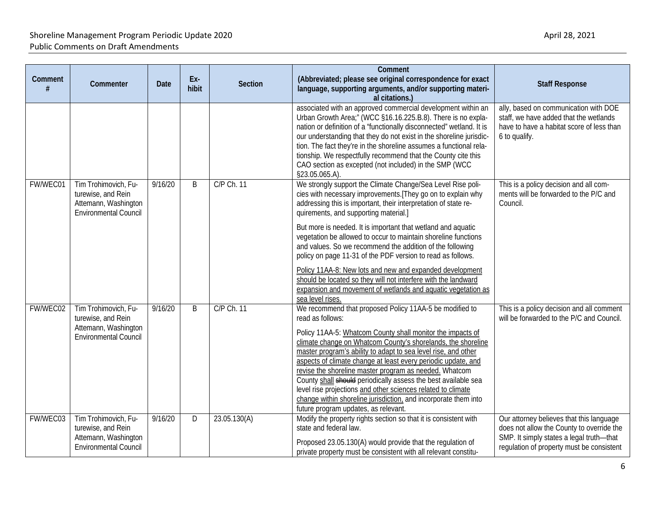| Comment  |                                                                    |         | Ex-   |                                                                                                                                | Comment<br>(Abbreviated; please see original correspondence for exact                                                                                                                          |                                                                                              |
|----------|--------------------------------------------------------------------|---------|-------|--------------------------------------------------------------------------------------------------------------------------------|------------------------------------------------------------------------------------------------------------------------------------------------------------------------------------------------|----------------------------------------------------------------------------------------------|
|          | Commenter                                                          | Date    | hibit | <b>Section</b>                                                                                                                 | language, supporting arguments, and/or supporting materi-<br>al citations.)                                                                                                                    | <b>Staff Response</b>                                                                        |
|          |                                                                    |         |       |                                                                                                                                | associated with an approved commercial development within an<br>Urban Growth Area;" (WCC §16.16.225.B.8). There is no expla-                                                                   | ally, based on communication with DOE<br>staff, we have added that the wetlands              |
|          |                                                                    |         |       |                                                                                                                                | nation or definition of a "functionally disconnected" wetland. It is<br>our understanding that they do not exist in the shoreline jurisdic-                                                    | have to have a habitat score of less than<br>6 to qualify.                                   |
|          |                                                                    |         |       |                                                                                                                                | tion. The fact they're in the shoreline assumes a functional rela-                                                                                                                             |                                                                                              |
|          |                                                                    |         |       |                                                                                                                                | tionship. We respectfully recommend that the County cite this<br>CAO section as excepted (not included) in the SMP (WCC<br>§23.05.065.A).                                                      |                                                                                              |
| FW/WEC01 | Tim Trohimovich, Fu-<br>turewise, and Rein<br>Attemann, Washington | 9/16/20 | B     | C/P Ch. 11                                                                                                                     | We strongly support the Climate Change/Sea Level Rise poli-<br>cies with necessary improvements. [They go on to explain why<br>addressing this is important, their interpretation of state re- | This is a policy decision and all com-<br>ments will be forwarded to the P/C and<br>Council. |
|          | <b>Environmental Council</b>                                       |         |       |                                                                                                                                | quirements, and supporting material.]                                                                                                                                                          |                                                                                              |
|          |                                                                    |         |       |                                                                                                                                | But more is needed. It is important that wetland and aquatic<br>vegetation be allowed to occur to maintain shoreline functions                                                                 |                                                                                              |
|          |                                                                    |         |       | and values. So we recommend the addition of the following<br>policy on page 11-31 of the PDF version to read as follows.       |                                                                                                                                                                                                |                                                                                              |
|          |                                                                    |         |       |                                                                                                                                | Policy 11AA-8: New lots and new and expanded development                                                                                                                                       |                                                                                              |
|          |                                                                    |         |       | should be located so they will not interfere with the landward<br>expansion and movement of wetlands and aquatic vegetation as |                                                                                                                                                                                                |                                                                                              |
|          |                                                                    |         |       |                                                                                                                                | sea level rises.                                                                                                                                                                               |                                                                                              |
| FW/WEC02 | Tim Trohimovich, Fu-<br>turewise, and Rein<br>Attemann, Washington | 9/16/20 | B     | C/P Ch. 11                                                                                                                     | We recommend that proposed Policy 11AA-5 be modified to<br>read as follows:                                                                                                                    | This is a policy decision and all comment<br>will be forwarded to the P/C and Council.       |
|          | Environmental Council                                              |         |       |                                                                                                                                | Policy 11AA-5: Whatcom County shall monitor the impacts of<br>climate change on Whatcom County's shorelands, the shoreline                                                                     |                                                                                              |
|          |                                                                    |         |       |                                                                                                                                | master program's ability to adapt to sea level rise, and other                                                                                                                                 |                                                                                              |
|          |                                                                    |         |       |                                                                                                                                | aspects of climate change at least every periodic update, and                                                                                                                                  |                                                                                              |
|          |                                                                    |         |       |                                                                                                                                | revise the shoreline master program as needed. Whatcom<br>County shall should periodically assess the best available sea                                                                       |                                                                                              |
|          |                                                                    |         |       |                                                                                                                                | level rise projections and other sciences related to climate                                                                                                                                   |                                                                                              |
|          |                                                                    |         |       |                                                                                                                                | change within shoreline jurisdiction, and incorporate them into                                                                                                                                |                                                                                              |
|          |                                                                    |         |       |                                                                                                                                | future program updates, as relevant.                                                                                                                                                           |                                                                                              |
| FW/WEC03 | Tim Trohimovich, Fu-<br>turewise, and Rein                         | 9/16/20 | D     | 23.05.130(A)                                                                                                                   | Modify the property rights section so that it is consistent with<br>state and federal law.                                                                                                     | Our attorney believes that this language<br>does not allow the County to override the        |
|          | Attemann, Washington                                               |         |       |                                                                                                                                | Proposed 23.05.130(A) would provide that the regulation of                                                                                                                                     | SMP. It simply states a legal truth-that                                                     |
|          | <b>Environmental Council</b>                                       |         |       |                                                                                                                                | private property must be consistent with all relevant constitu-                                                                                                                                | regulation of property must be consistent                                                    |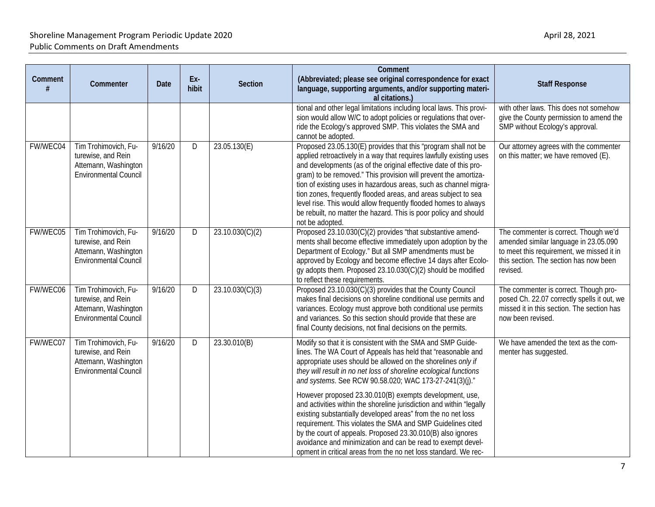| Comment  | Commenter                                                                                          | Date    | Ex-<br>hibit | <b>Section</b>  | Comment<br>(Abbreviated; please see original correspondence for exact<br>language, supporting arguments, and/or supporting materi-                                                                                                                                                                                                                                                                                                                                                                                                                                                                                                                                                                                                                                                            | <b>Staff Response</b>                                                                                                                                                             |
|----------|----------------------------------------------------------------------------------------------------|---------|--------------|-----------------|-----------------------------------------------------------------------------------------------------------------------------------------------------------------------------------------------------------------------------------------------------------------------------------------------------------------------------------------------------------------------------------------------------------------------------------------------------------------------------------------------------------------------------------------------------------------------------------------------------------------------------------------------------------------------------------------------------------------------------------------------------------------------------------------------|-----------------------------------------------------------------------------------------------------------------------------------------------------------------------------------|
|          |                                                                                                    |         |              |                 | al citations.)<br>tional and other legal limitations including local laws. This provi-<br>sion would allow W/C to adopt policies or regulations that over-<br>ride the Ecology's approved SMP. This violates the SMA and<br>cannot be adopted.                                                                                                                                                                                                                                                                                                                                                                                                                                                                                                                                                | with other laws. This does not somehow<br>give the County permission to amend the<br>SMP without Ecology's approval.                                                              |
| FW/WEC04 | Tim Trohimovich, Fu-<br>turewise, and Rein<br>Attemann, Washington<br><b>Environmental Council</b> | 9/16/20 | D            | 23.05.130(E)    | Proposed 23.05.130(E) provides that this "program shall not be<br>applied retroactively in a way that requires lawfully existing uses<br>and developments (as of the original effective date of this pro-<br>gram) to be removed." This provision will prevent the amortiza-<br>tion of existing uses in hazardous areas, such as channel migra-<br>tion zones, frequently flooded areas, and areas subject to sea<br>level rise. This would allow frequently flooded homes to always<br>be rebuilt, no matter the hazard. This is poor policy and should<br>not be adopted.                                                                                                                                                                                                                  | Our attorney agrees with the commenter<br>on this matter; we have removed (E).                                                                                                    |
| FW/WEC05 | Tim Trohimovich, Fu-<br>turewise, and Rein<br>Attemann, Washington<br><b>Environmental Council</b> | 9/16/20 | D            | 23.10.030(C)(2) | Proposed 23.10.030(C)(2) provides "that substantive amend-<br>ments shall become effective immediately upon adoption by the<br>Department of Ecology." But all SMP amendments must be<br>approved by Ecology and become effective 14 days after Ecolo-<br>gy adopts them. Proposed 23.10.030(C)(2) should be modified<br>to reflect these requirements.                                                                                                                                                                                                                                                                                                                                                                                                                                       | The commenter is correct. Though we'd<br>amended similar language in 23.05.090<br>to meet this requirement, we missed it in<br>this section. The section has now been<br>revised. |
| FW/WEC06 | Tim Trohimovich, Fu-<br>turewise, and Rein<br>Attemann, Washington<br><b>Environmental Council</b> | 9/16/20 | D            | 23.10.030(C)(3) | Proposed 23.10.030(C)(3) provides that the County Council<br>makes final decisions on shoreline conditional use permits and<br>variances. Ecology must approve both conditional use permits<br>and variances. So this section should provide that these are<br>final County decisions, not final decisions on the permits.                                                                                                                                                                                                                                                                                                                                                                                                                                                                    | The commenter is correct. Though pro-<br>posed Ch. 22.07 correctly spells it out, we<br>missed it in this section. The section has<br>now been revised.                           |
| FW/WEC07 | Tim Trohimovich, Fu-<br>turewise, and Rein<br>Attemann, Washington<br>Environmental Council        | 9/16/20 | D            | 23.30.010(B)    | Modify so that it is consistent with the SMA and SMP Guide-<br>lines. The WA Court of Appeals has held that "reasonable and<br>appropriate uses should be allowed on the shorelines only if<br>they will result in no net loss of shoreline ecological functions<br>and systems. See RCW 90.58.020; WAC 173-27-241(3)(j)."<br>However proposed 23.30.010(B) exempts development, use,<br>and activities within the shoreline jurisdiction and within "legally<br>existing substantially developed areas" from the no net loss<br>requirement. This violates the SMA and SMP Guidelines cited<br>by the court of appeals. Proposed 23.30.010(B) also ignores<br>avoidance and minimization and can be read to exempt devel-<br>opment in critical areas from the no net loss standard. We rec- | We have amended the text as the com-<br>menter has suggested.                                                                                                                     |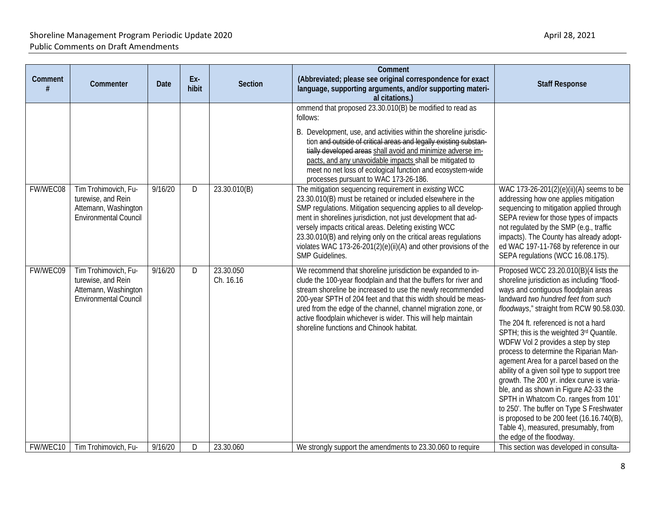| Comment  | Commenter                                                                                          | Date    | Ex-<br>hibit | <b>Section</b>         | Comment<br>(Abbreviated; please see original correspondence for exact<br>language, supporting arguments, and/or supporting materi-<br>al citations.)                                                                                                                                                                                                                                                                                                                       | <b>Staff Response</b>                                                                                                                                                                                                                                                                                                                                                                                                                                                                                                                                                                                                                                                                                                                                                    |
|----------|----------------------------------------------------------------------------------------------------|---------|--------------|------------------------|----------------------------------------------------------------------------------------------------------------------------------------------------------------------------------------------------------------------------------------------------------------------------------------------------------------------------------------------------------------------------------------------------------------------------------------------------------------------------|--------------------------------------------------------------------------------------------------------------------------------------------------------------------------------------------------------------------------------------------------------------------------------------------------------------------------------------------------------------------------------------------------------------------------------------------------------------------------------------------------------------------------------------------------------------------------------------------------------------------------------------------------------------------------------------------------------------------------------------------------------------------------|
|          |                                                                                                    |         |              |                        | ommend that proposed 23.30.010(B) be modified to read as<br>follows:<br>B. Development, use, and activities within the shoreline jurisdic-<br>tion and outside of critical areas and legally existing substan-<br>tially developed areas shall avoid and minimize adverse im-<br>pacts, and any unavoidable impacts shall be mitigated to<br>meet no net loss of ecological function and ecosystem-wide<br>processes pursuant to WAC 173-26-186.                           |                                                                                                                                                                                                                                                                                                                                                                                                                                                                                                                                                                                                                                                                                                                                                                          |
| FW/WEC08 | Tim Trohimovich, Fu-<br>turewise, and Rein<br>Attemann, Washington<br><b>Environmental Council</b> | 9/16/20 | D            | 23.30.010(B)           | The mitigation sequencing requirement in existing WCC<br>23.30.010(B) must be retained or included elsewhere in the<br>SMP regulations. Mitigation sequencing applies to all develop-<br>ment in shorelines jurisdiction, not just development that ad-<br>versely impacts critical areas. Deleting existing WCC<br>23.30.010(B) and relying only on the critical areas regulations<br>violates WAC 173-26-201(2)(e)(ii)(A) and other provisions of the<br>SMP Guidelines. | WAC 173-26-201(2)(e)(ii)(A) seems to be<br>addressing how one applies mitigation<br>sequencing to mitigation applied through<br>SEPA review for those types of impacts<br>not regulated by the SMP (e.g., traffic<br>impacts). The County has already adopt-<br>ed WAC 197-11-768 by reference in our<br>SEPA regulations (WCC 16.08.175).                                                                                                                                                                                                                                                                                                                                                                                                                               |
| FW/WEC09 | Tim Trohimovich, Fu-<br>turewise, and Rein<br>Attemann, Washington<br><b>Environmental Council</b> | 9/16/20 | D            | 23.30.050<br>Ch. 16.16 | We recommend that shoreline jurisdiction be expanded to in-<br>clude the 100-year floodplain and that the buffers for river and<br>stream shoreline be increased to use the newly recommended<br>200-year SPTH of 204 feet and that this width should be meas-<br>ured from the edge of the channel, channel migration zone, or<br>active floodplain whichever is wider. This will help maintain<br>shoreline functions and Chinook habitat.                               | Proposed WCC 23.20.010(B)(4 lists the<br>shoreline jurisdiction as including "flood-<br>ways and contiguous floodplain areas<br>landward two hundred feet from such<br>floodways," straight from RCW 90.58.030.<br>The 204 ft. referenced is not a hard<br>SPTH; this is the weighted 3rd Quantile.<br>WDFW Vol 2 provides a step by step<br>process to determine the Riparian Man-<br>agement Area for a parcel based on the<br>ability of a given soil type to support tree<br>growth. The 200 yr. index curve is varia-<br>ble, and as shown in Figure A2-33 the<br>SPTH in Whatcom Co. ranges from 101<br>to 250'. The buffer on Type S Freshwater<br>is proposed to be 200 feet (16.16.740(B),<br>Table 4), measured, presumably, from<br>the edge of the floodway. |
| FW/WEC10 | Tim Trohimovich, Fu-                                                                               | 9/16/20 | D            | 23.30.060              | We strongly support the amendments to 23.30.060 to require                                                                                                                                                                                                                                                                                                                                                                                                                 | This section was developed in consulta-                                                                                                                                                                                                                                                                                                                                                                                                                                                                                                                                                                                                                                                                                                                                  |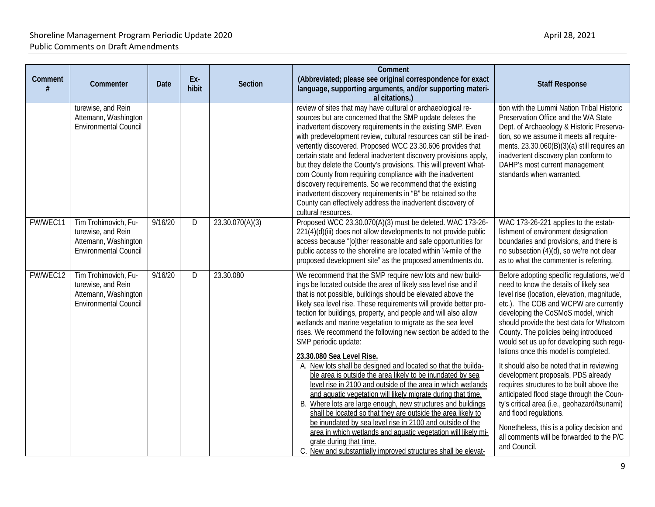| Comment  | Commenter                                                                                          | <b>Date</b> | Ex-<br>hibit | <b>Section</b>  | Comment<br>(Abbreviated; please see original correspondence for exact<br>language, supporting arguments, and/or supporting materi-<br>al citations.)                                                                                                                                                                                                                                                                                                                                                                                                                                                                                                                                                                                                                                                                                                                                                                                                                                                                                                                                                                                                | <b>Staff Response</b>                                                                                                                                                                                                                                                                                                                                                                                                                                                                                                                                                                                                                                                                                                                                           |
|----------|----------------------------------------------------------------------------------------------------|-------------|--------------|-----------------|-----------------------------------------------------------------------------------------------------------------------------------------------------------------------------------------------------------------------------------------------------------------------------------------------------------------------------------------------------------------------------------------------------------------------------------------------------------------------------------------------------------------------------------------------------------------------------------------------------------------------------------------------------------------------------------------------------------------------------------------------------------------------------------------------------------------------------------------------------------------------------------------------------------------------------------------------------------------------------------------------------------------------------------------------------------------------------------------------------------------------------------------------------|-----------------------------------------------------------------------------------------------------------------------------------------------------------------------------------------------------------------------------------------------------------------------------------------------------------------------------------------------------------------------------------------------------------------------------------------------------------------------------------------------------------------------------------------------------------------------------------------------------------------------------------------------------------------------------------------------------------------------------------------------------------------|
|          | turewise, and Rein<br>Attemann, Washington<br>Environmental Council                                |             |              |                 | review of sites that may have cultural or archaeological re-<br>sources but are concerned that the SMP update deletes the<br>inadvertent discovery requirements in the existing SMP. Even<br>with predevelopment review, cultural resources can still be inad-<br>vertently discovered. Proposed WCC 23.30.606 provides that<br>certain state and federal inadvertent discovery provisions apply<br>but they delete the County's provisions. This will prevent What-<br>com County from requiring compliance with the inadvertent<br>discovery requirements. So we recommend that the existing<br>inadvertent discovery requirements in "B" be retained so the<br>County can effectively address the inadvertent discovery of<br>cultural resources.                                                                                                                                                                                                                                                                                                                                                                                                | tion with the Lummi Nation Tribal Historic<br>Preservation Office and the WA State<br>Dept. of Archaeology & Historic Preserva-<br>tion, so we assume it meets all require-<br>ments. 23.30.060(B)(3)(a) still requires an<br>inadvertent discovery plan conform to<br>DAHP's most current management<br>standards when warranted.                                                                                                                                                                                                                                                                                                                                                                                                                              |
| FW/WEC11 | Tim Trohimovich, Fu-<br>turewise, and Rein<br>Attemann, Washington<br><b>Environmental Council</b> | 9/16/20     | D            | 23.30.070(A)(3) | Proposed WCC 23.30.070(A)(3) must be deleted. WAC 173-26-<br>221(4)(d)(iii) does not allow developments to not provide public<br>access because "[o]ther reasonable and safe opportunities for<br>public access to the shoreline are located within 1/4-mile of the<br>proposed development site" as the proposed amendments do.                                                                                                                                                                                                                                                                                                                                                                                                                                                                                                                                                                                                                                                                                                                                                                                                                    | WAC 173-26-221 applies to the estab-<br>lishment of environment designation<br>boundaries and provisions, and there is<br>no subsection (4)(d), so we're not clear<br>as to what the commenter is referring.                                                                                                                                                                                                                                                                                                                                                                                                                                                                                                                                                    |
| FW/WEC12 | Tim Trohimovich, Fu-<br>turewise, and Rein<br>Attemann, Washington<br><b>Environmental Council</b> | 9/16/20     | D            | 23.30.080       | We recommend that the SMP require new lots and new build-<br>ings be located outside the area of likely sea level rise and if<br>that is not possible, buildings should be elevated above the<br>likely sea level rise. These requirements will provide better pro-<br>tection for buildings, property, and people and will also allow<br>wetlands and marine vegetation to migrate as the sea level<br>rises. We recommend the following new section be added to the<br>SMP periodic update:<br>23.30.080 Sea Level Rise.<br>A. New lots shall be designed and located so that the builda-<br>ble area is outside the area likely to be inundated by sea<br>level rise in 2100 and outside of the area in which wetlands<br>and aquatic vegetation will likely migrate during that time.<br>B. Where lots are large enough, new structures and buildings<br>shall be located so that they are outside the area likely to<br>be inundated by sea level rise in 2100 and outside of the<br>area in which wetlands and aquatic vegetation will likely mi-<br>grate during that time.<br>C. New and substantially improved structures shall be elevat- | Before adopting specific regulations, we'd<br>need to know the details of likely sea<br>level rise (location, elevation, magnitude,<br>etc.). The COB and WCPW are currently<br>developing the CoSMoS model, which<br>should provide the best data for Whatcom<br>County. The policies being introduced<br>would set us up for developing such regu-<br>lations once this model is completed.<br>It should also be noted that in reviewing<br>development proposals, PDS already<br>requires structures to be built above the<br>anticipated flood stage through the Coun-<br>ty's critical area (i.e., geohazard/tsunami)<br>and flood regulations.<br>Nonetheless, this is a policy decision and<br>all comments will be forwarded to the P/C<br>and Council. |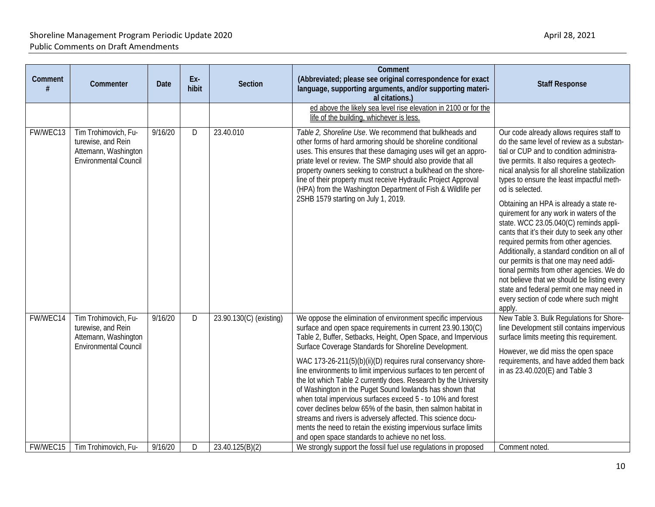| Comment  | Commenter                                                                                          | Date    | Ex-<br>hibit | <b>Section</b>          | Comment<br>(Abbreviated; please see original correspondence for exact<br>language, supporting arguments, and/or supporting materi-<br>al citations.)                                                                                                                                                                                                                                                                                                                                                                                                                                                                                                                                                                                                                                                                                              | <b>Staff Response</b>                                                                                                                                                                                                                                                                                                                                                                                                                                                                                                                                                                                                                                                                                                                                                                                            |
|----------|----------------------------------------------------------------------------------------------------|---------|--------------|-------------------------|---------------------------------------------------------------------------------------------------------------------------------------------------------------------------------------------------------------------------------------------------------------------------------------------------------------------------------------------------------------------------------------------------------------------------------------------------------------------------------------------------------------------------------------------------------------------------------------------------------------------------------------------------------------------------------------------------------------------------------------------------------------------------------------------------------------------------------------------------|------------------------------------------------------------------------------------------------------------------------------------------------------------------------------------------------------------------------------------------------------------------------------------------------------------------------------------------------------------------------------------------------------------------------------------------------------------------------------------------------------------------------------------------------------------------------------------------------------------------------------------------------------------------------------------------------------------------------------------------------------------------------------------------------------------------|
|          |                                                                                                    |         |              |                         | ed above the likely sea level rise elevation in 2100 or for the<br>life of the building, whichever is less.                                                                                                                                                                                                                                                                                                                                                                                                                                                                                                                                                                                                                                                                                                                                       |                                                                                                                                                                                                                                                                                                                                                                                                                                                                                                                                                                                                                                                                                                                                                                                                                  |
| FW/WEC13 | Tim Trohimovich, Fu-<br>turewise, and Rein<br>Attemann, Washington<br><b>Environmental Council</b> | 9/16/20 | D            | 23.40.010               | Table 2, Shoreline Use. We recommend that bulkheads and<br>other forms of hard armoring should be shoreline conditional<br>uses. This ensures that these damaging uses will get an appro-<br>priate level or review. The SMP should also provide that all<br>property owners seeking to construct a bulkhead on the shore-<br>line of their property must receive Hydraulic Project Approval<br>(HPA) from the Washington Department of Fish & Wildlife per<br>2SHB 1579 starting on July 1, 2019.                                                                                                                                                                                                                                                                                                                                                | Our code already allows requires staff to<br>do the same level of review as a substan-<br>tial or CUP and to condition administra-<br>tive permits. It also requires a geotech-<br>nical analysis for all shoreline stabilization<br>types to ensure the least impactful meth-<br>od is selected.<br>Obtaining an HPA is already a state re-<br>quirement for any work in waters of the<br>state. WCC 23.05.040(C) reminds appli-<br>cants that it's their duty to seek any other<br>required permits from other agencies.<br>Additionally, a standard condition on all of<br>our permits is that one may need addi-<br>tional permits from other agencies. We do<br>not believe that we should be listing every<br>state and federal permit one may need in<br>every section of code where such might<br>apply. |
| FW/WEC14 | Tim Trohimovich, Fu-<br>turewise, and Rein<br>Attemann, Washington<br><b>Environmental Council</b> | 9/16/20 | D            | 23.90.130(C) (existing) | We oppose the elimination of environment specific impervious<br>surface and open space requirements in current 23.90.130(C)<br>Table 2, Buffer, Setbacks, Height, Open Space, and Impervious<br>Surface Coverage Standards for Shoreline Development.<br>WAC 173-26-211(5)(b)(ii)(D) requires rural conservancy shore-<br>line environments to limit impervious surfaces to ten percent of<br>the lot which Table 2 currently does. Research by the University<br>of Washington in the Puget Sound lowlands has shown that<br>when total impervious surfaces exceed 5 - to 10% and forest<br>cover declines below 65% of the basin, then salmon habitat in<br>streams and rivers is adversely affected. This science docu-<br>ments the need to retain the existing impervious surface limits<br>and open space standards to achieve no net loss. | New Table 3. Bulk Regulations for Shore-<br>line Development still contains impervious<br>surface limits meeting this requirement.<br>However, we did miss the open space<br>requirements, and have added them back<br>in as 23.40.020(E) and Table 3                                                                                                                                                                                                                                                                                                                                                                                                                                                                                                                                                            |
| FW/WEC15 | Tim Trohimovich, Fu-                                                                               | 9/16/20 | D            | 23.40.125(B)(2)         | We strongly support the fossil fuel use regulations in proposed                                                                                                                                                                                                                                                                                                                                                                                                                                                                                                                                                                                                                                                                                                                                                                                   | Comment noted.                                                                                                                                                                                                                                                                                                                                                                                                                                                                                                                                                                                                                                                                                                                                                                                                   |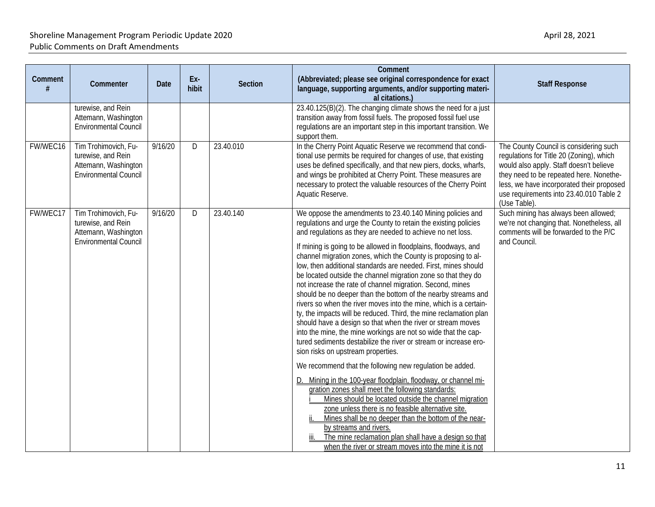| Comment  | Commenter                                                                                          | <b>Date</b> | Ex-<br>hibit | <b>Section</b> | Comment<br>(Abbreviated; please see original correspondence for exact<br>language, supporting arguments, and/or supporting materi-<br>al citations.)                                                                                                                                                                                                                                                                                                                                                                                                                                                                                                                                                                                                                                                                                                                                                                                                                                                                                                                                                                                                                                                                                                                                                                                                                                                                                                                                         | <b>Staff Response</b>                                                                                                                                                                                                                                                            |
|----------|----------------------------------------------------------------------------------------------------|-------------|--------------|----------------|----------------------------------------------------------------------------------------------------------------------------------------------------------------------------------------------------------------------------------------------------------------------------------------------------------------------------------------------------------------------------------------------------------------------------------------------------------------------------------------------------------------------------------------------------------------------------------------------------------------------------------------------------------------------------------------------------------------------------------------------------------------------------------------------------------------------------------------------------------------------------------------------------------------------------------------------------------------------------------------------------------------------------------------------------------------------------------------------------------------------------------------------------------------------------------------------------------------------------------------------------------------------------------------------------------------------------------------------------------------------------------------------------------------------------------------------------------------------------------------------|----------------------------------------------------------------------------------------------------------------------------------------------------------------------------------------------------------------------------------------------------------------------------------|
|          | turewise, and Rein<br>Attemann, Washington<br><b>Environmental Council</b>                         |             |              |                | 23.40.125(B)(2). The changing climate shows the need for a just<br>transition away from fossil fuels. The proposed fossil fuel use<br>regulations are an important step in this important transition. We<br>support them.                                                                                                                                                                                                                                                                                                                                                                                                                                                                                                                                                                                                                                                                                                                                                                                                                                                                                                                                                                                                                                                                                                                                                                                                                                                                    |                                                                                                                                                                                                                                                                                  |
| FW/WEC16 | Tim Trohimovich, Fu-<br>turewise, and Rein<br>Attemann, Washington<br><b>Environmental Council</b> | 9/16/20     | D            | 23.40.010      | In the Cherry Point Aquatic Reserve we recommend that condi-<br>tional use permits be required for changes of use, that existing<br>uses be defined specifically, and that new piers, docks, wharfs,<br>and wings be prohibited at Cherry Point. These measures are<br>necessary to protect the valuable resources of the Cherry Point<br>Aquatic Reserve.                                                                                                                                                                                                                                                                                                                                                                                                                                                                                                                                                                                                                                                                                                                                                                                                                                                                                                                                                                                                                                                                                                                                   | The County Council is considering such<br>regulations for Title 20 (Zoning), which<br>would also apply. Staff doesn't believe<br>they need to be repeated here. Nonethe-<br>less, we have incorporated their proposed<br>use requirements into 23.40.010 Table 2<br>(Use Table). |
| FW/WEC17 | Tim Trohimovich, Fu-<br>turewise, and Rein<br>Attemann, Washington<br><b>Environmental Council</b> | 9/16/20     | D            | 23.40.140      | We oppose the amendments to 23.40.140 Mining policies and<br>regulations and urge the County to retain the existing policies<br>and regulations as they are needed to achieve no net loss.<br>If mining is going to be allowed in floodplains, floodways, and<br>channel migration zones, which the County is proposing to al-<br>low, then additional standards are needed. First, mines should<br>be located outside the channel migration zone so that they do<br>not increase the rate of channel migration. Second, mines<br>should be no deeper than the bottom of the nearby streams and<br>rivers so when the river moves into the mine, which is a certain-<br>ty, the impacts will be reduced. Third, the mine reclamation plan<br>should have a design so that when the river or stream moves<br>into the mine, the mine workings are not so wide that the cap-<br>tured sediments destabilize the river or stream or increase ero-<br>sion risks on upstream properties.<br>We recommend that the following new regulation be added.<br>D. Mining in the 100-year floodplain, floodway, or channel mi-<br>gration zones shall meet the following standards:<br>Mines should be located outside the channel migration<br>zone unless there is no feasible alternative site.<br>Mines shall be no deeper than the bottom of the near-<br>by streams and rivers.<br>The mine reclamation plan shall have a design so that<br>when the river or stream moves into the mine it is not | Such mining has always been allowed;<br>we're not changing that. Nonetheless, all<br>comments will be forwarded to the P/C<br>and Council.                                                                                                                                       |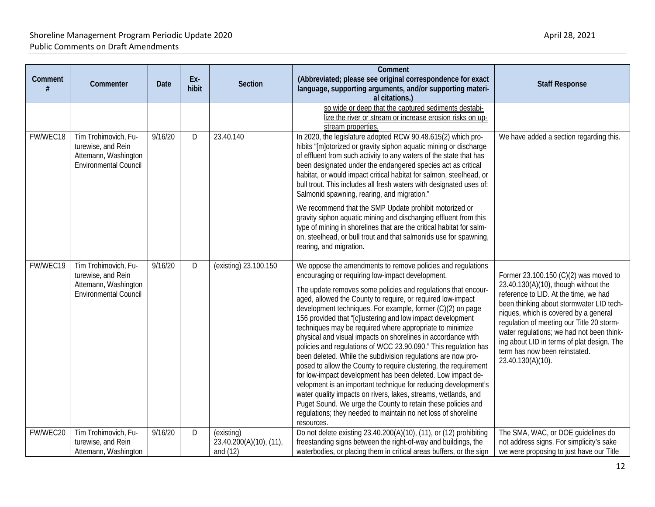| Comment  | Commenter                                                                                          | Date    | Ex-<br>hibit | Section                                             | Comment<br>(Abbreviated; please see original correspondence for exact<br>language, supporting arguments, and/or supporting materi-<br>al citations.)                                                                                                                                                                                                                                                                                                                                                                                                                                                                                                                                                                                                                                                                                                                                                                                                                                                                                                             | <b>Staff Response</b>                                                                                                                                                                                                                                                                                                                                                                                     |
|----------|----------------------------------------------------------------------------------------------------|---------|--------------|-----------------------------------------------------|------------------------------------------------------------------------------------------------------------------------------------------------------------------------------------------------------------------------------------------------------------------------------------------------------------------------------------------------------------------------------------------------------------------------------------------------------------------------------------------------------------------------------------------------------------------------------------------------------------------------------------------------------------------------------------------------------------------------------------------------------------------------------------------------------------------------------------------------------------------------------------------------------------------------------------------------------------------------------------------------------------------------------------------------------------------|-----------------------------------------------------------------------------------------------------------------------------------------------------------------------------------------------------------------------------------------------------------------------------------------------------------------------------------------------------------------------------------------------------------|
|          |                                                                                                    |         |              |                                                     | so wide or deep that the captured sediments destabi-<br>lize the river or stream or increase erosion risks on up-<br>stream properties.                                                                                                                                                                                                                                                                                                                                                                                                                                                                                                                                                                                                                                                                                                                                                                                                                                                                                                                          |                                                                                                                                                                                                                                                                                                                                                                                                           |
| FW/WEC18 | Tim Trohimovich, Fu-<br>turewise, and Rein<br>Attemann, Washington<br><b>Environmental Council</b> | 9/16/20 | D            | 23.40.140                                           | In 2020, the legislature adopted RCW 90.48.615(2) which pro-<br>hibits "[m]otorized or gravity siphon aquatic mining or discharge<br>of effluent from such activity to any waters of the state that has<br>been designated under the endangered species act as critical<br>habitat, or would impact critical habitat for salmon, steelhead, or<br>bull trout. This includes all fresh waters with designated uses of:<br>Salmonid spawning, rearing, and migration."<br>We recommend that the SMP Update prohibit motorized or<br>gravity siphon aquatic mining and discharging effluent from this<br>type of mining in shorelines that are the critical habitat for salm-<br>on, steelhead, or bull trout and that salmonids use for spawning,<br>rearing, and migration.                                                                                                                                                                                                                                                                                       | We have added a section regarding this.                                                                                                                                                                                                                                                                                                                                                                   |
| FW/WEC19 | Tim Trohimovich, Fu-<br>turewise, and Rein<br>Attemann, Washington<br><b>Environmental Council</b> | 9/16/20 | D            | (existing) 23.100.150                               | We oppose the amendments to remove policies and regulations<br>encouraging or requiring low-impact development.<br>The update removes some policies and regulations that encour-<br>aged, allowed the County to require, or required low-impact<br>development techniques. For example, former (C)(2) on page<br>156 provided that "[c]lustering and low impact development<br>techniques may be required where appropriate to minimize<br>physical and visual impacts on shorelines in accordance with<br>policies and regulations of WCC 23.90.090." This regulation has<br>been deleted. While the subdivision regulations are now pro-<br>posed to allow the County to require clustering, the requirement<br>for low-impact development has been deleted. Low impact de-<br>velopment is an important technique for reducing development's<br>water quality impacts on rivers, lakes, streams, wetlands, and<br>Puget Sound. We urge the County to retain these policies and<br>regulations; they needed to maintain no net loss of shoreline<br>resources. | Former 23.100.150 (C)(2) was moved to<br>23.40.130(A)(10), though without the<br>reference to LID. At the time, we had<br>been thinking about stormwater LID tech-<br>niques, which is covered by a general<br>regulation of meeting our Title 20 storm-<br>water regulations; we had not been think-<br>ing about LID in terms of plat design. The<br>term has now been reinstated.<br>23.40.130(A)(10). |
| FW/WEC20 | Tim Trohimovich, Fu-<br>turewise, and Rein<br>Attemann, Washington                                 | 9/16/20 | D            | (existing)<br>23.40.200(A)(10), (11),<br>and $(12)$ | Do not delete existing 23.40.200(A)(10), (11), or (12) prohibiting<br>freestanding signs between the right-of-way and buildings, the<br>waterbodies, or placing them in critical areas buffers, or the sign                                                                                                                                                                                                                                                                                                                                                                                                                                                                                                                                                                                                                                                                                                                                                                                                                                                      | The SMA, WAC, or DOE guidelines do<br>not address signs. For simplicity's sake<br>we were proposing to just have our Title                                                                                                                                                                                                                                                                                |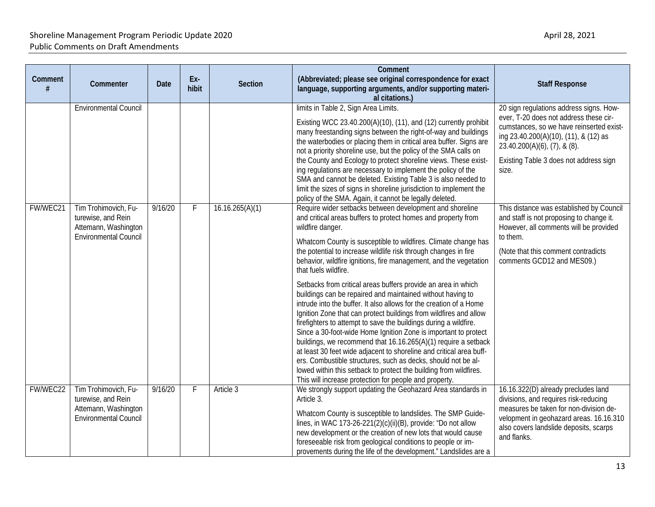| Comment  | Commenter                                                                                          | <b>Date</b> | Ex-<br>hibit | <b>Section</b>  | Comment<br>(Abbreviated; please see original correspondence for exact<br>language, supporting arguments, and/or supporting materi-<br>al citations.)                                                                                                                                                                                                                                                                                                                                                                                                                                                                                                                                                                                                                                                                                                                                                                                                                                                                                                                                                                                      | <b>Staff Response</b>                                                                                                                                                                                                                                              |
|----------|----------------------------------------------------------------------------------------------------|-------------|--------------|-----------------|-------------------------------------------------------------------------------------------------------------------------------------------------------------------------------------------------------------------------------------------------------------------------------------------------------------------------------------------------------------------------------------------------------------------------------------------------------------------------------------------------------------------------------------------------------------------------------------------------------------------------------------------------------------------------------------------------------------------------------------------------------------------------------------------------------------------------------------------------------------------------------------------------------------------------------------------------------------------------------------------------------------------------------------------------------------------------------------------------------------------------------------------|--------------------------------------------------------------------------------------------------------------------------------------------------------------------------------------------------------------------------------------------------------------------|
|          | <b>Environmental Council</b>                                                                       |             |              |                 | limits in Table 2, Sign Area Limits.<br>Existing WCC 23.40.200(A)(10), (11), and (12) currently prohibit<br>many freestanding signs between the right-of-way and buildings<br>the waterbodies or placing them in critical area buffer. Signs are<br>not a priority shoreline use, but the policy of the SMA calls on<br>the County and Ecology to protect shoreline views. These exist-<br>ing regulations are necessary to implement the policy of the<br>SMA and cannot be deleted. Existing Table 3 is also needed to<br>limit the sizes of signs in shoreline jurisdiction to implement the<br>policy of the SMA. Again, it cannot be legally deleted.                                                                                                                                                                                                                                                                                                                                                                                                                                                                                | 20 sign regulations address signs. How-<br>ever, T-20 does not address these cir-<br>cumstances, so we have reinserted exist-<br>ing 23.40.200(A)(10), (11), & (12) as<br>$23.40.200(A)(6)$ , $(7)$ , & $(8)$ .<br>Existing Table 3 does not address sign<br>size. |
| FW/WEC21 | Tim Trohimovich, Fu-<br>turewise, and Rein<br>Attemann, Washington<br><b>Environmental Council</b> | 9/16/20     | F.           | 16.16.265(A)(1) | Require wider setbacks between development and shoreline<br>and critical areas buffers to protect homes and property from<br>wildfire danger.<br>Whatcom County is susceptible to wildfires. Climate change has<br>the potential to increase wildlife risk through changes in fire<br>behavior, wildfire ignitions, fire management, and the vegetation<br>that fuels wildfire.<br>Setbacks from critical areas buffers provide an area in which<br>buildings can be repaired and maintained without having to<br>intrude into the buffer. It also allows for the creation of a Home<br>Ignition Zone that can protect buildings from wildfires and allow<br>firefighters to attempt to save the buildings during a wildfire.<br>Since a 30-foot-wide Home Ignition Zone is important to protect<br>buildings, we recommend that 16.16.265(A)(1) require a setback<br>at least 30 feet wide adjacent to shoreline and critical area buff-<br>ers. Combustible structures, such as decks, should not be al-<br>lowed within this setback to protect the building from wildfires.<br>This will increase protection for people and property. | This distance was established by Council<br>and staff is not proposing to change it.<br>However, all comments will be provided<br>to them.<br>(Note that this comment contradicts<br>comments GCD12 and MES09.)                                                    |
| FW/WEC22 | Tim Trohimovich, Fu-<br>turewise, and Rein<br>Attemann, Washington<br>Environmental Council        | 9/16/20     | F.           | Article 3       | We strongly support updating the Geohazard Area standards in<br>Article 3.<br>Whatcom County is susceptible to landslides. The SMP Guide-<br>lines, in WAC 173-26-221(2)(c)(ii)(B), provide: "Do not allow<br>new development or the creation of new lots that would cause<br>foreseeable risk from geological conditions to people or im-<br>provements during the life of the development." Landslides are a                                                                                                                                                                                                                                                                                                                                                                                                                                                                                                                                                                                                                                                                                                                            | 16.16.322(D) already precludes land<br>divisions, and requires risk-reducing<br>measures be taken for non-division de-<br>velopment in geohazard areas. 16.16.310<br>also covers landslide deposits, scarps<br>and flanks.                                         |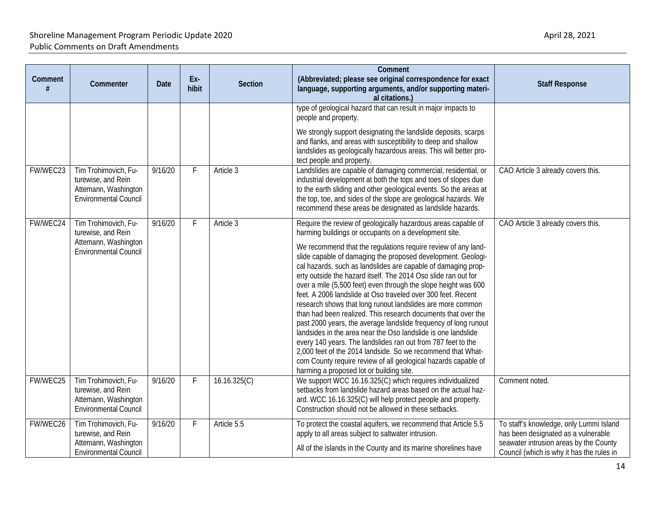| Comment<br># | Commenter                                                                                          | Date    | Ex-<br>hibit | Section      | Comment<br>(Abbreviated; please see original correspondence for exact<br>language, supporting arguments, and/or supporting materi-<br>al citations.)                                                                                                                                                                                                                                                                                                                                                                                                                                                                                                                                                                                                                                                                                                                                                                                                                                                                                         | <b>Staff Response</b>                                                                                                                                                 |
|--------------|----------------------------------------------------------------------------------------------------|---------|--------------|--------------|----------------------------------------------------------------------------------------------------------------------------------------------------------------------------------------------------------------------------------------------------------------------------------------------------------------------------------------------------------------------------------------------------------------------------------------------------------------------------------------------------------------------------------------------------------------------------------------------------------------------------------------------------------------------------------------------------------------------------------------------------------------------------------------------------------------------------------------------------------------------------------------------------------------------------------------------------------------------------------------------------------------------------------------------|-----------------------------------------------------------------------------------------------------------------------------------------------------------------------|
|              |                                                                                                    |         |              |              | type of geological hazard that can result in major impacts to<br>people and property.                                                                                                                                                                                                                                                                                                                                                                                                                                                                                                                                                                                                                                                                                                                                                                                                                                                                                                                                                        |                                                                                                                                                                       |
|              |                                                                                                    |         |              |              | We strongly support designating the landslide deposits, scarps<br>and flanks, and areas with susceptibility to deep and shallow<br>landslides as geologically hazardous areas. This will better pro-<br>tect people and property.                                                                                                                                                                                                                                                                                                                                                                                                                                                                                                                                                                                                                                                                                                                                                                                                            |                                                                                                                                                                       |
| FW/WEC23     | Tim Trohimovich, Fu-<br>turewise, and Rein<br>Attemann, Washington<br><b>Environmental Council</b> | 9/16/20 | F            | Article 3    | Landslides are capable of damaging commercial, residential, or<br>industrial development at both the tops and toes of slopes due<br>to the earth sliding and other geological events. So the areas at<br>the top, toe, and sides of the slope are geological hazards. We<br>recommend these areas be designated as landslide hazards.                                                                                                                                                                                                                                                                                                                                                                                                                                                                                                                                                                                                                                                                                                        | CAO Article 3 already covers this.                                                                                                                                    |
| FW/WEC24     | Tim Trohimovich, Fu-<br>turewise, and Rein<br>Attemann, Washington<br><b>Environmental Council</b> | 9/16/20 | F            | Article 3    | Require the review of geologically hazardous areas capable of<br>harming buildings or occupants on a development site.<br>We recommend that the regulations require review of any land-<br>slide capable of damaging the proposed development. Geologi-<br>cal hazards, such as landslides are capable of damaging prop-<br>erty outside the hazard itself. The 2014 Oso slide ran out for<br>over a mile (5,500 feet) even through the slope height was 600<br>feet. A 2006 landslide at Oso traveled over 300 feet. Recent<br>research shows that long runout landslides are more common<br>than had been realized. This research documents that over the<br>past 2000 years, the average landslide frequency of long runout<br>landsides in the area near the Oso landslide is one landslide<br>every 140 years. The landslides ran out from 787 feet to the<br>2,000 feet of the 2014 landside. So we recommend that What-<br>com County require review of all geological hazards capable of<br>harming a proposed lot or building site. | CAO Article 3 already covers this.                                                                                                                                    |
| FW/WEC25     | Tim Trohimovich, Fu-<br>turewise, and Rein<br>Attemann, Washington<br><b>Environmental Council</b> | 9/16/20 | F.           | 16.16.325(C) | We support WCC 16.16.325(C) which requires individualized<br>setbacks from landslide hazard areas based on the actual haz-<br>ard. WCC 16.16.325(C) will help protect people and property.<br>Construction should not be allowed in these setbacks.                                                                                                                                                                                                                                                                                                                                                                                                                                                                                                                                                                                                                                                                                                                                                                                          | Comment noted.                                                                                                                                                        |
| FW/WEC26     | Tim Trohimovich, Fu-<br>turewise, and Rein<br>Attemann, Washington<br><b>Environmental Council</b> | 9/16/20 | F            | Article 5.5  | To protect the coastal aquifers, we recommend that Article 5.5<br>apply to all areas subject to saltwater intrusion.<br>All of the islands in the County and its marine shorelines have                                                                                                                                                                                                                                                                                                                                                                                                                                                                                                                                                                                                                                                                                                                                                                                                                                                      | To staff's knowledge, only Lummi Island<br>has been designated as a vulnerable<br>seawater intrusion areas by the County<br>Council (which is why it has the rules in |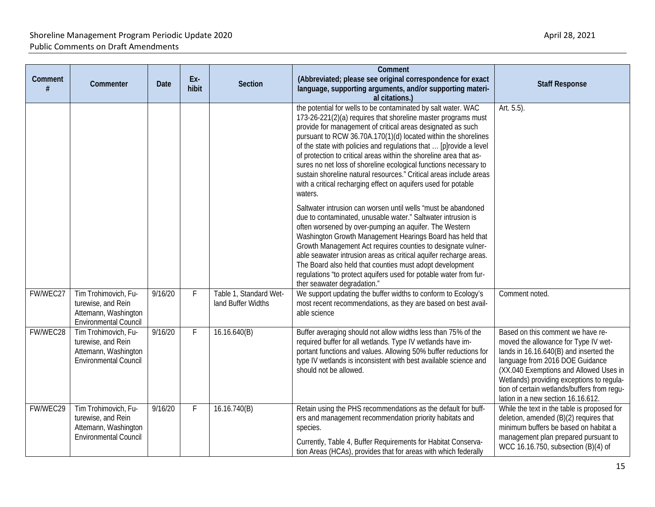| Comment  | Commenter                                                                                          | Date    | Ex-<br>hibit | <b>Section</b>                               | Comment<br>(Abbreviated; please see original correspondence for exact<br>language, supporting arguments, and/or supporting materi-<br>al citations.)                                                                                                                                                                                                                                                                                                                                                                                                                                                                               | <b>Staff Response</b>                                                                                                                                                                                                                                                                                                              |
|----------|----------------------------------------------------------------------------------------------------|---------|--------------|----------------------------------------------|------------------------------------------------------------------------------------------------------------------------------------------------------------------------------------------------------------------------------------------------------------------------------------------------------------------------------------------------------------------------------------------------------------------------------------------------------------------------------------------------------------------------------------------------------------------------------------------------------------------------------------|------------------------------------------------------------------------------------------------------------------------------------------------------------------------------------------------------------------------------------------------------------------------------------------------------------------------------------|
|          |                                                                                                    |         |              |                                              | the potential for wells to be contaminated by salt water. WAC<br>173-26-221(2)(a) requires that shoreline master programs must<br>provide for management of critical areas designated as such<br>pursuant to RCW 36.70A.170(1)(d) located within the shorelines<br>of the state with policies and regulations that  [p]rovide a level<br>of protection to critical areas within the shoreline area that as-<br>sures no net loss of shoreline ecological functions necessary to<br>sustain shoreline natural resources." Critical areas include areas<br>with a critical recharging effect on aquifers used for potable<br>waters. | Art. 5.5).                                                                                                                                                                                                                                                                                                                         |
|          |                                                                                                    |         |              |                                              | Saltwater intrusion can worsen until wells "must be abandoned<br>due to contaminated, unusable water." Saltwater intrusion is<br>often worsened by over-pumping an aquifer. The Western<br>Washington Growth Management Hearings Board has held that<br>Growth Management Act requires counties to designate vulner-<br>able seawater intrusion areas as critical aquifer recharge areas.<br>The Board also held that counties must adopt development<br>regulations "to protect aquifers used for potable water from fur-<br>ther seawater degradation."                                                                          |                                                                                                                                                                                                                                                                                                                                    |
| FW/WEC27 | Tim Trohimovich, Fu-<br>turewise, and Rein<br>Attemann, Washington<br><b>Environmental Council</b> | 9/16/20 | F            | Table 1, Standard Wet-<br>land Buffer Widths | We support updating the buffer widths to conform to Ecology's<br>most recent recommendations, as they are based on best avail-<br>able science                                                                                                                                                                                                                                                                                                                                                                                                                                                                                     | Comment noted.                                                                                                                                                                                                                                                                                                                     |
| FW/WEC28 | Tim Trohimovich, Fu-<br>turewise, and Rein<br>Attemann, Washington<br><b>Environmental Council</b> | 9/16/20 | F.           | 16.16.640(B)                                 | Buffer averaging should not allow widths less than 75% of the<br>required buffer for all wetlands. Type IV wetlands have im-<br>portant functions and values. Allowing 50% buffer reductions for<br>type IV wetlands is inconsistent with best available science and<br>should not be allowed.                                                                                                                                                                                                                                                                                                                                     | Based on this comment we have re-<br>moved the allowance for Type IV wet-<br>lands in 16.16.640(B) and inserted the<br>language from 2016 DOE Guidance<br>(XX.040 Exemptions and Allowed Uses in<br>Wetlands) providing exceptions to regula-<br>tion of certain wetlands/buffers from requ-<br>lation in a new section 16.16.612. |
| FW/WEC29 | Tim Trohimovich, Fu-<br>turewise, and Rein<br>Attemann, Washington<br><b>Environmental Council</b> | 9/16/20 | F            | 16.16.740(B)                                 | Retain using the PHS recommendations as the default for buff-<br>ers and management recommendation priority habitats and<br>species.<br>Currently, Table 4, Buffer Requirements for Habitat Conserva-<br>tion Areas (HCAs), provides that for areas with which federally                                                                                                                                                                                                                                                                                                                                                           | While the text in the table is proposed for<br>deletion, amended (B)(2) requires that<br>minimum buffers be based on habitat a<br>management plan prepared pursuant to<br>WCC 16.16.750, subsection (B)(4) of                                                                                                                      |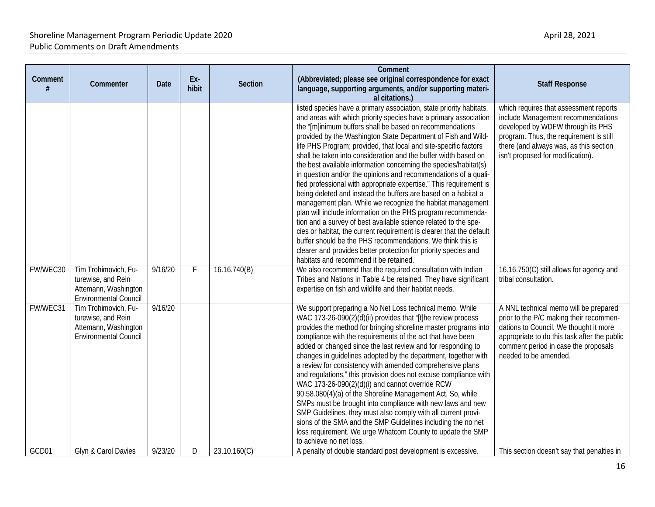| Comment<br># | Commenter                                                                                          | Date    | Ex-<br>hibit | <b>Section</b> | Comment<br>(Abbreviated; please see original correspondence for exact<br>language, supporting arguments, and/or supporting materi-<br>al citations.)                                                                                                                                                                                                                                                                                                                                                                                                                                                                                                                                                                                                                                                                                                                                                                                                                                                                                                                                                                                           | <b>Staff Response</b>                                                                                                                                                                                                                       |
|--------------|----------------------------------------------------------------------------------------------------|---------|--------------|----------------|------------------------------------------------------------------------------------------------------------------------------------------------------------------------------------------------------------------------------------------------------------------------------------------------------------------------------------------------------------------------------------------------------------------------------------------------------------------------------------------------------------------------------------------------------------------------------------------------------------------------------------------------------------------------------------------------------------------------------------------------------------------------------------------------------------------------------------------------------------------------------------------------------------------------------------------------------------------------------------------------------------------------------------------------------------------------------------------------------------------------------------------------|---------------------------------------------------------------------------------------------------------------------------------------------------------------------------------------------------------------------------------------------|
|              |                                                                                                    |         |              |                | listed species have a primary association, state priority habitats,<br>and areas with which priority species have a primary association<br>the "[m]inimum buffers shall be based on recommendations<br>provided by the Washington State Department of Fish and Wild-<br>life PHS Program; provided, that local and site-specific factors<br>shall be taken into consideration and the buffer width based on<br>the best available information concerning the species/habitat(s)<br>in question and/or the opinions and recommendations of a quali-<br>fied professional with appropriate expertise." This requirement is<br>being deleted and instead the buffers are based on a habitat a<br>management plan. While we recognize the habitat management<br>plan will include information on the PHS program recommenda-<br>tion and a survey of best available science related to the spe-<br>cies or habitat, the current requirement is clearer that the default<br>buffer should be the PHS recommendations. We think this is<br>clearer and provides better protection for priority species and<br>habitats and recommend it be retained. | which requires that assessment reports<br>include Management recommendations<br>developed by WDFW through its PHS<br>program. Thus, the requirement is still<br>there (and always was, as this section<br>isn't proposed for modification). |
| FW/WEC30     | Tim Trohimovich, Fu-<br>turewise, and Rein<br>Attemann, Washington<br><b>Environmental Council</b> | 9/16/20 | F            | 16.16.740(B)   | We also recommend that the required consultation with Indian<br>Tribes and Nations in Table 4 be retained. They have significant<br>expertise on fish and wildlife and their habitat needs.                                                                                                                                                                                                                                                                                                                                                                                                                                                                                                                                                                                                                                                                                                                                                                                                                                                                                                                                                    | 16.16.750(C) still allows for agency and<br>tribal consultation.                                                                                                                                                                            |
| FW/WEC31     | Tim Trohimovich, Fu-<br>turewise, and Rein<br>Attemann, Washington<br><b>Environmental Council</b> | 9/16/20 |              |                | We support preparing a No Net Loss technical memo. While<br>WAC 173-26-090(2)(d)(ii) provides that "[t]he review process<br>provides the method for bringing shoreline master programs into<br>compliance with the requirements of the act that have been<br>added or changed since the last review and for responding to<br>changes in guidelines adopted by the department, together with<br>a review for consistency with amended comprehensive plans<br>and regulations," this provision does not excuse compliance with<br>WAC 173-26-090(2)(d)(i) and cannot override RCW<br>90.58.080(4)(a) of the Shoreline Management Act. So, while<br>SMPs must be brought into compliance with new laws and new<br>SMP Guidelines, they must also comply with all current provi-<br>sions of the SMA and the SMP Guidelines including the no net<br>loss requirement. We urge Whatcom County to update the SMP<br>to achieve no net loss.                                                                                                                                                                                                          | A NNL technical memo will be prepared<br>prior to the P/C making their recommen-<br>dations to Council. We thought it more<br>appropriate to do this task after the public<br>comment period in case the proposals<br>needed to be amended. |
| GCD01        | Glyn & Carol Davies                                                                                | 9/23/20 | D            | 23.10.160(C)   | A penalty of double standard post development is excessive.                                                                                                                                                                                                                                                                                                                                                                                                                                                                                                                                                                                                                                                                                                                                                                                                                                                                                                                                                                                                                                                                                    | This section doesn't say that penalties in                                                                                                                                                                                                  |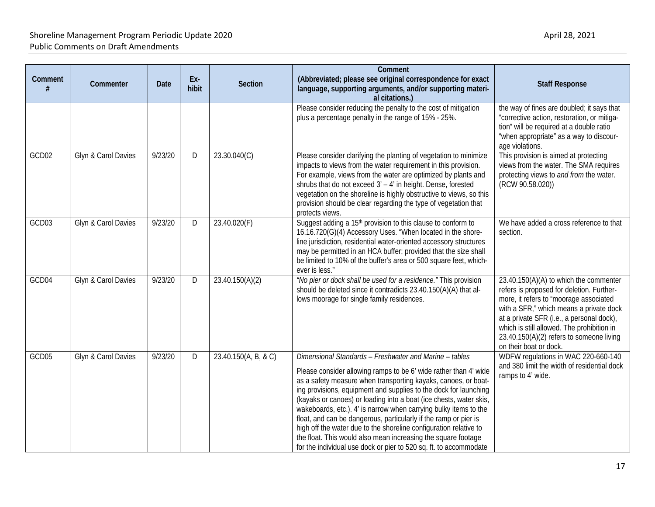| Comment | Commenter           | <b>Date</b> | Ex-<br>hibit | <b>Section</b>       | Comment<br>(Abbreviated; please see original correspondence for exact<br>language, supporting arguments, and/or supporting materi-<br>al citations.)                                                                                                                                                                                                                                                                                                                                                                                                                                                                                                                                      | <b>Staff Response</b>                                                                                                                                                                                                                                                                                                                     |
|---------|---------------------|-------------|--------------|----------------------|-------------------------------------------------------------------------------------------------------------------------------------------------------------------------------------------------------------------------------------------------------------------------------------------------------------------------------------------------------------------------------------------------------------------------------------------------------------------------------------------------------------------------------------------------------------------------------------------------------------------------------------------------------------------------------------------|-------------------------------------------------------------------------------------------------------------------------------------------------------------------------------------------------------------------------------------------------------------------------------------------------------------------------------------------|
|         |                     |             |              |                      | Please consider reducing the penalty to the cost of mitigation<br>plus a percentage penalty in the range of 15% - 25%.                                                                                                                                                                                                                                                                                                                                                                                                                                                                                                                                                                    | the way of fines are doubled; it says that<br>"corrective action, restoration, or mitiga-<br>tion" will be required at a double ratio<br>"when appropriate" as a way to discour-<br>age violations.                                                                                                                                       |
| GCD02   | Glyn & Carol Davies | 9/23/20     | D            | 23.30.040(C)         | Please consider clarifying the planting of vegetation to minimize<br>impacts to views from the water requirement in this provision.<br>For example, views from the water are optimized by plants and<br>shrubs that do not exceed 3' - 4' in height. Dense, forested<br>vegetation on the shoreline is highly obstructive to views, so this<br>provision should be clear regarding the type of vegetation that<br>protects views.                                                                                                                                                                                                                                                         | This provision is aimed at protecting<br>views from the water. The SMA requires<br>protecting views to and from the water.<br>(RCW 90.58.020))                                                                                                                                                                                            |
| GCD03   | Glyn & Carol Davies | 9/23/20     | D            | 23.40.020(F)         | Suggest adding a 15 <sup>th</sup> provision to this clause to conform to<br>16.16.720(G)(4) Accessory Uses. "When located in the shore-<br>line jurisdiction, residential water-oriented accessory structures<br>may be permitted in an HCA buffer; provided that the size shall<br>be limited to 10% of the buffer's area or 500 square feet, which-<br>ever is less."                                                                                                                                                                                                                                                                                                                   | We have added a cross reference to that<br>section.                                                                                                                                                                                                                                                                                       |
| GCD04   | Glyn & Carol Davies | 9/23/20     | D            | 23.40.150(A)(2)      | "No pier or dock shall be used for a residence." This provision<br>should be deleted since it contradicts 23.40.150(A)(A) that al-<br>lows moorage for single family residences.                                                                                                                                                                                                                                                                                                                                                                                                                                                                                                          | 23.40.150(A)(A) to which the commenter<br>refers is proposed for deletion. Further-<br>more, it refers to "moorage associated<br>with a SFR," which means a private dock<br>at a private SFR (i.e., a personal dock),<br>which is still allowed. The prohibition in<br>23.40.150(A)(2) refers to someone living<br>on their boat or dock. |
| GCD05   | Glyn & Carol Davies | 9/23/20     | D            | 23.40.150(A, B, & C) | Dimensional Standards - Freshwater and Marine - tables<br>Please consider allowing ramps to be 6' wide rather than 4' wide<br>as a safety measure when transporting kayaks, canoes, or boat-<br>ing provisions, equipment and supplies to the dock for launching<br>(kayaks or canoes) or loading into a boat (ice chests, water skis,<br>wakeboards, etc.). 4' is narrow when carrying bulky items to the<br>float, and can be dangerous, particularly if the ramp or pier is<br>high off the water due to the shoreline configuration relative to<br>the float. This would also mean increasing the square footage<br>for the individual use dock or pier to 520 sq. ft. to accommodate | WDFW regulations in WAC 220-660-140<br>and 380 limit the width of residential dock<br>ramps to 4' wide.                                                                                                                                                                                                                                   |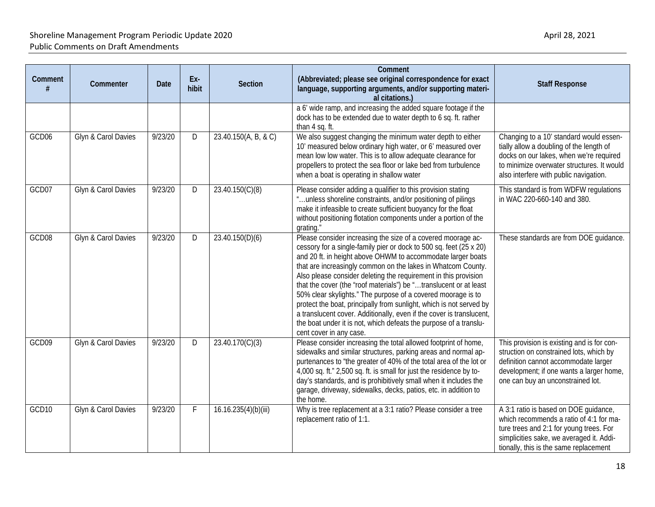| Comment           | Commenter           | Date    | Ex-<br>hibit | Section              | Comment<br>(Abbreviated; please see original correspondence for exact<br>language, supporting arguments, and/or supporting materi-<br>al citations.)                                                                                                                                                                                                                                                                                                                                                                                                                                                                                                                                                                     | <b>Staff Response</b>                                                                                                                                                                                                  |
|-------------------|---------------------|---------|--------------|----------------------|--------------------------------------------------------------------------------------------------------------------------------------------------------------------------------------------------------------------------------------------------------------------------------------------------------------------------------------------------------------------------------------------------------------------------------------------------------------------------------------------------------------------------------------------------------------------------------------------------------------------------------------------------------------------------------------------------------------------------|------------------------------------------------------------------------------------------------------------------------------------------------------------------------------------------------------------------------|
|                   |                     |         |              |                      | a 6' wide ramp, and increasing the added square footage if the<br>dock has to be extended due to water depth to 6 sq. ft. rather<br>than 4 sq. ft.                                                                                                                                                                                                                                                                                                                                                                                                                                                                                                                                                                       |                                                                                                                                                                                                                        |
| GCD06             | Glyn & Carol Davies | 9/23/20 | D            | 23.40.150(A, B, & C) | We also suggest changing the minimum water depth to either<br>10' measured below ordinary high water, or 6' measured over<br>mean low low water. This is to allow adequate clearance for<br>propellers to protect the sea floor or lake bed from turbulence<br>when a boat is operating in shallow water                                                                                                                                                                                                                                                                                                                                                                                                                 | Changing to a 10' standard would essen-<br>tially allow a doubling of the length of<br>docks on our lakes, when we're required<br>to minimize overwater structures. It would<br>also interfere with public navigation. |
| GCD07             | Glyn & Carol Davies | 9/23/20 | D            | 23.40.150(C)(8)      | Please consider adding a qualifier to this provision stating<br>"unless shoreline constraints, and/or positioning of pilings<br>make it infeasible to create sufficient buoyancy for the float<br>without positioning flotation components under a portion of the<br>grating.                                                                                                                                                                                                                                                                                                                                                                                                                                            | This standard is from WDFW regulations<br>in WAC 220-660-140 and 380.                                                                                                                                                  |
| GCD08             | Glyn & Carol Davies | 9/23/20 | D            | 23.40.150(D)(6)      | Please consider increasing the size of a covered moorage ac-<br>cessory for a single-family pier or dock to 500 sq. feet (25 x 20)<br>and 20 ft. in height above OHWM to accommodate larger boats<br>that are increasingly common on the lakes in Whatcom County.<br>Also please consider deleting the requirement in this provision<br>that the cover (the "roof materials") be "translucent or at least<br>50% clear skylights." The purpose of a covered moorage is to<br>protect the boat, principally from sunlight, which is not served by<br>a translucent cover. Additionally, even if the cover is translucent,<br>the boat under it is not, which defeats the purpose of a translu-<br>cent cover in any case. | These standards are from DOE guidance.                                                                                                                                                                                 |
| GCD09             | Glyn & Carol Davies | 9/23/20 | D            | 23.40.170(C)(3)      | Please consider increasing the total allowed footprint of home,<br>sidewalks and similar structures, parking areas and normal ap-<br>purtenances to "the greater of 40% of the total area of the lot or<br>4,000 sq. ft." 2,500 sq. ft. is small for just the residence by to-<br>day's standards, and is prohibitively small when it includes the<br>garage, driveway, sidewalks, decks, patios, etc. in addition to<br>the home.                                                                                                                                                                                                                                                                                       | This provision is existing and is for con-<br>struction on constrained lots, which by<br>definition cannot accommodate larger<br>development; if one wants a larger home,<br>one can buy an unconstrained lot.         |
| GCD <sub>10</sub> | Glyn & Carol Davies | 9/23/20 | $\mathsf F$  | 16.16.235(4)(b)(iii) | Why is tree replacement at a 3:1 ratio? Please consider a tree<br>replacement ratio of 1:1.                                                                                                                                                                                                                                                                                                                                                                                                                                                                                                                                                                                                                              | A 3:1 ratio is based on DOE guidance,<br>which recommends a ratio of 4:1 for ma-<br>ture trees and 2:1 for young trees. For<br>simplicities sake, we averaged it. Addi-<br>tionally, this is the same replacement      |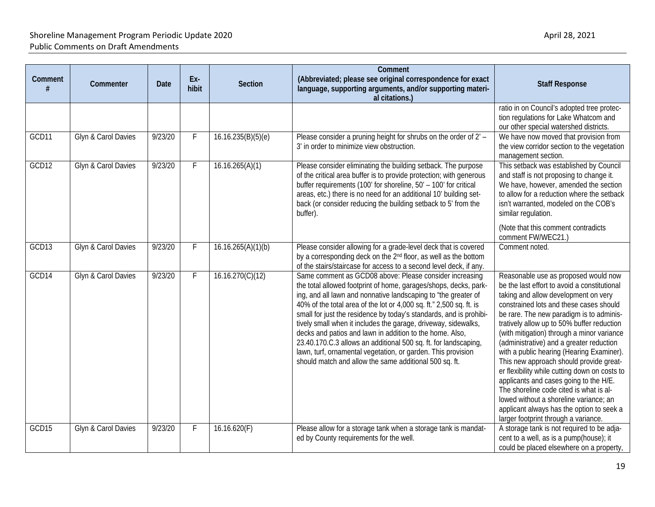| Comment | Commenter           | Date    | Ex-<br>hibit | <b>Section</b>     | Comment<br>(Abbreviated; please see original correspondence for exact<br>language, supporting arguments, and/or supporting materi-<br>al citations.)                                                                                                                                                                                                                                                                                                                                                                                                                                                                                                                  | <b>Staff Response</b>                                                                                                                                                                                                                                                                                                                                                                                                                                                                                                                                                                                                                                                                                                    |
|---------|---------------------|---------|--------------|--------------------|-----------------------------------------------------------------------------------------------------------------------------------------------------------------------------------------------------------------------------------------------------------------------------------------------------------------------------------------------------------------------------------------------------------------------------------------------------------------------------------------------------------------------------------------------------------------------------------------------------------------------------------------------------------------------|--------------------------------------------------------------------------------------------------------------------------------------------------------------------------------------------------------------------------------------------------------------------------------------------------------------------------------------------------------------------------------------------------------------------------------------------------------------------------------------------------------------------------------------------------------------------------------------------------------------------------------------------------------------------------------------------------------------------------|
|         |                     |         |              |                    |                                                                                                                                                                                                                                                                                                                                                                                                                                                                                                                                                                                                                                                                       | ratio in on Council's adopted tree protec-<br>tion regulations for Lake Whatcom and<br>our other special watershed districts.                                                                                                                                                                                                                                                                                                                                                                                                                                                                                                                                                                                            |
| GCD11   | Glyn & Carol Davies | 9/23/20 | F            | 16.16.235(B)(5)(e) | Please consider a pruning height for shrubs on the order of 2' -<br>3' in order to minimize view obstruction.                                                                                                                                                                                                                                                                                                                                                                                                                                                                                                                                                         | We have now moved that provision from<br>the view corridor section to the vegetation<br>management section.                                                                                                                                                                                                                                                                                                                                                                                                                                                                                                                                                                                                              |
| GCD12   | Glyn & Carol Davies | 9/23/20 | F            | 16.16.265(A)(1)    | Please consider eliminating the building setback. The purpose<br>of the critical area buffer is to provide protection; with generous<br>buffer requirements (100' for shoreline, 50' - 100' for critical<br>areas, etc.) there is no need for an additional 10' building set-<br>back (or consider reducing the building setback to 5' from the<br>buffer).                                                                                                                                                                                                                                                                                                           | This setback was established by Council<br>and staff is not proposing to change it.<br>We have, however, amended the section<br>to allow for a reduction where the setback<br>isn't warranted, modeled on the COB's<br>similar regulation.<br>(Note that this comment contradicts<br>comment FW/WEC21.)                                                                                                                                                                                                                                                                                                                                                                                                                  |
| GCD13   | Glyn & Carol Davies | 9/23/20 | F            | 16.16.265(A)(1)(b) | Please consider allowing for a grade-level deck that is covered<br>by a corresponding deck on the 2 <sup>nd</sup> floor, as well as the bottom<br>of the stairs/staircase for access to a second level deck, if any.                                                                                                                                                                                                                                                                                                                                                                                                                                                  | Comment noted.                                                                                                                                                                                                                                                                                                                                                                                                                                                                                                                                                                                                                                                                                                           |
| GCD14   | Glyn & Carol Davies | 9/23/20 | F.           | 16.16.270(C)(12)   | Same comment as GCD08 above: Please consider increasing<br>the total allowed footprint of home, garages/shops, decks, park-<br>ing, and all lawn and nonnative landscaping to "the greater of<br>40% of the total area of the lot or 4,000 sq. ft." 2,500 sq. ft. is<br>small for just the residence by today's standards, and is prohibi-<br>tively small when it includes the garage, driveway, sidewalks,<br>decks and patios and lawn in addition to the home. Also,<br>23.40.170.C.3 allows an additional 500 sq. ft. for landscaping,<br>lawn, turf, ornamental vegetation, or garden. This provision<br>should match and allow the same additional 500 sq. ft. | Reasonable use as proposed would now<br>be the last effort to avoid a constitutional<br>taking and allow development on very<br>constrained lots and these cases should<br>be rare. The new paradigm is to adminis-<br>tratively allow up to 50% buffer reduction<br>(with mitigation) through a minor variance<br>(administrative) and a greater reduction<br>with a public hearing (Hearing Examiner).<br>This new approach should provide great-<br>er flexibility while cutting down on costs to<br>applicants and cases going to the H/E.<br>The shoreline code cited is what is al-<br>lowed without a shoreline variance; an<br>applicant always has the option to seek a<br>larger footprint through a variance. |
| GCD15   | Glyn & Carol Davies | 9/23/20 | F.           | 16.16.620(F)       | Please allow for a storage tank when a storage tank is mandat-<br>ed by County requirements for the well.                                                                                                                                                                                                                                                                                                                                                                                                                                                                                                                                                             | A storage tank is not required to be adja-<br>cent to a well, as is a pump(house); it<br>could be placed elsewhere on a property,                                                                                                                                                                                                                                                                                                                                                                                                                                                                                                                                                                                        |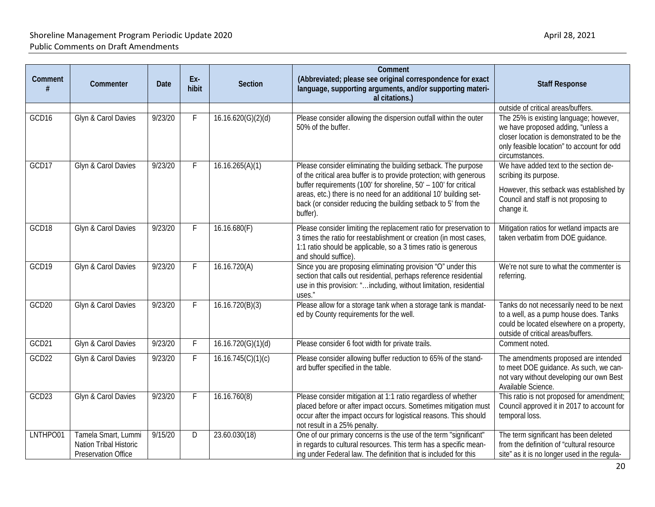| Comment           | Commenter                                                            | Date    | Ex-<br>hibit | <b>Section</b>     | Comment<br>(Abbreviated; please see original correspondence for exact<br>language, supporting arguments, and/or supporting materi-<br>al citations.)                                                                                                                                                                                                        | <b>Staff Response</b>                                                                                                                                                                     |
|-------------------|----------------------------------------------------------------------|---------|--------------|--------------------|-------------------------------------------------------------------------------------------------------------------------------------------------------------------------------------------------------------------------------------------------------------------------------------------------------------------------------------------------------------|-------------------------------------------------------------------------------------------------------------------------------------------------------------------------------------------|
|                   |                                                                      |         |              |                    |                                                                                                                                                                                                                                                                                                                                                             | outside of critical areas/buffers.                                                                                                                                                        |
| GCD <sub>16</sub> | Glyn & Carol Davies                                                  | 9/23/20 | F.           | 16.16.620(G)(2)(d) | Please consider allowing the dispersion outfall within the outer<br>50% of the buffer.                                                                                                                                                                                                                                                                      | The 25% is existing language; however,<br>we have proposed adding, "unless a<br>closer location is demonstrated to be the<br>only feasible location" to account for odd<br>circumstances. |
| GCD17             | Glyn & Carol Davies                                                  | 9/23/20 | F            | 16.16.265(A)(1)    | Please consider eliminating the building setback. The purpose<br>of the critical area buffer is to provide protection; with generous<br>buffer requirements (100' for shoreline, 50' - 100' for critical<br>areas, etc.) there is no need for an additional 10' building set-<br>back (or consider reducing the building setback to 5' from the<br>buffer). | We have added text to the section de-<br>scribing its purpose.<br>However, this setback was established by<br>Council and staff is not proposing to<br>change it.                         |
| GCD18             | Glyn & Carol Davies                                                  | 9/23/20 | F            | 16.16.680(F)       | Please consider limiting the replacement ratio for preservation to<br>3 times the ratio for reestablishment or creation (in most cases,<br>1:1 ratio should be applicable, so a 3 times ratio is generous<br>and should suffice)                                                                                                                            | Mitigation ratios for wetland impacts are<br>taken verbatim from DOE guidance.                                                                                                            |
| GCD19             | Glyn & Carol Davies                                                  | 9/23/20 | F            | 16.16.720(A)       | Since you are proposing eliminating provision "O" under this<br>section that calls out residential, perhaps reference residential<br>use in this provision: "including, without limitation, residential<br>uses."                                                                                                                                           | We're not sure to what the commenter is<br>referring.                                                                                                                                     |
| GCD <sub>20</sub> | Glyn & Carol Davies                                                  | 9/23/20 | F.           | 16.16.720(B)(3)    | Please allow for a storage tank when a storage tank is mandat-<br>ed by County requirements for the well.                                                                                                                                                                                                                                                   | Tanks do not necessarily need to be next<br>to a well, as a pump house does. Tanks<br>could be located elsewhere on a property,<br>outside of critical areas/buffers.                     |
| GCD21             | Glyn & Carol Davies                                                  | 9/23/20 | F            | 16.16.720(G)(1)(d) | Please consider 6 foot width for private trails.                                                                                                                                                                                                                                                                                                            | Comment noted.                                                                                                                                                                            |
| GCD22             | Glyn & Carol Davies                                                  | 9/23/20 | F            | 16.16.745(C)(1)(c) | Please consider allowing buffer reduction to 65% of the stand-<br>ard buffer specified in the table.                                                                                                                                                                                                                                                        | The amendments proposed are intended<br>to meet DOE guidance. As such, we can-<br>not vary without developing our own Best<br>Available Science.                                          |
| GCD23             | Glyn & Carol Davies                                                  | 9/23/20 | F            | 16.16.760(8)       | Please consider mitigation at 1:1 ratio regardless of whether<br>placed before or after impact occurs. Sometimes mitigation must<br>occur after the impact occurs for logistical reasons. This should<br>not result in a 25% penalty.                                                                                                                       | This ratio is not proposed for amendment;<br>Council approved it in 2017 to account for<br>temporal loss.                                                                                 |
| LNTHPO01          | Tamela Smart, Lummi<br>Nation Tribal Historic<br>Preservation Office | 9/15/20 | D            | 23.60.030(18)      | One of our primary concerns is the use of the term "significant"<br>in regards to cultural resources. This term has a specific mean-<br>ing under Federal law. The definition that is included for this                                                                                                                                                     | The term significant has been deleted<br>from the definition of "cultural resource<br>site" as it is no longer used in the regula-                                                        |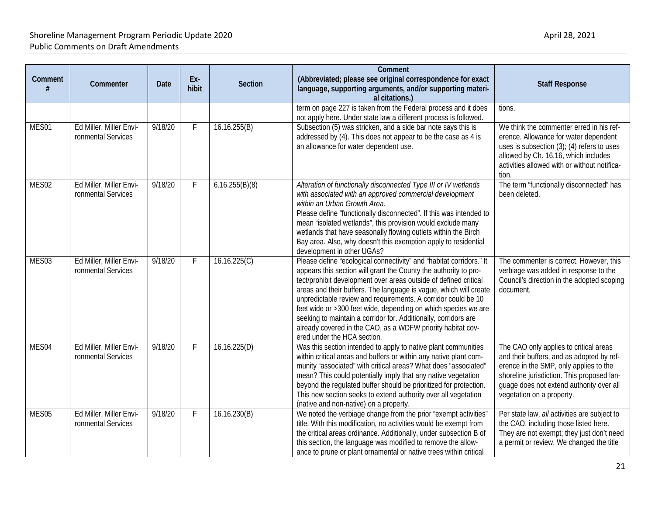| Comment<br># | Commenter                                     | Date    | Ex-<br>hibit | Section        | Comment<br>(Abbreviated; please see original correspondence for exact<br>language, supporting arguments, and/or supporting materi-<br>al citations.)                                                                                                                                                                                                                                                                                                                                                                                                                                 | <b>Staff Response</b>                                                                                                                                                                                                                                |
|--------------|-----------------------------------------------|---------|--------------|----------------|--------------------------------------------------------------------------------------------------------------------------------------------------------------------------------------------------------------------------------------------------------------------------------------------------------------------------------------------------------------------------------------------------------------------------------------------------------------------------------------------------------------------------------------------------------------------------------------|------------------------------------------------------------------------------------------------------------------------------------------------------------------------------------------------------------------------------------------------------|
|              |                                               |         |              |                | term on page 227 is taken from the Federal process and it does<br>not apply here. Under state law a different process is followed.                                                                                                                                                                                                                                                                                                                                                                                                                                                   | tions.                                                                                                                                                                                                                                               |
| MES01        | Ed Miller, Miller Envi-<br>ronmental Services | 9/18/20 | F            | 16.16.255(B)   | Subsection (5) was stricken, and a side bar note says this is<br>addressed by (4). This does not appear to be the case as 4 is<br>an allowance for water dependent use.                                                                                                                                                                                                                                                                                                                                                                                                              | We think the commenter erred in his ref-<br>erence. Allowance for water dependent<br>uses is subsection $(3)$ ; $(4)$ refers to uses<br>allowed by Ch. 16.16, which includes<br>activities allowed with or without notifica-<br>tion.                |
| MES02        | Ed Miller, Miller Envi-<br>ronmental Services | 9/18/20 | F            | 6.16.255(B)(8) | Alteration of functionally disconnected Type III or IV wetlands<br>with associated with an approved commercial development<br>within an Urban Growth Area.<br>Please define "functionally disconnected". If this was intended to<br>mean "isolated wetlands", this provision would exclude many<br>wetlands that have seasonally flowing outlets within the Birch<br>Bay area. Also, why doesn't this exemption apply to residential<br>development in other UGAs?                                                                                                                   | The term "functionally disconnected" has<br>been deleted.                                                                                                                                                                                            |
| MES03        | Ed Miller, Miller Envi-<br>ronmental Services | 9/18/20 | F            | 16.16.225(C)   | Please define "ecological connectivity" and "habitat corridors." It<br>appears this section will grant the County the authority to pro-<br>tect/prohibit development over areas outside of defined critical<br>areas and their buffers. The language is vague, which will create<br>unpredictable review and requirements. A corridor could be 10<br>feet wide or >300 feet wide, depending on which species we are<br>seeking to maintain a corridor for. Additionally, corridors are<br>already covered in the CAO, as a WDFW priority habitat cov-<br>ered under the HCA section. | The commenter is correct. However, this<br>verbiage was added in response to the<br>Council's direction in the adopted scoping<br>document.                                                                                                          |
| MES04        | Ed Miller, Miller Envi-<br>ronmental Services | 9/18/20 | F            | 16.16.225(D)   | Was this section intended to apply to native plant communities<br>within critical areas and buffers or within any native plant com-<br>munity "associated" with critical areas? What does "associated"<br>mean? This could potentially imply that any native vegetation<br>beyond the regulated buffer should be prioritized for protection.<br>This new section seeks to extend authority over all vegetation<br>(native and non-native) on a property.                                                                                                                             | The CAO only applies to critical areas<br>and their buffers, and as adopted by ref-<br>erence in the SMP, only applies to the<br>shoreline jurisdiction. This proposed lan-<br>guage does not extend authority over all<br>vegetation on a property. |
| MES05        | Ed Miller, Miller Envi-<br>ronmental Services | 9/18/20 | F            | 16.16.230(B)   | We noted the verbiage change from the prior "exempt activities"<br>title. With this modification, no activities would be exempt from<br>the critical areas ordinance. Additionally, under subsection B of<br>this section, the language was modified to remove the allow-<br>ance to prune or plant ornamental or native trees within critical                                                                                                                                                                                                                                       | Per state law, all activities are subject to<br>the CAO, including those listed here.<br>They are not exempt; they just don't need<br>a permit or review. We changed the title                                                                       |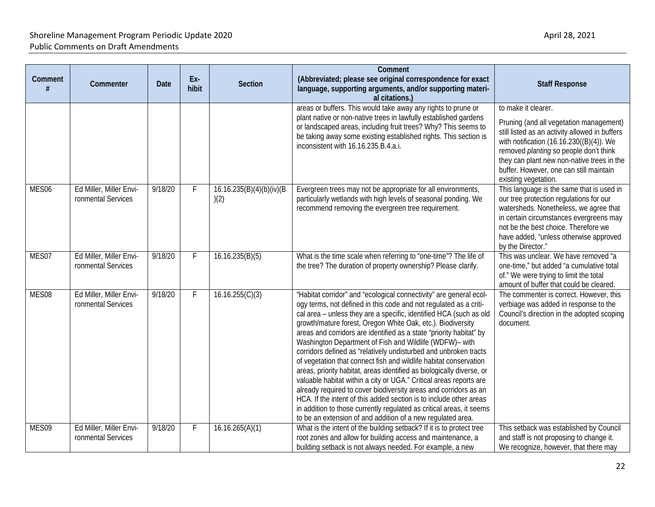| Comment           | Commenter                                     | <b>Date</b> | Ex-<br>hibit | <b>Section</b>                    | Comment<br>(Abbreviated; please see original correspondence for exact<br>language, supporting arguments, and/or supporting materi-<br>al citations.)                                                                                                                                                                                                                                                                                                                                                                                                                                                                                                                                                                                                                                                                                                                                                                                                                                    | <b>Staff Response</b>                                                                                                                                                                                                                                                                                                   |
|-------------------|-----------------------------------------------|-------------|--------------|-----------------------------------|-----------------------------------------------------------------------------------------------------------------------------------------------------------------------------------------------------------------------------------------------------------------------------------------------------------------------------------------------------------------------------------------------------------------------------------------------------------------------------------------------------------------------------------------------------------------------------------------------------------------------------------------------------------------------------------------------------------------------------------------------------------------------------------------------------------------------------------------------------------------------------------------------------------------------------------------------------------------------------------------|-------------------------------------------------------------------------------------------------------------------------------------------------------------------------------------------------------------------------------------------------------------------------------------------------------------------------|
|                   |                                               |             |              |                                   | areas or buffers. This would take away any rights to prune or<br>plant native or non-native trees in lawfully established gardens<br>or landscaped areas, including fruit trees? Why? This seems to<br>be taking away some existing established rights. This section is<br>inconsistent with 16.16.235.B.4.a.i.                                                                                                                                                                                                                                                                                                                                                                                                                                                                                                                                                                                                                                                                         | to make it clearer.<br>Pruning (and all vegetation management)<br>still listed as an activity allowed in buffers<br>with notification (16.16.230((B)(4)). We<br>removed planting so people don't think<br>they can plant new non-native trees in the<br>buffer. However, one can still maintain<br>existing vegetation. |
| MES <sub>06</sub> | Ed Miller, Miller Envi-<br>ronmental Services | 9/18/20     | F            | 16.16.235(B)(4)(b)(iv)(B)<br>)(2) | Evergreen trees may not be appropriate for all environments,<br>particularly wetlands with high levels of seasonal ponding. We<br>recommend removing the evergreen tree requirement.                                                                                                                                                                                                                                                                                                                                                                                                                                                                                                                                                                                                                                                                                                                                                                                                    | This language is the same that is used in<br>our tree protection regulations for our<br>watersheds. Nonetheless, we agree that<br>in certain circumstances evergreens may<br>not be the best choice. Therefore we<br>have added, "unless otherwise approved<br>by the Director."                                        |
| MES07             | Ed Miller, Miller Envi-<br>ronmental Services | 9/18/20     | F.           | 16.16.235(B)(5)                   | What is the time scale when referring to "one-time"? The life of<br>the tree? The duration of property ownership? Please clarify.                                                                                                                                                                                                                                                                                                                                                                                                                                                                                                                                                                                                                                                                                                                                                                                                                                                       | This was unclear. We have removed "a<br>one-time," but added "a cumulative total<br>of." We were trying to limit the total<br>amount of buffer that could be cleared.                                                                                                                                                   |
| MES08             | Ed Miller, Miller Envi-<br>ronmental Services | 9/18/20     | F            | 16.16.255(C)(3)                   | "Habitat corridor" and "ecological connectivity" are general ecol-<br>ogy terms, not defined in this code and not regulated as a criti-<br>cal area - unless they are a specific, identified HCA (such as old<br>growth/mature forest, Oregon White Oak, etc.). Biodiversity<br>areas and corridors are identified as a state "priority habitat" by<br>Washington Department of Fish and Wildlife (WDFW)- with<br>corridors defined as "relatively undisturbed and unbroken tracts<br>of vegetation that connect fish and wildlife habitat conservation<br>areas, priority habitat, areas identified as biologically diverse, or<br>valuable habitat within a city or UGA." Critical areas reports are<br>already required to cover biodiversity areas and corridors as an<br>HCA. If the intent of this added section is to include other areas<br>in addition to those currently regulated as critical areas, it seems<br>to be an extension of and addition of a new regulated area. | The commenter is correct. However, this<br>verbiage was added in response to the<br>Council's direction in the adopted scoping<br>document.                                                                                                                                                                             |
| MES09             | Ed Miller, Miller Envi-<br>ronmental Services | 9/18/20     | F            | 16.16.265(A)(1)                   | What is the intent of the building setback? If it is to protect tree<br>root zones and allow for building access and maintenance, a<br>building setback is not always needed. For example, a new                                                                                                                                                                                                                                                                                                                                                                                                                                                                                                                                                                                                                                                                                                                                                                                        | This setback was established by Council<br>and staff is not proposing to change it.<br>We recognize, however, that there may                                                                                                                                                                                            |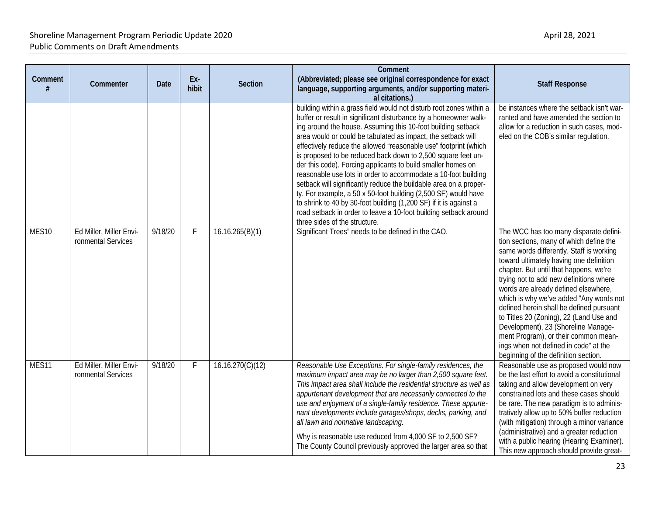|         |                                               |             |              |                  | Comment                                                                                                                                                                                                                                                                                                                                                                                                                                                                                                                                                                                                                                                                                                                                                                                                                                                        |                                                                                                                                                                                                                                                                                                                                                                                                                                                                                                                                                                                                         |
|---------|-----------------------------------------------|-------------|--------------|------------------|----------------------------------------------------------------------------------------------------------------------------------------------------------------------------------------------------------------------------------------------------------------------------------------------------------------------------------------------------------------------------------------------------------------------------------------------------------------------------------------------------------------------------------------------------------------------------------------------------------------------------------------------------------------------------------------------------------------------------------------------------------------------------------------------------------------------------------------------------------------|---------------------------------------------------------------------------------------------------------------------------------------------------------------------------------------------------------------------------------------------------------------------------------------------------------------------------------------------------------------------------------------------------------------------------------------------------------------------------------------------------------------------------------------------------------------------------------------------------------|
| Comment | Commenter                                     | <b>Date</b> | Ex-<br>hibit | <b>Section</b>   | (Abbreviated; please see original correspondence for exact<br>language, supporting arguments, and/or supporting materi-<br>al citations.)                                                                                                                                                                                                                                                                                                                                                                                                                                                                                                                                                                                                                                                                                                                      | <b>Staff Response</b>                                                                                                                                                                                                                                                                                                                                                                                                                                                                                                                                                                                   |
|         |                                               |             |              |                  | building within a grass field would not disturb root zones within a<br>buffer or result in significant disturbance by a homeowner walk-<br>ing around the house. Assuming this 10-foot building setback<br>area would or could be tabulated as impact, the setback will<br>effectively reduce the allowed "reasonable use" footprint (which<br>is proposed to be reduced back down to 2,500 square feet un-<br>der this code). Forcing applicants to build smaller homes on<br>reasonable use lots in order to accommodate a 10-foot building<br>setback will significantly reduce the buildable area on a proper-<br>ty. For example, a 50 x 50-foot building (2,500 SF) would have<br>to shrink to 40 by 30-foot building (1,200 SF) if it is against a<br>road setback in order to leave a 10-foot building setback around<br>three sides of the structure. | be instances where the setback isn't war-<br>ranted and have amended the section to<br>allow for a reduction in such cases, mod-<br>eled on the COB's similar regulation.                                                                                                                                                                                                                                                                                                                                                                                                                               |
| MES10   | Ed Miller, Miller Envi-<br>ronmental Services | 9/18/20     | F            | 16.16.265(B)(1)  | Significant Trees" needs to be defined in the CAO.                                                                                                                                                                                                                                                                                                                                                                                                                                                                                                                                                                                                                                                                                                                                                                                                             | The WCC has too many disparate defini-<br>tion sections, many of which define the<br>same words differently. Staff is working<br>toward ultimately having one definition<br>chapter. But until that happens, we're<br>trying not to add new definitions where<br>words are already defined elsewhere,<br>which is why we've added "Any words not<br>defined herein shall be defined pursuant<br>to Titles 20 (Zoning), 22 (Land Use and<br>Development), 23 (Shoreline Manage-<br>ment Program), or their common mean-<br>ings when not defined in code" at the<br>beginning of the definition section. |
| MES11   | Ed Miller, Miller Envi-<br>ronmental Services | 9/18/20     | F.           | 16.16.270(C)(12) | Reasonable Use Exceptions. For single-family residences, the<br>maximum impact area may be no larger than 2,500 square feet.<br>This impact area shall include the residential structure as well as<br>appurtenant development that are necessarily connected to the<br>use and enjoyment of a single-family residence. These appurte-<br>nant developments include garages/shops, decks, parking, and<br>all lawn and nonnative landscaping.<br>Why is reasonable use reduced from 4,000 SF to 2,500 SF?<br>The County Council previously approved the larger area so that                                                                                                                                                                                                                                                                                    | Reasonable use as proposed would now<br>be the last effort to avoid a constitutional<br>taking and allow development on very<br>constrained lots and these cases should<br>be rare. The new paradigm is to adminis-<br>tratively allow up to 50% buffer reduction<br>(with mitigation) through a minor variance<br>(administrative) and a greater reduction<br>with a public hearing (Hearing Examiner).<br>This new approach should provide great-                                                                                                                                                     |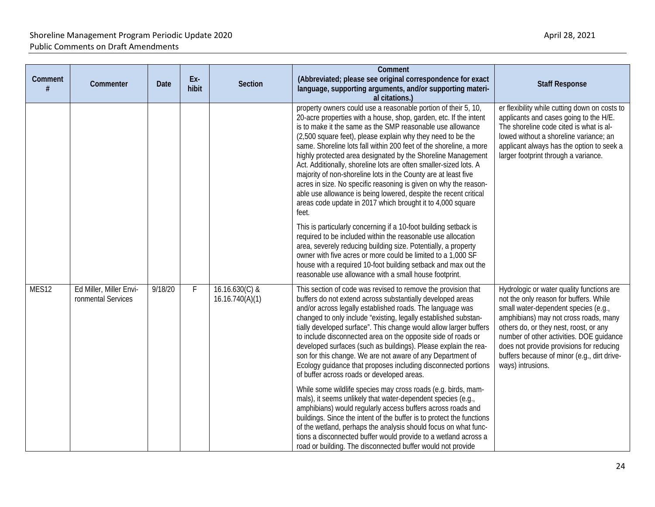| Comment           | Commenter                                     | Date    | Ex-<br>hibit | <b>Section</b>                      | Comment<br>(Abbreviated; please see original correspondence for exact<br>language, supporting arguments, and/or supporting materi-<br>al citations.)                                                                                                                                                                                                                                                                                                                                                                                                                                                                                                                                                                                                                                                                                                                                                                                                                                                                                                                                                                                                           | <b>Staff Response</b>                                                                                                                                                                                                                                                                                                                                                      |
|-------------------|-----------------------------------------------|---------|--------------|-------------------------------------|----------------------------------------------------------------------------------------------------------------------------------------------------------------------------------------------------------------------------------------------------------------------------------------------------------------------------------------------------------------------------------------------------------------------------------------------------------------------------------------------------------------------------------------------------------------------------------------------------------------------------------------------------------------------------------------------------------------------------------------------------------------------------------------------------------------------------------------------------------------------------------------------------------------------------------------------------------------------------------------------------------------------------------------------------------------------------------------------------------------------------------------------------------------|----------------------------------------------------------------------------------------------------------------------------------------------------------------------------------------------------------------------------------------------------------------------------------------------------------------------------------------------------------------------------|
|                   |                                               |         |              |                                     | property owners could use a reasonable portion of their 5, 10,<br>20-acre properties with a house, shop, garden, etc. If the intent<br>is to make it the same as the SMP reasonable use allowance<br>(2,500 square feet), please explain why they need to be the<br>same. Shoreline lots fall within 200 feet of the shoreline, a more<br>highly protected area designated by the Shoreline Management<br>Act. Additionally, shoreline lots are often smaller-sized lots. A<br>majority of non-shoreline lots in the County are at least five<br>acres in size. No specific reasoning is given on why the reason-<br>able use allowance is being lowered, despite the recent critical<br>areas code update in 2017 which brought it to 4,000 square<br>feet.<br>This is particularly concerning if a 10-foot building setback is<br>required to be included within the reasonable use allocation<br>area, severely reducing building size. Potentially, a property<br>owner with five acres or more could be limited to a 1,000 SF<br>house with a required 10-foot building setback and max out the<br>reasonable use allowance with a small house footprint. | er flexibility while cutting down on costs to<br>applicants and cases going to the H/E.<br>The shoreline code cited is what is al-<br>lowed without a shoreline variance; an<br>applicant always has the option to seek a<br>larger footprint through a variance.                                                                                                          |
| MES <sub>12</sub> | Ed Miller, Miller Envi-<br>ronmental Services | 9/18/20 | F.           | $16.16.630(C)$ &<br>16.16.740(A)(1) | This section of code was revised to remove the provision that<br>buffers do not extend across substantially developed areas<br>and/or across legally established roads. The language was<br>changed to only include "existing, legally established substan-<br>tially developed surface". This change would allow larger buffers<br>to include disconnected area on the opposite side of roads or<br>developed surfaces (such as buildings). Please explain the rea-<br>son for this change. We are not aware of any Department of<br>Ecology guidance that proposes including disconnected portions<br>of buffer across roads or developed areas.<br>While some wildlife species may cross roads (e.g. birds, mam-<br>mals), it seems unlikely that water-dependent species (e.g.,<br>amphibians) would regularly access buffers across roads and<br>buildings. Since the intent of the buffer is to protect the functions<br>of the wetland, perhaps the analysis should focus on what func-<br>tions a disconnected buffer would provide to a wetland across a<br>road or building. The disconnected buffer would not provide                               | Hydrologic or water quality functions are<br>not the only reason for buffers. While<br>small water-dependent species (e.g.,<br>amphibians) may not cross roads, many<br>others do, or they nest, roost, or any<br>number of other activities. DOE guidance<br>does not provide provisions for reducing<br>buffers because of minor (e.g., dirt drive-<br>ways) intrusions. |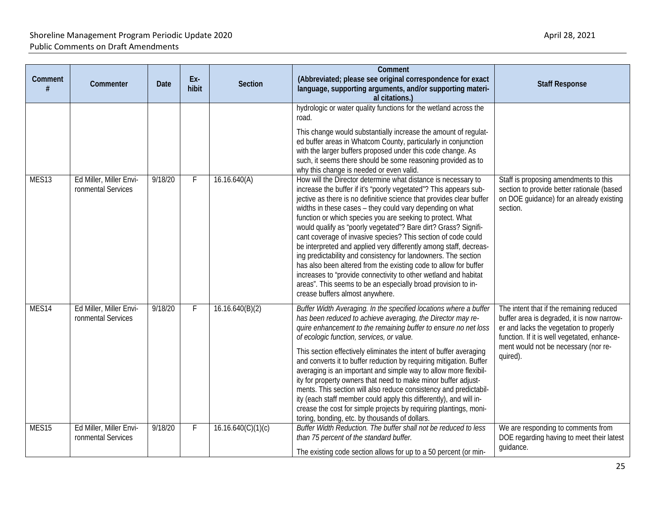| Comment           | Commenter                                     | Date    | Ex-<br>hibit | <b>Section</b>     | Comment<br>(Abbreviated; please see original correspondence for exact<br>language, supporting arguments, and/or supporting materi-<br>al citations.)                                                                                                                                                                                                                                                                                                                                                                                                                                                                                                                                                                                                                                                                                                        | <b>Staff Response</b>                                                                                                                                                                                                                |
|-------------------|-----------------------------------------------|---------|--------------|--------------------|-------------------------------------------------------------------------------------------------------------------------------------------------------------------------------------------------------------------------------------------------------------------------------------------------------------------------------------------------------------------------------------------------------------------------------------------------------------------------------------------------------------------------------------------------------------------------------------------------------------------------------------------------------------------------------------------------------------------------------------------------------------------------------------------------------------------------------------------------------------|--------------------------------------------------------------------------------------------------------------------------------------------------------------------------------------------------------------------------------------|
|                   |                                               |         |              |                    | hydrologic or water quality functions for the wetland across the<br>road.<br>This change would substantially increase the amount of regulat-<br>ed buffer areas in Whatcom County, particularly in conjunction<br>with the larger buffers proposed under this code change. As<br>such, it seems there should be some reasoning provided as to<br>why this change is needed or even valid.                                                                                                                                                                                                                                                                                                                                                                                                                                                                   |                                                                                                                                                                                                                                      |
| MES <sub>13</sub> | Ed Miller, Miller Envi-<br>ronmental Services | 9/18/20 | F.           | 16.16.640(A)       | How will the Director determine what distance is necessary to<br>increase the buffer if it's "poorly vegetated"? This appears sub-<br>jective as there is no definitive science that provides clear buffer<br>widths in these cases - they could vary depending on what<br>function or which species you are seeking to protect. What<br>would qualify as "poorly vegetated"? Bare dirt? Grass? Signifi-<br>cant coverage of invasive species? This section of code could<br>be interpreted and applied very differently among staff, decreas-<br>ing predictability and consistency for landowners. The section<br>has also been altered from the existing code to allow for buffer<br>increases to "provide connectivity to other wetland and habitat<br>areas". This seems to be an especially broad provision to in-<br>crease buffers almost anywhere. | Staff is proposing amendments to this<br>section to provide better rationale (based<br>on DOE quidance) for an already existing<br>section.                                                                                          |
| MES14             | Ed Miller, Miller Envi-<br>ronmental Services | 9/18/20 | F.           | 16.16.640(B)(2)    | Buffer Width Averaging. In the specified locations where a buffer<br>has been reduced to achieve averaging, the Director may re-<br>quire enhancement to the remaining buffer to ensure no net loss<br>of ecologic function, services, or value.<br>This section effectively eliminates the intent of buffer averaging<br>and converts it to buffer reduction by requiring mitigation. Buffer<br>averaging is an important and simple way to allow more flexibil-<br>ity for property owners that need to make minor buffer adjust-<br>ments. This section will also reduce consistency and predictabil-<br>ity (each staff member could apply this differently), and will in-<br>crease the cost for simple projects by requiring plantings, moni-<br>toring, bonding, etc. by thousands of dollars.                                                       | The intent that if the remaining reduced<br>buffer area is degraded, it is now narrow-<br>er and lacks the vegetation to properly<br>function. If it is well vegetated, enhance-<br>ment would not be necessary (nor re-<br>quired). |
| MES <sub>15</sub> | Ed Miller, Miller Envi-<br>ronmental Services | 9/18/20 | F            | 16.16.640(C)(1)(c) | Buffer Width Reduction. The buffer shall not be reduced to less<br>than 75 percent of the standard buffer.<br>The existing code section allows for up to a 50 percent (or min-                                                                                                                                                                                                                                                                                                                                                                                                                                                                                                                                                                                                                                                                              | We are responding to comments from<br>DOE regarding having to meet their latest<br>guidance.                                                                                                                                         |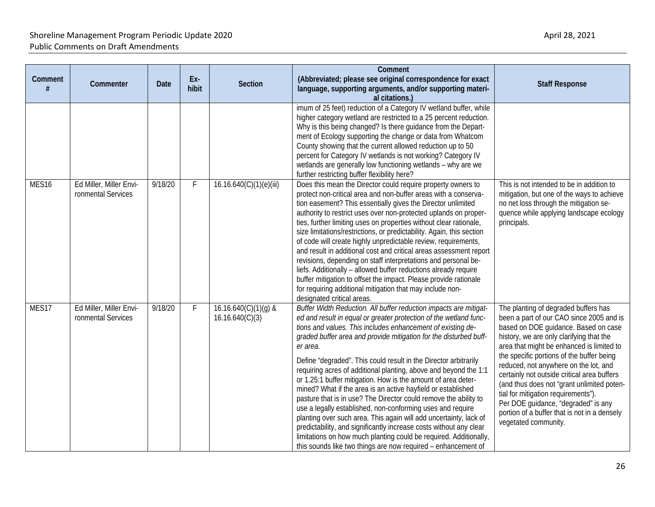| Comment           | Commenter                                     | Date    | Ex-<br>hibit | <b>Section</b>                            | Comment<br>(Abbreviated; please see original correspondence for exact<br>language, supporting arguments, and/or supporting materi-<br>al citations.)                                                                                                                                                                                                                                                                                                                                                                                                                                                                                                                                                                                                                                                                                                                                                                                                                               | <b>Staff Response</b>                                                                                                                                                                                                                                                                                                                                                                                                                                                                                                                                      |
|-------------------|-----------------------------------------------|---------|--------------|-------------------------------------------|------------------------------------------------------------------------------------------------------------------------------------------------------------------------------------------------------------------------------------------------------------------------------------------------------------------------------------------------------------------------------------------------------------------------------------------------------------------------------------------------------------------------------------------------------------------------------------------------------------------------------------------------------------------------------------------------------------------------------------------------------------------------------------------------------------------------------------------------------------------------------------------------------------------------------------------------------------------------------------|------------------------------------------------------------------------------------------------------------------------------------------------------------------------------------------------------------------------------------------------------------------------------------------------------------------------------------------------------------------------------------------------------------------------------------------------------------------------------------------------------------------------------------------------------------|
|                   |                                               |         |              |                                           | imum of 25 feet) reduction of a Category IV wetland buffer, while<br>higher category wetland are restricted to a 25 percent reduction.<br>Why is this being changed? Is there guidance from the Depart-<br>ment of Ecology supporting the change or data from Whatcom<br>County showing that the current allowed reduction up to 50<br>percent for Category IV wetlands is not working? Category IV<br>wetlands are generally low functioning wetlands - why are we<br>further restricting buffer flexibility here?                                                                                                                                                                                                                                                                                                                                                                                                                                                                |                                                                                                                                                                                                                                                                                                                                                                                                                                                                                                                                                            |
| MES <sub>16</sub> | Ed Miller, Miller Envi-<br>ronmental Services | 9/18/20 | F            | 16.16.640(C)(1)(e)(iii)                   | Does this mean the Director could require property owners to<br>protect non-critical area and non-buffer areas with a conserva-<br>tion easement? This essentially gives the Director unlimited<br>authority to restrict uses over non-protected uplands on proper-<br>ties, further limiting uses on properties without clear rationale,<br>size limitations/restrictions, or predictability. Again, this section<br>of code will create highly unpredictable review, requirements,<br>and result in additional cost and critical areas assessment report<br>revisions, depending on staff interpretations and personal be-<br>liefs. Additionally - allowed buffer reductions already require<br>buffer mitigation to offset the impact. Please provide rationale<br>for requiring additional mitigation that may include non-<br>designated critical areas.                                                                                                                     | This is not intended to be in addition to<br>mitigation, but one of the ways to achieve<br>no net loss through the mitigation se-<br>quence while applying landscape ecology<br>principals.                                                                                                                                                                                                                                                                                                                                                                |
| MES17             | Ed Miller, Miller Envi-<br>ronmental Services | 9/18/20 | F            | $16.16.640(C)(1)(g)$ &<br>16.16.640(C)(3) | Buffer Width Reduction. All buffer reduction impacts are mitigat-<br>ed and result in equal or greater protection of the wetland func-<br>tions and values. This includes enhancement of existing de-<br>graded buffer area and provide mitigation for the disturbed buff-<br>er area.<br>Define "degraded". This could result in the Director arbitrarily<br>requiring acres of additional planting, above and beyond the 1:1<br>or 1.25:1 buffer mitigation. How is the amount of area deter-<br>mined? What if the area is an active hayfield or established<br>pasture that is in use? The Director could remove the ability to<br>use a legally established, non-conforming uses and require<br>planting over such area. This again will add uncertainty, lack of<br>predictability, and significantly increase costs without any clear<br>limitations on how much planting could be required. Additionally,<br>this sounds like two things are now required – enhancement of | The planting of degraded buffers has<br>been a part of our CAO since 2005 and is<br>based on DOE guidance. Based on case<br>history, we are only clarifying that the<br>area that might be enhanced is limited to<br>the specific portions of the buffer being<br>reduced, not anywhere on the lot, and<br>certainly not outside critical area buffers<br>(and thus does not "grant unlimited poten-<br>tial for mitigation requirements").<br>Per DOE guidance, "degraded" is any<br>portion of a buffer that is not in a densely<br>vegetated community. |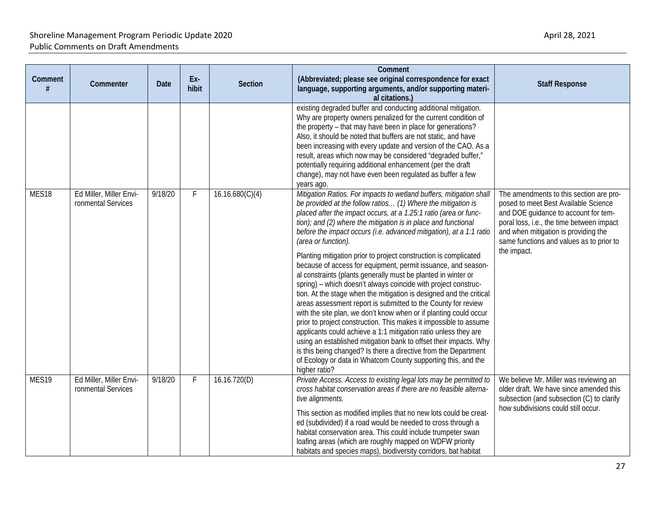|                   |                                               |             |              |                 | Comment                                                                                                                                                                                                                                                                                                                                                                                                                                                                                                                                                                                                                                                                                                                                                                                                                                                                                                                                                                                                                                                                                                                                                                                                                        |                                                                                                                                                                                                                                                                         |
|-------------------|-----------------------------------------------|-------------|--------------|-----------------|--------------------------------------------------------------------------------------------------------------------------------------------------------------------------------------------------------------------------------------------------------------------------------------------------------------------------------------------------------------------------------------------------------------------------------------------------------------------------------------------------------------------------------------------------------------------------------------------------------------------------------------------------------------------------------------------------------------------------------------------------------------------------------------------------------------------------------------------------------------------------------------------------------------------------------------------------------------------------------------------------------------------------------------------------------------------------------------------------------------------------------------------------------------------------------------------------------------------------------|-------------------------------------------------------------------------------------------------------------------------------------------------------------------------------------------------------------------------------------------------------------------------|
| Comment           | Commenter                                     | <b>Date</b> | Ex-<br>hibit | Section         | (Abbreviated; please see original correspondence for exact<br>language, supporting arguments, and/or supporting materi-<br>al citations.)                                                                                                                                                                                                                                                                                                                                                                                                                                                                                                                                                                                                                                                                                                                                                                                                                                                                                                                                                                                                                                                                                      | <b>Staff Response</b>                                                                                                                                                                                                                                                   |
|                   |                                               |             |              |                 | existing degraded buffer and conducting additional mitigation.<br>Why are property owners penalized for the current condition of<br>the property - that may have been in place for generations?<br>Also, it should be noted that buffers are not static, and have<br>been increasing with every update and version of the CAO. As a<br>result, areas which now may be considered "degraded buffer,"<br>potentially requiring additional enhancement (per the draft<br>change), may not have even been regulated as buffer a few<br>years ago.                                                                                                                                                                                                                                                                                                                                                                                                                                                                                                                                                                                                                                                                                  |                                                                                                                                                                                                                                                                         |
| MES <sub>18</sub> | Ed Miller, Miller Envi-<br>ronmental Services | 9/18/20     | F            | 16.16.680(C)(4) | Mitigation Ratios. For impacts to wetland buffers, mitigation shall<br>be provided at the follow ratios (1) Where the mitigation is<br>placed after the impact occurs, at a 1.25:1 ratio (area or func-<br>tion); and (2) where the mitigation is in place and functional<br>before the impact occurs (i.e. advanced mitigation), at a 1:1 ratio<br>(area or function).<br>Planting mitigation prior to project construction is complicated<br>because of access for equipment, permit issuance, and season-<br>al constraints (plants generally must be planted in winter or<br>spring) - which doesn't always coincide with project construc-<br>tion. At the stage when the mitigation is designed and the critical<br>areas assessment report is submitted to the County for review<br>with the site plan, we don't know when or if planting could occur<br>prior to project construction. This makes it impossible to assume<br>applicants could achieve a 1:1 mitigation ratio unless they are<br>using an established mitigation bank to offset their impacts. Why<br>is this being changed? Is there a directive from the Department<br>of Ecology or data in Whatcom County supporting this, and the<br>higher ratio? | The amendments to this section are pro-<br>posed to meet Best Available Science<br>and DOE guidance to account for tem-<br>poral loss, i.e., the time between impact<br>and when mitigation is providing the<br>same functions and values as to prior to<br>the impact. |
| MES19             | Ed Miller, Miller Envi-<br>ronmental Services | 9/18/20     | F            | 16.16.720(D)    | Private Access. Access to existing legal lots may be permitted to<br>cross habitat conservation areas if there are no feasible alterna-<br>tive alignments.<br>This section as modified implies that no new lots could be creat-<br>ed (subdivided) if a road would be needed to cross through a<br>habitat conservation area. This could include trumpeter swan<br>loafing areas (which are roughly mapped on WDFW priority<br>habitats and species maps), biodiversity corridors, bat habitat                                                                                                                                                                                                                                                                                                                                                                                                                                                                                                                                                                                                                                                                                                                                | We believe Mr. Miller was reviewing an<br>older draft. We have since amended this<br>subsection (and subsection (C) to clarify<br>how subdivisions could still occur.                                                                                                   |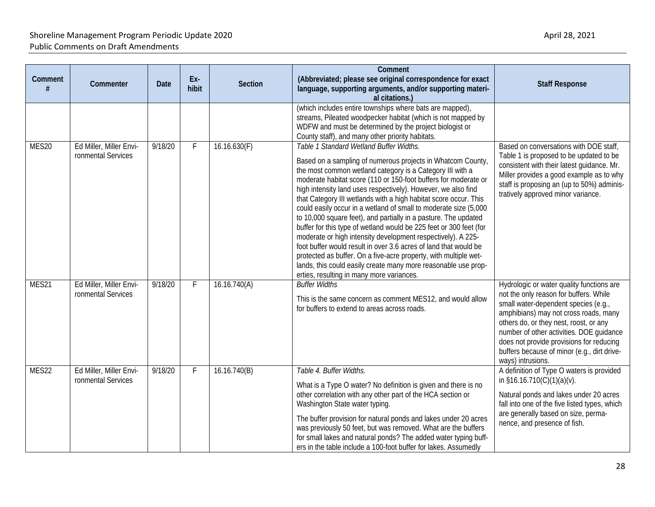| Comment | Commenter                                     | Date    | Ex-<br>hibit | <b>Section</b> | Comment<br>(Abbreviated; please see original correspondence for exact<br>language, supporting arguments, and/or supporting materi-<br>al citations.)                                                                                                                                                                                                                                                                                                                                                                                                                                                                                                                                                                                                                                                                                                                                                            | <b>Staff Response</b>                                                                                                                                                                                                                                                                                                                                                      |
|---------|-----------------------------------------------|---------|--------------|----------------|-----------------------------------------------------------------------------------------------------------------------------------------------------------------------------------------------------------------------------------------------------------------------------------------------------------------------------------------------------------------------------------------------------------------------------------------------------------------------------------------------------------------------------------------------------------------------------------------------------------------------------------------------------------------------------------------------------------------------------------------------------------------------------------------------------------------------------------------------------------------------------------------------------------------|----------------------------------------------------------------------------------------------------------------------------------------------------------------------------------------------------------------------------------------------------------------------------------------------------------------------------------------------------------------------------|
|         |                                               |         |              |                | (which includes entire townships where bats are mapped),<br>streams, Pileated woodpecker habitat (which is not mapped by<br>WDFW and must be determined by the project biologist or<br>County staff), and many other priority habitats.                                                                                                                                                                                                                                                                                                                                                                                                                                                                                                                                                                                                                                                                         |                                                                                                                                                                                                                                                                                                                                                                            |
| MES20   | Ed Miller, Miller Envi-<br>ronmental Services | 9/18/20 | F.           | 16.16.630(F)   | Table 1 Standard Wetland Buffer Widths.<br>Based on a sampling of numerous projects in Whatcom County,<br>the most common wetland category is a Category III with a<br>moderate habitat score (110 or 150-foot buffers for moderate or<br>high intensity land uses respectively). However, we also find<br>that Category III wetlands with a high habitat score occur. This<br>could easily occur in a wetland of small to moderate size (5,000<br>to 10,000 square feet), and partially in a pasture. The updated<br>buffer for this type of wetland would be 225 feet or 300 feet (for<br>moderate or high intensity development respectively). A 225-<br>foot buffer would result in over 3.6 acres of land that would be<br>protected as buffer. On a five-acre property, with multiple wet-<br>lands, this could easily create many more reasonable use prop-<br>erties, resulting in many more variances. | Based on conversations with DOE staff,<br>Table 1 is proposed to be updated to be<br>consistent with their latest guidance. Mr.<br>Miller provides a good example as to why<br>staff is proposing an (up to 50%) adminis-<br>tratively approved minor variance.                                                                                                            |
| MES21   | Ed Miller, Miller Envi-<br>ronmental Services | 9/18/20 | F            | 16.16.740(A)   | <b>Buffer Widths</b><br>This is the same concern as comment MES12, and would allow<br>for buffers to extend to areas across roads.                                                                                                                                                                                                                                                                                                                                                                                                                                                                                                                                                                                                                                                                                                                                                                              | Hydrologic or water quality functions are<br>not the only reason for buffers. While<br>small water-dependent species (e.g.,<br>amphibians) may not cross roads, many<br>others do, or they nest, roost, or any<br>number of other activities. DOE guidance<br>does not provide provisions for reducing<br>buffers because of minor (e.g., dirt drive-<br>ways) intrusions. |
| MES22   | Ed Miller, Miller Envi-<br>ronmental Services | 9/18/20 | F            | 16.16.740(B)   | Table 4. Buffer Widths.<br>What is a Type O water? No definition is given and there is no<br>other correlation with any other part of the HCA section or<br>Washington State water typing.<br>The buffer provision for natural ponds and lakes under 20 acres<br>was previously 50 feet, but was removed. What are the buffers<br>for small lakes and natural ponds? The added water typing buff-<br>ers in the table include a 100-foot buffer for lakes. Assumedly                                                                                                                                                                                                                                                                                                                                                                                                                                            | A definition of Type O waters is provided<br>in $$16.16.710(C)(1)(a)(v)$ .<br>Natural ponds and lakes under 20 acres<br>fall into one of the five listed types, which<br>are generally based on size, perma-<br>nence, and presence of fish.                                                                                                                               |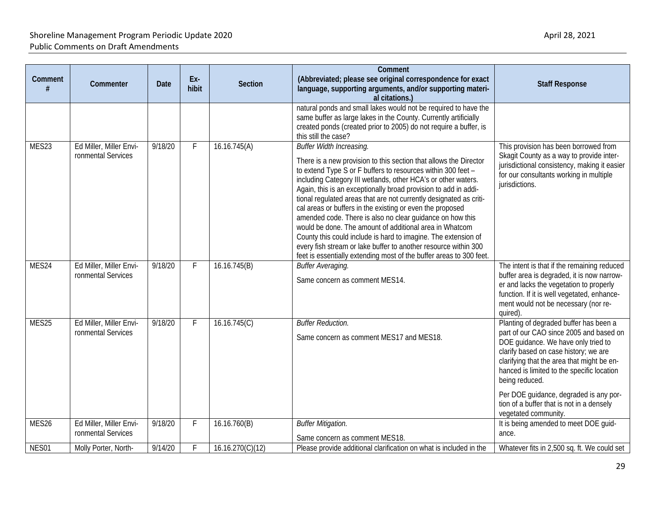| Comment | Commenter                                     | Date    | Ex-<br>hibit | <b>Section</b>   | Comment<br>(Abbreviated; please see original correspondence for exact<br>language, supporting arguments, and/or supporting materi-<br>al citations.)                                                                                                                                                                                                                                                                                                                                                                                                                                                                                                                                                                                                                     | <b>Staff Response</b>                                                                                                                                                                                                                                                                                                                                                                          |
|---------|-----------------------------------------------|---------|--------------|------------------|--------------------------------------------------------------------------------------------------------------------------------------------------------------------------------------------------------------------------------------------------------------------------------------------------------------------------------------------------------------------------------------------------------------------------------------------------------------------------------------------------------------------------------------------------------------------------------------------------------------------------------------------------------------------------------------------------------------------------------------------------------------------------|------------------------------------------------------------------------------------------------------------------------------------------------------------------------------------------------------------------------------------------------------------------------------------------------------------------------------------------------------------------------------------------------|
|         |                                               |         |              |                  | natural ponds and small lakes would not be required to have the<br>same buffer as large lakes in the County. Currently artificially<br>created ponds (created prior to 2005) do not require a buffer, is<br>this still the case?                                                                                                                                                                                                                                                                                                                                                                                                                                                                                                                                         |                                                                                                                                                                                                                                                                                                                                                                                                |
| MES23   | Ed Miller, Miller Envi-<br>ronmental Services | 9/18/20 | F.           | 16.16.745(A)     | Buffer Width Increasing.<br>There is a new provision to this section that allows the Director<br>to extend Type S or F buffers to resources within 300 feet -<br>including Category III wetlands, other HCA's or other waters.<br>Again, this is an exceptionally broad provision to add in addi-<br>tional regulated areas that are not currently designated as criti-<br>cal areas or buffers in the existing or even the proposed<br>amended code. There is also no clear guidance on how this<br>would be done. The amount of additional area in Whatcom<br>County this could include is hard to imagine. The extension of<br>every fish stream or lake buffer to another resource within 300<br>feet is essentially extending most of the buffer areas to 300 feet. | This provision has been borrowed from<br>Skagit County as a way to provide inter-<br>jurisdictional consistency, making it easier<br>for our consultants working in multiple<br>jurisdictions.                                                                                                                                                                                                 |
| MES24   | Ed Miller, Miller Envi-<br>ronmental Services | 9/18/20 | F            | 16.16.745(B)     | Buffer Averaging.<br>Same concern as comment MES14.                                                                                                                                                                                                                                                                                                                                                                                                                                                                                                                                                                                                                                                                                                                      | The intent is that if the remaining reduced<br>buffer area is degraded, it is now narrow-<br>er and lacks the vegetation to properly<br>function. If it is well vegetated, enhance-<br>ment would not be necessary (nor re-<br>quired).                                                                                                                                                        |
| MES25   | Ed Miller, Miller Envi-<br>ronmental Services | 9/18/20 | F            | 16.16.745(C)     | <b>Buffer Reduction.</b><br>Same concern as comment MES17 and MES18.                                                                                                                                                                                                                                                                                                                                                                                                                                                                                                                                                                                                                                                                                                     | Planting of degraded buffer has been a<br>part of our CAO since 2005 and based on<br>DOE guidance. We have only tried to<br>clarify based on case history; we are<br>clarifying that the area that might be en-<br>hanced is limited to the specific location<br>being reduced.<br>Per DOE guidance, degraded is any por-<br>tion of a buffer that is not in a densely<br>vegetated community. |
| MES26   | Ed Miller, Miller Envi-<br>ronmental Services | 9/18/20 | F            | 16.16.760(B)     | <b>Buffer Mitigation.</b><br>Same concern as comment MES18.                                                                                                                                                                                                                                                                                                                                                                                                                                                                                                                                                                                                                                                                                                              | It is being amended to meet DOE guid-<br>ance.                                                                                                                                                                                                                                                                                                                                                 |
| NES01   | Molly Porter, North-                          | 9/14/20 | F            | 16.16.270(C)(12) | Please provide additional clarification on what is included in the                                                                                                                                                                                                                                                                                                                                                                                                                                                                                                                                                                                                                                                                                                       | Whatever fits in 2,500 sq. ft. We could set                                                                                                                                                                                                                                                                                                                                                    |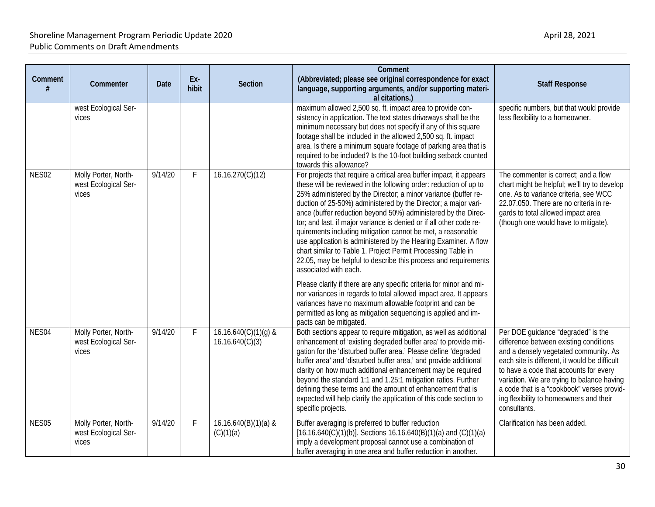| Comment           | Commenter                                             | <b>Date</b> | Ex-<br>hibit | <b>Section</b>                          | Comment<br>(Abbreviated; please see original correspondence for exact<br>language, supporting arguments, and/or supporting materi-<br>al citations.)                                                                                                                                                                                                                                                                                                                                                                                                                                                                                                                                                                                                                                                                                                                                                                                                                                        | <b>Staff Response</b>                                                                                                                                                                                                                                                                                                                                                   |
|-------------------|-------------------------------------------------------|-------------|--------------|-----------------------------------------|---------------------------------------------------------------------------------------------------------------------------------------------------------------------------------------------------------------------------------------------------------------------------------------------------------------------------------------------------------------------------------------------------------------------------------------------------------------------------------------------------------------------------------------------------------------------------------------------------------------------------------------------------------------------------------------------------------------------------------------------------------------------------------------------------------------------------------------------------------------------------------------------------------------------------------------------------------------------------------------------|-------------------------------------------------------------------------------------------------------------------------------------------------------------------------------------------------------------------------------------------------------------------------------------------------------------------------------------------------------------------------|
|                   | west Ecological Ser-<br>vices                         |             |              |                                         | maximum allowed 2,500 sq. ft. impact area to provide con-<br>sistency in application. The text states driveways shall be the<br>minimum necessary but does not specify if any of this square<br>footage shall be included in the allowed 2,500 sq. ft. impact<br>area. Is there a minimum square footage of parking area that is<br>required to be included? Is the 10-foot building setback counted<br>towards this allowance?                                                                                                                                                                                                                                                                                                                                                                                                                                                                                                                                                             | specific numbers, but that would provide<br>less flexibility to a homeowner.                                                                                                                                                                                                                                                                                            |
| NES <sub>02</sub> | Molly Porter, North-<br>west Ecological Ser-<br>vices | 9/14/20     | F            | 16.16.270(C)(12)                        | For projects that require a critical area buffer impact, it appears<br>these will be reviewed in the following order: reduction of up to<br>25% administered by the Director; a minor variance (buffer re-<br>duction of 25-50%) administered by the Director; a major vari-<br>ance (buffer reduction beyond 50%) administered by the Direc-<br>tor; and last, if major variance is denied or if all other code re-<br>quirements including mitigation cannot be met, a reasonable<br>use application is administered by the Hearing Examiner. A flow<br>chart similar to Table 1. Project Permit Processing Table in<br>22.05, may be helpful to describe this process and requirements<br>associated with each.<br>Please clarify if there are any specific criteria for minor and mi-<br>nor variances in regards to total allowed impact area. It appears<br>variances have no maximum allowable footprint and can be<br>permitted as long as mitigation sequencing is applied and im- | The commenter is correct; and a flow<br>chart might be helpful; we'll try to develop<br>one. As to variance criteria, see WCC<br>22.07.050. There are no criteria in re-<br>gards to total allowed impact area<br>(though one would have to mitigate).                                                                                                                  |
| NES04             | Molly Porter, North-<br>west Ecological Ser-<br>vices | 9/14/20     | F.           | 16.16.640(C)(1)(g) &<br>16.16.640(C)(3) | pacts can be mitigated.<br>Both sections appear to require mitigation, as well as additional<br>enhancement of 'existing degraded buffer area' to provide miti-<br>gation for the 'disturbed buffer area.' Please define 'degraded<br>buffer area' and 'disturbed buffer area,' and provide additional<br>clarity on how much additional enhancement may be required<br>beyond the standard 1:1 and 1.25:1 mitigation ratios. Further<br>defining these terms and the amount of enhancement that is<br>expected will help clarify the application of this code section to<br>specific projects.                                                                                                                                                                                                                                                                                                                                                                                             | Per DOE guidance "degraded" is the<br>difference between existing conditions<br>and a densely vegetated community. As<br>each site is different, it would be difficult<br>to have a code that accounts for every<br>variation. We are trying to balance having<br>a code that is a "cookbook" verses provid-<br>ing flexibility to homeowners and their<br>consultants. |
| NES05             | Molly Porter, North-<br>west Ecological Ser-<br>vices | 9/14/20     | F            | $16.16.640(B)(1)(a)$ &<br>(C)(1)(a)     | Buffer averaging is preferred to buffer reduction<br>$[16.16.640(C)(1)(b)]$ . Sections 16.16.640(B)(1)(a) and (C)(1)(a)<br>imply a development proposal cannot use a combination of<br>buffer averaging in one area and buffer reduction in another.                                                                                                                                                                                                                                                                                                                                                                                                                                                                                                                                                                                                                                                                                                                                        | Clarification has been added.                                                                                                                                                                                                                                                                                                                                           |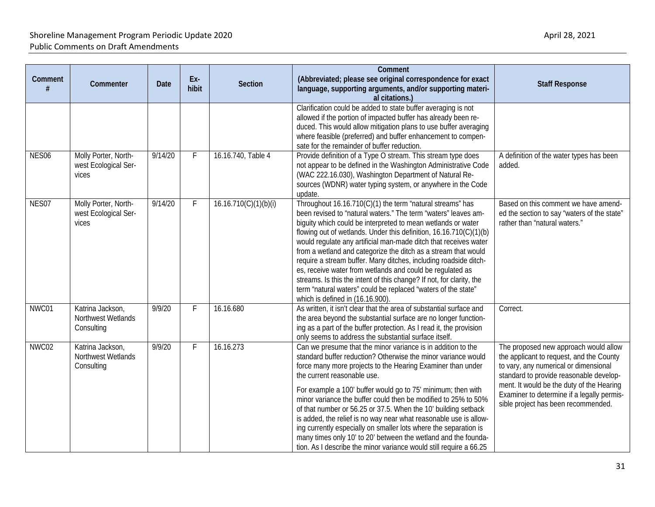| Comment           | Commenter                                             | Date    | Ex-<br>hibit | <b>Section</b>        | Comment<br>(Abbreviated; please see original correspondence for exact<br>language, supporting arguments, and/or supporting materi-<br>al citations.)                                                                                                                                                                                                                                                                                                                                                                                                                                                                                                                                                                  | <b>Staff Response</b>                                                                                                                                                                                                                                                                                   |
|-------------------|-------------------------------------------------------|---------|--------------|-----------------------|-----------------------------------------------------------------------------------------------------------------------------------------------------------------------------------------------------------------------------------------------------------------------------------------------------------------------------------------------------------------------------------------------------------------------------------------------------------------------------------------------------------------------------------------------------------------------------------------------------------------------------------------------------------------------------------------------------------------------|---------------------------------------------------------------------------------------------------------------------------------------------------------------------------------------------------------------------------------------------------------------------------------------------------------|
|                   |                                                       |         |              |                       | Clarification could be added to state buffer averaging is not<br>allowed if the portion of impacted buffer has already been re-<br>duced. This would allow mitigation plans to use buffer averaging<br>where feasible (preferred) and buffer enhancement to compen-<br>sate for the remainder of buffer reduction.                                                                                                                                                                                                                                                                                                                                                                                                    |                                                                                                                                                                                                                                                                                                         |
| NES <sub>06</sub> | Molly Porter, North-<br>west Ecological Ser-<br>vices | 9/14/20 | F.           | 16.16.740, Table 4    | Provide definition of a Type O stream. This stream type does<br>not appear to be defined in the Washington Administrative Code<br>(WAC 222.16.030), Washington Department of Natural Re-<br>sources (WDNR) water typing system, or anywhere in the Code<br>update.                                                                                                                                                                                                                                                                                                                                                                                                                                                    | A definition of the water types has been<br>added.                                                                                                                                                                                                                                                      |
| NES07             | Molly Porter, North-<br>west Ecological Ser-<br>vices | 9/14/20 | F.           | 16.16.710(C)(1)(b)(i) | Throughout 16.16.710(C)(1) the term "natural streams" has<br>been revised to "natural waters." The term "waters" leaves am-<br>biguity which could be interpreted to mean wetlands or water<br>flowing out of wetlands. Under this definition, 16.16.710(C)(1)(b)<br>would regulate any artificial man-made ditch that receives water<br>from a wetland and categorize the ditch as a stream that would<br>require a stream buffer. Many ditches, including roadside ditch-<br>es, receive water from wetlands and could be regulated as<br>streams. Is this the intent of this change? If not, for clarity, the<br>term "natural waters" could be replaced "waters of the state"<br>which is defined in (16.16.900). | Based on this comment we have amend-<br>ed the section to say "waters of the state"<br>rather than "natural waters."                                                                                                                                                                                    |
| NWC01             | Katrina Jackson,<br>Northwest Wetlands<br>Consulting  | 9/9/20  | F.           | 16.16.680             | As written, it isn't clear that the area of substantial surface and<br>the area beyond the substantial surface are no longer function-<br>ing as a part of the buffer protection. As I read it, the provision<br>only seems to address the substantial surface itself.                                                                                                                                                                                                                                                                                                                                                                                                                                                | Correct.                                                                                                                                                                                                                                                                                                |
| NWC02             | Katrina Jackson,<br>Northwest Wetlands<br>Consulting  | 9/9/20  | F.           | 16.16.273             | Can we presume that the minor variance is in addition to the<br>standard buffer reduction? Otherwise the minor variance would<br>force many more projects to the Hearing Examiner than under<br>the current reasonable use.<br>For example a 100' buffer would go to 75' minimum; then with<br>minor variance the buffer could then be modified to 25% to 50%<br>of that number or 56.25 or 37.5. When the 10' building setback<br>is added, the relief is no way near what reasonable use is allow-<br>ing currently especially on smaller lots where the separation is<br>many times only 10' to 20' between the wetland and the founda-<br>tion. As I describe the minor variance would still require a 66.25      | The proposed new approach would allow<br>the applicant to request, and the County<br>to vary, any numerical or dimensional<br>standard to provide reasonable develop-<br>ment. It would be the duty of the Hearing<br>Examiner to determine if a legally permis-<br>sible project has been recommended. |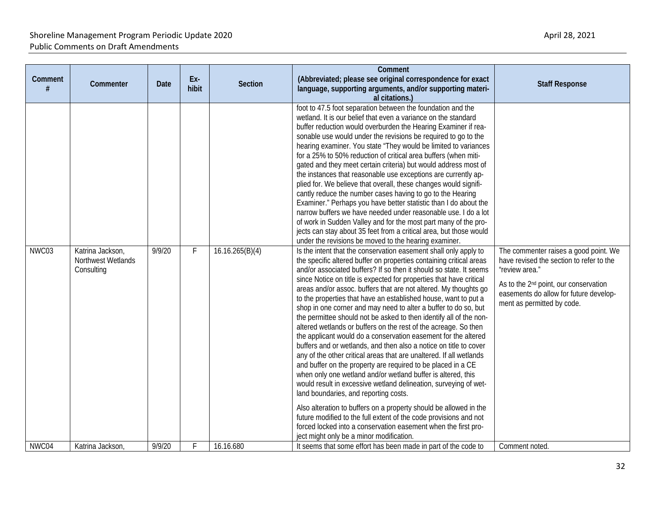| Comment | Commenter                                            | <b>Date</b> | Ex-<br>hibit | <b>Section</b>  | Comment<br>(Abbreviated; please see original correspondence for exact<br>language, supporting arguments, and/or supporting materi-<br>al citations.)                                                                                                                                                                                                                                                                                                                                                                                                                                                                                                                                                                                                                                                                                                                                                                                                                                                                                                                                                                                                                                                                                                                                                                                                                                                                                                                                                                                                                                                                                                                                                                                                                                                                                                                                                                                                                                                                                                                                                                                                                                                                                                                                                                                                                                 | <b>Staff Response</b>                                                                                                                                                                                                            |
|---------|------------------------------------------------------|-------------|--------------|-----------------|--------------------------------------------------------------------------------------------------------------------------------------------------------------------------------------------------------------------------------------------------------------------------------------------------------------------------------------------------------------------------------------------------------------------------------------------------------------------------------------------------------------------------------------------------------------------------------------------------------------------------------------------------------------------------------------------------------------------------------------------------------------------------------------------------------------------------------------------------------------------------------------------------------------------------------------------------------------------------------------------------------------------------------------------------------------------------------------------------------------------------------------------------------------------------------------------------------------------------------------------------------------------------------------------------------------------------------------------------------------------------------------------------------------------------------------------------------------------------------------------------------------------------------------------------------------------------------------------------------------------------------------------------------------------------------------------------------------------------------------------------------------------------------------------------------------------------------------------------------------------------------------------------------------------------------------------------------------------------------------------------------------------------------------------------------------------------------------------------------------------------------------------------------------------------------------------------------------------------------------------------------------------------------------------------------------------------------------------------------------------------------------|----------------------------------------------------------------------------------------------------------------------------------------------------------------------------------------------------------------------------------|
| NWC03   | Katrina Jackson,<br>Northwest Wetlands<br>Consulting | 9/9/20      | F            | 16.16.265(B)(4) | foot to 47.5 foot separation between the foundation and the<br>wetland. It is our belief that even a variance on the standard<br>buffer reduction would overburden the Hearing Examiner if rea-<br>sonable use would under the revisions be required to go to the<br>hearing examiner. You state "They would be limited to variances<br>for a 25% to 50% reduction of critical area buffers (when miti-<br>gated and they meet certain criteria) but would address most of<br>the instances that reasonable use exceptions are currently ap-<br>plied for. We believe that overall, these changes would signifi-<br>cantly reduce the number cases having to go to the Hearing<br>Examiner." Perhaps you have better statistic than I do about the<br>narrow buffers we have needed under reasonable use. I do a lot<br>of work in Sudden Valley and for the most part many of the pro-<br>jects can stay about 35 feet from a critical area, but those would<br>under the revisions be moved to the hearing examiner.<br>Is the intent that the conservation easement shall only apply to<br>the specific altered buffer on properties containing critical areas<br>and/or associated buffers? If so then it should so state. It seems<br>since Notice on title is expected for properties that have critical<br>areas and/or assoc. buffers that are not altered. My thoughts go<br>to the properties that have an established house, want to put a<br>shop in one corner and may need to alter a buffer to do so, but<br>the permittee should not be asked to then identify all of the non-<br>altered wetlands or buffers on the rest of the acreage. So then<br>the applicant would do a conservation easement for the altered<br>buffers and or wetlands, and then also a notice on title to cover<br>any of the other critical areas that are unaltered. If all wetlands<br>and buffer on the property are required to be placed in a CE<br>when only one wetland and/or wetland buffer is altered, this<br>would result in excessive wetland delineation, surveying of wet-<br>land boundaries, and reporting costs.<br>Also alteration to buffers on a property should be allowed in the<br>future modified to the full extent of the code provisions and not<br>forced locked into a conservation easement when the first pro-<br>ject might only be a minor modification. | The commenter raises a good point. We<br>have revised the section to refer to the<br>"review area."<br>As to the 2 <sup>nd</sup> point, our conservation<br>easements do allow for future develop-<br>ment as permitted by code. |
| NWC04   | Katrina Jackson,                                     | 9/9/20      | F            | 16.16.680       | It seems that some effort has been made in part of the code to                                                                                                                                                                                                                                                                                                                                                                                                                                                                                                                                                                                                                                                                                                                                                                                                                                                                                                                                                                                                                                                                                                                                                                                                                                                                                                                                                                                                                                                                                                                                                                                                                                                                                                                                                                                                                                                                                                                                                                                                                                                                                                                                                                                                                                                                                                                       | Comment noted.                                                                                                                                                                                                                   |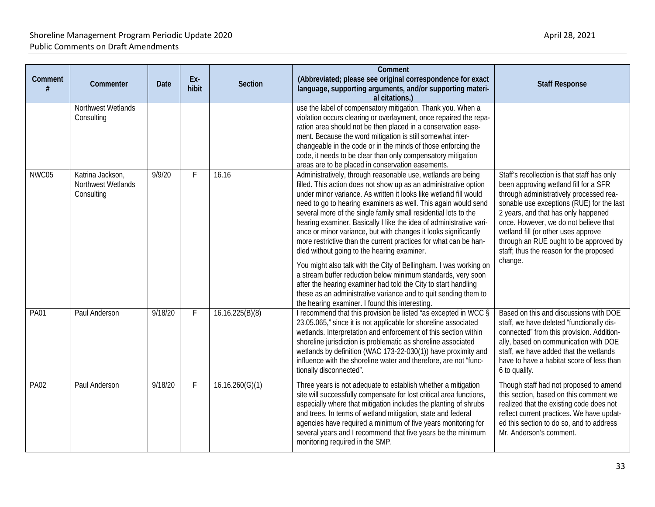| Comment     | Commenter                                            | <b>Date</b> | Ex-<br>hibit | <b>Section</b>  | Comment<br>(Abbreviated; please see original correspondence for exact<br>language, supporting arguments, and/or supporting materi-<br>al citations.)                                                                                                                                                                                                                                                                                                                                                                                                                                                                                                                                                                                                                                                                                                                                                                                 | <b>Staff Response</b>                                                                                                                                                                                                                                                                                                                                                                               |
|-------------|------------------------------------------------------|-------------|--------------|-----------------|--------------------------------------------------------------------------------------------------------------------------------------------------------------------------------------------------------------------------------------------------------------------------------------------------------------------------------------------------------------------------------------------------------------------------------------------------------------------------------------------------------------------------------------------------------------------------------------------------------------------------------------------------------------------------------------------------------------------------------------------------------------------------------------------------------------------------------------------------------------------------------------------------------------------------------------|-----------------------------------------------------------------------------------------------------------------------------------------------------------------------------------------------------------------------------------------------------------------------------------------------------------------------------------------------------------------------------------------------------|
|             | Northwest Wetlands<br>Consulting                     |             |              |                 | use the label of compensatory mitigation. Thank you. When a<br>violation occurs clearing or overlayment, once repaired the repa-<br>ration area should not be then placed in a conservation ease-<br>ment. Because the word mitigation is still somewhat inter-<br>changeable in the code or in the minds of those enforcing the<br>code, it needs to be clear than only compensatory mitigation<br>areas are to be placed in conservation easements.                                                                                                                                                                                                                                                                                                                                                                                                                                                                                |                                                                                                                                                                                                                                                                                                                                                                                                     |
| NWC05       | Katrina Jackson,<br>Northwest Wetlands<br>Consulting | 9/9/20      | F.           | 16.16           | Administratively, through reasonable use, wetlands are being<br>filled. This action does not show up as an administrative option<br>under minor variance. As written it looks like wetland fill would<br>need to go to hearing examiners as well. This again would send<br>several more of the single family small residential lots to the<br>hearing examiner. Basically I like the idea of administrative vari-<br>ance or minor variance, but with changes it looks significantly<br>more restrictive than the current practices for what can be han-<br>dled without going to the hearing examiner.<br>You might also talk with the City of Bellingham. I was working on<br>a stream buffer reduction below minimum standards, very soon<br>after the hearing examiner had told the City to start handling<br>these as an administrative variance and to quit sending them to<br>the hearing examiner. I found this interesting. | Staff's recollection is that staff has only<br>been approving wetland fill for a SFR<br>through administratively processed rea-<br>sonable use exceptions (RUE) for the last<br>2 years, and that has only happened<br>once. However, we do not believe that<br>wetland fill (or other uses approve<br>through an RUE ought to be approved by<br>staff; thus the reason for the proposed<br>change. |
| <b>PA01</b> | Paul Anderson                                        | 9/18/20     | F            | 16.16.225(B)(8) | I recommend that this provision be listed "as excepted in WCC §<br>23.05.065," since it is not applicable for shoreline associated<br>wetlands. Interpretation and enforcement of this section within<br>shoreline jurisdiction is problematic as shoreline associated<br>wetlands by definition (WAC 173-22-030(1)) have proximity and<br>influence with the shoreline water and therefore, are not "func-<br>tionally disconnected".                                                                                                                                                                                                                                                                                                                                                                                                                                                                                               | Based on this and discussions with DOE<br>staff, we have deleted "functionally dis-<br>connected" from this provision. Addition-<br>ally, based on communication with DOE<br>staff, we have added that the wetlands<br>have to have a habitat score of less than<br>6 to qualify.                                                                                                                   |
| <b>PA02</b> | Paul Anderson                                        | 9/18/20     | F            | 16.16.260(G)(1) | Three years is not adequate to establish whether a mitigation<br>site will successfully compensate for lost critical area functions,<br>especially where that mitigation includes the planting of shrubs<br>and trees. In terms of wetland mitigation, state and federal<br>agencies have required a minimum of five years monitoring for<br>several years and I recommend that five years be the minimum<br>monitoring required in the SMP.                                                                                                                                                                                                                                                                                                                                                                                                                                                                                         | Though staff had not proposed to amend<br>this section, based on this comment we<br>realized that the existing code does not<br>reflect current practices. We have updat-<br>ed this section to do so, and to address<br>Mr. Anderson's comment.                                                                                                                                                    |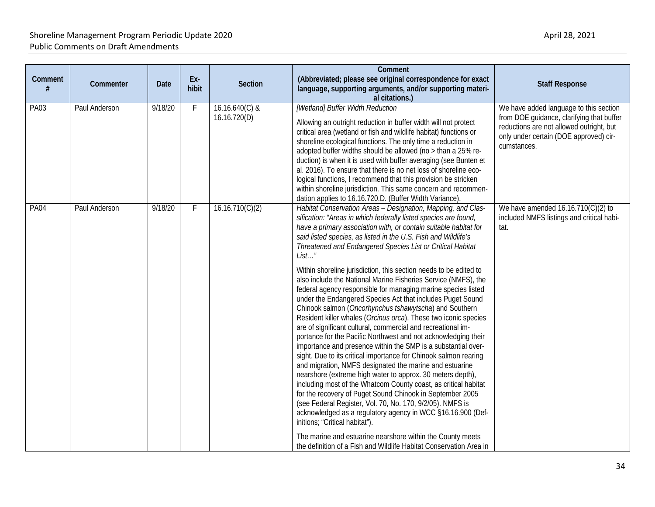| Comment     | Commenter     | <b>Date</b> | Ex-<br>hibit | <b>Section</b>                   | Comment<br>(Abbreviated; please see original correspondence for exact<br>language, supporting arguments, and/or supporting materi-<br>al citations.)                                                                                                                                                                                                                                                                                                                                                                                                                                                                                                                                                                                                                                                                                                                                                                                                                                                                                                                                                                                                                                                                                                                                                                                                                                                                                                                                                                                                                              | <b>Staff Response</b>                                                                                                                                                                    |
|-------------|---------------|-------------|--------------|----------------------------------|-----------------------------------------------------------------------------------------------------------------------------------------------------------------------------------------------------------------------------------------------------------------------------------------------------------------------------------------------------------------------------------------------------------------------------------------------------------------------------------------------------------------------------------------------------------------------------------------------------------------------------------------------------------------------------------------------------------------------------------------------------------------------------------------------------------------------------------------------------------------------------------------------------------------------------------------------------------------------------------------------------------------------------------------------------------------------------------------------------------------------------------------------------------------------------------------------------------------------------------------------------------------------------------------------------------------------------------------------------------------------------------------------------------------------------------------------------------------------------------------------------------------------------------------------------------------------------------|------------------------------------------------------------------------------------------------------------------------------------------------------------------------------------------|
| <b>PA03</b> | Paul Anderson | 9/18/20     | F.           | $16.16.640(C)$ &<br>16.16.720(D) | [Wetland] Buffer Width Reduction<br>Allowing an outright reduction in buffer width will not protect<br>critical area (wetland or fish and wildlife habitat) functions or<br>shoreline ecological functions. The only time a reduction in<br>adopted buffer widths should be allowed (no > than a 25% re-<br>duction) is when it is used with buffer averaging (see Bunten et<br>al. 2016). To ensure that there is no net loss of shoreline eco-<br>logical functions, I recommend that this provision be stricken<br>within shoreline jurisdiction. This same concern and recommen-<br>dation applies to 16.16.720.D. (Buffer Width Variance).                                                                                                                                                                                                                                                                                                                                                                                                                                                                                                                                                                                                                                                                                                                                                                                                                                                                                                                                   | We have added language to this section<br>from DOE guidance, clarifying that buffer<br>reductions are not allowed outright, but<br>only under certain (DOE approved) cir-<br>cumstances. |
| <b>PA04</b> | Paul Anderson | 9/18/20     | F            | 16.16.710(C)(2)                  | Habitat Conservation Areas - Designation, Mapping, and Clas-<br>sification: "Areas in which federally listed species are found,<br>have a primary association with, or contain suitable habitat for<br>said listed species, as listed in the U.S. Fish and Wildlife's<br>Threatened and Endangered Species List or Critical Habitat<br>List"<br>Within shoreline jurisdiction, this section needs to be edited to<br>also include the National Marine Fisheries Service (NMFS), the<br>federal agency responsible for managing marine species listed<br>under the Endangered Species Act that includes Puget Sound<br>Chinook salmon (Oncorhynchus tshawytscha) and Southern<br>Resident killer whales (Orcinus orca). These two iconic species<br>are of significant cultural, commercial and recreational im-<br>portance for the Pacific Northwest and not acknowledging their<br>importance and presence within the SMP is a substantial over-<br>sight. Due to its critical importance for Chinook salmon rearing<br>and migration, NMFS designated the marine and estuarine<br>nearshore (extreme high water to approx. 30 meters depth),<br>including most of the Whatcom County coast, as critical habitat<br>for the recovery of Puget Sound Chinook in September 2005<br>(see Federal Register, Vol. 70, No. 170, 9/2/05). NMFS is<br>acknowledged as a regulatory agency in WCC §16.16.900 (Def-<br>initions; "Critical habitat").<br>The marine and estuarine nearshore within the County meets<br>the definition of a Fish and Wildlife Habitat Conservation Area in | We have amended $16.16.710(C)(2)$ to<br>included NMFS listings and critical habi-<br>tat.                                                                                                |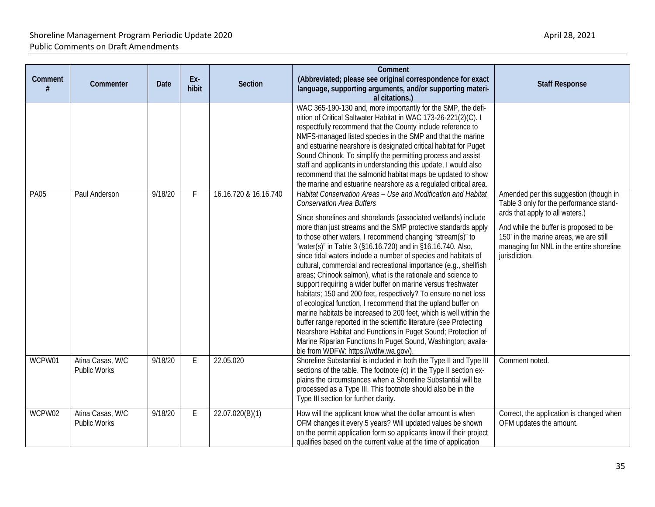| Comment     | Commenter                               | Date    | Ex-<br>hibit | <b>Section</b>        | Comment<br>(Abbreviated; please see original correspondence for exact<br>language, supporting arguments, and/or supporting materi-<br>al citations.)                                                                                                                                                                                                                                                                                                                                                                                                                                                                                                                                                                                                                                                                                                                                                                                                                                                                                                                                                                                                                                                                                                                                                                                                                                                                                                                                                                                                                                                                                                                                                         | <b>Staff Response</b>                                                                                                                                                                                                                                                 |
|-------------|-----------------------------------------|---------|--------------|-----------------------|--------------------------------------------------------------------------------------------------------------------------------------------------------------------------------------------------------------------------------------------------------------------------------------------------------------------------------------------------------------------------------------------------------------------------------------------------------------------------------------------------------------------------------------------------------------------------------------------------------------------------------------------------------------------------------------------------------------------------------------------------------------------------------------------------------------------------------------------------------------------------------------------------------------------------------------------------------------------------------------------------------------------------------------------------------------------------------------------------------------------------------------------------------------------------------------------------------------------------------------------------------------------------------------------------------------------------------------------------------------------------------------------------------------------------------------------------------------------------------------------------------------------------------------------------------------------------------------------------------------------------------------------------------------------------------------------------------------|-----------------------------------------------------------------------------------------------------------------------------------------------------------------------------------------------------------------------------------------------------------------------|
| <b>PA05</b> | Paul Anderson                           | 9/18/20 | F            | 16.16.720 & 16.16.740 | WAC 365-190-130 and, more importantly for the SMP, the defi-<br>nition of Critical Saltwater Habitat in WAC 173-26-221(2)(C). I<br>respectfully recommend that the County include reference to<br>NMFS-managed listed species in the SMP and that the marine<br>and estuarine nearshore is designated critical habitat for Puget<br>Sound Chinook. To simplify the permitting process and assist<br>staff and applicants in understanding this update, I would also<br>recommend that the salmonid habitat maps be updated to show<br>the marine and estuarine nearshore as a regulated critical area.<br>Habitat Conservation Areas - Use and Modification and Habitat<br><b>Conservation Area Buffers</b><br>Since shorelines and shorelands (associated wetlands) include<br>more than just streams and the SMP protective standards apply<br>to those other waters, I recommend changing "stream(s)" to<br>"water(s)" in Table 3 (§16.16.720) and in §16.16.740. Also,<br>since tidal waters include a number of species and habitats of<br>cultural, commercial and recreational importance (e.g., shellfish<br>areas; Chinook salmon), what is the rationale and science to<br>support requiring a wider buffer on marine versus freshwater<br>habitats; 150 and 200 feet, respectively? To ensure no net loss<br>of ecological function, I recommend that the upland buffer on<br>marine habitats be increased to 200 feet, which is well within the<br>buffer range reported in the scientific literature (see Protecting<br>Nearshore Habitat and Functions in Puget Sound; Protection of<br>Marine Riparian Functions In Puget Sound, Washington; availa-<br>ble from WDFW: https://wdfw.wa.gov/). | Amended per this suggestion (though in<br>Table 3 only for the performance stand-<br>ards that apply to all waters.)<br>And while the buffer is proposed to be<br>150' in the marine areas, we are still<br>managing for NNL in the entire shoreline<br>jurisdiction. |
| WCPW01      | Atina Casas, W/C<br>Public Works        | 9/18/20 | E            | 22.05.020             | Shoreline Substantial is included in both the Type II and Type III<br>sections of the table. The footnote (c) in the Type II section ex-<br>plains the circumstances when a Shoreline Substantial will be<br>processed as a Type III. This footnote should also be in the<br>Type III section for further clarity.                                                                                                                                                                                                                                                                                                                                                                                                                                                                                                                                                                                                                                                                                                                                                                                                                                                                                                                                                                                                                                                                                                                                                                                                                                                                                                                                                                                           | Comment noted.                                                                                                                                                                                                                                                        |
| WCPW02      | Atina Casas, W/C<br><b>Public Works</b> | 9/18/20 | E            | 22.07.020(B)(1)       | How will the applicant know what the dollar amount is when<br>OFM changes it every 5 years? Will updated values be shown<br>on the permit application form so applicants know if their project<br>qualifies based on the current value at the time of application                                                                                                                                                                                                                                                                                                                                                                                                                                                                                                                                                                                                                                                                                                                                                                                                                                                                                                                                                                                                                                                                                                                                                                                                                                                                                                                                                                                                                                            | Correct, the application is changed when<br>OFM updates the amount.                                                                                                                                                                                                   |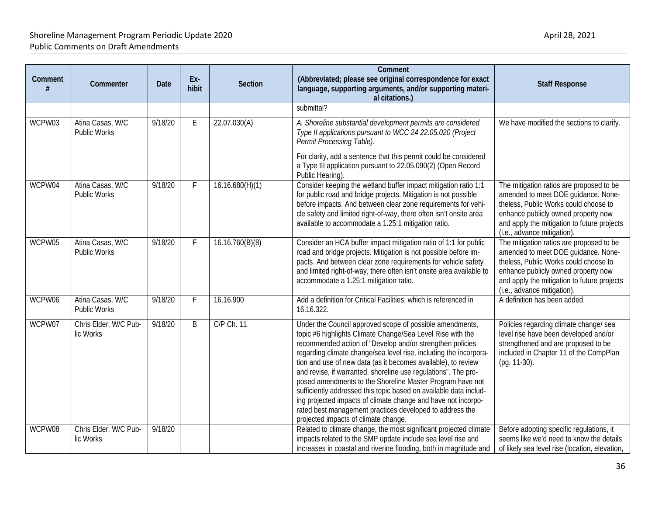| Comment | Commenter                               | Date    | Ex-<br>hibit | <b>Section</b>  | Comment<br>(Abbreviated; please see original correspondence for exact<br>language, supporting arguments, and/or supporting materi-<br>al citations.)                                                                                                                                                                                                                                                                                                                                                                                                                                                                                                                                               | <b>Staff Response</b>                                                                                                                                                                                                                         |
|---------|-----------------------------------------|---------|--------------|-----------------|----------------------------------------------------------------------------------------------------------------------------------------------------------------------------------------------------------------------------------------------------------------------------------------------------------------------------------------------------------------------------------------------------------------------------------------------------------------------------------------------------------------------------------------------------------------------------------------------------------------------------------------------------------------------------------------------------|-----------------------------------------------------------------------------------------------------------------------------------------------------------------------------------------------------------------------------------------------|
|         |                                         |         |              |                 | submittal?                                                                                                                                                                                                                                                                                                                                                                                                                                                                                                                                                                                                                                                                                         |                                                                                                                                                                                                                                               |
| WCPW03  | Atina Casas, W/C<br><b>Public Works</b> | 9/18/20 | E.           | 22.07.030(A)    | A. Shoreline substantial development permits are considered<br>Type II applications pursuant to WCC 24 22.05.020 (Project<br>Permit Processing Table).                                                                                                                                                                                                                                                                                                                                                                                                                                                                                                                                             | We have modified the sections to clarify.                                                                                                                                                                                                     |
|         |                                         |         |              |                 | For clarity, add a sentence that this permit could be considered<br>a Type III application pursuant to 22.05.090(2) (Open Record<br>Public Hearing).                                                                                                                                                                                                                                                                                                                                                                                                                                                                                                                                               |                                                                                                                                                                                                                                               |
| WCPW04  | Atina Casas, W/C<br><b>Public Works</b> | 9/18/20 | F            | 16.16.680(H)(1) | Consider keeping the wetland buffer impact mitigation ratio 1:1<br>for public road and bridge projects. Mitigation is not possible<br>before impacts. And between clear zone requirements for vehi-<br>cle safety and limited right-of-way, there often isn't onsite area<br>available to accommodate a 1.25:1 mitigation ratio.                                                                                                                                                                                                                                                                                                                                                                   | The mitigation ratios are proposed to be<br>amended to meet DOE guidance. None-<br>theless, Public Works could choose to<br>enhance publicly owned property now<br>and apply the mitigation to future projects<br>(i.e., advance mitigation). |
| WCPW05  | Atina Casas, W/C<br><b>Public Works</b> | 9/18/20 | F            | 16.16.760(B)(8) | Consider an HCA buffer impact mitigation ratio of 1:1 for public<br>road and bridge projects. Mitigation is not possible before im-<br>pacts. And between clear zone requirements for vehicle safety<br>and limited right-of-way, there often isn't onsite area available to<br>accommodate a 1.25:1 mitigation ratio.                                                                                                                                                                                                                                                                                                                                                                             | The mitigation ratios are proposed to be<br>amended to meet DOE guidance. None-<br>theless, Public Works could choose to<br>enhance publicly owned property now<br>and apply the mitigation to future projects<br>(i.e., advance mitigation). |
| WCPW06  | Atina Casas, W/C<br><b>Public Works</b> | 9/18/20 | F            | 16.16.900       | Add a definition for Critical Facilities, which is referenced in<br>16.16.322.                                                                                                                                                                                                                                                                                                                                                                                                                                                                                                                                                                                                                     | A definition has been added.                                                                                                                                                                                                                  |
| WCPW07  | Chris Elder, W/C Pub-<br>lic Works      | 9/18/20 | B            | C/P Ch. 11      | Under the Council approved scope of possible amendments,<br>topic #6 highlights Climate Change/Sea Level Rise with the<br>recommended action of "Develop and/or strengthen policies<br>regarding climate change/sea level rise, including the incorpora-<br>tion and use of new data (as it becomes available), to review<br>and revise, if warranted, shoreline use regulations". The pro-<br>posed amendments to the Shoreline Master Program have not<br>sufficiently addressed this topic based on available data includ-<br>ing projected impacts of climate change and have not incorpo-<br>rated best management practices developed to address the<br>projected impacts of climate change. | Policies regarding climate change/ sea<br>level rise have been developed and/or<br>strengthened and are proposed to be<br>included in Chapter 11 of the CompPlan<br>(pg. 11-30).                                                              |
| WCPW08  | Chris Elder, W/C Pub-<br>lic Works      | 9/18/20 |              |                 | Related to climate change, the most significant projected climate<br>impacts related to the SMP update include sea level rise and<br>increases in coastal and riverine flooding, both in magnitude and                                                                                                                                                                                                                                                                                                                                                                                                                                                                                             | Before adopting specific regulations, it<br>seems like we'd need to know the details<br>of likely sea level rise (location, elevation,                                                                                                        |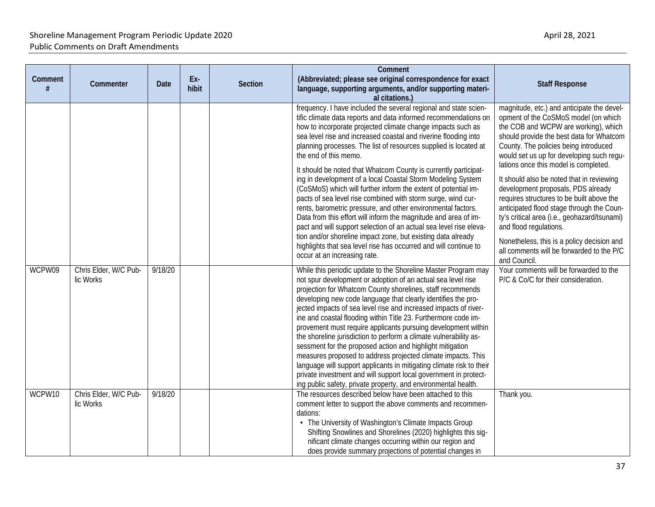| Comment | Commenter                          | <b>Date</b> | Ex-<br>hibit | <b>Section</b> | Comment<br>(Abbreviated; please see original correspondence for exact<br>language, supporting arguments, and/or supporting materi-<br>al citations.)                                                                                                                                                                                                                                                                                                                                                                                                                                                                                                                                                                                                                                                                                                                                                                                                                                                                                                                                                                                                                                                                                                                                                                                                                                                                                                                                                                                                                                                                                                                                                                                                                                                                                                                                                        | <b>Staff Response</b>                                                                                                                                                                                                                                                                                                                                                                                                                                                                                                                                                                                                                                                                                                                                    |
|---------|------------------------------------|-------------|--------------|----------------|-------------------------------------------------------------------------------------------------------------------------------------------------------------------------------------------------------------------------------------------------------------------------------------------------------------------------------------------------------------------------------------------------------------------------------------------------------------------------------------------------------------------------------------------------------------------------------------------------------------------------------------------------------------------------------------------------------------------------------------------------------------------------------------------------------------------------------------------------------------------------------------------------------------------------------------------------------------------------------------------------------------------------------------------------------------------------------------------------------------------------------------------------------------------------------------------------------------------------------------------------------------------------------------------------------------------------------------------------------------------------------------------------------------------------------------------------------------------------------------------------------------------------------------------------------------------------------------------------------------------------------------------------------------------------------------------------------------------------------------------------------------------------------------------------------------------------------------------------------------------------------------------------------------|----------------------------------------------------------------------------------------------------------------------------------------------------------------------------------------------------------------------------------------------------------------------------------------------------------------------------------------------------------------------------------------------------------------------------------------------------------------------------------------------------------------------------------------------------------------------------------------------------------------------------------------------------------------------------------------------------------------------------------------------------------|
| WCPW09  | Chris Elder, W/C Pub-<br>lic Works | 9/18/20     |              |                | frequency. I have included the several regional and state scien-<br>tific climate data reports and data informed recommendations on<br>how to incorporate projected climate change impacts such as<br>sea level rise and increased coastal and riverine flooding into<br>planning processes. The list of resources supplied is located at<br>the end of this memo.<br>It should be noted that Whatcom County is currently participat-<br>ing in development of a local Coastal Storm Modeling System<br>(CoSMoS) which will further inform the extent of potential im-<br>pacts of sea level rise combined with storm surge, wind cur-<br>rents, barometric pressure, and other environmental factors.<br>Data from this effort will inform the magnitude and area of im-<br>pact and will support selection of an actual sea level rise eleva-<br>tion and/or shoreline impact zone, but existing data already<br>highlights that sea level rise has occurred and will continue to<br>occur at an increasing rate.<br>While this periodic update to the Shoreline Master Program may<br>not spur development or adoption of an actual sea level rise<br>projection for Whatcom County shorelines, staff recommends<br>developing new code language that clearly identifies the pro-<br>jected impacts of sea level rise and increased impacts of river-<br>ine and coastal flooding within Title 23. Furthermore code im-<br>provement must require applicants pursuing development within<br>the shoreline jurisdiction to perform a climate vulnerability as-<br>sessment for the proposed action and highlight mitigation<br>measures proposed to address projected climate impacts. This<br>language will support applicants in mitigating climate risk to their<br>private investment and will support local government in protect-<br>ing public safety, private property, and environmental health. | magnitude, etc.) and anticipate the devel-<br>opment of the CoSMoS model (on which<br>the COB and WCPW are working), which<br>should provide the best data for Whatcom<br>County. The policies being introduced<br>would set us up for developing such regu-<br>lations once this model is completed.<br>It should also be noted that in reviewing<br>development proposals, PDS already<br>requires structures to be built above the<br>anticipated flood stage through the Coun-<br>ty's critical area (i.e., geohazard/tsunami)<br>and flood regulations.<br>Nonetheless, this is a policy decision and<br>all comments will be forwarded to the P/C<br>and Council.<br>Your comments will be forwarded to the<br>P/C & Co/C for their consideration. |
| WCPW10  | Chris Elder, W/C Pub-<br>lic Works | 9/18/20     |              |                | The resources described below have been attached to this<br>comment letter to support the above comments and recommen-<br>dations:<br>• The University of Washington's Climate Impacts Group<br>Shifting Snowlines and Shorelines (2020) highlights this sig-<br>nificant climate changes occurring within our region and<br>does provide summary projections of potential changes in                                                                                                                                                                                                                                                                                                                                                                                                                                                                                                                                                                                                                                                                                                                                                                                                                                                                                                                                                                                                                                                                                                                                                                                                                                                                                                                                                                                                                                                                                                                       | Thank you.                                                                                                                                                                                                                                                                                                                                                                                                                                                                                                                                                                                                                                                                                                                                               |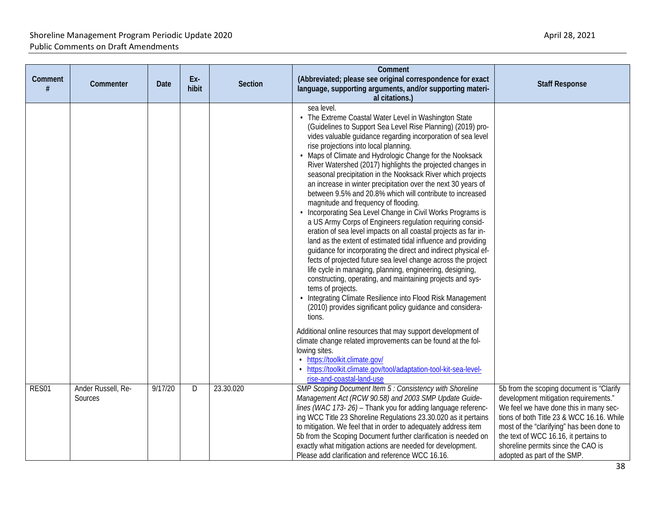| Comment<br># | Commenter                     | <b>Date</b> | Ex-<br>hibit | Section   | Comment<br>(Abbreviated; please see original correspondence for exact<br>language, supporting arguments, and/or supporting materi-<br>al citations.)                                                                                                                                                                                                                                                                                                                                                                                                                                                                                                                                                                                                                                                                                                                                                                                                                                                                                                                                                                                                                                                                                                                                                                                                                                                                                                                                                                                                                                    | <b>Staff Response</b>                                                                                                                                                                                                                                                                                                               |
|--------------|-------------------------------|-------------|--------------|-----------|-----------------------------------------------------------------------------------------------------------------------------------------------------------------------------------------------------------------------------------------------------------------------------------------------------------------------------------------------------------------------------------------------------------------------------------------------------------------------------------------------------------------------------------------------------------------------------------------------------------------------------------------------------------------------------------------------------------------------------------------------------------------------------------------------------------------------------------------------------------------------------------------------------------------------------------------------------------------------------------------------------------------------------------------------------------------------------------------------------------------------------------------------------------------------------------------------------------------------------------------------------------------------------------------------------------------------------------------------------------------------------------------------------------------------------------------------------------------------------------------------------------------------------------------------------------------------------------------|-------------------------------------------------------------------------------------------------------------------------------------------------------------------------------------------------------------------------------------------------------------------------------------------------------------------------------------|
|              |                               |             |              |           | sea level.<br>• The Extreme Coastal Water Level in Washington State<br>(Guidelines to Support Sea Level Rise Planning) (2019) pro-<br>vides valuable guidance regarding incorporation of sea level<br>rise projections into local planning.<br>• Maps of Climate and Hydrologic Change for the Nooksack<br>River Watershed (2017) highlights the projected changes in<br>seasonal precipitation in the Nooksack River which projects<br>an increase in winter precipitation over the next 30 years of<br>between 9.5% and 20.8% which will contribute to increased<br>magnitude and frequency of flooding.<br>Incorporating Sea Level Change in Civil Works Programs is<br>a US Army Corps of Engineers regulation requiring consid-<br>eration of sea level impacts on all coastal projects as far in-<br>land as the extent of estimated tidal influence and providing<br>guidance for incorporating the direct and indirect physical ef-<br>fects of projected future sea level change across the project<br>life cycle in managing, planning, engineering, designing,<br>constructing, operating, and maintaining projects and sys-<br>tems of projects.<br>• Integrating Climate Resilience into Flood Risk Management<br>(2010) provides significant policy guidance and considera-<br>tions.<br>Additional online resources that may support development of<br>climate change related improvements can be found at the fol-<br>lowing sites.<br>· https://toolkit.climate.gov/<br>• https://toolkit.climate.gov/tool/adaptation-tool-kit-sea-level-<br>rise-and-coastal-land-use |                                                                                                                                                                                                                                                                                                                                     |
| RES01        | Ander Russell, Re-<br>Sources | 9/17/20     | D            | 23.30.020 | SMP Scoping Document Item 5 : Consistency with Shoreline<br>Management Act (RCW 90.58) and 2003 SMP Update Guide-<br>lines (WAC 173-26) - Thank you for adding language referenc-<br>ing WCC Title 23 Shoreline Regulations 23.30.020 as it pertains<br>to mitigation. We feel that in order to adequately address item<br>5b from the Scoping Document further clarification is needed on<br>exactly what mitigation actions are needed for development.<br>Please add clarification and reference WCC 16.16.                                                                                                                                                                                                                                                                                                                                                                                                                                                                                                                                                                                                                                                                                                                                                                                                                                                                                                                                                                                                                                                                          | 5b from the scoping document is "Clarify<br>development mitigation requirements."<br>We feel we have done this in many sec-<br>tions of both Title 23 & WCC 16.16. While<br>most of the "clarifying" has been done to<br>the text of WCC 16.16, it pertains to<br>shoreline permits since the CAO is<br>adopted as part of the SMP. |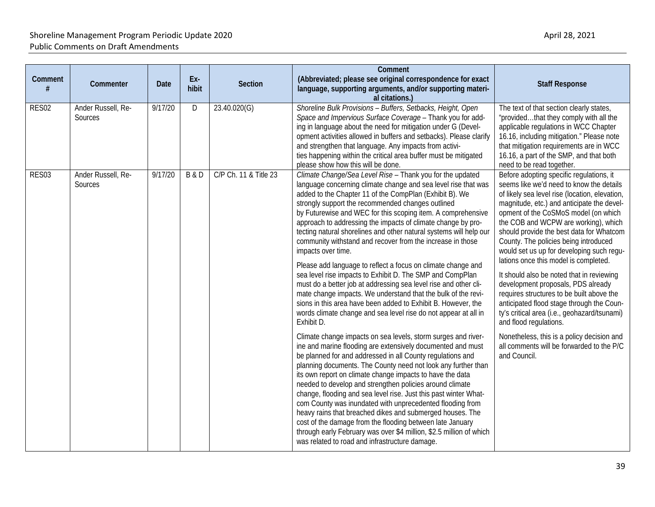| Comment | Commenter                     | Date    | Ex-<br>hibit   | <b>Section</b>        | Comment<br>(Abbreviated; please see original correspondence for exact<br>language, supporting arguments, and/or supporting materi-<br>al citations.)                                                                                                                                                                                                                                                                                                                                                                                                                                                                                                                                                                                                                                                                                                                                                                                                                                                                                                                                                                                                                                                                                                                                                                                                                                                                                                                                                                                                                                                                                                                                                                                  | <b>Staff Response</b>                                                                                                                                                                                                                                                                                                                                                                                                                                                                                                                                                                                                                                                                                                                                                                                             |
|---------|-------------------------------|---------|----------------|-----------------------|---------------------------------------------------------------------------------------------------------------------------------------------------------------------------------------------------------------------------------------------------------------------------------------------------------------------------------------------------------------------------------------------------------------------------------------------------------------------------------------------------------------------------------------------------------------------------------------------------------------------------------------------------------------------------------------------------------------------------------------------------------------------------------------------------------------------------------------------------------------------------------------------------------------------------------------------------------------------------------------------------------------------------------------------------------------------------------------------------------------------------------------------------------------------------------------------------------------------------------------------------------------------------------------------------------------------------------------------------------------------------------------------------------------------------------------------------------------------------------------------------------------------------------------------------------------------------------------------------------------------------------------------------------------------------------------------------------------------------------------|-------------------------------------------------------------------------------------------------------------------------------------------------------------------------------------------------------------------------------------------------------------------------------------------------------------------------------------------------------------------------------------------------------------------------------------------------------------------------------------------------------------------------------------------------------------------------------------------------------------------------------------------------------------------------------------------------------------------------------------------------------------------------------------------------------------------|
| RES02   | Ander Russell, Re-<br>Sources | 9/17/20 | D              | 23.40.020(G)          | Shoreline Bulk Provisions - Buffers, Setbacks, Height, Open<br>Space and Impervious Surface Coverage - Thank you for add-<br>ing in language about the need for mitigation under G (Devel-<br>opment activities allowed in buffers and setbacks). Please clarify<br>and strengthen that language. Any impacts from activi-<br>ties happening within the critical area buffer must be mitigated<br>please show how this will be done.                                                                                                                                                                                                                                                                                                                                                                                                                                                                                                                                                                                                                                                                                                                                                                                                                                                                                                                                                                                                                                                                                                                                                                                                                                                                                                  | The text of that section clearly states,<br>"providedthat they comply with all the<br>applicable regulations in WCC Chapter<br>16.16, including mitigation." Please note<br>that mitigation requirements are in WCC<br>16.16, a part of the SMP, and that both<br>need to be read together.                                                                                                                                                                                                                                                                                                                                                                                                                                                                                                                       |
| RES03   | Ander Russell, Re-<br>Sources | 9/17/20 | <b>B&amp;D</b> | C/P Ch. 11 & Title 23 | Climate Change/Sea Level Rise - Thank you for the updated<br>language concerning climate change and sea level rise that was<br>added to the Chapter 11 of the CompPlan (Exhibit B). We<br>strongly support the recommended changes outlined<br>by Futurewise and WEC for this scoping item. A comprehensive<br>approach to addressing the impacts of climate change by pro-<br>tecting natural shorelines and other natural systems will help our<br>community withstand and recover from the increase in those<br>impacts over time.<br>Please add language to reflect a focus on climate change and<br>sea level rise impacts to Exhibit D. The SMP and CompPlan<br>must do a better job at addressing sea level rise and other cli-<br>mate change impacts. We understand that the bulk of the revi-<br>sions in this area have been added to Exhibit B. However, the<br>words climate change and sea level rise do not appear at all in<br>Exhibit D.<br>Climate change impacts on sea levels, storm surges and river-<br>ine and marine flooding are extensively documented and must<br>be planned for and addressed in all County regulations and<br>planning documents. The County need not look any further than<br>its own report on climate change impacts to have the data<br>needed to develop and strengthen policies around climate<br>change, flooding and sea level rise. Just this past winter What-<br>com County was inundated with unprecedented flooding from<br>heavy rains that breached dikes and submerged houses. The<br>cost of the damage from the flooding between late January<br>through early February was over \$4 million, \$2.5 million of which<br>was related to road and infrastructure damage. | Before adopting specific regulations, it<br>seems like we'd need to know the details<br>of likely sea level rise (location, elevation,<br>magnitude, etc.) and anticipate the devel-<br>opment of the CoSMoS model (on which<br>the COB and WCPW are working), which<br>should provide the best data for Whatcom<br>County. The policies being introduced<br>would set us up for developing such regu-<br>lations once this model is completed.<br>It should also be noted that in reviewing<br>development proposals, PDS already<br>requires structures to be built above the<br>anticipated flood stage through the Coun-<br>ty's critical area (i.e., geohazard/tsunami)<br>and flood regulations.<br>Nonetheless, this is a policy decision and<br>all comments will be forwarded to the P/C<br>and Council. |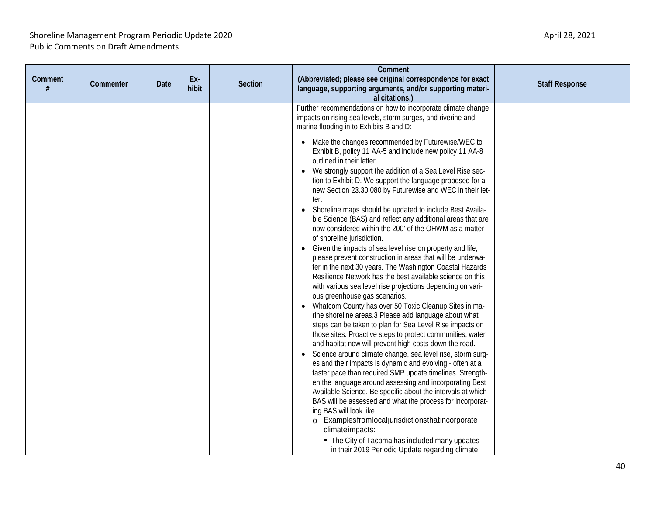|              |           |             |              |         | Comment                                                                                                                                                                                                                                                                                                                                                                                                                                                                                                                                                                                                                                                                                                                                                                                                                                     |                       |
|--------------|-----------|-------------|--------------|---------|---------------------------------------------------------------------------------------------------------------------------------------------------------------------------------------------------------------------------------------------------------------------------------------------------------------------------------------------------------------------------------------------------------------------------------------------------------------------------------------------------------------------------------------------------------------------------------------------------------------------------------------------------------------------------------------------------------------------------------------------------------------------------------------------------------------------------------------------|-----------------------|
| Comment<br># | Commenter | <b>Date</b> | Ex-<br>hibit | Section | (Abbreviated; please see original correspondence for exact<br>language, supporting arguments, and/or supporting materi-<br>al citations.)                                                                                                                                                                                                                                                                                                                                                                                                                                                                                                                                                                                                                                                                                                   | <b>Staff Response</b> |
|              |           |             |              |         | Further recommendations on how to incorporate climate change<br>impacts on rising sea levels, storm surges, and riverine and<br>marine flooding in to Exhibits B and D:<br>• Make the changes recommended by Futurewise/WEC to<br>Exhibit B, policy 11 AA-5 and include new policy 11 AA-8<br>outlined in their letter.<br>We strongly support the addition of a Sea Level Rise sec-                                                                                                                                                                                                                                                                                                                                                                                                                                                        |                       |
|              |           |             |              |         | tion to Exhibit D. We support the language proposed for a<br>new Section 23.30.080 by Futurewise and WEC in their let-<br>ter.<br>• Shoreline maps should be updated to include Best Availa-<br>ble Science (BAS) and reflect any additional areas that are<br>now considered within the 200' of the OHWM as a matter<br>of shoreline jurisdiction.<br>• Given the impacts of sea level rise on property and life,<br>please prevent construction in areas that will be underwa-<br>ter in the next 30 years. The Washington Coastal Hazards<br>Resilience Network has the best available science on this<br>with various sea level rise projections depending on vari-<br>ous greenhouse gas scenarios.<br>• Whatcom County has over 50 Toxic Cleanup Sites in ma-                                                                         |                       |
|              |           |             |              |         | rine shoreline areas.3 Please add language about what<br>steps can be taken to plan for Sea Level Rise impacts on<br>those sites. Proactive steps to protect communities, water<br>and habitat now will prevent high costs down the road.<br>Science around climate change, sea level rise, storm surg-<br>$\bullet$<br>es and their impacts is dynamic and evolving - often at a<br>faster pace than required SMP update timelines. Strength-<br>en the language around assessing and incorporating Best<br>Available Science. Be specific about the intervals at which<br>BAS will be assessed and what the process for incorporat-<br>ing BAS will look like.<br>o Examplesfromlocaljurisdictionsthatincorporate<br>climateimpacts:<br>• The City of Tacoma has included many updates<br>in their 2019 Periodic Update regarding climate |                       |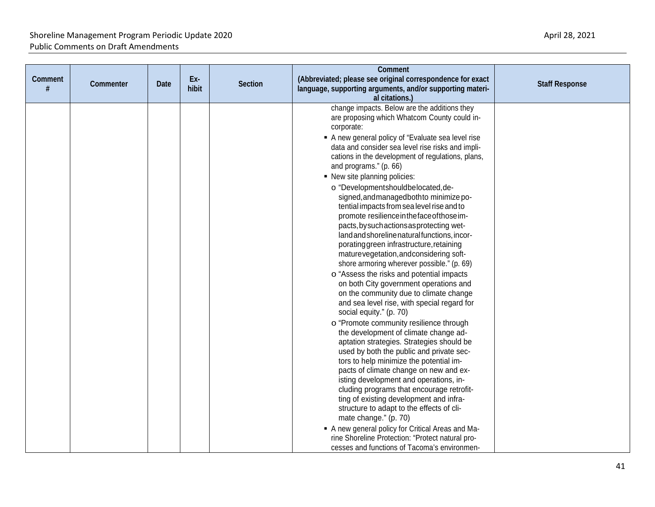| al citations.)<br>change impacts. Below are the additions they<br>are proposing which Whatcom County could in-<br>corporate:<br>A new general policy of "Evaluate sea level rise<br>data and consider sea level rise risks and impli-<br>cations in the development of regulations, plans,<br>and programs." (p. 66)<br>• New site planning policies:<br>o "Developmentshouldbelocated, de-<br>signed, and managed both to minimize po-<br>tential impacts from sea level rise and to<br>promote resilience in the face of those im-<br>pacts, by such actions as protecting wet-<br>land and shoreline natural functions, incor-<br>poratinggreen infrastructure, retaining<br>maturevegetation, and considering soft-<br>shore armoring wherever possible." (p. 69)<br>o "Assess the risks and potential impacts<br>on both City government operations and<br>on the community due to climate change<br>and sea level rise, with special regard for<br>social equity." (p. 70)<br>o "Promote community resilience through<br>the development of climate change ad-<br>aptation strategies. Strategies should be<br>used by both the public and private sec-<br>tors to help minimize the potential im-<br>pacts of climate change on new and ex-<br>isting development and operations, in-<br>cluding programs that encourage retrofit-<br>ting of existing development and infra-<br>structure to adapt to the effects of cli-<br>mate change." (p. 70)<br>A new general policy for Critical Areas and Ma- | Comment<br># | Commenter | <b>Date</b> | Ex-<br>hibit | Section | Comment<br>(Abbreviated; please see original correspondence for exact<br>language, supporting arguments, and/or supporting materi- | <b>Staff Response</b> |
|---------------------------------------------------------------------------------------------------------------------------------------------------------------------------------------------------------------------------------------------------------------------------------------------------------------------------------------------------------------------------------------------------------------------------------------------------------------------------------------------------------------------------------------------------------------------------------------------------------------------------------------------------------------------------------------------------------------------------------------------------------------------------------------------------------------------------------------------------------------------------------------------------------------------------------------------------------------------------------------------------------------------------------------------------------------------------------------------------------------------------------------------------------------------------------------------------------------------------------------------------------------------------------------------------------------------------------------------------------------------------------------------------------------------------------------------------------------------------------------------------------------|--------------|-----------|-------------|--------------|---------|------------------------------------------------------------------------------------------------------------------------------------|-----------------------|
|                                                                                                                                                                                                                                                                                                                                                                                                                                                                                                                                                                                                                                                                                                                                                                                                                                                                                                                                                                                                                                                                                                                                                                                                                                                                                                                                                                                                                                                                                                               |              |           |             |              |         |                                                                                                                                    |                       |
|                                                                                                                                                                                                                                                                                                                                                                                                                                                                                                                                                                                                                                                                                                                                                                                                                                                                                                                                                                                                                                                                                                                                                                                                                                                                                                                                                                                                                                                                                                               |              |           |             |              |         |                                                                                                                                    |                       |
|                                                                                                                                                                                                                                                                                                                                                                                                                                                                                                                                                                                                                                                                                                                                                                                                                                                                                                                                                                                                                                                                                                                                                                                                                                                                                                                                                                                                                                                                                                               |              |           |             |              |         |                                                                                                                                    |                       |
|                                                                                                                                                                                                                                                                                                                                                                                                                                                                                                                                                                                                                                                                                                                                                                                                                                                                                                                                                                                                                                                                                                                                                                                                                                                                                                                                                                                                                                                                                                               |              |           |             |              |         |                                                                                                                                    |                       |
|                                                                                                                                                                                                                                                                                                                                                                                                                                                                                                                                                                                                                                                                                                                                                                                                                                                                                                                                                                                                                                                                                                                                                                                                                                                                                                                                                                                                                                                                                                               |              |           |             |              |         |                                                                                                                                    |                       |
|                                                                                                                                                                                                                                                                                                                                                                                                                                                                                                                                                                                                                                                                                                                                                                                                                                                                                                                                                                                                                                                                                                                                                                                                                                                                                                                                                                                                                                                                                                               |              |           |             |              |         |                                                                                                                                    |                       |
|                                                                                                                                                                                                                                                                                                                                                                                                                                                                                                                                                                                                                                                                                                                                                                                                                                                                                                                                                                                                                                                                                                                                                                                                                                                                                                                                                                                                                                                                                                               |              |           |             |              |         |                                                                                                                                    |                       |
|                                                                                                                                                                                                                                                                                                                                                                                                                                                                                                                                                                                                                                                                                                                                                                                                                                                                                                                                                                                                                                                                                                                                                                                                                                                                                                                                                                                                                                                                                                               |              |           |             |              |         |                                                                                                                                    |                       |
|                                                                                                                                                                                                                                                                                                                                                                                                                                                                                                                                                                                                                                                                                                                                                                                                                                                                                                                                                                                                                                                                                                                                                                                                                                                                                                                                                                                                                                                                                                               |              |           |             |              |         |                                                                                                                                    |                       |
|                                                                                                                                                                                                                                                                                                                                                                                                                                                                                                                                                                                                                                                                                                                                                                                                                                                                                                                                                                                                                                                                                                                                                                                                                                                                                                                                                                                                                                                                                                               |              |           |             |              |         |                                                                                                                                    |                       |
|                                                                                                                                                                                                                                                                                                                                                                                                                                                                                                                                                                                                                                                                                                                                                                                                                                                                                                                                                                                                                                                                                                                                                                                                                                                                                                                                                                                                                                                                                                               |              |           |             |              |         |                                                                                                                                    |                       |
|                                                                                                                                                                                                                                                                                                                                                                                                                                                                                                                                                                                                                                                                                                                                                                                                                                                                                                                                                                                                                                                                                                                                                                                                                                                                                                                                                                                                                                                                                                               |              |           |             |              |         |                                                                                                                                    |                       |
|                                                                                                                                                                                                                                                                                                                                                                                                                                                                                                                                                                                                                                                                                                                                                                                                                                                                                                                                                                                                                                                                                                                                                                                                                                                                                                                                                                                                                                                                                                               |              |           |             |              |         |                                                                                                                                    |                       |
|                                                                                                                                                                                                                                                                                                                                                                                                                                                                                                                                                                                                                                                                                                                                                                                                                                                                                                                                                                                                                                                                                                                                                                                                                                                                                                                                                                                                                                                                                                               |              |           |             |              |         |                                                                                                                                    |                       |
|                                                                                                                                                                                                                                                                                                                                                                                                                                                                                                                                                                                                                                                                                                                                                                                                                                                                                                                                                                                                                                                                                                                                                                                                                                                                                                                                                                                                                                                                                                               |              |           |             |              |         |                                                                                                                                    |                       |
|                                                                                                                                                                                                                                                                                                                                                                                                                                                                                                                                                                                                                                                                                                                                                                                                                                                                                                                                                                                                                                                                                                                                                                                                                                                                                                                                                                                                                                                                                                               |              |           |             |              |         |                                                                                                                                    |                       |
|                                                                                                                                                                                                                                                                                                                                                                                                                                                                                                                                                                                                                                                                                                                                                                                                                                                                                                                                                                                                                                                                                                                                                                                                                                                                                                                                                                                                                                                                                                               |              |           |             |              |         |                                                                                                                                    |                       |
|                                                                                                                                                                                                                                                                                                                                                                                                                                                                                                                                                                                                                                                                                                                                                                                                                                                                                                                                                                                                                                                                                                                                                                                                                                                                                                                                                                                                                                                                                                               |              |           |             |              |         |                                                                                                                                    |                       |
|                                                                                                                                                                                                                                                                                                                                                                                                                                                                                                                                                                                                                                                                                                                                                                                                                                                                                                                                                                                                                                                                                                                                                                                                                                                                                                                                                                                                                                                                                                               |              |           |             |              |         |                                                                                                                                    |                       |
|                                                                                                                                                                                                                                                                                                                                                                                                                                                                                                                                                                                                                                                                                                                                                                                                                                                                                                                                                                                                                                                                                                                                                                                                                                                                                                                                                                                                                                                                                                               |              |           |             |              |         |                                                                                                                                    |                       |
|                                                                                                                                                                                                                                                                                                                                                                                                                                                                                                                                                                                                                                                                                                                                                                                                                                                                                                                                                                                                                                                                                                                                                                                                                                                                                                                                                                                                                                                                                                               |              |           |             |              |         |                                                                                                                                    |                       |
|                                                                                                                                                                                                                                                                                                                                                                                                                                                                                                                                                                                                                                                                                                                                                                                                                                                                                                                                                                                                                                                                                                                                                                                                                                                                                                                                                                                                                                                                                                               |              |           |             |              |         |                                                                                                                                    |                       |
|                                                                                                                                                                                                                                                                                                                                                                                                                                                                                                                                                                                                                                                                                                                                                                                                                                                                                                                                                                                                                                                                                                                                                                                                                                                                                                                                                                                                                                                                                                               |              |           |             |              |         |                                                                                                                                    |                       |
|                                                                                                                                                                                                                                                                                                                                                                                                                                                                                                                                                                                                                                                                                                                                                                                                                                                                                                                                                                                                                                                                                                                                                                                                                                                                                                                                                                                                                                                                                                               |              |           |             |              |         |                                                                                                                                    |                       |
|                                                                                                                                                                                                                                                                                                                                                                                                                                                                                                                                                                                                                                                                                                                                                                                                                                                                                                                                                                                                                                                                                                                                                                                                                                                                                                                                                                                                                                                                                                               |              |           |             |              |         |                                                                                                                                    |                       |
|                                                                                                                                                                                                                                                                                                                                                                                                                                                                                                                                                                                                                                                                                                                                                                                                                                                                                                                                                                                                                                                                                                                                                                                                                                                                                                                                                                                                                                                                                                               |              |           |             |              |         |                                                                                                                                    |                       |
|                                                                                                                                                                                                                                                                                                                                                                                                                                                                                                                                                                                                                                                                                                                                                                                                                                                                                                                                                                                                                                                                                                                                                                                                                                                                                                                                                                                                                                                                                                               |              |           |             |              |         |                                                                                                                                    |                       |
|                                                                                                                                                                                                                                                                                                                                                                                                                                                                                                                                                                                                                                                                                                                                                                                                                                                                                                                                                                                                                                                                                                                                                                                                                                                                                                                                                                                                                                                                                                               |              |           |             |              |         |                                                                                                                                    |                       |
|                                                                                                                                                                                                                                                                                                                                                                                                                                                                                                                                                                                                                                                                                                                                                                                                                                                                                                                                                                                                                                                                                                                                                                                                                                                                                                                                                                                                                                                                                                               |              |           |             |              |         |                                                                                                                                    |                       |
|                                                                                                                                                                                                                                                                                                                                                                                                                                                                                                                                                                                                                                                                                                                                                                                                                                                                                                                                                                                                                                                                                                                                                                                                                                                                                                                                                                                                                                                                                                               |              |           |             |              |         |                                                                                                                                    |                       |
|                                                                                                                                                                                                                                                                                                                                                                                                                                                                                                                                                                                                                                                                                                                                                                                                                                                                                                                                                                                                                                                                                                                                                                                                                                                                                                                                                                                                                                                                                                               |              |           |             |              |         |                                                                                                                                    |                       |
|                                                                                                                                                                                                                                                                                                                                                                                                                                                                                                                                                                                                                                                                                                                                                                                                                                                                                                                                                                                                                                                                                                                                                                                                                                                                                                                                                                                                                                                                                                               |              |           |             |              |         |                                                                                                                                    |                       |
| cesses and functions of Tacoma's environmen-                                                                                                                                                                                                                                                                                                                                                                                                                                                                                                                                                                                                                                                                                                                                                                                                                                                                                                                                                                                                                                                                                                                                                                                                                                                                                                                                                                                                                                                                  |              |           |             |              |         | rine Shoreline Protection: "Protect natural pro-                                                                                   |                       |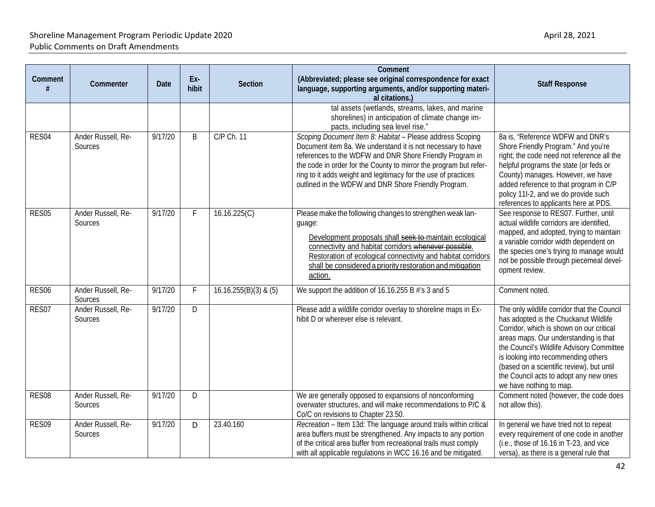| Comment<br>#      | Commenter                     | <b>Date</b> | Ex-<br>hibit | Section                 | <b>Comment</b><br>(Abbreviated; please see original correspondence for exact<br>language, supporting arguments, and/or supporting materi-<br>al citations.)                                                                                                                                                                                                                         | <b>Staff Response</b>                                                                                                                                                                                                                                                                                                                                                           |
|-------------------|-------------------------------|-------------|--------------|-------------------------|-------------------------------------------------------------------------------------------------------------------------------------------------------------------------------------------------------------------------------------------------------------------------------------------------------------------------------------------------------------------------------------|---------------------------------------------------------------------------------------------------------------------------------------------------------------------------------------------------------------------------------------------------------------------------------------------------------------------------------------------------------------------------------|
|                   |                               |             |              |                         | tal assets (wetlands, streams, lakes, and marine<br>shorelines) in anticipation of climate change im-<br>pacts, including sea level rise."                                                                                                                                                                                                                                          |                                                                                                                                                                                                                                                                                                                                                                                 |
| RES04             | Ander Russell, Re-<br>Sources | 9/17/20     | B            | C/P Ch. 11              | Scoping Document Item 8: Habitat - Please address Scoping<br>Document item 8a. We understand it is not necessary to have<br>references to the WDFW and DNR Shore Friendly Program in<br>the code in order for the County to mirror the program but refer-<br>ring to it adds weight and legitimacy for the use of practices<br>outlined in the WDFW and DNR Shore Friendly Program. | 8a is, "Reference WDFW and DNR's<br>Shore Friendly Program." And you're<br>right; the code need not reference all the<br>helpful programs the state (or feds or<br>County) manages. However, we have<br>added reference to that program in C/P<br>policy 11I-2, and we do provide such<br>references to applicants here at PDS.                                                 |
| RES05             | Ander Russell, Re-<br>Sources | 9/17/20     | $\mathsf F$  | 16.16.225(C)            | Please make the following changes to strengthen weak lan-<br>guage:<br>Development proposals shall seek to-maintain ecological<br>connectivity and habitat corridors whenever possible.<br>Restoration of ecological connectivity and habitat corridors<br>shall be considered a priority restoration and mitigation<br>action.                                                     | See response to RES07. Further, until<br>actual wildlife corridors are identified.<br>mapped, and adopted, trying to maintain<br>a variable corridor width dependent on<br>the species one's trying to manage would<br>not be possible through piecemeal devel-<br>opment review.                                                                                               |
| RES <sub>06</sub> | Ander Russell, Re-<br>Sources | 9/17/20     | $\mathsf{F}$ | $16.16.255(B)(3)$ & (5) | We support the addition of 16.16.255 B #'s 3 and 5                                                                                                                                                                                                                                                                                                                                  | Comment noted.                                                                                                                                                                                                                                                                                                                                                                  |
| RES07             | Ander Russell, Re-<br>Sources | 9/17/20     | D            |                         | Please add a wildlife corridor overlay to shoreline maps in Ex-<br>hibit D or wherever else is relevant.                                                                                                                                                                                                                                                                            | The only wildlife corridor that the Council<br>has adopted is the Chuckanut Wildlife<br>Corridor, which is shown on our critical<br>areas maps. Our understanding is that<br>the Council's Wildlife Advisory Committee<br>is looking into recommending others<br>(based on a scientific review), but until<br>the Council acts to adopt any new ones<br>we have nothing to map. |
| RES08             | Ander Russell, Re-<br>Sources | 9/17/20     | D            |                         | We are generally opposed to expansions of nonconforming<br>overwater structures, and will make recommendations to P/C &<br>Co/C on revisions to Chapter 23.50.                                                                                                                                                                                                                      | Comment noted (however, the code does<br>not allow this).                                                                                                                                                                                                                                                                                                                       |
| RES09             | Ander Russell, Re-<br>Sources | 9/17/20     | D            | 23.40.160               | Recreation - Item 13d: The language around trails within critical<br>area buffers must be strengthened. Any impacts to any portion<br>of the critical area buffer from recreational trails must comply<br>with all applicable regulations in WCC 16.16 and be mitigated.                                                                                                            | In general we have tried not to repeat<br>every requirement of one code in another<br>(i.e., those of 16.16 in T-23, and vice<br>versa), as there is a general rule that                                                                                                                                                                                                        |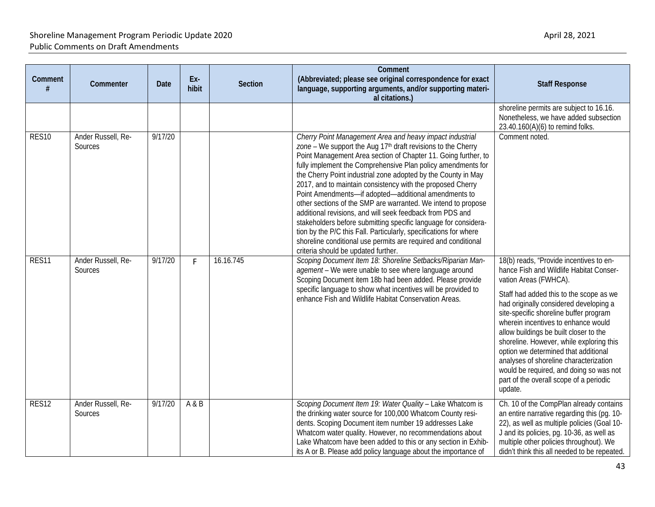| Comment           | Commenter                     | Date    | Ex-<br>hibit | <b>Section</b> | Comment<br>(Abbreviated; please see original correspondence for exact<br>language, supporting arguments, and/or supporting materi-<br>al citations.)                                                                                                                                                                                                                                                                                                                                                                                                                                                                                                                                                                                                                                                                                         | <b>Staff Response</b>                                                                                                                                                                                                                                                                                                                                                                                                                                                                                                                                      |
|-------------------|-------------------------------|---------|--------------|----------------|----------------------------------------------------------------------------------------------------------------------------------------------------------------------------------------------------------------------------------------------------------------------------------------------------------------------------------------------------------------------------------------------------------------------------------------------------------------------------------------------------------------------------------------------------------------------------------------------------------------------------------------------------------------------------------------------------------------------------------------------------------------------------------------------------------------------------------------------|------------------------------------------------------------------------------------------------------------------------------------------------------------------------------------------------------------------------------------------------------------------------------------------------------------------------------------------------------------------------------------------------------------------------------------------------------------------------------------------------------------------------------------------------------------|
|                   |                               |         |              |                |                                                                                                                                                                                                                                                                                                                                                                                                                                                                                                                                                                                                                                                                                                                                                                                                                                              | shoreline permits are subject to 16.16.<br>Nonetheless, we have added subsection<br>23.40.160(A)(6) to remind folks.                                                                                                                                                                                                                                                                                                                                                                                                                                       |
| RES <sub>10</sub> | Ander Russell, Re-<br>Sources | 9/17/20 |              |                | Cherry Point Management Area and heavy impact industrial<br>zone - We support the Aug 17 <sup>th</sup> draft revisions to the Cherry<br>Point Management Area section of Chapter 11. Going further, to<br>fully implement the Comprehensive Plan policy amendments for<br>the Cherry Point industrial zone adopted by the County in May<br>2017, and to maintain consistency with the proposed Cherry<br>Point Amendments-if adopted-additional amendments to<br>other sections of the SMP are warranted. We intend to propose<br>additional revisions, and will seek feedback from PDS and<br>stakeholders before submitting specific language for considera-<br>tion by the P/C this Fall. Particularly, specifications for where<br>shoreline conditional use permits are required and conditional<br>criteria should be updated further. | Comment noted.                                                                                                                                                                                                                                                                                                                                                                                                                                                                                                                                             |
| RES11             | Ander Russell, Re-<br>Sources | 9/17/20 | F.           | 16.16.745      | Scoping Document Item 18: Shoreline Setbacks/Riparian Man-<br>agement - We were unable to see where language around<br>Scoping Document item 18b had been added. Please provide<br>specific language to show what incentives will be provided to<br>enhance Fish and Wildlife Habitat Conservation Areas.                                                                                                                                                                                                                                                                                                                                                                                                                                                                                                                                    | 18(b) reads, "Provide incentives to en-<br>hance Fish and Wildlife Habitat Conser-<br>vation Areas (FWHCA).<br>Staff had added this to the scope as we<br>had originally considered developing a<br>site-specific shoreline buffer program<br>wherein incentives to enhance would<br>allow buildings be built closer to the<br>shoreline. However, while exploring this<br>option we determined that additional<br>analyses of shoreline characterization<br>would be required, and doing so was not<br>part of the overall scope of a periodic<br>update. |
| RES <sub>12</sub> | Ander Russell, Re-<br>Sources | 9/17/20 | A&B          |                | Scoping Document Item 19: Water Quality - Lake Whatcom is<br>the drinking water source for 100,000 Whatcom County resi-<br>dents. Scoping Document item number 19 addresses Lake<br>Whatcom water quality. However, no recommendations about<br>Lake Whatcom have been added to this or any section in Exhib-<br>its A or B. Please add policy language about the importance of                                                                                                                                                                                                                                                                                                                                                                                                                                                              | Ch. 10 of the CompPlan already contains<br>an entire narrative regarding this (pg. 10-<br>22), as well as multiple policies (Goal 10-<br>J and its policies, pg. 10-36, as well as<br>multiple other policies throughout). We<br>didn't think this all needed to be repeated.                                                                                                                                                                                                                                                                              |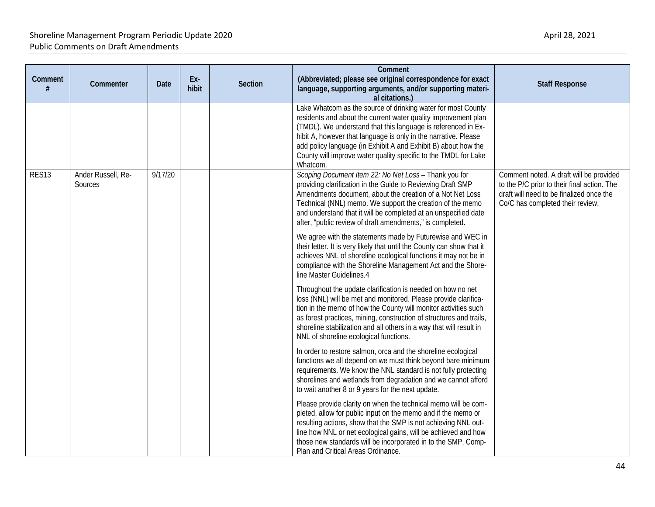| Comment<br>#      | Commenter                     | Date    | Ex-<br>hibit | <b>Section</b> | Comment<br>(Abbreviated; please see original correspondence for exact<br>language, supporting arguments, and/or supporting materi-<br>al citations.)                                                                                                                                                                                                                                                                | <b>Staff Response</b>                                                                                                                                                  |
|-------------------|-------------------------------|---------|--------------|----------------|---------------------------------------------------------------------------------------------------------------------------------------------------------------------------------------------------------------------------------------------------------------------------------------------------------------------------------------------------------------------------------------------------------------------|------------------------------------------------------------------------------------------------------------------------------------------------------------------------|
|                   |                               |         |              |                | Lake Whatcom as the source of drinking water for most County<br>residents and about the current water quality improvement plan<br>(TMDL). We understand that this language is referenced in Ex-<br>hibit A, however that language is only in the narrative. Please<br>add policy language (in Exhibit A and Exhibit B) about how the<br>County will improve water quality specific to the TMDL for Lake<br>Whatcom. |                                                                                                                                                                        |
| RES <sub>13</sub> | Ander Russell, Re-<br>Sources | 9/17/20 |              |                | Scoping Document Item 22: No Net Loss - Thank you for<br>providing clarification in the Guide to Reviewing Draft SMP<br>Amendments document, about the creation of a Not Net Loss<br>Technical (NNL) memo. We support the creation of the memo<br>and understand that it will be completed at an unspecified date<br>after, "public review of draft amendments," is completed.                                      | Comment noted. A draft will be provided<br>to the P/C prior to their final action. The<br>draft will need to be finalized once the<br>Co/C has completed their review. |
|                   |                               |         |              |                | We agree with the statements made by Futurewise and WEC in<br>their letter. It is very likely that until the County can show that it<br>achieves NNL of shoreline ecological functions it may not be in<br>compliance with the Shoreline Management Act and the Shore-<br>line Master Guidelines.4                                                                                                                  |                                                                                                                                                                        |
|                   |                               |         |              |                | Throughout the update clarification is needed on how no net<br>loss (NNL) will be met and monitored. Please provide clarifica-<br>tion in the memo of how the County will monitor activities such<br>as forest practices, mining, construction of structures and trails,<br>shoreline stabilization and all others in a way that will result in<br>NNL of shoreline ecological functions.                           |                                                                                                                                                                        |
|                   |                               |         |              |                | In order to restore salmon, orca and the shoreline ecological<br>functions we all depend on we must think beyond bare minimum<br>requirements. We know the NNL standard is not fully protecting<br>shorelines and wetlands from degradation and we cannot afford<br>to wait another 8 or 9 years for the next update.                                                                                               |                                                                                                                                                                        |
|                   |                               |         |              |                | Please provide clarity on when the technical memo will be com-<br>pleted, allow for public input on the memo and if the memo or<br>resulting actions, show that the SMP is not achieving NNL out-<br>line how NNL or net ecological gains, will be achieved and how<br>those new standards will be incorporated in to the SMP, Comp-<br>Plan and Critical Areas Ordinance.                                          |                                                                                                                                                                        |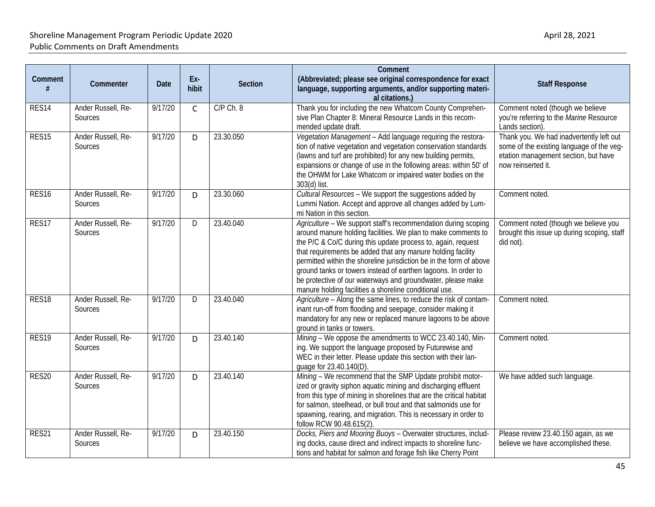| Comment           | Commenter                     | Date    | Ex-<br>hibit | <b>Section</b> | Comment<br>(Abbreviated; please see original correspondence for exact<br>language, supporting arguments, and/or supporting materi-<br>al citations.)                                                                                                                                                                                                                                                                                                                                                                             | <b>Staff Response</b>                                                                                                                               |
|-------------------|-------------------------------|---------|--------------|----------------|----------------------------------------------------------------------------------------------------------------------------------------------------------------------------------------------------------------------------------------------------------------------------------------------------------------------------------------------------------------------------------------------------------------------------------------------------------------------------------------------------------------------------------|-----------------------------------------------------------------------------------------------------------------------------------------------------|
| RES14             | Ander Russell, Re-<br>Sources | 9/17/20 | $\mathsf{C}$ | C/P Ch. 8      | Thank you for including the new Whatcom County Comprehen-<br>sive Plan Chapter 8: Mineral Resource Lands in this recom-<br>mended update draft.                                                                                                                                                                                                                                                                                                                                                                                  | Comment noted (though we believe<br>you're referring to the Marine Resource<br>Lands section).                                                      |
| RES <sub>15</sub> | Ander Russell, Re-<br>Sources | 9/17/20 | D            | 23.30.050      | Vegetation Management - Add language requiring the restora-<br>tion of native vegetation and vegetation conservation standards<br>(lawns and turf are prohibited) for any new building permits,<br>expansions or change of use in the following areas: within 50' of<br>the OHWM for Lake Whatcom or impaired water bodies on the<br>303(d) list.                                                                                                                                                                                | Thank you. We had inadvertently left out<br>some of the existing language of the veg-<br>etation management section, but have<br>now reinserted it. |
| RES <sub>16</sub> | Ander Russell, Re-<br>Sources | 9/17/20 | D            | 23.30.060      | Cultural Resources - We support the suggestions added by<br>Lummi Nation. Accept and approve all changes added by Lum-<br>mi Nation in this section.                                                                                                                                                                                                                                                                                                                                                                             | Comment noted.                                                                                                                                      |
| RES17             | Ander Russell, Re-<br>Sources | 9/17/20 | D            | 23.40.040      | Agriculture - We support staff's recommendation during scoping<br>around manure holding facilities. We plan to make comments to<br>the P/C & Co/C during this update process to, again, request<br>that requirements be added that any manure holding facility<br>permitted within the shoreline jurisdiction be in the form of above<br>ground tanks or towers instead of earthen lagoons. In order to<br>be protective of our waterways and groundwater, please make<br>manure holding facilities a shoreline conditional use. | Comment noted (though we believe you<br>brought this issue up during scoping, staff<br>did not).                                                    |
| RES <sub>18</sub> | Ander Russell, Re-<br>Sources | 9/17/20 | D            | 23.40.040      | Agriculture - Along the same lines, to reduce the risk of contam-<br>inant run-off from flooding and seepage, consider making it<br>mandatory for any new or replaced manure lagoons to be above<br>ground in tanks or towers.                                                                                                                                                                                                                                                                                                   | Comment noted.                                                                                                                                      |
| RES <sub>19</sub> | Ander Russell, Re-<br>Sources | 9/17/20 | D            | 23.40.140      | Mining - We oppose the amendments to WCC 23.40.140, Min-<br>ing. We support the language proposed by Futurewise and<br>WEC in their letter. Please update this section with their lan-<br>quage for 23.40.140(D)                                                                                                                                                                                                                                                                                                                 | Comment noted.                                                                                                                                      |
| RES20             | Ander Russell, Re-<br>Sources | 9/17/20 | D            | 23.40.140      | Mining - We recommend that the SMP Update prohibit motor-<br>ized or gravity siphon aquatic mining and discharging effluent<br>from this type of mining in shorelines that are the critical habitat<br>for salmon, steelhead, or bull trout and that salmonids use for<br>spawning, rearing, and migration. This is necessary in order to<br>follow RCW 90.48.615(2).                                                                                                                                                            | We have added such language.                                                                                                                        |
| RES21             | Ander Russell, Re-<br>Sources | 9/17/20 | D            | 23.40.150      | Docks, Piers and Mooring Buoys - Overwater structures, includ-<br>ing docks, cause direct and indirect impacts to shoreline func-<br>tions and habitat for salmon and forage fish like Cherry Point                                                                                                                                                                                                                                                                                                                              | Please review 23.40.150 again, as we<br>believe we have accomplished these.                                                                         |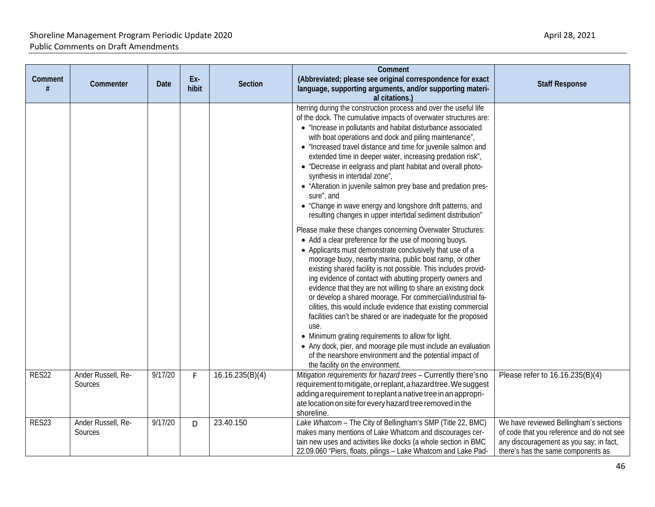| Comment | Commenter                     | Date    | Ex-<br>hibit | <b>Section</b>  | Comment<br>(Abbreviated; please see original correspondence for exact<br>language, supporting arguments, and/or supporting materi-<br>al citations.)                                                                                                                                                                                                                                                                                                                                                                                                                                                                                                                                                                                                                                                                                                                                                                                                                                                                                                                                                                                                                                                                                                                                                                                                                                                                                                                                                                                                                                         | <b>Staff Response</b>                                                                                                                                                |
|---------|-------------------------------|---------|--------------|-----------------|----------------------------------------------------------------------------------------------------------------------------------------------------------------------------------------------------------------------------------------------------------------------------------------------------------------------------------------------------------------------------------------------------------------------------------------------------------------------------------------------------------------------------------------------------------------------------------------------------------------------------------------------------------------------------------------------------------------------------------------------------------------------------------------------------------------------------------------------------------------------------------------------------------------------------------------------------------------------------------------------------------------------------------------------------------------------------------------------------------------------------------------------------------------------------------------------------------------------------------------------------------------------------------------------------------------------------------------------------------------------------------------------------------------------------------------------------------------------------------------------------------------------------------------------------------------------------------------------|----------------------------------------------------------------------------------------------------------------------------------------------------------------------|
|         |                               |         |              |                 | herring during the construction process and over the useful life<br>of the dock. The cumulative impacts of overwater structures are:<br>• "Increase in pollutants and habitat disturbance associated<br>with boat operations and dock and piling maintenance",<br>• "Increased travel distance and time for juvenile salmon and<br>extended time in deeper water, increasing predation risk",<br>• "Decrease in eelgrass and plant habitat and overall photo-<br>synthesis in intertidal zone",<br>• "Alteration in juvenile salmon prey base and predation pres-<br>sure", and<br>• "Change in wave energy and longshore drift patterns, and<br>resulting changes in upper intertidal sediment distribution"<br>Please make these changes concerning Overwater Structures:<br>• Add a clear preference for the use of mooring buoys.<br>• Applicants must demonstrate conclusively that use of a<br>moorage buoy, nearby marina, public boat ramp, or other<br>existing shared facility is not possible. This includes provid-<br>ing evidence of contact with abutting property owners and<br>evidence that they are not willing to share an existing dock<br>or develop a shared moorage. For commercial/industrial fa-<br>cilities, this would include evidence that existing commercial<br>facilities can't be shared or are inadequate for the proposed<br>use.<br>• Minimum grating requirements to allow for light.<br>• Any dock, pier, and moorage pile must include an evaluation<br>of the nearshore environment and the potential impact of<br>the facility on the environment. |                                                                                                                                                                      |
| RES22   | Ander Russell, Re-<br>Sources | 9/17/20 | F            | 16.16.235(B)(4) | Mitigation requirements for hazard trees - Currently there's no<br>requirement to mitigate, or replant, a hazard tree. We suggest<br>adding a requirement to replant a native tree in an appropri-<br>ate location on site for every hazard tree removed in the<br>shoreline.                                                                                                                                                                                                                                                                                                                                                                                                                                                                                                                                                                                                                                                                                                                                                                                                                                                                                                                                                                                                                                                                                                                                                                                                                                                                                                                | Please refer to 16.16.235(B)(4)                                                                                                                                      |
| RES23   | Ander Russell, Re-<br>Sources | 9/17/20 | D            | 23.40.150       | Lake Whatcom - The City of Bellingham's SMP (Title 22, BMC)<br>makes many mentions of Lake Whatcom and discourages cer-<br>tain new uses and activities like docks (a whole section in BMC<br>22.09.060 "Piers, floats, pilings - Lake Whatcom and Lake Pad-                                                                                                                                                                                                                                                                                                                                                                                                                                                                                                                                                                                                                                                                                                                                                                                                                                                                                                                                                                                                                                                                                                                                                                                                                                                                                                                                 | We have reviewed Bellingham's sections<br>of code that you reference and do not see<br>any discouragement as you say; in fact,<br>there's has the same components as |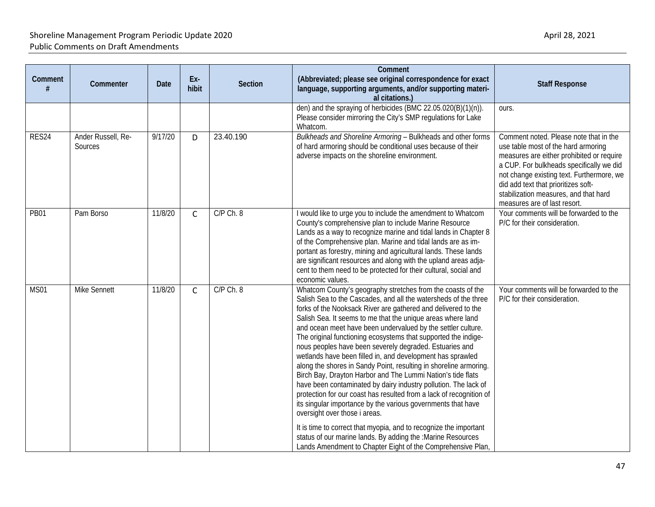| Comment<br># | Commenter                     | Date    | Ex-<br>hibit | Section       | Comment<br>(Abbreviated; please see original correspondence for exact<br>language, supporting arguments, and/or supporting materi-<br>al citations.)                                                                                                                                                                                                                                                                                                                                                                                                                                                                                                                                                                                                                                                                                                                                                                                                                                                                                                                                                        | <b>Staff Response</b>                                                                                                                                                                                                                                                                                                               |
|--------------|-------------------------------|---------|--------------|---------------|-------------------------------------------------------------------------------------------------------------------------------------------------------------------------------------------------------------------------------------------------------------------------------------------------------------------------------------------------------------------------------------------------------------------------------------------------------------------------------------------------------------------------------------------------------------------------------------------------------------------------------------------------------------------------------------------------------------------------------------------------------------------------------------------------------------------------------------------------------------------------------------------------------------------------------------------------------------------------------------------------------------------------------------------------------------------------------------------------------------|-------------------------------------------------------------------------------------------------------------------------------------------------------------------------------------------------------------------------------------------------------------------------------------------------------------------------------------|
|              |                               |         |              |               | den) and the spraying of herbicides (BMC 22.05.020(B)(1)(n)).<br>Please consider mirroring the City's SMP regulations for Lake<br>Whatcom.                                                                                                                                                                                                                                                                                                                                                                                                                                                                                                                                                                                                                                                                                                                                                                                                                                                                                                                                                                  | ours.                                                                                                                                                                                                                                                                                                                               |
| RES24        | Ander Russell, Re-<br>Sources | 9/17/20 | D            | 23.40.190     | Bulkheads and Shoreline Armoring - Bulkheads and other forms<br>of hard armoring should be conditional uses because of their<br>adverse impacts on the shoreline environment.                                                                                                                                                                                                                                                                                                                                                                                                                                                                                                                                                                                                                                                                                                                                                                                                                                                                                                                               | Comment noted. Please note that in the<br>use table most of the hard armoring<br>measures are either prohibited or require<br>a CUP. For bulkheads specifically we did<br>not change existing text. Furthermore, we<br>did add text that prioritizes soft-<br>stabilization measures, and that hard<br>measures are of last resort. |
| <b>PB01</b>  | Pam Borso                     | 11/8/20 | $\mathsf{C}$ | C/P Ch. 8     | I would like to urge you to include the amendment to Whatcom<br>County's comprehensive plan to include Marine Resource<br>Lands as a way to recognize marine and tidal lands in Chapter 8<br>of the Comprehensive plan. Marine and tidal lands are as im-<br>portant as forestry, mining and agricultural lands. These lands<br>are significant resources and along with the upland areas adja-<br>cent to them need to be protected for their cultural, social and<br>economic values.                                                                                                                                                                                                                                                                                                                                                                                                                                                                                                                                                                                                                     | Your comments will be forwarded to the<br>P/C for their consideration.                                                                                                                                                                                                                                                              |
| <b>MS01</b>  | <b>Mike Sennett</b>           | 11/8/20 | $\mathsf{C}$ | $C/P$ Ch. $8$ | Whatcom County's geography stretches from the coasts of the<br>Salish Sea to the Cascades, and all the watersheds of the three<br>forks of the Nooksack River are gathered and delivered to the<br>Salish Sea. It seems to me that the unique areas where land<br>and ocean meet have been undervalued by the settler culture.<br>The original functioning ecosystems that supported the indige-<br>nous peoples have been severely degraded. Estuaries and<br>wetlands have been filled in, and development has sprawled<br>along the shores in Sandy Point, resulting in shoreline armoring.<br>Birch Bay, Drayton Harbor and The Lummi Nation's tide flats<br>have been contaminated by dairy industry pollution. The lack of<br>protection for our coast has resulted from a lack of recognition of<br>its singular importance by the various governments that have<br>oversight over those i areas.<br>It is time to correct that myopia, and to recognize the important<br>status of our marine lands. By adding the :Marine Resources<br>Lands Amendment to Chapter Eight of the Comprehensive Plan, | Your comments will be forwarded to the<br>P/C for their consideration.                                                                                                                                                                                                                                                              |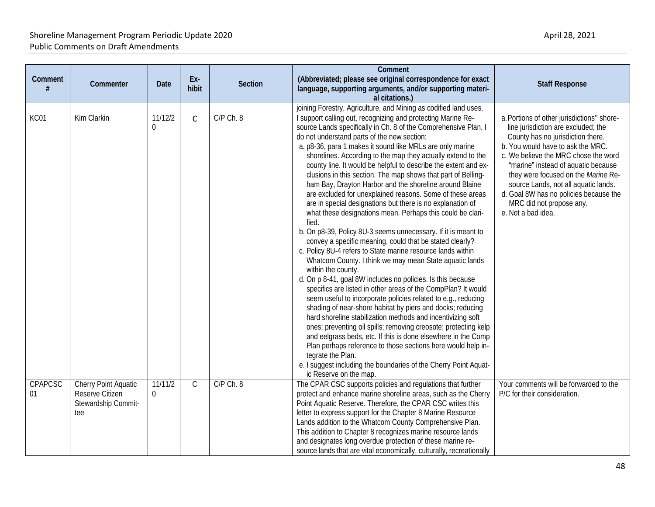| Comment<br>#  | Commenter                                                             | Date                      | Ex-<br>hibit | Section       | Comment<br>(Abbreviated; please see original correspondence for exact<br>language, supporting arguments, and/or supporting materi-<br>al citations.)                                                                                                                                                                                                                                                                                                                                                                                                                                                                                                                                                                                                                                                                                                                                                                                                                                                                                                                                                                                                                                                                                                                                                                                                                                                                                                                                                                                                                                                                                           | <b>Staff Response</b>                                                                                                                                                                                                                                                                                                                                                                                                 |
|---------------|-----------------------------------------------------------------------|---------------------------|--------------|---------------|------------------------------------------------------------------------------------------------------------------------------------------------------------------------------------------------------------------------------------------------------------------------------------------------------------------------------------------------------------------------------------------------------------------------------------------------------------------------------------------------------------------------------------------------------------------------------------------------------------------------------------------------------------------------------------------------------------------------------------------------------------------------------------------------------------------------------------------------------------------------------------------------------------------------------------------------------------------------------------------------------------------------------------------------------------------------------------------------------------------------------------------------------------------------------------------------------------------------------------------------------------------------------------------------------------------------------------------------------------------------------------------------------------------------------------------------------------------------------------------------------------------------------------------------------------------------------------------------------------------------------------------------|-----------------------------------------------------------------------------------------------------------------------------------------------------------------------------------------------------------------------------------------------------------------------------------------------------------------------------------------------------------------------------------------------------------------------|
|               |                                                                       |                           |              |               | joining Forestry, Agriculture, and Mining as codified land uses.                                                                                                                                                                                                                                                                                                                                                                                                                                                                                                                                                                                                                                                                                                                                                                                                                                                                                                                                                                                                                                                                                                                                                                                                                                                                                                                                                                                                                                                                                                                                                                               |                                                                                                                                                                                                                                                                                                                                                                                                                       |
| KC01          | Kim Clarkin                                                           | 11/12/2<br>0              | $\mathsf{C}$ | $C/P$ Ch. $8$ | I support calling out, recognizing and protecting Marine Re-<br>source Lands specifically in Ch. 8 of the Comprehensive Plan. I<br>do not understand parts of the new section:<br>a. p8-36, para 1 makes it sound like MRLs are only marine<br>shorelines. According to the map they actually extend to the<br>county line. It would be helpful to describe the extent and ex-<br>clusions in this section. The map shows that part of Belling-<br>ham Bay, Drayton Harbor and the shoreline around Blaine<br>are excluded for unexplained reasons. Some of these areas<br>are in special designations but there is no explanation of<br>what these designations mean. Perhaps this could be clari-<br>fied.<br>b. On p8-39, Policy 8U-3 seems unnecessary. If it is meant to<br>convey a specific meaning, could that be stated clearly?<br>c. Policy 8U-4 refers to State marine resource lands within<br>Whatcom County. I think we may mean State aquatic lands<br>within the county.<br>d. On p 8-41, goal 8W includes no policies. Is this because<br>specifics are listed in other areas of the CompPlan? It would<br>seem useful to incorporate policies related to e.g., reducing<br>shading of near-shore habitat by piers and docks; reducing<br>hard shoreline stabilization methods and incentivizing soft<br>ones; preventing oil spills; removing creosote; protecting kelp<br>and eelgrass beds, etc. If this is done elsewhere in the Comp<br>Plan perhaps reference to those sections here would help in-<br>tegrate the Plan.<br>e. I suggest including the boundaries of the Cherry Point Aquat-<br>ic Reserve on the map. | a. Portions of other jurisdictions" shore-<br>line jurisdiction are excluded; the<br>County has no jurisdiction there.<br>b. You would have to ask the MRC.<br>c. We believe the MRC chose the word<br>"marine" instead of aquatic because<br>they were focused on the Marine Re-<br>source Lands, not all aquatic lands.<br>d. Goal 8W has no policies because the<br>MRC did not propose any.<br>e. Not a bad idea. |
| CPAPCSC<br>01 | Cherry Point Aquatic<br>Reserve Citizen<br>Stewardship Commit-<br>tee | 11/11/2<br>$\overline{0}$ | $\mathsf{C}$ | $C/P$ Ch. 8   | The CPAR CSC supports policies and regulations that further<br>protect and enhance marine shoreline areas, such as the Cherry<br>Point Aquatic Reserve. Therefore, the CPAR CSC writes this<br>letter to express support for the Chapter 8 Marine Resource<br>Lands addition to the Whatcom County Comprehensive Plan.<br>This addition to Chapter 8 recognizes marine resource lands<br>and designates long overdue protection of these marine re-<br>source lands that are vital economically, culturally, recreationally                                                                                                                                                                                                                                                                                                                                                                                                                                                                                                                                                                                                                                                                                                                                                                                                                                                                                                                                                                                                                                                                                                                    | Your comments will be forwarded to the<br>P/C for their consideration.                                                                                                                                                                                                                                                                                                                                                |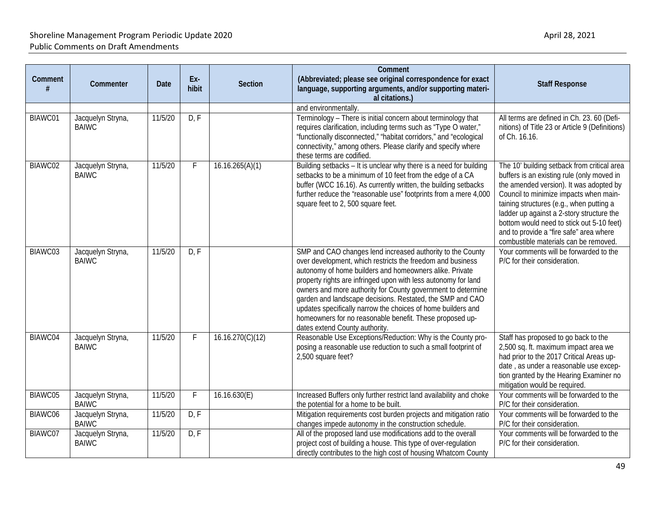|              |                                   |             |              |                  | Comment                                                                                                                                                                                                                                                                                                                                                                                                                                                                                                                                          |                                                                                                                                                                                                                                                                                                                                                                                                          |
|--------------|-----------------------------------|-------------|--------------|------------------|--------------------------------------------------------------------------------------------------------------------------------------------------------------------------------------------------------------------------------------------------------------------------------------------------------------------------------------------------------------------------------------------------------------------------------------------------------------------------------------------------------------------------------------------------|----------------------------------------------------------------------------------------------------------------------------------------------------------------------------------------------------------------------------------------------------------------------------------------------------------------------------------------------------------------------------------------------------------|
| Comment<br># | Commenter                         | <b>Date</b> | Ex-<br>hibit | <b>Section</b>   | (Abbreviated; please see original correspondence for exact<br>language, supporting arguments, and/or supporting materi-<br>al citations.)                                                                                                                                                                                                                                                                                                                                                                                                        | <b>Staff Response</b>                                                                                                                                                                                                                                                                                                                                                                                    |
|              |                                   |             |              |                  | and environmentally.                                                                                                                                                                                                                                                                                                                                                                                                                                                                                                                             |                                                                                                                                                                                                                                                                                                                                                                                                          |
| BIAWC01      | Jacquelyn Stryna,<br><b>BAIWC</b> | 11/5/20     | D, F         |                  | Terminology - There is initial concern about terminology that<br>requires clarification, including terms such as "Type O water,"<br>"functionally disconnected," "habitat corridors," and "ecological<br>connectivity," among others. Please clarify and specify where<br>these terms are codified.                                                                                                                                                                                                                                              | All terms are defined in Ch. 23. 60 (Defi-<br>nitions) of Title 23 or Article 9 (Definitions)<br>of Ch. 16.16.                                                                                                                                                                                                                                                                                           |
| BIAWC02      | Jacquelyn Stryna,<br><b>BAIWC</b> | 11/5/20     | F.           | 16.16.265(A)(1)  | Building setbacks - It is unclear why there is a need for building<br>setbacks to be a minimum of 10 feet from the edge of a CA<br>buffer (WCC 16.16). As currently written, the building setbacks<br>further reduce the "reasonable use" footprints from a mere 4,000<br>square feet to 2, 500 square feet.                                                                                                                                                                                                                                     | The 10' building setback from critical area<br>buffers is an existing rule (only moved in<br>the amended version). It was adopted by<br>Council to minimize impacts when main-<br>taining structures (e.g., when putting a<br>ladder up against a 2-story structure the<br>bottom would need to stick out 5-10 feet)<br>and to provide a "fire safe" area where<br>combustible materials can be removed. |
| BIAWC03      | Jacquelyn Stryna,<br><b>BAIWC</b> | 11/5/20     | D, F         |                  | SMP and CAO changes lend increased authority to the County<br>over development, which restricts the freedom and business<br>autonomy of home builders and homeowners alike. Private<br>property rights are infringed upon with less autonomy for land<br>owners and more authority for County government to determine<br>garden and landscape decisions. Restated, the SMP and CAO<br>updates specifically narrow the choices of home builders and<br>homeowners for no reasonable benefit. These proposed up-<br>dates extend County authority. | Your comments will be forwarded to the<br>P/C for their consideration.                                                                                                                                                                                                                                                                                                                                   |
| BIAWC04      | Jacquelyn Stryna,<br><b>BAIWC</b> | 11/5/20     | F.           | 16.16.270(C)(12) | Reasonable Use Exceptions/Reduction: Why is the County pro-<br>posing a reasonable use reduction to such a small footprint of<br>2,500 square feet?                                                                                                                                                                                                                                                                                                                                                                                              | Staff has proposed to go back to the<br>2,500 sq. ft. maximum impact area we<br>had prior to the 2017 Critical Areas up-<br>date, as under a reasonable use excep-<br>tion granted by the Hearing Examiner no<br>mitigation would be required.                                                                                                                                                           |
| BIAWC05      | Jacquelyn Stryna,<br><b>BAIWC</b> | 11/5/20     | F.           | 16.16.630(E)     | Increased Buffers only further restrict land availability and choke<br>the potential for a home to be built.                                                                                                                                                                                                                                                                                                                                                                                                                                     | Your comments will be forwarded to the<br>P/C for their consideration.                                                                                                                                                                                                                                                                                                                                   |
| BIAWC06      | Jacquelyn Stryna,<br><b>BAIWC</b> | 11/5/20     | D, F         |                  | Mitigation requirements cost burden projects and mitigation ratio<br>changes impede autonomy in the construction schedule.                                                                                                                                                                                                                                                                                                                                                                                                                       | Your comments will be forwarded to the<br>P/C for their consideration.                                                                                                                                                                                                                                                                                                                                   |
| BIAWC07      | Jacquelyn Stryna,<br><b>BAIWC</b> | 11/5/20     | D, F         |                  | All of the proposed land use modifications add to the overall<br>project cost of building a house. This type of over-regulation<br>directly contributes to the high cost of housing Whatcom County                                                                                                                                                                                                                                                                                                                                               | Your comments will be forwarded to the<br>P/C for their consideration.                                                                                                                                                                                                                                                                                                                                   |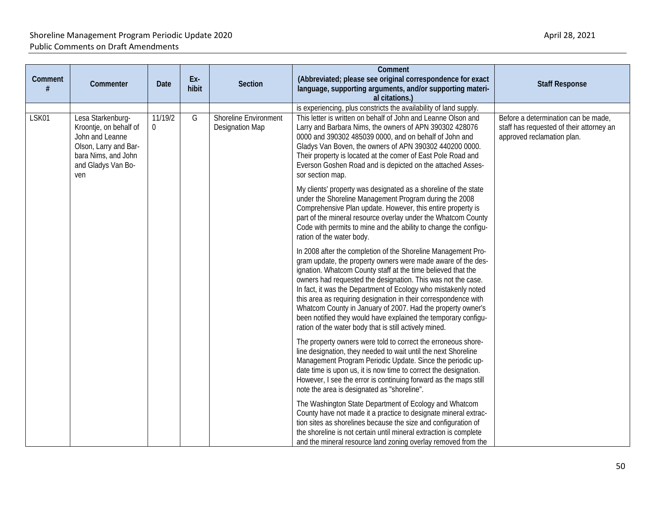| Comment<br># | Commenter                                                                                                                                   | Date                      | Ex-<br>hibit | <b>Section</b>                                  | Comment<br>(Abbreviated; please see original correspondence for exact<br>language, supporting arguments, and/or supporting materi-<br>al citations.)                                                                                                                                                                                                                                                                                                                                                                                                                                          | <b>Staff Response</b>                                                                                         |
|--------------|---------------------------------------------------------------------------------------------------------------------------------------------|---------------------------|--------------|-------------------------------------------------|-----------------------------------------------------------------------------------------------------------------------------------------------------------------------------------------------------------------------------------------------------------------------------------------------------------------------------------------------------------------------------------------------------------------------------------------------------------------------------------------------------------------------------------------------------------------------------------------------|---------------------------------------------------------------------------------------------------------------|
|              |                                                                                                                                             |                           |              |                                                 | is experiencing, plus constricts the availability of land supply.                                                                                                                                                                                                                                                                                                                                                                                                                                                                                                                             |                                                                                                               |
| LSK01        | Lesa Starkenburg-<br>Kroontje, on behalf of<br>John and Leanne<br>Olson, Larry and Bar-<br>bara Nims, and John<br>and Gladys Van Bo-<br>ven | 11/19/2<br>$\overline{0}$ | G            | <b>Shoreline Environment</b><br>Designation Map | This letter is written on behalf of John and Leanne Olson and<br>Larry and Barbara Nims, the owners of APN 390302 428076<br>0000 and 390302 485039 0000, and on behalf of John and<br>Gladys Van Boven, the owners of APN 390302 440200 0000.<br>Their property is located at the comer of East Pole Road and<br>Everson Goshen Road and is depicted on the attached Asses-<br>sor section map.                                                                                                                                                                                               | Before a determination can be made,<br>staff has requested of their attorney an<br>approved reclamation plan. |
|              |                                                                                                                                             |                           |              |                                                 | My clients' property was designated as a shoreline of the state<br>under the Shoreline Management Program during the 2008<br>Comprehensive Plan update. However, this entire property is<br>part of the mineral resource overlay under the Whatcom County<br>Code with permits to mine and the ability to change the configu-<br>ration of the water body.                                                                                                                                                                                                                                    |                                                                                                               |
|              |                                                                                                                                             |                           |              |                                                 | In 2008 after the completion of the Shoreline Management Pro-<br>gram update, the property owners were made aware of the des-<br>ignation. Whatcom County staff at the time believed that the<br>owners had requested the designation. This was not the case.<br>In fact, it was the Department of Ecology who mistakenly noted<br>this area as requiring designation in their correspondence with<br>Whatcom County in January of 2007. Had the property owner's<br>been notified they would have explained the temporary configu-<br>ration of the water body that is still actively mined. |                                                                                                               |
|              |                                                                                                                                             |                           |              |                                                 | The property owners were told to correct the erroneous shore-<br>line designation, they needed to wait until the next Shoreline<br>Management Program Periodic Update. Since the periodic up-<br>date time is upon us, it is now time to correct the designation.<br>However, I see the error is continuing forward as the maps still<br>note the area is designated as "shoreline".                                                                                                                                                                                                          |                                                                                                               |
|              |                                                                                                                                             |                           |              |                                                 | The Washington State Department of Ecology and Whatcom<br>County have not made it a practice to designate mineral extrac-<br>tion sites as shorelines because the size and configuration of<br>the shoreline is not certain until mineral extraction is complete<br>and the mineral resource land zoning overlay removed from the                                                                                                                                                                                                                                                             |                                                                                                               |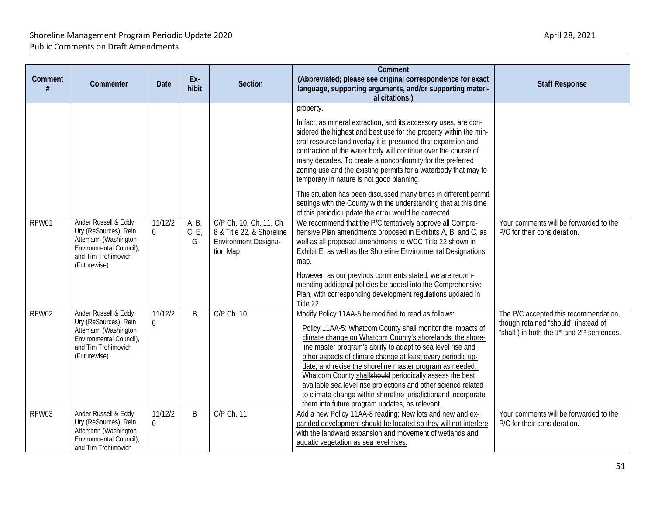| Comment | Commenter                                                                                                                               | Date                | Ex-<br>hibit       | Section                                                                                  | Comment<br>(Abbreviated; please see original correspondence for exact<br>language, supporting arguments, and/or supporting materi-<br>al citations.)                                                                                                                                                                                                                                                                                                                                                                                                                                                                                                                | <b>Staff Response</b>                                                                                                                                |
|---------|-----------------------------------------------------------------------------------------------------------------------------------------|---------------------|--------------------|------------------------------------------------------------------------------------------|---------------------------------------------------------------------------------------------------------------------------------------------------------------------------------------------------------------------------------------------------------------------------------------------------------------------------------------------------------------------------------------------------------------------------------------------------------------------------------------------------------------------------------------------------------------------------------------------------------------------------------------------------------------------|------------------------------------------------------------------------------------------------------------------------------------------------------|
|         |                                                                                                                                         |                     |                    |                                                                                          | property.<br>In fact, as mineral extraction, and its accessory uses, are con-<br>sidered the highest and best use for the property within the min-<br>eral resource land overlay it is presumed that expansion and<br>contraction of the water body will continue over the course of<br>many decades. To create a nonconformity for the preferred<br>zoning use and the existing permits for a waterbody that may to<br>temporary in nature is not good planning.<br>This situation has been discussed many times in different permit<br>settings with the County with the understanding that at this time<br>of this periodic update the error would be corrected. |                                                                                                                                                      |
| RFW01   | Ander Russell & Eddy<br>Ury (ReSources), Rein<br>Attemann (Washington<br>Environmental Council),<br>and Tim Trohimovich<br>(Futurewise) | 11/12/2<br>$\Omega$ | A, B,<br>C, E<br>G | C/P Ch. 10, Ch. 11, Ch.<br>8 & Title 22, & Shoreline<br>Environment Designa-<br>tion Map | We recommend that the P/C tentatively approve all Compre-<br>hensive Plan amendments proposed in Exhibits A, B, and C, as<br>well as all proposed amendments to WCC Title 22 shown in<br>Exhibit E, as well as the Shoreline Environmental Designations<br>map.<br>However, as our previous comments stated, we are recom-<br>mending additional policies be added into the Comprehensive<br>Plan, with corresponding development regulations updated in<br>Title 22.                                                                                                                                                                                               | Your comments will be forwarded to the<br>P/C for their consideration.                                                                               |
| RFW02   | Ander Russell & Eddy<br>Ury (ReSources), Rein<br>Attemann (Washington<br>Environmental Council),<br>and Tim Trohimovich<br>(Futurewise) | 11/12/2<br>$\Omega$ | B                  | C/P Ch. 10                                                                               | Modify Policy 11AA-5 be modified to read as follows:<br>Policy 11AA-5: Whatcom County shall monitor the impacts of<br>climate change on Whatcom County's shorelands, the shore-<br>line master program's ability to adapt to sea level rise and<br>other aspects of climate change at least every periodic up-<br>date, and revise the shoreline master program as needed.<br>Whatcom County shallshould periodically assess the best<br>available sea level rise projections and other science related<br>to climate change within shoreline jurisdictionand incorporate<br>them into future program updates, as relevant.                                         | The P/C accepted this recommendation,<br>though retained "should" (instead of<br>"shall") in both the 1 <sup>st</sup> and 2 <sup>nd</sup> sentences. |
| RFW03   | Ander Russell & Eddy<br>Ury (ReSources), Rein<br>Attemann (Washington<br>Environmental Council),<br>and Tim Trohimovich                 | 11/12/2<br>$\Omega$ | B                  | C/P Ch. 11                                                                               | Add a new Policy 11AA-8 reading: New lots and new and ex-<br>panded development should be located so they will not interfere<br>with the landward expansion and movement of wetlands and<br>aquatic vegetation as sea level rises.                                                                                                                                                                                                                                                                                                                                                                                                                                  | Your comments will be forwarded to the<br>P/C for their consideration.                                                                               |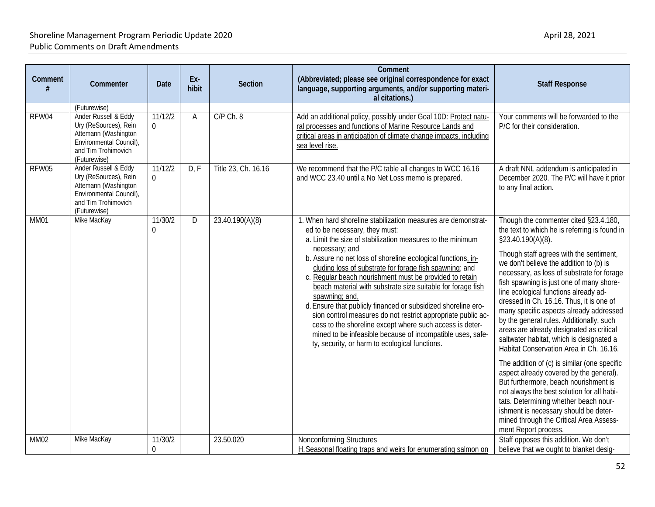| Comment     | Commenter                                                                                                                               | <b>Date</b>            | Ex-<br>hibit | <b>Section</b>      | Comment<br>(Abbreviated; please see original correspondence for exact<br>language, supporting arguments, and/or supporting materi-<br>al citations.)                                                                                                                                                                                                                                                                                                                                                                                                                                                                                                                                                                                                                | <b>Staff Response</b>                                                                                                                                                                                                                                                                                                                                                                                                                                                                                                                                                                                                                                                                                                                                                                                                                                                                                                                             |
|-------------|-----------------------------------------------------------------------------------------------------------------------------------------|------------------------|--------------|---------------------|---------------------------------------------------------------------------------------------------------------------------------------------------------------------------------------------------------------------------------------------------------------------------------------------------------------------------------------------------------------------------------------------------------------------------------------------------------------------------------------------------------------------------------------------------------------------------------------------------------------------------------------------------------------------------------------------------------------------------------------------------------------------|---------------------------------------------------------------------------------------------------------------------------------------------------------------------------------------------------------------------------------------------------------------------------------------------------------------------------------------------------------------------------------------------------------------------------------------------------------------------------------------------------------------------------------------------------------------------------------------------------------------------------------------------------------------------------------------------------------------------------------------------------------------------------------------------------------------------------------------------------------------------------------------------------------------------------------------------------|
|             | (Futurewise)<br>Ander Russell & Eddy                                                                                                    | 11/12/2                |              | C/P Ch. 8           |                                                                                                                                                                                                                                                                                                                                                                                                                                                                                                                                                                                                                                                                                                                                                                     | Your comments will be forwarded to the                                                                                                                                                                                                                                                                                                                                                                                                                                                                                                                                                                                                                                                                                                                                                                                                                                                                                                            |
| RFW04       | Ury (ReSources), Rein<br>Attemann (Washington<br>Environmental Council),<br>and Tim Trohimovich<br>(Futurewise)                         | $\Omega$               | Α            |                     | Add an additional policy, possibly under Goal 10D: Protect natu-<br>ral processes and functions of Marine Resource Lands and<br>critical areas in anticipation of climate change impacts, including<br>sea level rise.                                                                                                                                                                                                                                                                                                                                                                                                                                                                                                                                              | P/C for their consideration.                                                                                                                                                                                                                                                                                                                                                                                                                                                                                                                                                                                                                                                                                                                                                                                                                                                                                                                      |
| RFW05       | Ander Russell & Eddy<br>Ury (ReSources), Rein<br>Attemann (Washington<br>Environmental Council),<br>and Tim Trohimovich<br>(Futurewise) | 11/12/2<br>$\mathbf 0$ | D, F         | Title 23, Ch. 16.16 | We recommend that the P/C table all changes to WCC 16.16<br>and WCC 23.40 until a No Net Loss memo is prepared.                                                                                                                                                                                                                                                                                                                                                                                                                                                                                                                                                                                                                                                     | A draft NNL addendum is anticipated in<br>December 2020. The P/C will have it prior<br>to any final action.                                                                                                                                                                                                                                                                                                                                                                                                                                                                                                                                                                                                                                                                                                                                                                                                                                       |
| MM01        | Mike MacKay                                                                                                                             | 11/30/2<br>0           | D            | 23.40.190(A)(8)     | 1. When hard shoreline stabilization measures are demonstrat-<br>ed to be necessary, they must:<br>a. Limit the size of stabilization measures to the minimum<br>necessary; and<br>b. Assure no net loss of shoreline ecological functions, in-<br>cluding loss of substrate for forage fish spawning; and<br>c. Regular beach nourishment must be provided to retain<br>beach material with substrate size suitable for forage fish<br>spawning; and,<br>d. Ensure that publicly financed or subsidized shoreline ero-<br>sion control measures do not restrict appropriate public ac-<br>cess to the shoreline except where such access is deter-<br>mined to be infeasible because of incompatible uses, safe-<br>ty, security, or harm to ecological functions. | Though the commenter cited §23.4.180,<br>the text to which he is referring is found in<br>§23.40.190(A)(8).<br>Though staff agrees with the sentiment,<br>we don't believe the addition to (b) is<br>necessary, as loss of substrate for forage<br>fish spawning is just one of many shore-<br>line ecological functions already ad-<br>dressed in Ch. 16.16. Thus, it is one of<br>many specific aspects already addressed<br>by the general rules. Additionally, such<br>areas are already designated as critical<br>saltwater habitat, which is designated a<br>Habitat Conservation Area in Ch. 16.16.<br>The addition of (c) is similar (one specific<br>aspect already covered by the general).<br>But furthermore, beach nourishment is<br>not always the best solution for all habi-<br>tats. Determining whether beach nour-<br>ishment is necessary should be deter-<br>mined through the Critical Area Assess-<br>ment Report process. |
| <b>MM02</b> | Mike MacKay                                                                                                                             | 11/30/2<br>$\Omega$    |              | 23.50.020           | Nonconforming Structures<br>H. Seasonal floating traps and weirs for enumerating salmon on                                                                                                                                                                                                                                                                                                                                                                                                                                                                                                                                                                                                                                                                          | Staff opposes this addition. We don't<br>believe that we ought to blanket desig-                                                                                                                                                                                                                                                                                                                                                                                                                                                                                                                                                                                                                                                                                                                                                                                                                                                                  |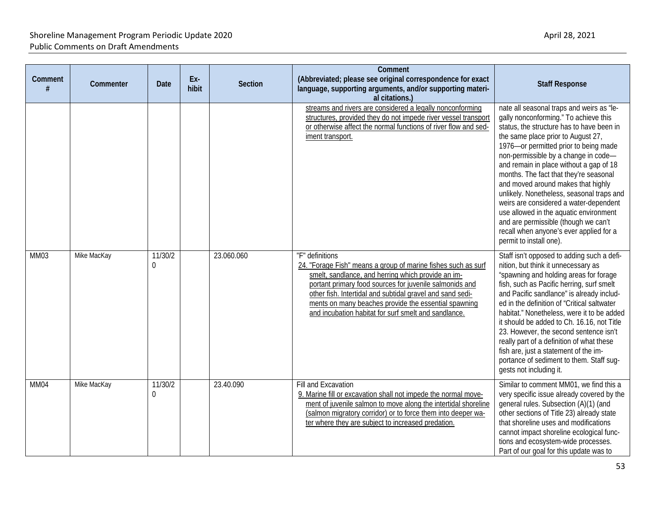| Comment<br># | Commenter   | Date                      | Ex-<br>hibit | Section    | Comment<br>(Abbreviated; please see original correspondence for exact<br>language, supporting arguments, and/or supporting materi-<br>al citations.)                                                                                                                                                                                                                           | <b>Staff Response</b>                                                                                                                                                                                                                                                                                                                                                                                                                                                                                                                                                                                                            |
|--------------|-------------|---------------------------|--------------|------------|--------------------------------------------------------------------------------------------------------------------------------------------------------------------------------------------------------------------------------------------------------------------------------------------------------------------------------------------------------------------------------|----------------------------------------------------------------------------------------------------------------------------------------------------------------------------------------------------------------------------------------------------------------------------------------------------------------------------------------------------------------------------------------------------------------------------------------------------------------------------------------------------------------------------------------------------------------------------------------------------------------------------------|
|              |             |                           |              |            | streams and rivers are considered a legally nonconforming<br>structures, provided they do not impede river vessel transport<br>or otherwise affect the normal functions of river flow and sed-<br>iment transport.                                                                                                                                                             | nate all seasonal traps and weirs as "le-<br>gally nonconforming." To achieve this<br>status, the structure has to have been in<br>the same place prior to August 27,<br>1976-or permitted prior to being made<br>non-permissible by a change in code-<br>and remain in place without a gap of 18<br>months. The fact that they're seasonal<br>and moved around makes that highly<br>unlikely. Nonetheless, seasonal traps and<br>weirs are considered a water-dependent<br>use allowed in the aquatic environment<br>and are permissible (though we can't<br>recall when anyone's ever applied for a<br>permit to install one). |
| MM03         | Mike MacKay | 11/30/2<br>$\overline{0}$ |              | 23.060.060 | "F" definitions<br>24. "Forage Fish" means a group of marine fishes such as surf<br>smelt, sandlance, and herring which provide an im-<br>portant primary food sources for juvenile salmonids and<br>other fish. Intertidal and subtidal gravel and sand sedi-<br>ments on many beaches provide the essential spawning<br>and incubation habitat for surf smelt and sandlance. | Staff isn't opposed to adding such a defi-<br>nition, but think it unnecessary as<br>"spawning and holding areas for forage<br>fish, such as Pacific herring, surf smelt<br>and Pacific sandlance" is already includ-<br>ed in the definition of "Critical saltwater<br>habitat." Nonetheless, were it to be added<br>it should be added to Ch. 16.16, not Title<br>23. However, the second sentence isn't<br>really part of a definition of what these<br>fish are, just a statement of the im-<br>portance of sediment to them. Staff sug-<br>gests not including it.                                                          |
| MM04         | Mike MacKay | 11/30/2<br>$\overline{0}$ |              | 23.40.090  | Fill and Excavation<br>9. Marine fill or excavation shall not impede the normal move-<br>ment of juvenile salmon to move along the intertidal shoreline<br>(salmon migratory corridor) or to force them into deeper wa-<br>ter where they are subject to increased predation.                                                                                                  | Similar to comment MM01, we find this a<br>very specific issue already covered by the<br>general rules. Subsection (A)(1) (and<br>other sections of Title 23) already state<br>that shoreline uses and modifications<br>cannot impact shoreline ecological func-<br>tions and ecosystem-wide processes.<br>Part of our goal for this update was to                                                                                                                                                                                                                                                                               |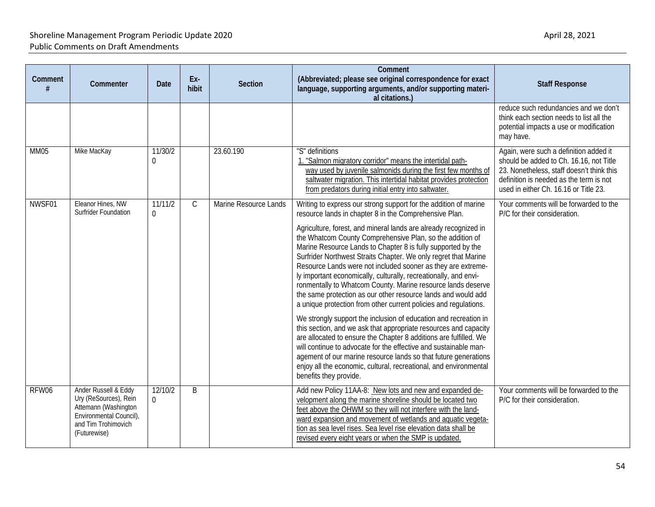| Comment     | Commenter                                                                                                                               | Date                      | Ex-<br>hibit | <b>Section</b>        | Comment<br>(Abbreviated; please see original correspondence for exact<br>language, supporting arguments, and/or supporting materi-<br>al citations.)                                                                                                                                                                                                                                                                                                                                                                                                                                                      | <b>Staff Response</b>                                                                                                                                                                                              |
|-------------|-----------------------------------------------------------------------------------------------------------------------------------------|---------------------------|--------------|-----------------------|-----------------------------------------------------------------------------------------------------------------------------------------------------------------------------------------------------------------------------------------------------------------------------------------------------------------------------------------------------------------------------------------------------------------------------------------------------------------------------------------------------------------------------------------------------------------------------------------------------------|--------------------------------------------------------------------------------------------------------------------------------------------------------------------------------------------------------------------|
|             |                                                                                                                                         |                           |              |                       |                                                                                                                                                                                                                                                                                                                                                                                                                                                                                                                                                                                                           | reduce such redundancies and we don't<br>think each section needs to list all the<br>potential impacts a use or modification<br>may have.                                                                          |
| <b>MM05</b> | Mike MacKay                                                                                                                             | 11/30/2<br>0              |              | 23.60.190             | "S" definitions<br>1. "Salmon migratory corridor" means the intertidal path-<br>way used by juvenile salmonids during the first few months of<br>saltwater migration. This intertidal habitat provides protection<br>from predators during initial entry into saltwater.                                                                                                                                                                                                                                                                                                                                  | Again, were such a definition added it<br>should be added to Ch. 16.16, not Title<br>23. Nonetheless, staff doesn't think this<br>definition is needed as the term is not<br>used in either Ch. 16.16 or Title 23. |
| NWSF01      | Eleanor Hines, NW<br><b>Surfrider Foundation</b>                                                                                        | 11/11/2<br>$\overline{0}$ | C            | Marine Resource Lands | Writing to express our strong support for the addition of marine<br>resource lands in chapter 8 in the Comprehensive Plan.                                                                                                                                                                                                                                                                                                                                                                                                                                                                                | Your comments will be forwarded to the<br>P/C for their consideration.                                                                                                                                             |
|             |                                                                                                                                         |                           |              |                       | Agriculture, forest, and mineral lands are already recognized in<br>the Whatcom County Comprehensive Plan, so the addition of<br>Marine Resource Lands to Chapter 8 is fully supported by the<br>Surfrider Northwest Straits Chapter. We only regret that Marine<br>Resource Lands were not included sooner as they are extreme-<br>ly important economically, culturally, recreationally, and envi-<br>ronmentally to Whatcom County. Marine resource lands deserve<br>the same protection as our other resource lands and would add<br>a unique protection from other current policies and regulations. |                                                                                                                                                                                                                    |
|             |                                                                                                                                         |                           |              |                       | We strongly support the inclusion of education and recreation in<br>this section, and we ask that appropriate resources and capacity<br>are allocated to ensure the Chapter 8 additions are fulfilled. We<br>will continue to advocate for the effective and sustainable man-<br>agement of our marine resource lands so that future generations<br>enjoy all the economic, cultural, recreational, and environmental<br>benefits they provide.                                                                                                                                                           |                                                                                                                                                                                                                    |
| RFW06       | Ander Russell & Eddy<br>Ury (ReSources), Rein<br>Attemann (Washington<br>Environmental Council),<br>and Tim Trohimovich<br>(Futurewise) | 12/10/2<br>$\overline{0}$ | B            |                       | Add new Policy 11AA-8: New lots and new and expanded de-<br>velopment along the marine shoreline should be located two<br>feet above the OHWM so they will not interfere with the land-<br>ward expansion and movement of wetlands and aquatic vegeta-<br>tion as sea level rises. Sea level rise elevation data shall be<br>revised every eight years or when the SMP is updated.                                                                                                                                                                                                                        | Your comments will be forwarded to the<br>P/C for their consideration.                                                                                                                                             |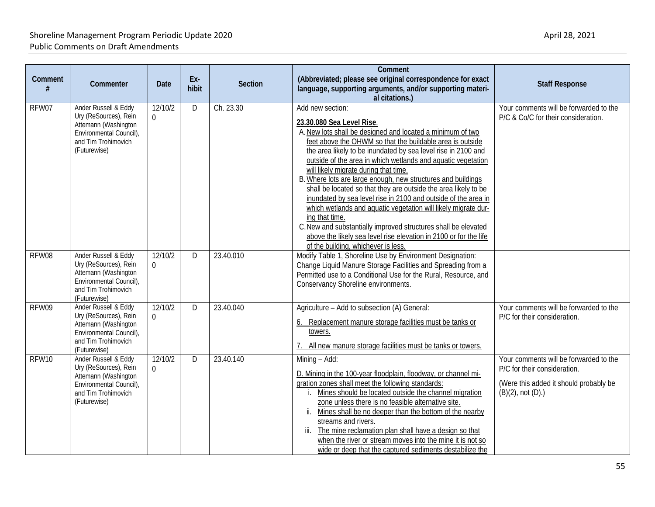| Comment | Commenter                                                                                                                               | <b>Date</b>         | Ex-<br>hibit | <b>Section</b> | Comment<br>(Abbreviated; please see original correspondence for exact<br>language, supporting arguments, and/or supporting materi-<br>al citations.)                                                                                                                                                                                                                                                                                                                                                                                                                                                                                                                                                                                                                                                                      | <b>Staff Response</b>                                                                                                                       |
|---------|-----------------------------------------------------------------------------------------------------------------------------------------|---------------------|--------------|----------------|---------------------------------------------------------------------------------------------------------------------------------------------------------------------------------------------------------------------------------------------------------------------------------------------------------------------------------------------------------------------------------------------------------------------------------------------------------------------------------------------------------------------------------------------------------------------------------------------------------------------------------------------------------------------------------------------------------------------------------------------------------------------------------------------------------------------------|---------------------------------------------------------------------------------------------------------------------------------------------|
| RFW07   | Ander Russell & Eddy<br>Ury (ReSources), Rein<br>Attemann (Washington<br>Environmental Council),<br>and Tim Trohimovich<br>(Futurewise) | 12/10/2<br>$\Omega$ | D            | Ch. 23.30      | Add new section:<br>23.30.080 Sea Level Rise.<br>A. New lots shall be designed and located a minimum of two<br>feet above the OHWM so that the buildable area is outside<br>the area likely to be inundated by sea level rise in 2100 and<br>outside of the area in which wetlands and aquatic vegetation<br>will likely migrate during that time.<br>B. Where lots are large enough, new structures and buildings<br>shall be located so that they are outside the area likely to be<br>inundated by sea level rise in 2100 and outside of the area in<br>which wetlands and aquatic vegetation will likely migrate dur-<br>ing that time.<br>C. New and substantially improved structures shall be elevated<br>above the likely sea level rise elevation in 2100 or for the life<br>of the building, whichever is less. | Your comments will be forwarded to the<br>P/C & Co/C for their consideration.                                                               |
| RFW08   | Ander Russell & Eddy<br>Ury (ReSources), Rein<br>Attemann (Washington<br>Environmental Council),<br>and Tim Trohimovich<br>(Futurewise) | 12/10/2<br>$\Omega$ | D            | 23.40.010      | Modify Table 1, Shoreline Use by Environment Designation:<br>Change Liquid Manure Storage Facilities and Spreading from a<br>Permitted use to a Conditional Use for the Rural, Resource, and<br>Conservancy Shoreline environments.                                                                                                                                                                                                                                                                                                                                                                                                                                                                                                                                                                                       |                                                                                                                                             |
| RFW09   | Ander Russell & Eddy<br>Ury (ReSources), Rein<br>Attemann (Washington<br>Environmental Council),<br>and Tim Trohimovich<br>(Futurewise) | 12/10/2<br>$\Omega$ | D.           | 23.40.040      | Agriculture - Add to subsection (A) General:<br>Replacement manure storage facilities must be tanks or<br>6.<br>towers.<br>All new manure storage facilities must be tanks or towers.                                                                                                                                                                                                                                                                                                                                                                                                                                                                                                                                                                                                                                     | Your comments will be forwarded to the<br>P/C for their consideration.                                                                      |
| RFW10   | Ander Russell & Eddy<br>Ury (ReSources), Rein<br>Attemann (Washington<br>Environmental Council),<br>and Tim Trohimovich<br>(Futurewise) | 12/10/2<br>$\Omega$ | D.           | 23.40.140      | Mining - Add:<br>D. Mining in the 100-year floodplain, floodway, or channel mi-<br>gration zones shall meet the following standards:<br>Mines should be located outside the channel migration<br>zone unless there is no feasible alternative site.<br>ii. Mines shall be no deeper than the bottom of the nearby<br>streams and rivers.<br>The mine reclamation plan shall have a design so that<br>iii.<br>when the river or stream moves into the mine it is not so<br>wide or deep that the captured sediments destabilize the                                                                                                                                                                                                                                                                                        | Your comments will be forwarded to the<br>P/C for their consideration.<br>(Were this added it should probably be<br>$(B)(2)$ , not $(D)$ .) |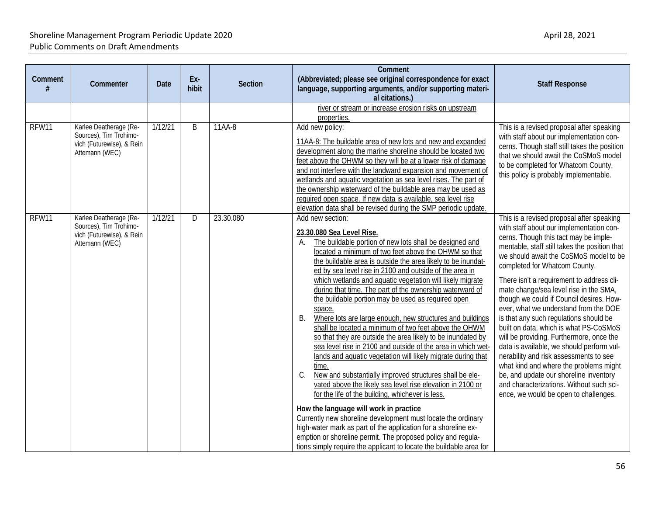| Comment | Commenter                                                                                       | Date    | Ex-<br>hibit | <b>Section</b> | Comment<br>(Abbreviated; please see original correspondence for exact<br>language, supporting arguments, and/or supporting materi-<br>al citations.)                                                                                                                                                                                                                                                                                                                                                                                                                                                                                                                                                                                                                                                                                                                                                                                                                                                                                                                                                                                                                                                                                                                                                                                 | <b>Staff Response</b>                                                                                                                                                                                                                                                                                                                                                                                                                                                                                                                                                                                                                                                                                                                                                                                                                  |
|---------|-------------------------------------------------------------------------------------------------|---------|--------------|----------------|--------------------------------------------------------------------------------------------------------------------------------------------------------------------------------------------------------------------------------------------------------------------------------------------------------------------------------------------------------------------------------------------------------------------------------------------------------------------------------------------------------------------------------------------------------------------------------------------------------------------------------------------------------------------------------------------------------------------------------------------------------------------------------------------------------------------------------------------------------------------------------------------------------------------------------------------------------------------------------------------------------------------------------------------------------------------------------------------------------------------------------------------------------------------------------------------------------------------------------------------------------------------------------------------------------------------------------------|----------------------------------------------------------------------------------------------------------------------------------------------------------------------------------------------------------------------------------------------------------------------------------------------------------------------------------------------------------------------------------------------------------------------------------------------------------------------------------------------------------------------------------------------------------------------------------------------------------------------------------------------------------------------------------------------------------------------------------------------------------------------------------------------------------------------------------------|
|         |                                                                                                 |         |              |                | river or stream or increase erosion risks on upstream<br>properties.                                                                                                                                                                                                                                                                                                                                                                                                                                                                                                                                                                                                                                                                                                                                                                                                                                                                                                                                                                                                                                                                                                                                                                                                                                                                 |                                                                                                                                                                                                                                                                                                                                                                                                                                                                                                                                                                                                                                                                                                                                                                                                                                        |
| RFW11   | Karlee Deatherage (Re-<br>Sources), Tim Trohimo-<br>vich (Futurewise), & Rein<br>Attemann (WEC) | 1/12/21 | B            | 11AA-8         | Add new policy:<br>11AA-8: The buildable area of new lots and new and expanded<br>development along the marine shoreline should be located two<br>feet above the OHWM so they will be at a lower risk of damage<br>and not interfere with the landward expansion and movement of<br>wetlands and aquatic vegetation as sea level rises. The part of<br>the ownership waterward of the buildable area may be used as<br>required open space. If new data is available, sea level rise<br>elevation data shall be revised during the SMP periodic update.                                                                                                                                                                                                                                                                                                                                                                                                                                                                                                                                                                                                                                                                                                                                                                              | This is a revised proposal after speaking<br>with staff about our implementation con-<br>cerns. Though staff still takes the position<br>that we should await the CoSMoS model<br>to be completed for Whatcom County,<br>this policy is probably implementable.                                                                                                                                                                                                                                                                                                                                                                                                                                                                                                                                                                        |
| RFW11   | Karlee Deatherage (Re-<br>Sources), Tim Trohimo-<br>vich (Futurewise), & Rein<br>Attemann (WEC) | 1/12/21 | D            | 23.30.080      | Add new section:<br>23.30.080 Sea Level Rise.<br>The buildable portion of new lots shall be designed and<br>А.<br>located a minimum of two feet above the OHWM so that<br>the buildable area is outside the area likely to be inundat-<br>ed by sea level rise in 2100 and outside of the area in<br>which wetlands and aquatic vegetation will likely migrate<br>during that time. The part of the ownership waterward of<br>the buildable portion may be used as required open<br>space.<br>В.<br>Where lots are large enough, new structures and buildings<br>shall be located a minimum of two feet above the OHWM<br>so that they are outside the area likely to be inundated by<br>sea level rise in 2100 and outside of the area in which wet-<br>lands and aquatic vegetation will likely migrate during that<br>time.<br>New and substantially improved structures shall be ele-<br>C.<br>vated above the likely sea level rise elevation in 2100 or<br>for the life of the building, whichever is less.<br>How the language will work in practice<br>Currently new shoreline development must locate the ordinary<br>high-water mark as part of the application for a shoreline ex-<br>emption or shoreline permit. The proposed policy and regula-<br>tions simply require the applicant to locate the buildable area for | This is a revised proposal after speaking<br>with staff about our implementation con-<br>cerns. Though this tact may be imple-<br>mentable, staff still takes the position that<br>we should await the CoSMoS model to be<br>completed for Whatcom County.<br>There isn't a requirement to address cli-<br>mate change/sea level rise in the SMA,<br>though we could if Council desires. How-<br>ever, what we understand from the DOE<br>is that any such regulations should be<br>built on data, which is what PS-CoSMoS<br>will be providing. Furthermore, once the<br>data is available, we should perform vul-<br>nerability and risk assessments to see<br>what kind and where the problems might<br>be, and update our shoreline inventory<br>and characterizations. Without such sci-<br>ence, we would be open to challenges. |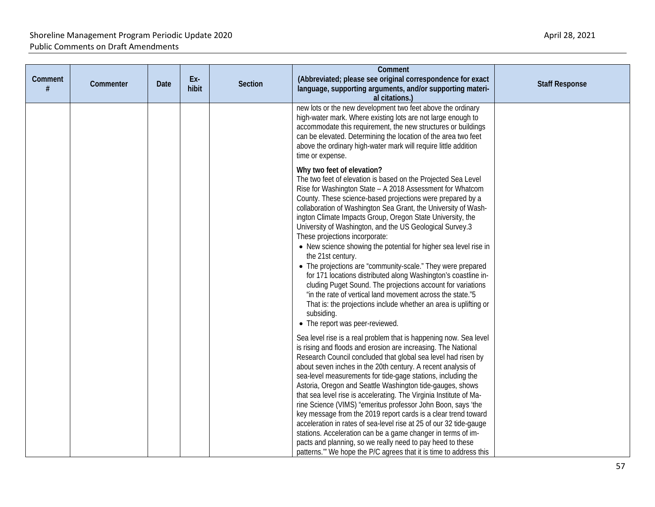| Comment<br># | Commenter | Date | Ex-<br>hibit | Section | Comment<br>(Abbreviated; please see original correspondence for exact                                                                                                                                                                                                                                                                                                                                                                                                                                                                                                                                                                                                                                                                                                                                                                                                                                                            | <b>Staff Response</b> |
|--------------|-----------|------|--------------|---------|----------------------------------------------------------------------------------------------------------------------------------------------------------------------------------------------------------------------------------------------------------------------------------------------------------------------------------------------------------------------------------------------------------------------------------------------------------------------------------------------------------------------------------------------------------------------------------------------------------------------------------------------------------------------------------------------------------------------------------------------------------------------------------------------------------------------------------------------------------------------------------------------------------------------------------|-----------------------|
|              |           |      |              |         | language, supporting arguments, and/or supporting materi-<br>al citations.)                                                                                                                                                                                                                                                                                                                                                                                                                                                                                                                                                                                                                                                                                                                                                                                                                                                      |                       |
|              |           |      |              |         | new lots or the new development two feet above the ordinary<br>high-water mark. Where existing lots are not large enough to<br>accommodate this requirement, the new structures or buildings<br>can be elevated. Determining the location of the area two feet<br>above the ordinary high-water mark will require little addition<br>time or expense.                                                                                                                                                                                                                                                                                                                                                                                                                                                                                                                                                                            |                       |
|              |           |      |              |         | Why two feet of elevation?<br>The two feet of elevation is based on the Projected Sea Level<br>Rise for Washington State - A 2018 Assessment for Whatcom<br>County. These science-based projections were prepared by a<br>collaboration of Washington Sea Grant, the University of Wash-<br>ington Climate Impacts Group, Oregon State University, the<br>University of Washington, and the US Geological Survey.3<br>These projections incorporate:<br>• New science showing the potential for higher sea level rise in<br>the 21st century.<br>• The projections are "community-scale." They were prepared<br>for 171 locations distributed along Washington's coastline in-<br>cluding Puget Sound. The projections account for variations<br>"in the rate of vertical land movement across the state."5<br>That is: the projections include whether an area is uplifting or<br>subsiding.<br>• The report was peer-reviewed. |                       |
|              |           |      |              |         | Sea level rise is a real problem that is happening now. Sea level<br>is rising and floods and erosion are increasing. The National<br>Research Council concluded that global sea level had risen by<br>about seven inches in the 20th century. A recent analysis of<br>sea-level measurements for tide-gage stations, including the<br>Astoria, Oregon and Seattle Washington tide-gauges, shows<br>that sea level rise is accelerating. The Virginia Institute of Ma-<br>rine Science (VIMS) "emeritus professor John Boon, says 'the<br>key message from the 2019 report cards is a clear trend toward<br>acceleration in rates of sea-level rise at 25 of our 32 tide-gauge<br>stations. Acceleration can be a game changer in terms of im-<br>pacts and planning, so we really need to pay heed to these<br>patterns." We hope the P/C agrees that it is time to address this                                                |                       |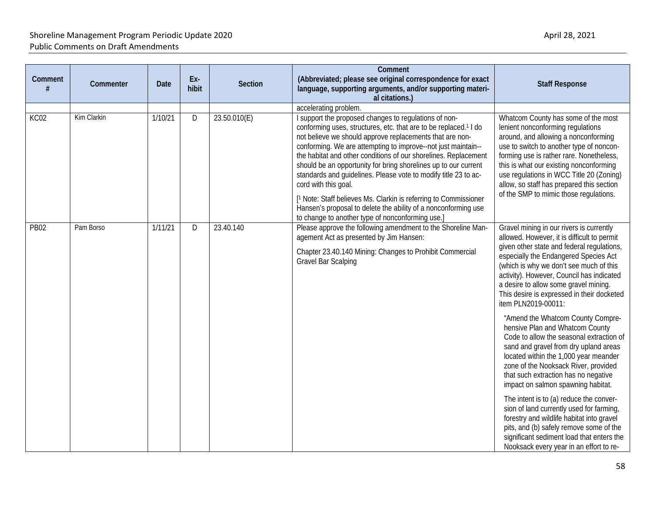| Comment<br># | Commenter   | Date    | Ex-<br>hibit | <b>Section</b> | Comment<br>(Abbreviated; please see original correspondence for exact<br>language, supporting arguments, and/or supporting materi-<br>al citations.)                                                                                                                                                                                                                                                                                                                                                                                                                                                                                                                                                                   | <b>Staff Response</b>                                                                                                                                                                                                                                                                                                                                                                                                                                                                                                                                                                                                                                                                                                                                                                                                                                                                                                                                                                   |
|--------------|-------------|---------|--------------|----------------|------------------------------------------------------------------------------------------------------------------------------------------------------------------------------------------------------------------------------------------------------------------------------------------------------------------------------------------------------------------------------------------------------------------------------------------------------------------------------------------------------------------------------------------------------------------------------------------------------------------------------------------------------------------------------------------------------------------------|-----------------------------------------------------------------------------------------------------------------------------------------------------------------------------------------------------------------------------------------------------------------------------------------------------------------------------------------------------------------------------------------------------------------------------------------------------------------------------------------------------------------------------------------------------------------------------------------------------------------------------------------------------------------------------------------------------------------------------------------------------------------------------------------------------------------------------------------------------------------------------------------------------------------------------------------------------------------------------------------|
| KC02         | Kim Clarkin | 1/10/21 | D            | 23.50.010(E)   | accelerating problem.<br>I support the proposed changes to regulations of non-<br>conforming uses, structures, etc. that are to be replaced. <sup>1</sup> I do<br>not believe we should approve replacements that are non-<br>conforming. We are attempting to improve--not just maintain--<br>the habitat and other conditions of our shorelines. Replacement<br>should be an opportunity for bring shorelines up to our current<br>standards and guidelines. Please vote to modify title 23 to ac-<br>cord with this goal.<br>[1 Note: Staff believes Ms. Clarkin is referring to Commissioner<br>Hansen's proposal to delete the ability of a nonconforming use<br>to change to another type of nonconforming use.] | Whatcom County has some of the most<br>lenient nonconforming regulations<br>around, and allowing a nonconforming<br>use to switch to another type of noncon-<br>forming use is rather rare. Nonetheless,<br>this is what our existing nonconforming<br>use regulations in WCC Title 20 (Zoning)<br>allow, so staff has prepared this section<br>of the SMP to mimic those regulations.                                                                                                                                                                                                                                                                                                                                                                                                                                                                                                                                                                                                  |
| <b>PB02</b>  | Pam Borso   | 1/11/21 | D            | 23.40.140      | Please approve the following amendment to the Shoreline Man-<br>agement Act as presented by Jim Hansen:<br>Chapter 23.40.140 Mining: Changes to Prohibit Commercial<br>Gravel Bar Scalping                                                                                                                                                                                                                                                                                                                                                                                                                                                                                                                             | Gravel mining in our rivers is currently<br>allowed. However, it is difficult to permit<br>given other state and federal regulations,<br>especially the Endangered Species Act<br>(which is why we don't see much of this<br>activity). However, Council has indicated<br>a desire to allow some gravel mining.<br>This desire is expressed in their docketed<br>item PLN2019-00011:<br>"Amend the Whatcom County Compre-<br>hensive Plan and Whatcom County<br>Code to allow the seasonal extraction of<br>sand and gravel from dry upland areas<br>located within the 1,000 year meander<br>zone of the Nooksack River, provided<br>that such extraction has no negative<br>impact on salmon spawning habitat.<br>The intent is to (a) reduce the conver-<br>sion of land currently used for farming,<br>forestry and wildlife habitat into gravel<br>pits, and (b) safely remove some of the<br>significant sediment load that enters the<br>Nooksack every year in an effort to re- |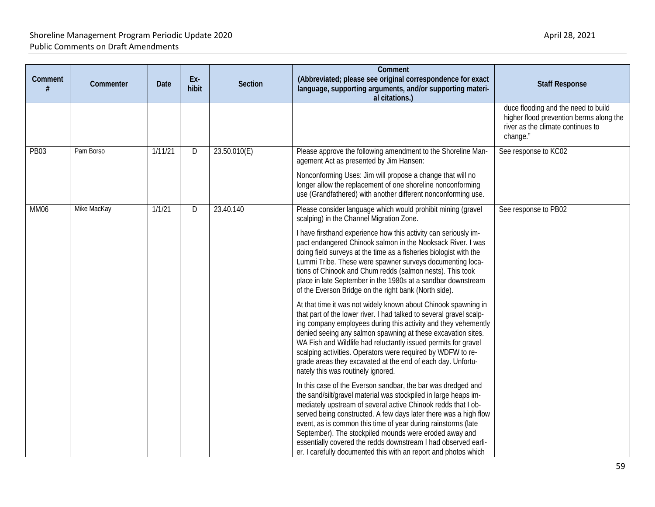| Comment<br># | Commenter   | <b>Date</b> | Ex-<br>hibit | <b>Section</b> | Comment<br>(Abbreviated; please see original correspondence for exact<br>language, supporting arguments, and/or supporting materi-<br>al citations.)                                                                                                                                                                                                                                                                                                                                                                                                                                                                                                                                                                                                                                                                                                               | <b>Staff Response</b>                                                                                                           |
|--------------|-------------|-------------|--------------|----------------|--------------------------------------------------------------------------------------------------------------------------------------------------------------------------------------------------------------------------------------------------------------------------------------------------------------------------------------------------------------------------------------------------------------------------------------------------------------------------------------------------------------------------------------------------------------------------------------------------------------------------------------------------------------------------------------------------------------------------------------------------------------------------------------------------------------------------------------------------------------------|---------------------------------------------------------------------------------------------------------------------------------|
|              |             |             |              |                |                                                                                                                                                                                                                                                                                                                                                                                                                                                                                                                                                                                                                                                                                                                                                                                                                                                                    | duce flooding and the need to build<br>higher flood prevention berms along the<br>river as the climate continues to<br>change." |
| <b>PB03</b>  | Pam Borso   | 1/11/21     | D            | 23.50.010(E)   | Please approve the following amendment to the Shoreline Man-<br>agement Act as presented by Jim Hansen:<br>Nonconforming Uses: Jim will propose a change that will no<br>longer allow the replacement of one shoreline nonconforming                                                                                                                                                                                                                                                                                                                                                                                                                                                                                                                                                                                                                               | See response to KC02                                                                                                            |
| <b>MM06</b>  | Mike MacKay | 1/1/21      | D            | 23.40.140      | use (Grandfathered) with another different nonconforming use.<br>Please consider language which would prohibit mining (gravel<br>scalping) in the Channel Migration Zone.                                                                                                                                                                                                                                                                                                                                                                                                                                                                                                                                                                                                                                                                                          | See response to PB02                                                                                                            |
|              |             |             |              |                | I have firsthand experience how this activity can seriously im-<br>pact endangered Chinook salmon in the Nooksack River. I was<br>doing field surveys at the time as a fisheries biologist with the<br>Lummi Tribe. These were spawner surveys documenting loca-<br>tions of Chinook and Chum redds (salmon nests). This took<br>place in late September in the 1980s at a sandbar downstream<br>of the Everson Bridge on the right bank (North side).<br>At that time it was not widely known about Chinook spawning in<br>that part of the lower river. I had talked to several gravel scalp-<br>ing company employees during this activity and they vehemently<br>denied seeing any salmon spawning at these excavation sites.<br>WA Fish and Wildlife had reluctantly issued permits for gravel<br>scalping activities. Operators were required by WDFW to re- |                                                                                                                                 |
|              |             |             |              |                | grade areas they excavated at the end of each day. Unfortu-<br>nately this was routinely ignored.                                                                                                                                                                                                                                                                                                                                                                                                                                                                                                                                                                                                                                                                                                                                                                  |                                                                                                                                 |
|              |             |             |              |                | In this case of the Everson sandbar, the bar was dredged and<br>the sand/silt/gravel material was stockpiled in large heaps im-<br>mediately upstream of several active Chinook redds that I ob-<br>served being constructed. A few days later there was a high flow<br>event, as is common this time of year during rainstorms (late<br>September). The stockpiled mounds were eroded away and<br>essentially covered the redds downstream I had observed earli-<br>er. I carefully documented this with an report and photos which                                                                                                                                                                                                                                                                                                                               |                                                                                                                                 |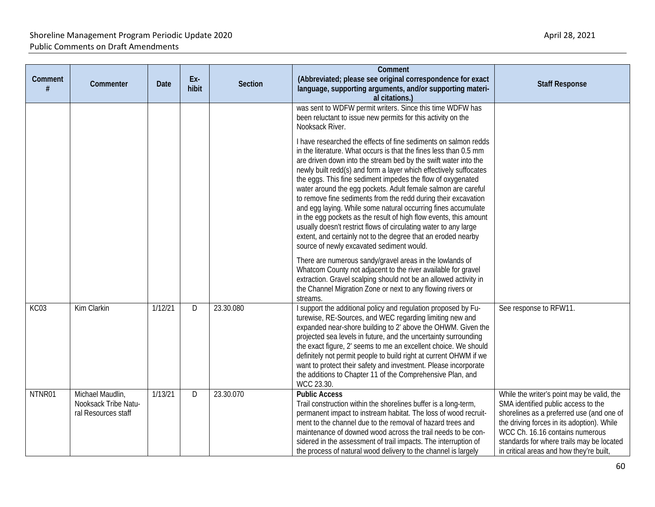| Comment<br># | Commenter                                                       | <b>Date</b> | Ex-<br>hibit | Section   | Comment<br>(Abbreviated; please see original correspondence for exact<br>language, supporting arguments, and/or supporting materi-<br>al citations.)                                                                                                                                                                                                                                                                                                                                                                                                                                                                                                                                                                                                                                                   | <b>Staff Response</b>                                                                                                                                                                                                                                                                                    |
|--------------|-----------------------------------------------------------------|-------------|--------------|-----------|--------------------------------------------------------------------------------------------------------------------------------------------------------------------------------------------------------------------------------------------------------------------------------------------------------------------------------------------------------------------------------------------------------------------------------------------------------------------------------------------------------------------------------------------------------------------------------------------------------------------------------------------------------------------------------------------------------------------------------------------------------------------------------------------------------|----------------------------------------------------------------------------------------------------------------------------------------------------------------------------------------------------------------------------------------------------------------------------------------------------------|
|              |                                                                 |             |              |           | was sent to WDFW permit writers. Since this time WDFW has<br>been reluctant to issue new permits for this activity on the<br>Nooksack River.                                                                                                                                                                                                                                                                                                                                                                                                                                                                                                                                                                                                                                                           |                                                                                                                                                                                                                                                                                                          |
|              |                                                                 |             |              |           | I have researched the effects of fine sediments on salmon redds<br>in the literature. What occurs is that the fines less than 0.5 mm<br>are driven down into the stream bed by the swift water into the<br>newly built redd(s) and form a layer which effectively suffocates<br>the eggs. This fine sediment impedes the flow of oxygenated<br>water around the egg pockets. Adult female salmon are careful<br>to remove fine sediments from the redd during their excavation<br>and egg laying. While some natural occurring fines accumulate<br>in the egg pockets as the result of high flow events, this amount<br>usually doesn't restrict flows of circulating water to any large<br>extent, and certainly not to the degree that an eroded nearby<br>source of newly excavated sediment would. |                                                                                                                                                                                                                                                                                                          |
|              |                                                                 |             |              |           | There are numerous sandy/gravel areas in the lowlands of<br>Whatcom County not adjacent to the river available for gravel<br>extraction. Gravel scalping should not be an allowed activity in<br>the Channel Migration Zone or next to any flowing rivers or<br>streams.                                                                                                                                                                                                                                                                                                                                                                                                                                                                                                                               |                                                                                                                                                                                                                                                                                                          |
| KC03         | Kim Clarkin                                                     | 1/12/21     | D            | 23.30.080 | I support the additional policy and regulation proposed by Fu-<br>turewise, RE-Sources, and WEC regarding limiting new and<br>expanded near-shore building to 2' above the OHWM. Given the<br>projected sea levels in future, and the uncertainty surrounding<br>the exact figure, 2' seems to me an excellent choice. We should<br>definitely not permit people to build right at current OHWM if we<br>want to protect their safety and investment. Please incorporate<br>the additions to Chapter 11 of the Comprehensive Plan, and<br>WCC 23.30.                                                                                                                                                                                                                                                   | See response to RFW11.                                                                                                                                                                                                                                                                                   |
| NTNR01       | Michael Maudlin,<br>Nooksack Tribe Natu-<br>ral Resources staff | 1/13/21     | D            | 23.30.070 | <b>Public Access</b><br>Trail construction within the shorelines buffer is a long-term,<br>permanent impact to instream habitat. The loss of wood recruit-<br>ment to the channel due to the removal of hazard trees and<br>maintenance of downed wood across the trail needs to be con-<br>sidered in the assessment of trail impacts. The interruption of<br>the process of natural wood delivery to the channel is largely                                                                                                                                                                                                                                                                                                                                                                          | While the writer's point may be valid, the<br>SMA identified public access to the<br>shorelines as a preferred use (and one of<br>the driving forces in its adoption). While<br>WCC Ch. 16.16 contains numerous<br>standards for where trails may be located<br>in critical areas and how they're built, |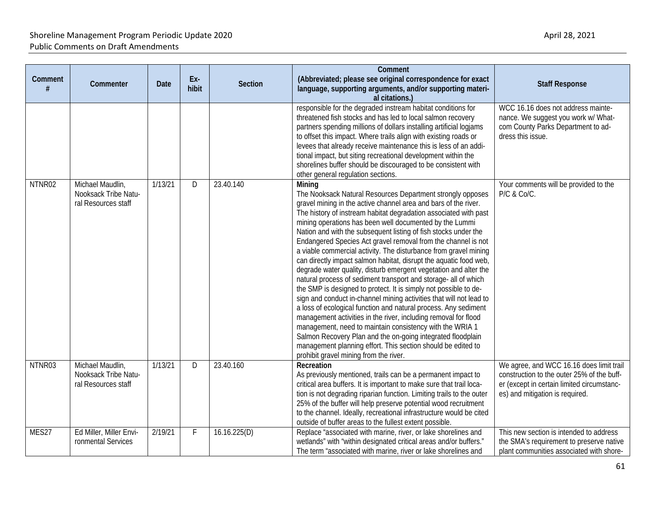| Comment | Commenter                                                       | <b>Date</b> | Ex-<br>hibit | <b>Section</b> | Comment<br>(Abbreviated; please see original correspondence for exact<br>language, supporting arguments, and/or supporting materi-<br>al citations.)                                                                                                                                                                                                                                                                                                                                                                                                                                                                                                                                                                                                                                                                                                                                                                                                                                                                                                                                                                                                                                                             | <b>Staff Response</b>                                                                                                                                                   |
|---------|-----------------------------------------------------------------|-------------|--------------|----------------|------------------------------------------------------------------------------------------------------------------------------------------------------------------------------------------------------------------------------------------------------------------------------------------------------------------------------------------------------------------------------------------------------------------------------------------------------------------------------------------------------------------------------------------------------------------------------------------------------------------------------------------------------------------------------------------------------------------------------------------------------------------------------------------------------------------------------------------------------------------------------------------------------------------------------------------------------------------------------------------------------------------------------------------------------------------------------------------------------------------------------------------------------------------------------------------------------------------|-------------------------------------------------------------------------------------------------------------------------------------------------------------------------|
|         |                                                                 |             |              |                | responsible for the degraded instream habitat conditions for<br>threatened fish stocks and has led to local salmon recovery<br>partners spending millions of dollars installing artificial logiams<br>to offset this impact. Where trails align with existing roads or<br>levees that already receive maintenance this is less of an addi-<br>tional impact, but siting recreational development within the<br>shorelines buffer should be discouraged to be consistent with<br>other general regulation sections.                                                                                                                                                                                                                                                                                                                                                                                                                                                                                                                                                                                                                                                                                               | WCC 16.16 does not address mainte-<br>nance. We suggest you work w/ What-<br>com County Parks Department to ad-<br>dress this issue.                                    |
| NTNR02  | Michael Maudlin,<br>Nooksack Tribe Natu-<br>ral Resources staff | 1/13/21     | D            | 23.40.140      | Mining<br>The Nooksack Natural Resources Department strongly opposes<br>gravel mining in the active channel area and bars of the river.<br>The history of instream habitat degradation associated with past<br>mining operations has been well documented by the Lummi<br>Nation and with the subsequent listing of fish stocks under the<br>Endangered Species Act gravel removal from the channel is not<br>a viable commercial activity. The disturbance from gravel mining<br>can directly impact salmon habitat, disrupt the aquatic food web,<br>degrade water quality, disturb emergent vegetation and alter the<br>natural process of sediment transport and storage- all of which<br>the SMP is designed to protect. It is simply not possible to de-<br>sign and conduct in-channel mining activities that will not lead to<br>a loss of ecological function and natural process. Any sediment<br>management activities in the river, including removal for flood<br>management, need to maintain consistency with the WRIA 1<br>Salmon Recovery Plan and the on-going integrated floodplain<br>management planning effort. This section should be edited to<br>prohibit gravel mining from the river. | Your comments will be provided to the<br>P/C & Co/C.                                                                                                                    |
| NTNR03  | Michael Maudlin,<br>Nooksack Tribe Natu-<br>ral Resources staff | 1/13/21     | D            | 23.40.160      | Recreation<br>As previously mentioned, trails can be a permanent impact to<br>critical area buffers. It is important to make sure that trail loca-<br>tion is not degrading riparian function. Limiting trails to the outer<br>25% of the buffer will help preserve potential wood recruitment<br>to the channel. Ideally, recreational infrastructure would be cited<br>outside of buffer areas to the fullest extent possible.                                                                                                                                                                                                                                                                                                                                                                                                                                                                                                                                                                                                                                                                                                                                                                                 | We agree, and WCC 16.16 does limit trail<br>construction to the outer 25% of the buff-<br>er (except in certain limited circumstanc-<br>es) and mitigation is required. |
| MES27   | Ed Miller, Miller Envi-<br>ronmental Services                   | 2/19/21     | F            | 16.16.225(D)   | Replace "associated with marine, river, or lake shorelines and<br>wetlands" with "within designated critical areas and/or buffers."<br>The term "associated with marine, river or lake shorelines and                                                                                                                                                                                                                                                                                                                                                                                                                                                                                                                                                                                                                                                                                                                                                                                                                                                                                                                                                                                                            | This new section is intended to address<br>the SMA's requirement to preserve native<br>plant communities associated with shore-                                         |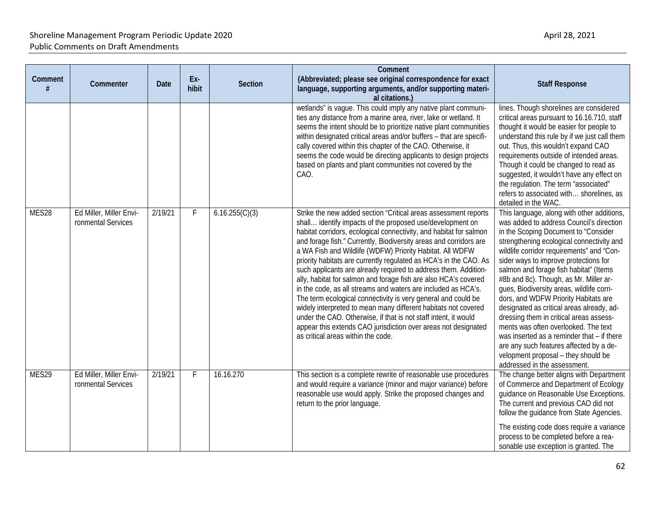| Comment<br># | Commenter                                     | <b>Date</b> | Ex-<br>hibit | Section        | Comment<br>(Abbreviated; please see original correspondence for exact<br>language, supporting arguments, and/or supporting materi-<br>al citations.)                                                                                                                                                                                                                                                                                                                                                                                                                                                                                                                                                                                                                                                                                                                                                                          | <b>Staff Response</b>                                                                                                                                                                                                                                                                                                                                                                                                                                                                                                                                                                                                                                                                                                                      |
|--------------|-----------------------------------------------|-------------|--------------|----------------|-------------------------------------------------------------------------------------------------------------------------------------------------------------------------------------------------------------------------------------------------------------------------------------------------------------------------------------------------------------------------------------------------------------------------------------------------------------------------------------------------------------------------------------------------------------------------------------------------------------------------------------------------------------------------------------------------------------------------------------------------------------------------------------------------------------------------------------------------------------------------------------------------------------------------------|--------------------------------------------------------------------------------------------------------------------------------------------------------------------------------------------------------------------------------------------------------------------------------------------------------------------------------------------------------------------------------------------------------------------------------------------------------------------------------------------------------------------------------------------------------------------------------------------------------------------------------------------------------------------------------------------------------------------------------------------|
|              |                                               |             |              |                | wetlands" is vague. This could imply any native plant communi-<br>ties any distance from a marine area, river, lake or wetland. It<br>seems the intent should be to prioritize native plant communities<br>within designated critical areas and/or buffers - that are specifi-<br>cally covered within this chapter of the CAO. Otherwise, it<br>seems the code would be directing applicants to design projects<br>based on plants and plant communities not covered by the<br>CAO.                                                                                                                                                                                                                                                                                                                                                                                                                                          | lines. Though shorelines are considered<br>critical areas pursuant to 16.16.710, staff<br>thought it would be easier for people to<br>understand this rule by if we just call them<br>out. Thus, this wouldn't expand CAO<br>requirements outside of intended areas.<br>Though it could be changed to read as<br>suggested, it wouldn't have any effect on<br>the regulation. The term "associated"<br>refers to associated with shorelines, as<br>detailed in the WAC.                                                                                                                                                                                                                                                                    |
| MES28        | Ed Miller, Miller Envi-<br>ronmental Services | 2/19/21     | F            | 6.16.255(C)(3) | Strike the new added section "Critical areas assessment reports<br>shall identify impacts of the proposed use/development on<br>habitat corridors, ecological connectivity, and habitat for salmon<br>and forage fish." Currently, Biodiversity areas and corridors are<br>a WA Fish and Wildlife (WDFW) Priority Habitat. All WDFW<br>priority habitats are currently regulated as HCA's in the CAO. As<br>such applicants are already required to address them. Addition-<br>ally, habitat for salmon and forage fish are also HCA's covered<br>in the code, as all streams and waters are included as HCA's.<br>The term ecological connectivity is very general and could be<br>widely interpreted to mean many different habitats not covered<br>under the CAO. Otherwise, if that is not staff intent, it would<br>appear this extends CAO jurisdiction over areas not designated<br>as critical areas within the code. | This language, along with other additions,<br>was added to address Council's direction<br>in the Scoping Document to "Consider<br>strengthening ecological connectivity and<br>wildlife corridor requirements" and "Con-<br>sider ways to improve protections for<br>salmon and forage fish habitat" (Items<br>#8b and 8c). Though, as Mr. Miller ar-<br>ques, Biodiversity areas, wildlife corri-<br>dors, and WDFW Priority Habitats are<br>designated as critical areas already, ad-<br>dressing them in critical areas assess-<br>ments was often overlooked. The text<br>was inserted as a reminder that - if there<br>are any such features affected by a de-<br>velopment proposal - they should be<br>addressed in the assessment. |
| MES29        | Ed Miller, Miller Envi-<br>ronmental Services | 2/19/21     | F            | 16.16.270      | This section is a complete rewrite of reasonable use procedures<br>and would require a variance (minor and major variance) before<br>reasonable use would apply. Strike the proposed changes and<br>return to the prior language.                                                                                                                                                                                                                                                                                                                                                                                                                                                                                                                                                                                                                                                                                             | The change better aligns with Department<br>of Commerce and Department of Ecology<br>guidance on Reasonable Use Exceptions.<br>The current and previous CAO did not<br>follow the guidance from State Agencies.<br>The existing code does require a variance<br>process to be completed before a rea-<br>sonable use exception is granted. The                                                                                                                                                                                                                                                                                                                                                                                             |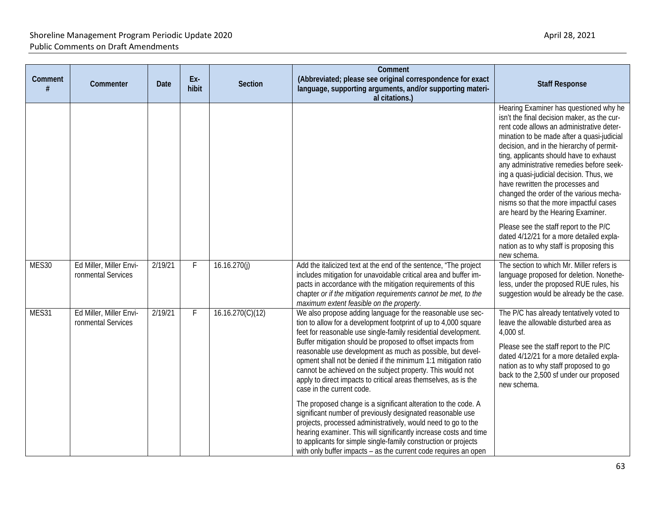| Comment<br>$\boldsymbol{\#}$ | Commenter                                     | <b>Date</b> | Ex-<br>hibit | <b>Section</b>   | Comment<br>(Abbreviated; please see original correspondence for exact<br>language, supporting arguments, and/or supporting materi-<br>al citations.)                                                                                                                                                                                                                                                                                                                                                                                                                                                                                                                                                                                                                                                                                                                                                   | <b>Staff Response</b>                                                                                                                                                                                                                                                                                                                                                                                                                                                                                                          |
|------------------------------|-----------------------------------------------|-------------|--------------|------------------|--------------------------------------------------------------------------------------------------------------------------------------------------------------------------------------------------------------------------------------------------------------------------------------------------------------------------------------------------------------------------------------------------------------------------------------------------------------------------------------------------------------------------------------------------------------------------------------------------------------------------------------------------------------------------------------------------------------------------------------------------------------------------------------------------------------------------------------------------------------------------------------------------------|--------------------------------------------------------------------------------------------------------------------------------------------------------------------------------------------------------------------------------------------------------------------------------------------------------------------------------------------------------------------------------------------------------------------------------------------------------------------------------------------------------------------------------|
|                              |                                               |             |              |                  |                                                                                                                                                                                                                                                                                                                                                                                                                                                                                                                                                                                                                                                                                                                                                                                                                                                                                                        | Hearing Examiner has questioned why he<br>isn't the final decision maker, as the cur-<br>rent code allows an administrative deter-<br>mination to be made after a quasi-judicial<br>decision, and in the hierarchy of permit-<br>ting, applicants should have to exhaust<br>any administrative remedies before seek-<br>ing a quasi-judicial decision. Thus, we<br>have rewritten the processes and<br>changed the order of the various mecha-<br>nisms so that the more impactful cases<br>are heard by the Hearing Examiner. |
|                              |                                               |             |              |                  |                                                                                                                                                                                                                                                                                                                                                                                                                                                                                                                                                                                                                                                                                                                                                                                                                                                                                                        | Please see the staff report to the P/C<br>dated 4/12/21 for a more detailed expla-<br>nation as to why staff is proposing this<br>new schema.                                                                                                                                                                                                                                                                                                                                                                                  |
| MES30                        | Ed Miller, Miller Envi-<br>ronmental Services | 2/19/21     | F            | 16.16.270(i)     | Add the italicized text at the end of the sentence, "The project<br>includes mitigation for unavoidable critical area and buffer im-<br>pacts in accordance with the mitigation requirements of this<br>chapter or if the mitigation requirements cannot be met, to the<br>maximum extent feasible on the property.                                                                                                                                                                                                                                                                                                                                                                                                                                                                                                                                                                                    | The section to which Mr. Miller refers is<br>language proposed for deletion. Nonethe-<br>less, under the proposed RUE rules, his<br>suggestion would be already be the case.                                                                                                                                                                                                                                                                                                                                                   |
| MES31                        | Ed Miller, Miller Envi-<br>ronmental Services | 2/19/21     | F            | 16.16.270(C)(12) | We also propose adding language for the reasonable use sec-<br>tion to allow for a development footprint of up to 4,000 square<br>feet for reasonable use single-family residential development.<br>Buffer mitigation should be proposed to offset impacts from<br>reasonable use development as much as possible, but devel-<br>opment shall not be denied if the minimum 1:1 mitigation ratio<br>cannot be achieved on the subject property. This would not<br>apply to direct impacts to critical areas themselves, as is the<br>case in the current code.<br>The proposed change is a significant alteration to the code. A<br>significant number of previously designated reasonable use<br>projects, processed administratively, would need to go to the<br>hearing examiner. This will significantly increase costs and time<br>to applicants for simple single-family construction or projects | The P/C has already tentatively voted to<br>leave the allowable disturbed area as<br>4,000 sf.<br>Please see the staff report to the P/C<br>dated 4/12/21 for a more detailed expla-<br>nation as to why staff proposed to go<br>back to the 2,500 sf under our proposed<br>new schema.                                                                                                                                                                                                                                        |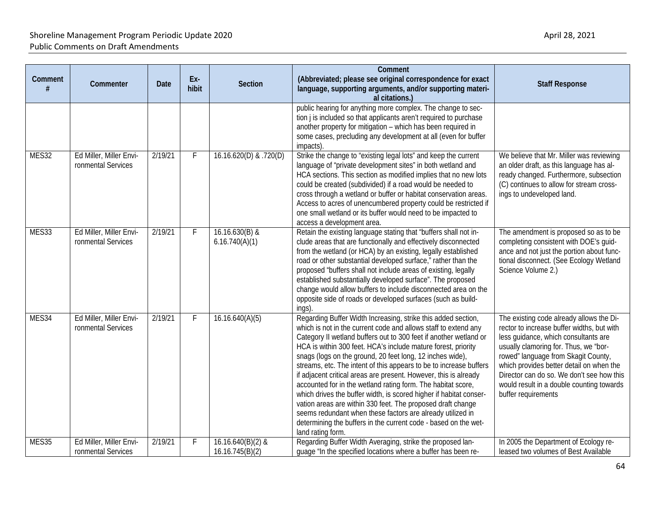| Comment | Commenter                                     | <b>Date</b> | Ex-<br>hibit | <b>Section</b>                       | Comment<br>(Abbreviated; please see original correspondence for exact<br>language, supporting arguments, and/or supporting materi-<br>al citations.)                                                                                                                                                                                                                                                                                                                                                                                                                                                                                                                                                                                                                                                                                     | <b>Staff Response</b>                                                                                                                                                                                                                                                                                                                                                       |
|---------|-----------------------------------------------|-------------|--------------|--------------------------------------|------------------------------------------------------------------------------------------------------------------------------------------------------------------------------------------------------------------------------------------------------------------------------------------------------------------------------------------------------------------------------------------------------------------------------------------------------------------------------------------------------------------------------------------------------------------------------------------------------------------------------------------------------------------------------------------------------------------------------------------------------------------------------------------------------------------------------------------|-----------------------------------------------------------------------------------------------------------------------------------------------------------------------------------------------------------------------------------------------------------------------------------------------------------------------------------------------------------------------------|
|         |                                               |             |              |                                      | public hearing for anything more complex. The change to sec-<br>tion j is included so that applicants aren't required to purchase<br>another property for mitigation - which has been required in<br>some cases, precluding any development at all (even for buffer<br>impacts).                                                                                                                                                                                                                                                                                                                                                                                                                                                                                                                                                         |                                                                                                                                                                                                                                                                                                                                                                             |
| MES32   | Ed Miller, Miller Envi-<br>ronmental Services | 2/19/21     | F            | 16.16.620(D) & .720(D)               | Strike the change to "existing legal lots" and keep the current<br>language of "private development sites" in both wetland and<br>HCA sections. This section as modified implies that no new lots<br>could be created (subdivided) if a road would be needed to<br>cross through a wetland or buffer or habitat conservation areas.<br>Access to acres of unencumbered property could be restricted if<br>one small wetland or its buffer would need to be impacted to<br>access a development area.                                                                                                                                                                                                                                                                                                                                     | We believe that Mr. Miller was reviewing<br>an older draft, as this language has al-<br>ready changed. Furthermore, subsection<br>(C) continues to allow for stream cross-<br>ings to undeveloped land.                                                                                                                                                                     |
| MES33   | Ed Miller, Miller Envi-<br>ronmental Services | 2/19/21     | F            | 16.16.630(B) &<br>6.16.740(A)(1)     | Retain the existing language stating that "buffers shall not in-<br>clude areas that are functionally and effectively disconnected<br>from the wetland (or HCA) by an existing, legally established<br>road or other substantial developed surface," rather than the<br>proposed "buffers shall not include areas of existing, legally<br>established substantially developed surface". The proposed<br>change would allow buffers to include disconnected area on the<br>opposite side of roads or developed surfaces (such as build-<br>ings).                                                                                                                                                                                                                                                                                         | The amendment is proposed so as to be<br>completing consistent with DOE's guid-<br>ance and not just the portion about func-<br>tional disconnect. (See Ecology Wetland<br>Science Volume 2.)                                                                                                                                                                               |
| MES34   | Ed Miller, Miller Envi-<br>ronmental Services | 2/19/21     | F            | 16.16.640(A)(5)                      | Regarding Buffer Width Increasing, strike this added section,<br>which is not in the current code and allows staff to extend any<br>Category II wetland buffers out to 300 feet if another wetland or<br>HCA is within 300 feet. HCA's include mature forest, priority<br>snags (logs on the ground, 20 feet long, 12 inches wide),<br>streams, etc. The intent of this appears to be to increase buffers<br>if adjacent critical areas are present. However, this is already<br>accounted for in the wetland rating form. The habitat score,<br>which drives the buffer width, is scored higher if habitat conser-<br>vation areas are within 330 feet. The proposed draft change<br>seems redundant when these factors are already utilized in<br>determining the buffers in the current code - based on the wet-<br>land rating form. | The existing code already allows the Di-<br>rector to increase buffer widths, but with<br>less guidance, which consultants are<br>usually clamoring for. Thus, we "bor-<br>rowed" language from Skagit County,<br>which provides better detail on when the<br>Director can do so. We don't see how this<br>would result in a double counting towards<br>buffer requirements |
| MES35   | Ed Miller, Miller Envi-<br>ronmental Services | 2/19/21     | F            | 16.16.640(B)(2) &<br>16.16.745(B)(2) | Regarding Buffer Width Averaging, strike the proposed lan-<br>guage "In the specified locations where a buffer has been re-                                                                                                                                                                                                                                                                                                                                                                                                                                                                                                                                                                                                                                                                                                              | In 2005 the Department of Ecology re-<br>leased two volumes of Best Available                                                                                                                                                                                                                                                                                               |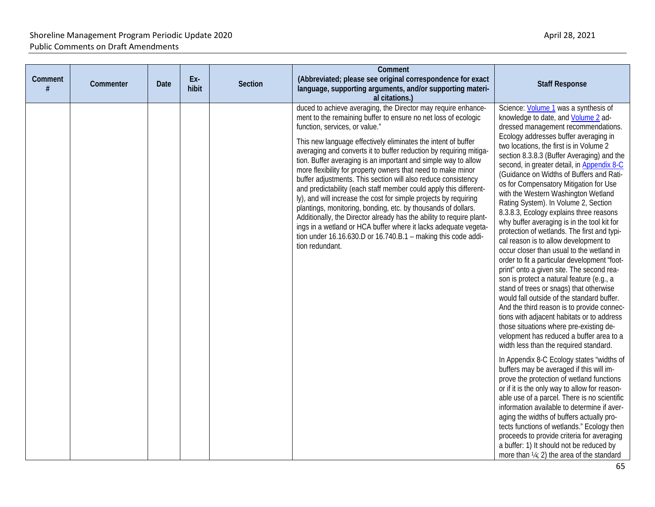| Comment<br># | Commenter | Date | Ex-<br>hibit | Section | Comment<br>(Abbreviated; please see original correspondence for exact<br>language, supporting arguments, and/or supporting materi-<br>al citations.)                                                                                                                                                                                                                                                                                                                                                                                                                                                                                                                                                                                                                                                                                                                                                                                                     | <b>Staff Response</b>                                                                                                                                                                                                                                                                                                                                                                                                                                                                                                                                                                                                                                                                                                                                                                                                                                                                                                                                                                                                                                                                                                                                                                                                                                                                                                                                                                                                                                                                                                                                                                                                                                                                           |
|--------------|-----------|------|--------------|---------|----------------------------------------------------------------------------------------------------------------------------------------------------------------------------------------------------------------------------------------------------------------------------------------------------------------------------------------------------------------------------------------------------------------------------------------------------------------------------------------------------------------------------------------------------------------------------------------------------------------------------------------------------------------------------------------------------------------------------------------------------------------------------------------------------------------------------------------------------------------------------------------------------------------------------------------------------------|-------------------------------------------------------------------------------------------------------------------------------------------------------------------------------------------------------------------------------------------------------------------------------------------------------------------------------------------------------------------------------------------------------------------------------------------------------------------------------------------------------------------------------------------------------------------------------------------------------------------------------------------------------------------------------------------------------------------------------------------------------------------------------------------------------------------------------------------------------------------------------------------------------------------------------------------------------------------------------------------------------------------------------------------------------------------------------------------------------------------------------------------------------------------------------------------------------------------------------------------------------------------------------------------------------------------------------------------------------------------------------------------------------------------------------------------------------------------------------------------------------------------------------------------------------------------------------------------------------------------------------------------------------------------------------------------------|
|              |           |      |              |         | duced to achieve averaging, the Director may require enhance-<br>ment to the remaining buffer to ensure no net loss of ecologic<br>function, services, or value."<br>This new language effectively eliminates the intent of buffer<br>averaging and converts it to buffer reduction by requiring mitiga-<br>tion. Buffer averaging is an important and simple way to allow<br>more flexibility for property owners that need to make minor<br>buffer adjustments. This section will also reduce consistency<br>and predictability (each staff member could apply this different-<br>ly), and will increase the cost for simple projects by requiring<br>plantings, monitoring, bonding, etc. by thousands of dollars.<br>Additionally, the Director already has the ability to require plant-<br>ings in a wetland or HCA buffer where it lacks adequate vegeta-<br>tion under $16.16.630.D$ or $16.740.B.1$ – making this code addi-<br>tion redundant. | Science: Volume 1 was a synthesis of<br>knowledge to date, and Volume 2 ad-<br>dressed management recommendations.<br>Ecology addresses buffer averaging in<br>two locations, the first is in Volume 2<br>section 8.3.8.3 (Buffer Averaging) and the<br>second, in greater detail, in Appendix 8-C<br>(Guidance on Widths of Buffers and Rati-<br>os for Compensatory Mitigation for Use<br>with the Western Washington Wetland<br>Rating System). In Volume 2, Section<br>8.3.8.3, Ecology explains three reasons<br>why buffer averaging is in the tool kit for<br>protection of wetlands. The first and typi-<br>cal reason is to allow development to<br>occur closer than usual to the wetland in<br>order to fit a particular development "foot-<br>print" onto a given site. The second rea-<br>son is protect a natural feature (e.g., a<br>stand of trees or snags) that otherwise<br>would fall outside of the standard buffer.<br>And the third reason is to provide connec-<br>tions with adjacent habitats or to address<br>those situations where pre-existing de-<br>velopment has reduced a buffer area to a<br>width less than the required standard.<br>In Appendix 8-C Ecology states "widths of<br>buffers may be averaged if this will im-<br>prove the protection of wetland functions<br>or if it is the only way to allow for reason-<br>able use of a parcel. There is no scientific<br>information available to determine if aver-<br>aging the widths of buffers actually pro-<br>tects functions of wetlands." Ecology then<br>proceeds to provide criteria for averaging<br>a buffer: 1) It should not be reduced by<br>more than 1/4; 2) the area of the standard |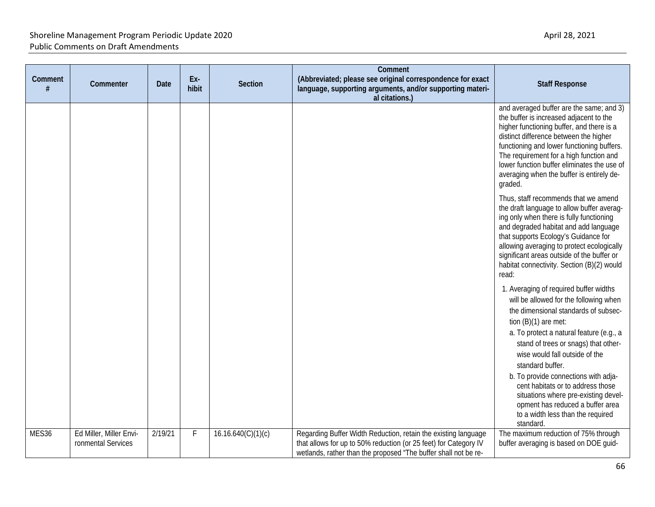| Comment<br># | Commenter                                     | Date    | Ex-<br>hibit | <b>Section</b>     | Comment<br>(Abbreviated; please see original correspondence for exact<br>language, supporting arguments, and/or supporting materi-<br>al citations.)                                                  | <b>Staff Response</b>                                                                                                                                                                                                                                                                                                                                                                                              |
|--------------|-----------------------------------------------|---------|--------------|--------------------|-------------------------------------------------------------------------------------------------------------------------------------------------------------------------------------------------------|--------------------------------------------------------------------------------------------------------------------------------------------------------------------------------------------------------------------------------------------------------------------------------------------------------------------------------------------------------------------------------------------------------------------|
|              |                                               |         |              |                    |                                                                                                                                                                                                       | and averaged buffer are the same; and 3)<br>the buffer is increased adjacent to the<br>higher functioning buffer, and there is a<br>distinct difference between the higher<br>functioning and lower functioning buffers.<br>The requirement for a high function and<br>lower function buffer eliminates the use of<br>averaging when the buffer is entirely de-<br>graded.<br>Thus, staff recommends that we amend |
|              |                                               |         |              |                    |                                                                                                                                                                                                       | the draft language to allow buffer averag-<br>ing only when there is fully functioning<br>and degraded habitat and add language<br>that supports Ecology's Guidance for<br>allowing averaging to protect ecologically<br>significant areas outside of the buffer or<br>habitat connectivity. Section (B)(2) would<br>read:                                                                                         |
|              |                                               |         |              |                    |                                                                                                                                                                                                       | 1. Averaging of required buffer widths<br>will be allowed for the following when<br>the dimensional standards of subsec-<br>tion $(B)(1)$ are met:<br>a. To protect a natural feature (e.g., a<br>stand of trees or snags) that other-<br>wise would fall outside of the<br>standard buffer.                                                                                                                       |
|              |                                               |         |              |                    |                                                                                                                                                                                                       | b. To provide connections with adja-<br>cent habitats or to address those<br>situations where pre-existing devel-<br>opment has reduced a buffer area<br>to a width less than the required<br>standard.                                                                                                                                                                                                            |
| MES36        | Ed Miller, Miller Envi-<br>ronmental Services | 2/19/21 | F            | 16.16.640(C)(1)(c) | Regarding Buffer Width Reduction, retain the existing language<br>that allows for up to 50% reduction (or 25 feet) for Category IV<br>wetlands, rather than the proposed "The buffer shall not be re- | The maximum reduction of 75% through<br>buffer averaging is based on DOE guid-                                                                                                                                                                                                                                                                                                                                     |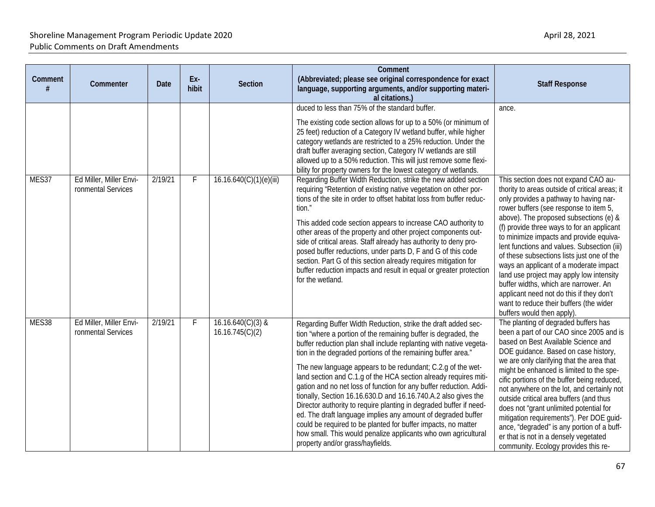| Comment<br># | Commenter                                     | <b>Date</b> | Ex-<br>hibit | Section                                | Comment<br>(Abbreviated; please see original correspondence for exact<br>language, supporting arguments, and/or supporting materi-                                                                                                                                                                                                                                                                                                                                                                                                                                                                                                                                                                                                                                                                                                                                                                                                                                                                                                                                                                                                           | <b>Staff Response</b>                                                                                                                                                                                                                                                                                                                                                                                                                                                                                                                                                                                                                                                   |
|--------------|-----------------------------------------------|-------------|--------------|----------------------------------------|----------------------------------------------------------------------------------------------------------------------------------------------------------------------------------------------------------------------------------------------------------------------------------------------------------------------------------------------------------------------------------------------------------------------------------------------------------------------------------------------------------------------------------------------------------------------------------------------------------------------------------------------------------------------------------------------------------------------------------------------------------------------------------------------------------------------------------------------------------------------------------------------------------------------------------------------------------------------------------------------------------------------------------------------------------------------------------------------------------------------------------------------|-------------------------------------------------------------------------------------------------------------------------------------------------------------------------------------------------------------------------------------------------------------------------------------------------------------------------------------------------------------------------------------------------------------------------------------------------------------------------------------------------------------------------------------------------------------------------------------------------------------------------------------------------------------------------|
| MES37        | Ed Miller, Miller Envi-<br>ronmental Services | 2/19/21     | F            | 16.16.640(C)(1)(e)(iii)                | al citations.)<br>duced to less than 75% of the standard buffer.<br>The existing code section allows for up to a 50% (or minimum of<br>25 feet) reduction of a Category IV wetland buffer, while higher<br>category wetlands are restricted to a 25% reduction. Under the<br>draft buffer averaging section, Category IV wetlands are still<br>allowed up to a 50% reduction. This will just remove some flexi-<br>bility for property owners for the lowest category of wetlands.<br>Regarding Buffer Width Reduction, strike the new added section<br>requiring "Retention of existing native vegetation on other por-<br>tions of the site in order to offset habitat loss from buffer reduc-<br>tion."<br>This added code section appears to increase CAO authority to<br>other areas of the property and other project components out-<br>side of critical areas. Staff already has authority to deny pro-<br>posed buffer reductions, under parts D, F and G of this code<br>section. Part G of this section already requires mitigation for<br>buffer reduction impacts and result in equal or greater protection<br>for the wetland. | ance.<br>This section does not expand CAO au-<br>thority to areas outside of critical areas; it<br>only provides a pathway to having nar-<br>rower buffers (see response to item 5,<br>above). The proposed subsections (e) &<br>(f) provide three ways to for an applicant<br>to minimize impacts and provide equiva-<br>lent functions and values. Subsection (iii)<br>of these subsections lists just one of the<br>ways an applicant of a moderate impact<br>land use project may apply low intensity<br>buffer widths, which are narrower. An<br>applicant need not do this if they don't<br>want to reduce their buffers (the wider<br>buffers would then apply). |
| MES38        | Ed Miller, Miller Envi-<br>ronmental Services | 2/19/21     | F.           | $16.16.640(C)(3)$ &<br>16.16.745(C)(2) | Regarding Buffer Width Reduction, strike the draft added sec-<br>tion "where a portion of the remaining buffer is degraded, the<br>buffer reduction plan shall include replanting with native vegeta-<br>tion in the degraded portions of the remaining buffer area."<br>The new language appears to be redundant; C.2.g of the wet-<br>land section and C.1.g of the HCA section already requires miti-<br>gation and no net loss of function for any buffer reduction. Addi-<br>tionally, Section 16.16.630.D and 16.16.740.A.2 also gives the<br>Director authority to require planting in degraded buffer if need-<br>ed. The draft language implies any amount of degraded buffer<br>could be required to be planted for buffer impacts, no matter<br>how small. This would penalize applicants who own agricultural<br>property and/or grass/hayfields.                                                                                                                                                                                                                                                                                | The planting of degraded buffers has<br>been a part of our CAO since 2005 and is<br>based on Best Available Science and<br>DOE guidance. Based on case history,<br>we are only clarifying that the area that<br>might be enhanced is limited to the spe-<br>cific portions of the buffer being reduced,<br>not anywhere on the lot, and certainly not<br>outside critical area buffers (and thus<br>does not "grant unlimited potential for<br>mitigation requirements"). Per DOE guid-<br>ance, "degraded" is any portion of a buff-<br>er that is not in a densely vegetated<br>community. Ecology provides this re-                                                  |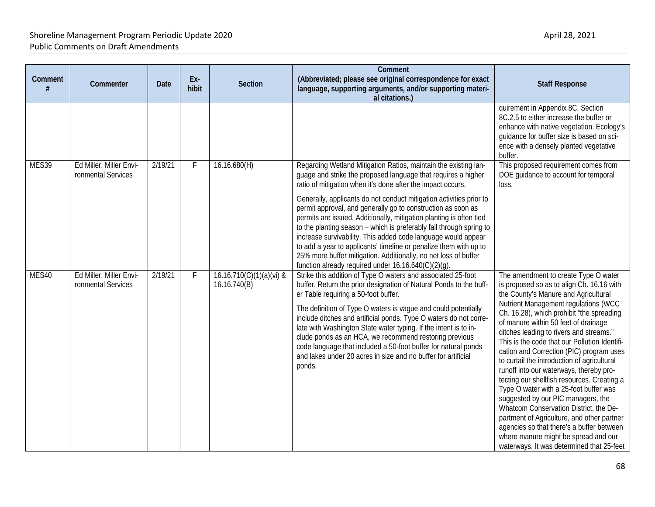| Comment | Commenter                                     | Date    | Ex-<br>hibit | <b>Section</b>                           | Comment<br>(Abbreviated; please see original correspondence for exact<br>language, supporting arguments, and/or supporting materi-<br>al citations.)                                                                                                                                                                                                                                                                                                                                                                                                                                                                                                                                                                                                 | <b>Staff Response</b>                                                                                                                                                                                                                                                                                                                                                                                                                                                                                                                                                                                                                                                                                                                                                                                                                             |
|---------|-----------------------------------------------|---------|--------------|------------------------------------------|------------------------------------------------------------------------------------------------------------------------------------------------------------------------------------------------------------------------------------------------------------------------------------------------------------------------------------------------------------------------------------------------------------------------------------------------------------------------------------------------------------------------------------------------------------------------------------------------------------------------------------------------------------------------------------------------------------------------------------------------------|---------------------------------------------------------------------------------------------------------------------------------------------------------------------------------------------------------------------------------------------------------------------------------------------------------------------------------------------------------------------------------------------------------------------------------------------------------------------------------------------------------------------------------------------------------------------------------------------------------------------------------------------------------------------------------------------------------------------------------------------------------------------------------------------------------------------------------------------------|
|         |                                               |         |              |                                          |                                                                                                                                                                                                                                                                                                                                                                                                                                                                                                                                                                                                                                                                                                                                                      | quirement in Appendix 8C, Section<br>8C.2.5 to either increase the buffer or<br>enhance with native vegetation. Ecology's<br>quidance for buffer size is based on sci-<br>ence with a densely planted vegetative<br>buffer.                                                                                                                                                                                                                                                                                                                                                                                                                                                                                                                                                                                                                       |
| MES39   | Ed Miller, Miller Envi-<br>ronmental Services | 2/19/21 | F            | 16.16.680(H)                             | Regarding Wetland Mitigation Ratios, maintain the existing lan-<br>guage and strike the proposed language that requires a higher<br>ratio of mitigation when it's done after the impact occurs.<br>Generally, applicants do not conduct mitigation activities prior to<br>permit approval, and generally go to construction as soon as<br>permits are issued. Additionally, mitigation planting is often tied<br>to the planting season - which is preferably fall through spring to<br>increase survivability. This added code language would appear<br>to add a year to applicants' timeline or penalize them with up to<br>25% more buffer mitigation. Additionally, no net loss of buffer<br>function already required under 16.16.640(C)(2)(g). | This proposed requirement comes from<br>DOE guidance to account for temporal<br>loss.                                                                                                                                                                                                                                                                                                                                                                                                                                                                                                                                                                                                                                                                                                                                                             |
| MES40   | Ed Miller, Miller Envi-<br>ronmental Services | 2/19/21 |              | 16.16.710(C)(1)(a)(vi) &<br>16.16.740(B) | Strike this addition of Type O waters and associated 25-foot<br>buffer. Return the prior designation of Natural Ponds to the buff-<br>er Table requiring a 50-foot buffer.<br>The definition of Type O waters is vague and could potentially<br>include ditches and artificial ponds. Type O waters do not corre-<br>late with Washington State water typing. If the intent is to in-<br>clude ponds as an HCA, we recommend restoring previous<br>code language that included a 50-foot buffer for natural ponds<br>and lakes under 20 acres in size and no buffer for artificial<br>ponds.                                                                                                                                                         | The amendment to create Type O water<br>is proposed so as to align Ch. 16.16 with<br>the County's Manure and Agricultural<br>Nutrient Management regulations (WCC<br>Ch. 16.28), which prohibit "the spreading<br>of manure within 50 feet of drainage<br>ditches leading to rivers and streams."<br>This is the code that our Pollution Identifi-<br>cation and Correction (PIC) program uses<br>to curtail the introduction of agricultural<br>runoff into our waterways, thereby pro-<br>tecting our shellfish resources. Creating a<br>Type O water with a 25-foot buffer was<br>suggested by our PIC managers, the<br>Whatcom Conservation District, the De-<br>partment of Agriculture, and other partner<br>agencies so that there's a buffer between<br>where manure might be spread and our<br>waterways. It was determined that 25-feet |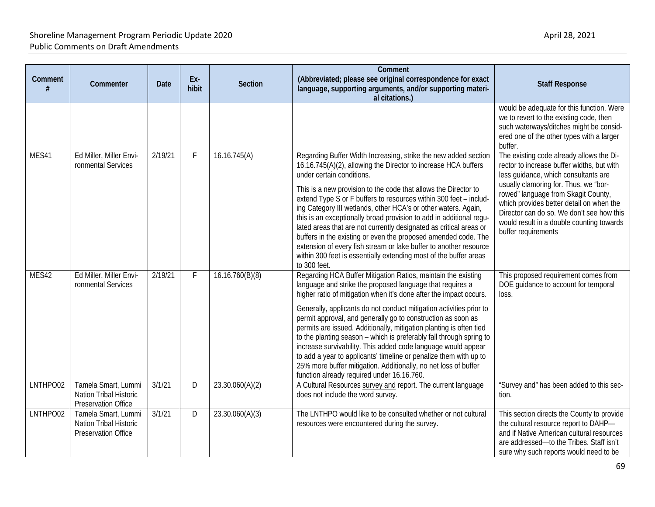| Comment<br># | Commenter                                                                   | <b>Date</b> | Ex-<br>hibit | Section         | Comment<br>(Abbreviated; please see original correspondence for exact<br>language, supporting arguments, and/or supporting materi-<br>al citations.)                                                                                                                                                                                                                                                                                                                                                                                                                                                                                                                                                                                              | <b>Staff Response</b>                                                                                                                                                                                                                                                                                                                                                       |
|--------------|-----------------------------------------------------------------------------|-------------|--------------|-----------------|---------------------------------------------------------------------------------------------------------------------------------------------------------------------------------------------------------------------------------------------------------------------------------------------------------------------------------------------------------------------------------------------------------------------------------------------------------------------------------------------------------------------------------------------------------------------------------------------------------------------------------------------------------------------------------------------------------------------------------------------------|-----------------------------------------------------------------------------------------------------------------------------------------------------------------------------------------------------------------------------------------------------------------------------------------------------------------------------------------------------------------------------|
|              |                                                                             |             |              |                 |                                                                                                                                                                                                                                                                                                                                                                                                                                                                                                                                                                                                                                                                                                                                                   | would be adequate for this function. Were<br>we to revert to the existing code, then<br>such waterways/ditches might be consid-<br>ered one of the other types with a larger<br>buffer.                                                                                                                                                                                     |
| MES41        | Ed Miller, Miller Envi-<br>ronmental Services                               | 2/19/21     | F            | 16.16.745(A)    | Regarding Buffer Width Increasing, strike the new added section<br>16.16.745(A)(2), allowing the Director to increase HCA buffers<br>under certain conditions.<br>This is a new provision to the code that allows the Director to<br>extend Type S or F buffers to resources within 300 feet - includ-<br>ing Category III wetlands, other HCA's or other waters. Again,<br>this is an exceptionally broad provision to add in additional regu-<br>lated areas that are not currently designated as critical areas or<br>buffers in the existing or even the proposed amended code. The<br>extension of every fish stream or lake buffer to another resource<br>within 300 feet is essentially extending most of the buffer areas<br>to 300 feet. | The existing code already allows the Di-<br>rector to increase buffer widths, but with<br>less guidance, which consultants are<br>usually clamoring for. Thus, we "bor-<br>rowed" language from Skagit County,<br>which provides better detail on when the<br>Director can do so. We don't see how this<br>would result in a double counting towards<br>buffer requirements |
| MES42        | Ed Miller, Miller Envi-<br>ronmental Services                               | 2/19/21     | $\mathsf{F}$ | 16.16.760(B)(8) | Regarding HCA Buffer Mitigation Ratios, maintain the existing<br>language and strike the proposed language that requires a<br>higher ratio of mitigation when it's done after the impact occurs.<br>Generally, applicants do not conduct mitigation activities prior to<br>permit approval, and generally go to construction as soon as<br>permits are issued. Additionally, mitigation planting is often tied<br>to the planting season - which is preferably fall through spring to<br>increase survivability. This added code language would appear<br>to add a year to applicants' timeline or penalize them with up to<br>25% more buffer mitigation. Additionally, no net loss of buffer<br>function already required under 16.16.760.      | This proposed requirement comes from<br>DOE guidance to account for temporal<br>loss.                                                                                                                                                                                                                                                                                       |
| LNTHPO02     | Tamela Smart, Lummi<br>Nation Tribal Historic<br>Preservation Office        | 3/1/21      | D            | 23.30.060(A)(2) | A Cultural Resources survey and report. The current language<br>does not include the word survey.                                                                                                                                                                                                                                                                                                                                                                                                                                                                                                                                                                                                                                                 | "Survey and" has been added to this sec-<br>tion.                                                                                                                                                                                                                                                                                                                           |
| LNTHPO02     | Tamela Smart, Lummi<br>Nation Tribal Historic<br><b>Preservation Office</b> | 3/1/21      | D            | 23.30.060(A)(3) | The LNTHPO would like to be consulted whether or not cultural<br>resources were encountered during the survey.                                                                                                                                                                                                                                                                                                                                                                                                                                                                                                                                                                                                                                    | This section directs the County to provide<br>the cultural resource report to DAHP-<br>and if Native American cultural resources<br>are addressed-to the Tribes. Staff isn't<br>sure why such reports would need to be                                                                                                                                                      |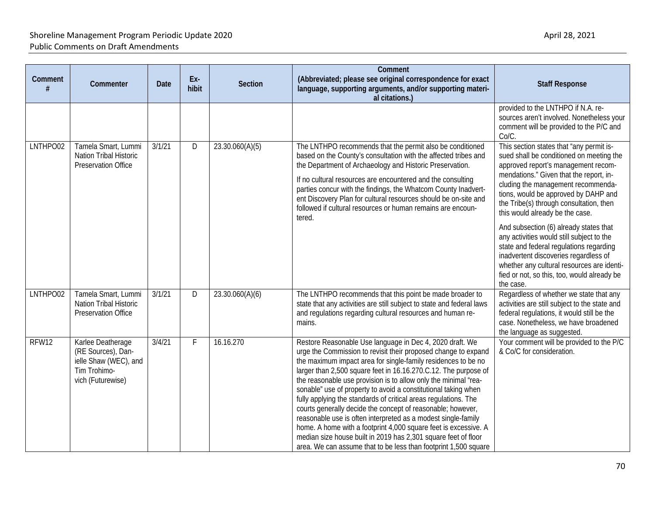| Comment<br># | Commenter                                                                                             | <b>Date</b> | Ex-<br>hibit | <b>Section</b>  | Comment<br>(Abbreviated; please see original correspondence for exact<br>language, supporting arguments, and/or supporting materi-<br>al citations.)                                                                                                                                                                                                                                                                                                                                                                                                                                                                                                                                                                                                                                                           | <b>Staff Response</b>                                                                                                                                                                                                                                                                                                                                                                                                                                                                                                                                                                                                   |
|--------------|-------------------------------------------------------------------------------------------------------|-------------|--------------|-----------------|----------------------------------------------------------------------------------------------------------------------------------------------------------------------------------------------------------------------------------------------------------------------------------------------------------------------------------------------------------------------------------------------------------------------------------------------------------------------------------------------------------------------------------------------------------------------------------------------------------------------------------------------------------------------------------------------------------------------------------------------------------------------------------------------------------------|-------------------------------------------------------------------------------------------------------------------------------------------------------------------------------------------------------------------------------------------------------------------------------------------------------------------------------------------------------------------------------------------------------------------------------------------------------------------------------------------------------------------------------------------------------------------------------------------------------------------------|
|              |                                                                                                       |             |              |                 |                                                                                                                                                                                                                                                                                                                                                                                                                                                                                                                                                                                                                                                                                                                                                                                                                | provided to the LNTHPO if N.A. re-<br>sources aren't involved. Nonetheless your<br>comment will be provided to the P/C and<br>Co/C.                                                                                                                                                                                                                                                                                                                                                                                                                                                                                     |
| LNTHPO02     | Tamela Smart, Lummi<br>Nation Tribal Historic<br>Preservation Office                                  | 3/1/21      | D            | 23.30.060(A)(5) | The LNTHPO recommends that the permit also be conditioned<br>based on the County's consultation with the affected tribes and<br>the Department of Archaeology and Historic Preservation.<br>If no cultural resources are encountered and the consulting<br>parties concur with the findings, the Whatcom County Inadvert-<br>ent Discovery Plan for cultural resources should be on-site and<br>followed if cultural resources or human remains are encoun-<br>tered.                                                                                                                                                                                                                                                                                                                                          | This section states that "any permit is-<br>sued shall be conditioned on meeting the<br>approved report's management recom-<br>mendations." Given that the report, in-<br>cluding the management recommenda-<br>tions, would be approved by DAHP and<br>the Tribe(s) through consultation, then<br>this would already be the case.<br>And subsection (6) already states that<br>any activities would still subject to the<br>state and federal regulations regarding<br>inadvertent discoveries regardless of<br>whether any cultural resources are identi-<br>fied or not, so this, too, would already be<br>the case. |
| LNTHPO02     | Tamela Smart, Lummi<br>Nation Tribal Historic<br>Preservation Office                                  | 3/1/21      | D            | 23.30.060(A)(6) | The LNTHPO recommends that this point be made broader to<br>state that any activities are still subject to state and federal laws<br>and regulations regarding cultural resources and human re-<br>mains.                                                                                                                                                                                                                                                                                                                                                                                                                                                                                                                                                                                                      | Regardless of whether we state that any<br>activities are still subject to the state and<br>federal regulations, it would still be the<br>case. Nonetheless, we have broadened<br>the language as suggested.                                                                                                                                                                                                                                                                                                                                                                                                            |
| RFW12        | Karlee Deatherage<br>(RE Sources), Dan-<br>ielle Shaw (WEC), and<br>Tim Trohimo-<br>vich (Futurewise) | 3/4/21      | F.           | 16.16.270       | Restore Reasonable Use language in Dec 4, 2020 draft. We<br>urge the Commission to revisit their proposed change to expand<br>the maximum impact area for single-family residences to be no<br>larger than 2,500 square feet in 16.16.270.C.12. The purpose of<br>the reasonable use provision is to allow only the minimal "rea-<br>sonable" use of property to avoid a constitutional taking when<br>fully applying the standards of critical areas regulations. The<br>courts generally decide the concept of reasonable; however,<br>reasonable use is often interpreted as a modest single-family<br>home. A home with a footprint 4,000 square feet is excessive. A<br>median size house built in 2019 has 2,301 square feet of floor<br>area. We can assume that to be less than footprint 1,500 square | Your comment will be provided to the P/C<br>& Co/C for consideration.                                                                                                                                                                                                                                                                                                                                                                                                                                                                                                                                                   |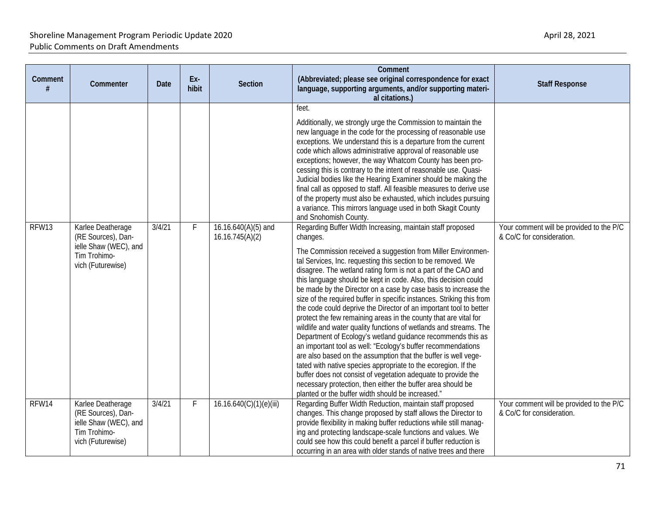| Comment<br># | Commenter                                                                                             | <b>Date</b> | Ex-<br>hibit | Section                                | Comment<br>(Abbreviated; please see original correspondence for exact<br>language, supporting arguments, and/or supporting materi-<br>al citations.)                                                                                                                                                                                                                                                                                                                                                                                                                                                                                                                                                                                                                                                                                                                                                                                                                                                                                                                                                                                                           | <b>Staff Response</b>                                                 |
|--------------|-------------------------------------------------------------------------------------------------------|-------------|--------------|----------------------------------------|----------------------------------------------------------------------------------------------------------------------------------------------------------------------------------------------------------------------------------------------------------------------------------------------------------------------------------------------------------------------------------------------------------------------------------------------------------------------------------------------------------------------------------------------------------------------------------------------------------------------------------------------------------------------------------------------------------------------------------------------------------------------------------------------------------------------------------------------------------------------------------------------------------------------------------------------------------------------------------------------------------------------------------------------------------------------------------------------------------------------------------------------------------------|-----------------------------------------------------------------------|
|              |                                                                                                       |             |              |                                        | feet.<br>Additionally, we strongly urge the Commission to maintain the<br>new language in the code for the processing of reasonable use<br>exceptions. We understand this is a departure from the current<br>code which allows administrative approval of reasonable use<br>exceptions; however, the way Whatcom County has been pro-<br>cessing this is contrary to the intent of reasonable use. Quasi-<br>Judicial bodies like the Hearing Examiner should be making the<br>final call as opposed to staff. All feasible measures to derive use<br>of the property must also be exhausted, which includes pursuing<br>a variance. This mirrors language used in both Skagit County<br>and Snohomish County.                                                                                                                                                                                                                                                                                                                                                                                                                                                 |                                                                       |
| RFW13        | Karlee Deatherage<br>(RE Sources), Dan-<br>ielle Shaw (WEC), and<br>Tim Trohimo-<br>vich (Futurewise) | 3/4/21      | F            | 16.16.640(A)(5) and<br>16.16.745(A)(2) | Regarding Buffer Width Increasing, maintain staff proposed<br>changes.<br>The Commission received a suggestion from Miller Environmen-<br>tal Services, Inc. requesting this section to be removed. We<br>disagree. The wetland rating form is not a part of the CAO and<br>this language should be kept in code. Also, this decision could<br>be made by the Director on a case by case basis to increase the<br>size of the required buffer in specific instances. Striking this from<br>the code could deprive the Director of an important tool to better<br>protect the few remaining areas in the county that are vital for<br>wildlife and water quality functions of wetlands and streams. The<br>Department of Ecology's wetland guidance recommends this as<br>an important tool as well: "Ecology's buffer recommendations<br>are also based on the assumption that the buffer is well vege-<br>tated with native species appropriate to the ecoregion. If the<br>buffer does not consist of vegetation adequate to provide the<br>necessary protection, then either the buffer area should be<br>planted or the buffer width should be increased." | Your comment will be provided to the P/C<br>& Co/C for consideration. |
| RFW14        | Karlee Deatherage<br>(RE Sources), Dan-<br>ielle Shaw (WEC), and<br>Tim Trohimo-<br>vich (Futurewise) | 3/4/21      | $\mathsf F$  | 16.16.640(C)(1)(e)(iii)                | Regarding Buffer Width Reduction, maintain staff proposed<br>changes. This change proposed by staff allows the Director to<br>provide flexibility in making buffer reductions while still manag-<br>ing and protecting landscape-scale functions and values. We<br>could see how this could benefit a parcel if buffer reduction is<br>occurring in an area with older stands of native trees and there                                                                                                                                                                                                                                                                                                                                                                                                                                                                                                                                                                                                                                                                                                                                                        | Your comment will be provided to the P/C<br>& Co/C for consideration. |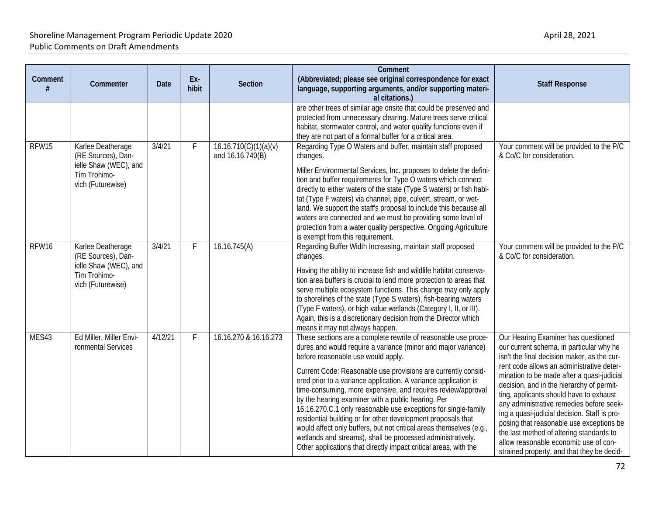| Comment | Commenter                                                                                             | <b>Date</b> | Ex-<br>hibit | <b>Section</b>                            | Comment<br>(Abbreviated; please see original correspondence for exact<br>language, supporting arguments, and/or supporting materi-<br>al citations.)                                                                                                                                                                                                                                                                                                                                                                                                                                                                                                                                                                                                                        | <b>Staff Response</b>                                                                                                                                                                                                                                                                                                                                                                                                                                                                                                                                                                        |
|---------|-------------------------------------------------------------------------------------------------------|-------------|--------------|-------------------------------------------|-----------------------------------------------------------------------------------------------------------------------------------------------------------------------------------------------------------------------------------------------------------------------------------------------------------------------------------------------------------------------------------------------------------------------------------------------------------------------------------------------------------------------------------------------------------------------------------------------------------------------------------------------------------------------------------------------------------------------------------------------------------------------------|----------------------------------------------------------------------------------------------------------------------------------------------------------------------------------------------------------------------------------------------------------------------------------------------------------------------------------------------------------------------------------------------------------------------------------------------------------------------------------------------------------------------------------------------------------------------------------------------|
|         |                                                                                                       |             |              |                                           | are other trees of similar age onsite that could be preserved and<br>protected from unnecessary clearing. Mature trees serve critical<br>habitat, stormwater control, and water quality functions even if<br>they are not part of a formal buffer for a critical area.                                                                                                                                                                                                                                                                                                                                                                                                                                                                                                      |                                                                                                                                                                                                                                                                                                                                                                                                                                                                                                                                                                                              |
| RFW15   | Karlee Deatherage<br>(RE Sources), Dan-<br>ielle Shaw (WEC), and<br>Tim Trohimo-<br>vich (Futurewise) | 3/4/21      | F            | 16.16.710(C)(1)(a)(v)<br>and 16.16.740(B) | Regarding Type O Waters and buffer, maintain staff proposed<br>changes.<br>Miller Environmental Services, Inc. proposes to delete the defini-<br>tion and buffer requirements for Type O waters which connect<br>directly to either waters of the state (Type S waters) or fish habi-<br>tat (Type F waters) via channel, pipe, culvert, stream, or wet-<br>land. We support the staff's proposal to include this because all<br>waters are connected and we must be providing some level of<br>protection from a water quality perspective. Ongoing Agriculture<br>is exempt from this requirement.                                                                                                                                                                        | Your comment will be provided to the P/C<br>& Co/C for consideration.                                                                                                                                                                                                                                                                                                                                                                                                                                                                                                                        |
| RFW16   | Karlee Deatherage<br>(RE Sources), Dan-<br>ielle Shaw (WEC), and<br>Tim Trohimo-<br>vich (Futurewise) | 3/4/21      | F            | 16.16.745(A)                              | Regarding Buffer Width Increasing, maintain staff proposed<br>changes.<br>Having the ability to increase fish and wildlife habitat conserva-<br>tion area buffers is crucial to lend more protection to areas that<br>serve multiple ecosystem functions. This change may only apply<br>to shorelines of the state (Type S waters), fish-bearing waters<br>(Type F waters), or high value wetlands (Category I, II, or III).<br>Again, this is a discretionary decision from the Director which<br>means it may not always happen.                                                                                                                                                                                                                                          | Your comment will be provided to the P/C<br>& Co/C for consideration.                                                                                                                                                                                                                                                                                                                                                                                                                                                                                                                        |
| MES43   | Ed Miller, Miller Envi-<br>ronmental Services                                                         | 4/12/21     | F            | 16.16.270 & 16.16.273                     | These sections are a complete rewrite of reasonable use proce-<br>dures and would require a variance (minor and major variance)<br>before reasonable use would apply.<br>Current Code: Reasonable use provisions are currently consid-<br>ered prior to a variance application. A variance application is<br>time-consuming, more expensive, and requires review/approval<br>by the hearing examiner with a public hearing. Per<br>16.16.270.C.1 only reasonable use exceptions for single-family<br>residential building or for other development proposals that<br>would affect only buffers, but not critical areas themselves (e.g.,<br>wetlands and streams), shall be processed administratively.<br>Other applications that directly impact critical areas, with the | Our Hearing Examiner has questioned<br>our current schema, in particular why he<br>isn't the final decision maker, as the cur-<br>rent code allows an administrative deter-<br>mination to be made after a quasi-judicial<br>decision, and in the hierarchy of permit-<br>ting, applicants should have to exhaust<br>any administrative remedies before seek-<br>ing a quasi-judicial decision. Staff is pro-<br>posing that reasonable use exceptions be<br>the last method of altering standards to<br>allow reasonable economic use of con-<br>strained property, and that they be decid- |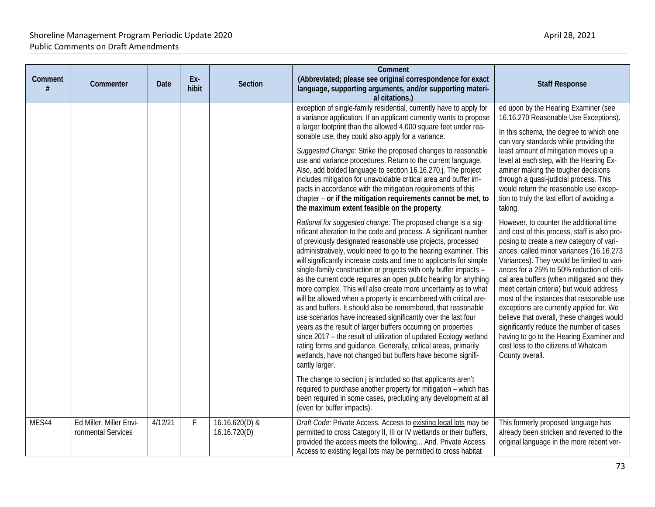| Comment<br># | Commenter                                     | Date    | Ex-<br>hibit | <b>Section</b>                 | Comment<br>(Abbreviated; please see original correspondence for exact<br>language, supporting arguments, and/or supporting materi-<br>al citations.)                                                                                                                                                                                                                                                                                                                                                                                                                                                                                                                                                                                                                                                                                                                                                                                                                                                                                                    | <b>Staff Response</b>                                                                                                                                                                                                                                                                                                                                                                                                                                                                                                                                                                                                                                         |
|--------------|-----------------------------------------------|---------|--------------|--------------------------------|---------------------------------------------------------------------------------------------------------------------------------------------------------------------------------------------------------------------------------------------------------------------------------------------------------------------------------------------------------------------------------------------------------------------------------------------------------------------------------------------------------------------------------------------------------------------------------------------------------------------------------------------------------------------------------------------------------------------------------------------------------------------------------------------------------------------------------------------------------------------------------------------------------------------------------------------------------------------------------------------------------------------------------------------------------|---------------------------------------------------------------------------------------------------------------------------------------------------------------------------------------------------------------------------------------------------------------------------------------------------------------------------------------------------------------------------------------------------------------------------------------------------------------------------------------------------------------------------------------------------------------------------------------------------------------------------------------------------------------|
|              |                                               |         |              |                                | exception of single-family residential, currently have to apply for<br>a variance application. If an applicant currently wants to propose<br>a larger footprint than the allowed 4,000 square feet under rea-                                                                                                                                                                                                                                                                                                                                                                                                                                                                                                                                                                                                                                                                                                                                                                                                                                           | ed upon by the Hearing Examiner (see<br>16.16.270 Reasonable Use Exceptions).<br>In this schema, the degree to which one                                                                                                                                                                                                                                                                                                                                                                                                                                                                                                                                      |
|              |                                               |         |              |                                | sonable use, they could also apply for a variance.<br>Suggested Change: Strike the proposed changes to reasonable<br>use and variance procedures. Return to the current language.<br>Also, add bolded language to section 16.16.270.j. The project<br>includes mitigation for unavoidable critical area and buffer im-<br>pacts in accordance with the mitigation requirements of this<br>chapter - or if the mitigation requirements cannot be met, to<br>the maximum extent feasible on the property.                                                                                                                                                                                                                                                                                                                                                                                                                                                                                                                                                 | can vary standards while providing the<br>least amount of mitigation moves up a<br>level at each step, with the Hearing Ex-<br>aminer making the tougher decisions<br>through a quasi-judicial process. This<br>would return the reasonable use excep-<br>tion to truly the last effort of avoiding a<br>taking.                                                                                                                                                                                                                                                                                                                                              |
|              |                                               |         |              |                                | Rational for suggested change: The proposed change is a sig-<br>nificant alteration to the code and process. A significant number<br>of previously designated reasonable use projects, processed<br>administratively, would need to go to the hearing examiner. This<br>will significantly increase costs and time to applicants for simple<br>single-family construction or projects with only buffer impacts -<br>as the current code requires an open public hearing for anything<br>more complex. This will also create more uncertainty as to what<br>will be allowed when a property is encumbered with critical are-<br>as and buffers. It should also be remembered, that reasonable<br>use scenarios have increased significantly over the last four<br>years as the result of larger buffers occurring on properties<br>since 2017 - the result of utilization of updated Ecology wetland<br>rating forms and guidance. Generally, critical areas, primarily<br>wetlands, have not changed but buffers have become signifi-<br>cantly larger. | However, to counter the additional time<br>and cost of this process, staff is also pro-<br>posing to create a new category of vari-<br>ances, called minor variances (16.16.273<br>Variances). They would be limited to vari-<br>ances for a 25% to 50% reduction of criti-<br>cal area buffers (when mitigated and they<br>meet certain criteria) but would address<br>most of the instances that reasonable use<br>exceptions are currently applied for. We<br>believe that overall, these changes would<br>significantly reduce the number of cases<br>having to go to the Hearing Examiner and<br>cost less to the citizens of Whatcom<br>County overall. |
|              |                                               |         |              |                                | The change to section j is included so that applicants aren't<br>required to purchase another property for mitigation - which has<br>been required in some cases, precluding any development at all<br>(even for buffer impacts).                                                                                                                                                                                                                                                                                                                                                                                                                                                                                                                                                                                                                                                                                                                                                                                                                       |                                                                                                                                                                                                                                                                                                                                                                                                                                                                                                                                                                                                                                                               |
| MES44        | Ed Miller, Miller Envi-<br>ronmental Services | 4/12/21 | F            | 16.16.620(D) &<br>16.16.720(D) | Draft Code: Private Access. Access to existing legal lots may be<br>permitted to cross Category II, III or IV wetlands or their buffers,<br>provided the access meets the following And. Private Access.<br>Access to existing legal lots may be permitted to cross habitat                                                                                                                                                                                                                                                                                                                                                                                                                                                                                                                                                                                                                                                                                                                                                                             | This formerly proposed language has<br>already been stricken and reverted to the<br>original language in the more recent ver-                                                                                                                                                                                                                                                                                                                                                                                                                                                                                                                                 |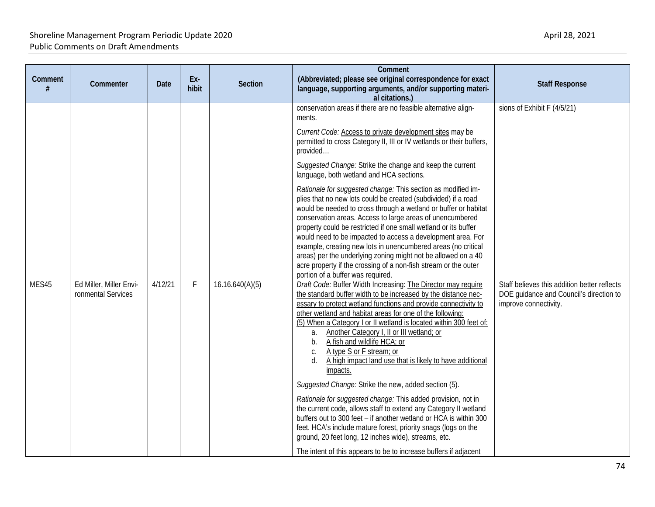| Comment | Commenter                                     | Date    | Ex-<br>hibit | <b>Section</b>  | Comment<br>(Abbreviated; please see original correspondence for exact<br>language, supporting arguments, and/or supporting materi-<br>al citations.)                                                                                                                                                                                                                                                                                                                                                                                                                                                                                                                                                                                                                                                                                                                                                                                                                                                                                                                                                                                                                                                                                                                                                                                                                                                                                                                                                                                                                                                                                                                                                                                                                                                                                                                                                                                                                                           | <b>Staff Response</b>                                                                                                                           |
|---------|-----------------------------------------------|---------|--------------|-----------------|------------------------------------------------------------------------------------------------------------------------------------------------------------------------------------------------------------------------------------------------------------------------------------------------------------------------------------------------------------------------------------------------------------------------------------------------------------------------------------------------------------------------------------------------------------------------------------------------------------------------------------------------------------------------------------------------------------------------------------------------------------------------------------------------------------------------------------------------------------------------------------------------------------------------------------------------------------------------------------------------------------------------------------------------------------------------------------------------------------------------------------------------------------------------------------------------------------------------------------------------------------------------------------------------------------------------------------------------------------------------------------------------------------------------------------------------------------------------------------------------------------------------------------------------------------------------------------------------------------------------------------------------------------------------------------------------------------------------------------------------------------------------------------------------------------------------------------------------------------------------------------------------------------------------------------------------------------------------------------------------|-------------------------------------------------------------------------------------------------------------------------------------------------|
| MES45   | Ed Miller, Miller Envi-<br>ronmental Services | 4/12/21 | F            | 16.16.640(A)(5) | conservation areas if there are no feasible alternative align-<br>ments.<br>Current Code: Access to private development sites may be<br>permitted to cross Category II, III or IV wetlands or their buffers,<br>provided<br>Suggested Change: Strike the change and keep the current<br>language, both wetland and HCA sections.<br>Rationale for suggested change: This section as modified im-<br>plies that no new lots could be created (subdivided) if a road<br>would be needed to cross through a wetland or buffer or habitat<br>conservation areas. Access to large areas of unencumbered<br>property could be restricted if one small wetland or its buffer<br>would need to be impacted to access a development area. For<br>example, creating new lots in unencumbered areas (no critical<br>areas) per the underlying zoning might not be allowed on a 40<br>acre property if the crossing of a non-fish stream or the outer<br>portion of a buffer was required.<br>Draft Code: Buffer Width Increasing: The Director may require<br>the standard buffer width to be increased by the distance nec-<br>essary to protect wetland functions and provide connectivity to<br>other wetland and habitat areas for one of the following:<br>(5) When a Category I or II wetland is located within 300 feet of:<br>Another Category I, II or III wetland; or<br>a.<br>A fish and wildlife HCA; or<br>b.<br>A type S or F stream; or<br>C.<br>A high impact land use that is likely to have additional<br>d.<br>impacts.<br>Suggested Change: Strike the new, added section (5).<br>Rationale for suggested change: This added provision, not in<br>the current code, allows staff to extend any Category II wetland<br>buffers out to 300 feet - if another wetland or HCA is within 300<br>feet. HCA's include mature forest, priority snags (logs on the<br>ground, 20 feet long, 12 inches wide), streams, etc.<br>The intent of this appears to be to increase buffers if adjacent | sions of Exhibit F (4/5/21)<br>Staff believes this addition better reflects<br>DOE guidance and Council's direction to<br>improve connectivity. |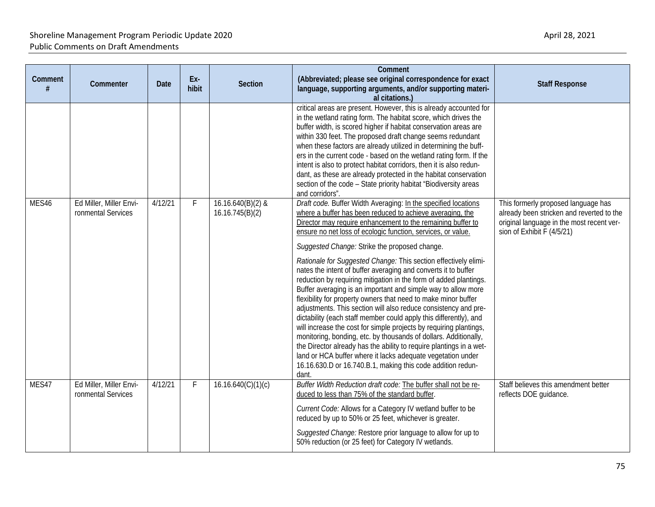| Comment<br># | Commenter                                     | <b>Date</b> | Ex-<br>hibit | <b>Section</b>                         | Comment<br>(Abbreviated; please see original correspondence for exact<br>language, supporting arguments, and/or supporting materi-<br>al citations.)                                                                                                                                                                                                                                                                                                                                                                                                                                                                                                                                                                                                                                                                                                                                                                                                                                                                                                                                                                                            | <b>Staff Response</b>                                                                                                                                       |
|--------------|-----------------------------------------------|-------------|--------------|----------------------------------------|-------------------------------------------------------------------------------------------------------------------------------------------------------------------------------------------------------------------------------------------------------------------------------------------------------------------------------------------------------------------------------------------------------------------------------------------------------------------------------------------------------------------------------------------------------------------------------------------------------------------------------------------------------------------------------------------------------------------------------------------------------------------------------------------------------------------------------------------------------------------------------------------------------------------------------------------------------------------------------------------------------------------------------------------------------------------------------------------------------------------------------------------------|-------------------------------------------------------------------------------------------------------------------------------------------------------------|
|              |                                               |             |              |                                        | critical areas are present. However, this is already accounted for<br>in the wetland rating form. The habitat score, which drives the<br>buffer width, is scored higher if habitat conservation areas are<br>within 330 feet. The proposed draft change seems redundant<br>when these factors are already utilized in determining the buff-<br>ers in the current code - based on the wetland rating form. If the<br>intent is also to protect habitat corridors, then it is also redun-<br>dant, as these are already protected in the habitat conservation<br>section of the code - State priority habitat "Biodiversity areas<br>and corridors".                                                                                                                                                                                                                                                                                                                                                                                                                                                                                             |                                                                                                                                                             |
| MES46        | Ed Miller, Miller Envi-<br>ronmental Services | 4/12/21     | $\mathsf{F}$ | $16.16.640(B)(2)$ &<br>16.16.745(B)(2) | Draft code. Buffer Width Averaging: In the specified locations<br>where a buffer has been reduced to achieve averaging, the<br>Director may require enhancement to the remaining buffer to<br>ensure no net loss of ecologic function, services, or value.<br>Suggested Change: Strike the proposed change.<br>Rationale for Suggested Change: This section effectively elimi-<br>nates the intent of buffer averaging and converts it to buffer<br>reduction by requiring mitigation in the form of added plantings.<br>Buffer averaging is an important and simple way to allow more<br>flexibility for property owners that need to make minor buffer<br>adjustments. This section will also reduce consistency and pre-<br>dictability (each staff member could apply this differently), and<br>will increase the cost for simple projects by requiring plantings,<br>monitoring, bonding, etc. by thousands of dollars. Additionally,<br>the Director already has the ability to require plantings in a wet-<br>land or HCA buffer where it lacks adequate vegetation under<br>16.16.630.D or 16.740.B.1, making this code addition redun- | This formerly proposed language has<br>already been stricken and reverted to the<br>original language in the most recent ver-<br>sion of Exhibit F (4/5/21) |
| MES47        | Ed Miller, Miller Envi-<br>ronmental Services | 4/12/21     | F            | 16.16.640(C)(1)(c)                     | dant.<br>Buffer Width Reduction draft code: The buffer shall not be re-<br>duced to less than 75% of the standard buffer.<br>Current Code: Allows for a Category IV wetland buffer to be<br>reduced by up to 50% or 25 feet, whichever is greater.<br>Suggested Change: Restore prior language to allow for up to<br>50% reduction (or 25 feet) for Category IV wetlands.                                                                                                                                                                                                                                                                                                                                                                                                                                                                                                                                                                                                                                                                                                                                                                       | Staff believes this amendment better<br>reflects DOE guidance.                                                                                              |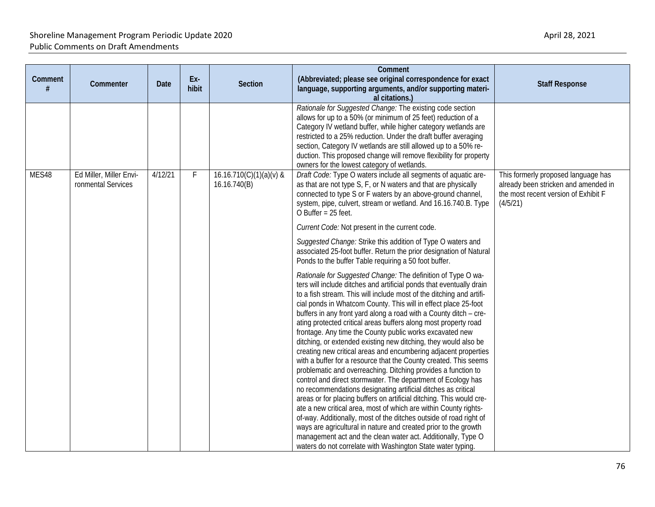| Comment | Commenter                                     | <b>Date</b> | Ex-<br>hibit | <b>Section</b>                            | Comment<br>(Abbreviated; please see original correspondence for exact<br>language, supporting arguments, and/or supporting materi-<br>al citations.)                                                                                                                                                                                                                                                                                                                                                                                                                                                                                                                                                                                                                                                                                                                                                                                                                                                                                                                                                                                                                                                                                                                                                                | <b>Staff Response</b>                                                                                                           |
|---------|-----------------------------------------------|-------------|--------------|-------------------------------------------|---------------------------------------------------------------------------------------------------------------------------------------------------------------------------------------------------------------------------------------------------------------------------------------------------------------------------------------------------------------------------------------------------------------------------------------------------------------------------------------------------------------------------------------------------------------------------------------------------------------------------------------------------------------------------------------------------------------------------------------------------------------------------------------------------------------------------------------------------------------------------------------------------------------------------------------------------------------------------------------------------------------------------------------------------------------------------------------------------------------------------------------------------------------------------------------------------------------------------------------------------------------------------------------------------------------------|---------------------------------------------------------------------------------------------------------------------------------|
|         |                                               |             |              |                                           | Rationale for Suggested Change: The existing code section<br>allows for up to a 50% (or minimum of 25 feet) reduction of a<br>Category IV wetland buffer, while higher category wetlands are<br>restricted to a 25% reduction. Under the draft buffer averaging<br>section, Category IV wetlands are still allowed up to a 50% re-<br>duction. This proposed change will remove flexibility for property<br>owners for the lowest category of wetlands.                                                                                                                                                                                                                                                                                                                                                                                                                                                                                                                                                                                                                                                                                                                                                                                                                                                             |                                                                                                                                 |
| MES48   | Ed Miller, Miller Envi-<br>ronmental Services | 4/12/21     | F            | $16.16.710(C)(1)(a)(v)$ &<br>16.16.740(B) | Draft Code: Type O waters include all segments of aquatic are-<br>as that are not type S, F, or N waters and that are physically<br>connected to type S or F waters by an above-ground channel,<br>system, pipe, culvert, stream or wetland. And 16.16.740.B. Type<br>O Buffer = 25 feet.                                                                                                                                                                                                                                                                                                                                                                                                                                                                                                                                                                                                                                                                                                                                                                                                                                                                                                                                                                                                                           | This formerly proposed language has<br>already been stricken and amended in<br>the most recent version of Exhibit F<br>(4/5/21) |
|         |                                               |             |              |                                           | Current Code: Not present in the current code.                                                                                                                                                                                                                                                                                                                                                                                                                                                                                                                                                                                                                                                                                                                                                                                                                                                                                                                                                                                                                                                                                                                                                                                                                                                                      |                                                                                                                                 |
|         |                                               |             |              |                                           | Suggested Change: Strike this addition of Type O waters and<br>associated 25-foot buffer. Return the prior designation of Natural<br>Ponds to the buffer Table requiring a 50 foot buffer.                                                                                                                                                                                                                                                                                                                                                                                                                                                                                                                                                                                                                                                                                                                                                                                                                                                                                                                                                                                                                                                                                                                          |                                                                                                                                 |
|         |                                               |             |              |                                           | Rationale for Suggested Change: The definition of Type O wa-<br>ters will include ditches and artificial ponds that eventually drain<br>to a fish stream. This will include most of the ditching and artifi-<br>cial ponds in Whatcom County. This will in effect place 25-foot<br>buffers in any front yard along a road with a County ditch - cre-<br>ating protected critical areas buffers along most property road<br>frontage. Any time the County public works excavated new<br>ditching, or extended existing new ditching, they would also be<br>creating new critical areas and encumbering adjacent properties<br>with a buffer for a resource that the County created. This seems<br>problematic and overreaching. Ditching provides a function to<br>control and direct stormwater. The department of Ecology has<br>no recommendations designating artificial ditches as critical<br>areas or for placing buffers on artificial ditching. This would cre-<br>ate a new critical area, most of which are within County rights-<br>of-way. Additionally, most of the ditches outside of road right of<br>ways are agricultural in nature and created prior to the growth<br>management act and the clean water act. Additionally, Type O<br>waters do not correlate with Washington State water typing. |                                                                                                                                 |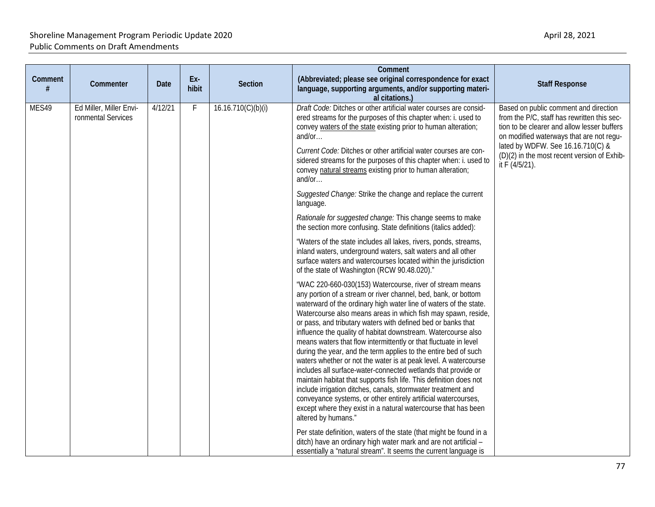| Comment<br># | Commenter                                     | Date    | Ex-<br>hibit | Section            | Comment<br>(Abbreviated; please see original correspondence for exact<br>language, supporting arguments, and/or supporting materi-<br>al citations.)                                                                                                                                                                                                                                                                                                                                                                                                                                                                                                                                                                                                                                                                                                                                                                                                                          | <b>Staff Response</b>                                                                                                                                                                                                                                                                 |
|--------------|-----------------------------------------------|---------|--------------|--------------------|-------------------------------------------------------------------------------------------------------------------------------------------------------------------------------------------------------------------------------------------------------------------------------------------------------------------------------------------------------------------------------------------------------------------------------------------------------------------------------------------------------------------------------------------------------------------------------------------------------------------------------------------------------------------------------------------------------------------------------------------------------------------------------------------------------------------------------------------------------------------------------------------------------------------------------------------------------------------------------|---------------------------------------------------------------------------------------------------------------------------------------------------------------------------------------------------------------------------------------------------------------------------------------|
| MES49        | Ed Miller, Miller Envi-<br>ronmental Services | 4/12/21 | F            | 16.16.710(C)(b)(i) | Draft Code: Ditches or other artificial water courses are consid-<br>ered streams for the purposes of this chapter when: i. used to<br>convey waters of the state existing prior to human alteration;<br>and/or $\dots$<br>Current Code: Ditches or other artificial water courses are con-<br>sidered streams for the purposes of this chapter when: i. used to<br>convey natural streams existing prior to human alteration;<br>and/or                                                                                                                                                                                                                                                                                                                                                                                                                                                                                                                                      | Based on public comment and direction<br>from the P/C, staff has rewritten this sec-<br>tion to be clearer and allow lesser buffers<br>on modified waterways that are not regu-<br>lated by WDFW. See 16.16.710(C) &<br>(D)(2) in the most recent version of Exhib-<br>it F (4/5/21). |
|              |                                               |         |              |                    | Suggested Change: Strike the change and replace the current<br>language.                                                                                                                                                                                                                                                                                                                                                                                                                                                                                                                                                                                                                                                                                                                                                                                                                                                                                                      |                                                                                                                                                                                                                                                                                       |
|              |                                               |         |              |                    | Rationale for suggested change: This change seems to make<br>the section more confusing. State definitions (italics added):                                                                                                                                                                                                                                                                                                                                                                                                                                                                                                                                                                                                                                                                                                                                                                                                                                                   |                                                                                                                                                                                                                                                                                       |
|              |                                               |         |              |                    | "Waters of the state includes all lakes, rivers, ponds, streams,<br>inland waters, underground waters, salt waters and all other<br>surface waters and watercourses located within the jurisdiction<br>of the state of Washington (RCW 90.48.020)."                                                                                                                                                                                                                                                                                                                                                                                                                                                                                                                                                                                                                                                                                                                           |                                                                                                                                                                                                                                                                                       |
|              |                                               |         |              |                    | "WAC 220-660-030(153) Watercourse, river of stream means<br>any portion of a stream or river channel, bed, bank, or bottom<br>waterward of the ordinary high water line of waters of the state.<br>Watercourse also means areas in which fish may spawn, reside,<br>or pass, and tributary waters with defined bed or banks that<br>influence the quality of habitat downstream. Watercourse also<br>means waters that flow intermittently or that fluctuate in level<br>during the year, and the term applies to the entire bed of such<br>waters whether or not the water is at peak level. A watercourse<br>includes all surface-water-connected wetlands that provide or<br>maintain habitat that supports fish life. This definition does not<br>include irrigation ditches, canals, stormwater treatment and<br>conveyance systems, or other entirely artificial watercourses,<br>except where they exist in a natural watercourse that has been<br>altered by humans." |                                                                                                                                                                                                                                                                                       |
|              |                                               |         |              |                    | Per state definition, waters of the state (that might be found in a<br>ditch) have an ordinary high water mark and are not artificial -<br>essentially a "natural stream". It seems the current language is                                                                                                                                                                                                                                                                                                                                                                                                                                                                                                                                                                                                                                                                                                                                                                   |                                                                                                                                                                                                                                                                                       |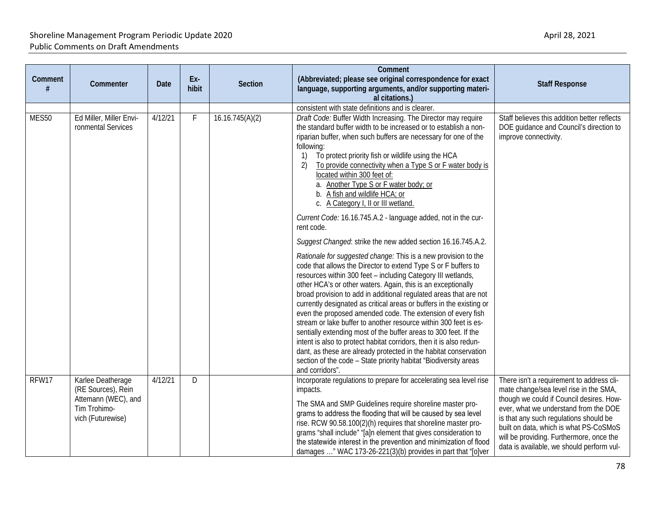| Comment<br># | Commenter                                                                                           | Date         | Ex-<br>hibit    | <b>Section</b>                                                                                                                                                                                                                                                                                                                                                                                                                                                                                                                                                                                                          | Comment<br>(Abbreviated; please see original correspondence for exact<br>language, supporting arguments, and/or supporting materi-<br>al citations.)                                                                                                                                                                                                                                                                                                                                                                                                                                                                                                                                                                                                                                                                                                                                                                                 | <b>Staff Response</b>                                                                                                                                                                                                                                                                                                                                 |
|--------------|-----------------------------------------------------------------------------------------------------|--------------|-----------------|-------------------------------------------------------------------------------------------------------------------------------------------------------------------------------------------------------------------------------------------------------------------------------------------------------------------------------------------------------------------------------------------------------------------------------------------------------------------------------------------------------------------------------------------------------------------------------------------------------------------------|--------------------------------------------------------------------------------------------------------------------------------------------------------------------------------------------------------------------------------------------------------------------------------------------------------------------------------------------------------------------------------------------------------------------------------------------------------------------------------------------------------------------------------------------------------------------------------------------------------------------------------------------------------------------------------------------------------------------------------------------------------------------------------------------------------------------------------------------------------------------------------------------------------------------------------------|-------------------------------------------------------------------------------------------------------------------------------------------------------------------------------------------------------------------------------------------------------------------------------------------------------------------------------------------------------|
| MES50        | Ed Miller, Miller Envi-<br>ronmental Services                                                       | 4/12/21<br>F | 16.16.745(A)(2) | consistent with state definitions and is clearer.<br>Draft Code: Buffer Width Increasing. The Director may require<br>the standard buffer width to be increased or to establish a non-<br>riparian buffer, when such buffers are necessary for one of the<br>following:<br>To protect priority fish or wildlife using the HCA<br>1)<br>To provide connectivity when a Type S or F water body is<br>2)<br>located within 300 feet of:<br>a. Another Type S or F water body; or<br>b. A fish and wildlife HCA; or<br>c. A Category I, II or III wetland.<br>Current Code: 16.16.745.A.2 - language added, not in the cur- | Staff believes this addition better reflects<br>DOE guidance and Council's direction to<br>improve connectivity.                                                                                                                                                                                                                                                                                                                                                                                                                                                                                                                                                                                                                                                                                                                                                                                                                     |                                                                                                                                                                                                                                                                                                                                                       |
|              |                                                                                                     |              |                 |                                                                                                                                                                                                                                                                                                                                                                                                                                                                                                                                                                                                                         | rent code.<br>Suggest Changed: strike the new added section 16.16.745.A.2.<br>Rationale for suggested change: This is a new provision to the<br>code that allows the Director to extend Type S or F buffers to<br>resources within 300 feet - including Category III wetlands,<br>other HCA's or other waters. Again, this is an exceptionally<br>broad provision to add in additional regulated areas that are not<br>currently designated as critical areas or buffers in the existing or<br>even the proposed amended code. The extension of every fish<br>stream or lake buffer to another resource within 300 feet is es-<br>sentially extending most of the buffer areas to 300 feet. If the<br>intent is also to protect habitat corridors, then it is also redun-<br>dant, as these are already protected in the habitat conservation<br>section of the code - State priority habitat "Biodiversity areas<br>and corridors". |                                                                                                                                                                                                                                                                                                                                                       |
| RFW17        | Karlee Deatherage<br>(RE Sources), Rein<br>Attemann (WEC), and<br>Tim Trohimo-<br>vich (Futurewise) | 4/12/21      | D               |                                                                                                                                                                                                                                                                                                                                                                                                                                                                                                                                                                                                                         | Incorporate regulations to prepare for accelerating sea level rise<br>impacts.<br>The SMA and SMP Guidelines require shoreline master pro-<br>grams to address the flooding that will be caused by sea level<br>rise. RCW 90.58.100(2)(h) requires that shoreline master pro-<br>grams "shall include" "[a]n element that gives consideration to<br>the statewide interest in the prevention and minimization of flood<br>damages " WAC 173-26-221(3)(b) provides in part that "[o]ver                                                                                                                                                                                                                                                                                                                                                                                                                                               | There isn't a requirement to address cli-<br>mate change/sea level rise in the SMA,<br>though we could if Council desires. How-<br>ever, what we understand from the DOE<br>is that any such regulations should be<br>built on data, which is what PS-CoSMoS<br>will be providing. Furthermore, once the<br>data is available, we should perform vul- |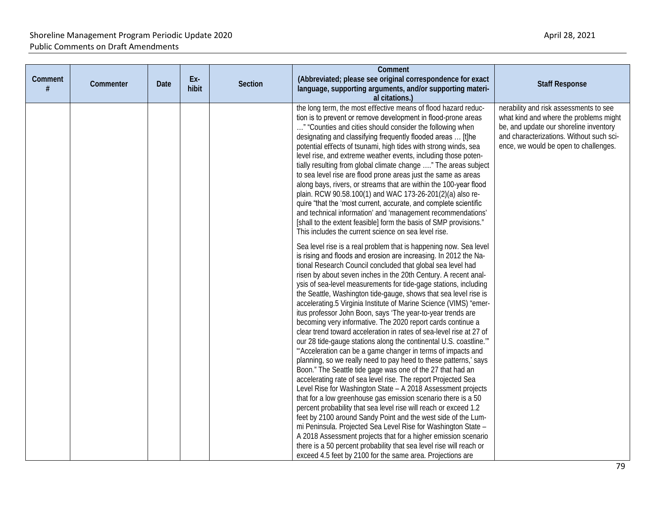| Comment<br># | Commenter | Date | Ex-<br>hibit | Section | Comment<br>(Abbreviated; please see original correspondence for exact<br>language, supporting arguments, and/or supporting materi-<br>al citations.)                                                                                                                                                                                                                                                                                                                                                                                                                                                                                                                                                                                                                                                                                                                                                                                                                                                                                                                                                                                                                                                                                                                                                                                                                                                                                                                                                                                                                           | <b>Staff Response</b>                                                                                                                                                                                           |
|--------------|-----------|------|--------------|---------|--------------------------------------------------------------------------------------------------------------------------------------------------------------------------------------------------------------------------------------------------------------------------------------------------------------------------------------------------------------------------------------------------------------------------------------------------------------------------------------------------------------------------------------------------------------------------------------------------------------------------------------------------------------------------------------------------------------------------------------------------------------------------------------------------------------------------------------------------------------------------------------------------------------------------------------------------------------------------------------------------------------------------------------------------------------------------------------------------------------------------------------------------------------------------------------------------------------------------------------------------------------------------------------------------------------------------------------------------------------------------------------------------------------------------------------------------------------------------------------------------------------------------------------------------------------------------------|-----------------------------------------------------------------------------------------------------------------------------------------------------------------------------------------------------------------|
|              |           |      |              |         | the long term, the most effective means of flood hazard reduc-<br>tion is to prevent or remove development in flood-prone areas<br>" "Counties and cities should consider the following when<br>designating and classifying frequently flooded areas  [t]he<br>potential effects of tsunami, high tides with strong winds, sea<br>level rise, and extreme weather events, including those poten-<br>tially resulting from global climate change " The areas subject<br>to sea level rise are flood prone areas just the same as areas<br>along bays, rivers, or streams that are within the 100-year flood<br>plain. RCW 90.58.100(1) and WAC 173-26-201(2)(a) also re-<br>quire "that the 'most current, accurate, and complete scientific<br>and technical information' and 'management recommendations'<br>[shall to the extent feasible] form the basis of SMP provisions."<br>This includes the current science on sea level rise.                                                                                                                                                                                                                                                                                                                                                                                                                                                                                                                                                                                                                                        | nerability and risk assessments to see<br>what kind and where the problems might<br>be, and update our shoreline inventory<br>and characterizations. Without such sci-<br>ence, we would be open to challenges. |
|              |           |      |              |         | Sea level rise is a real problem that is happening now. Sea level<br>is rising and floods and erosion are increasing. In 2012 the Na-<br>tional Research Council concluded that global sea level had<br>risen by about seven inches in the 20th Century. A recent anal-<br>ysis of sea-level measurements for tide-gage stations, including<br>the Seattle, Washington tide-gauge, shows that sea level rise is<br>accelerating.5 Virginia Institute of Marine Science (VIMS) "emer-<br>itus professor John Boon, says 'The year-to-year trends are<br>becoming very informative. The 2020 report cards continue a<br>clear trend toward acceleration in rates of sea-level rise at 27 of<br>our 28 tide-gauge stations along the continental U.S. coastline."<br>"Acceleration can be a game changer in terms of impacts and<br>planning, so we really need to pay heed to these patterns,' says<br>Boon." The Seattle tide gage was one of the 27 that had an<br>accelerating rate of sea level rise. The report Projected Sea<br>Level Rise for Washington State - A 2018 Assessment projects<br>that for a low greenhouse gas emission scenario there is a 50<br>percent probability that sea level rise will reach or exceed 1.2<br>feet by 2100 around Sandy Point and the west side of the Lum-<br>mi Peninsula. Projected Sea Level Rise for Washington State -<br>A 2018 Assessment projects that for a higher emission scenario<br>there is a 50 percent probability that sea level rise will reach or<br>exceed 4.5 feet by 2100 for the same area. Projections are |                                                                                                                                                                                                                 |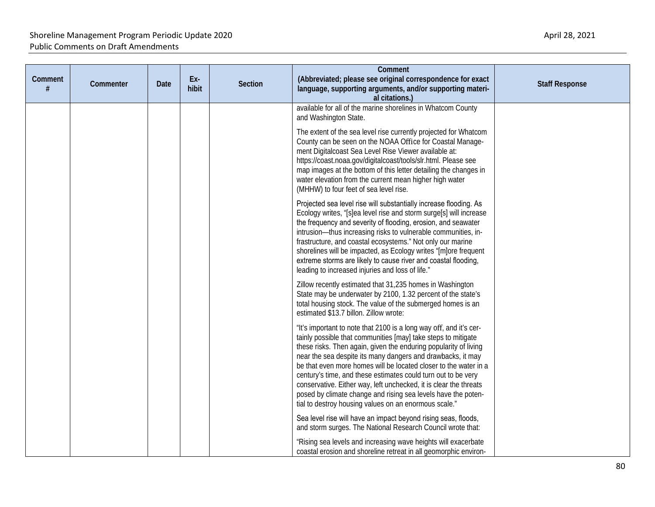| Comment<br># | Commenter | Date | Ex-<br>hibit | Section | Comment<br>(Abbreviated; please see original correspondence for exact<br>language, supporting arguments, and/or supporting materi-<br>al citations.)                                                                                                                                                                                                                                                                                                                                                                                                                                                       | <b>Staff Response</b> |
|--------------|-----------|------|--------------|---------|------------------------------------------------------------------------------------------------------------------------------------------------------------------------------------------------------------------------------------------------------------------------------------------------------------------------------------------------------------------------------------------------------------------------------------------------------------------------------------------------------------------------------------------------------------------------------------------------------------|-----------------------|
|              |           |      |              |         | available for all of the marine shorelines in Whatcom County<br>and Washington State.                                                                                                                                                                                                                                                                                                                                                                                                                                                                                                                      |                       |
|              |           |      |              |         | The extent of the sea level rise currently projected for Whatcom<br>County can be seen on the NOAA Office for Coastal Manage-<br>ment Digitalcoast Sea Level Rise Viewer available at:<br>https://coast.noaa.gov/digitalcoast/tools/slr.html. Please see<br>map images at the bottom of this letter detailing the changes in<br>water elevation from the current mean higher high water<br>(MHHW) to four feet of sea level rise.                                                                                                                                                                          |                       |
|              |           |      |              |         | Projected sea level rise will substantially increase flooding. As<br>Ecology writes, "[s]ea level rise and storm surge[s] will increase<br>the frequency and severity of flooding, erosion, and seawater<br>intrusion-thus increasing risks to vulnerable communities, in-<br>frastructure, and coastal ecosystems." Not only our marine<br>shorelines will be impacted, as Ecology writes "[m]ore frequent<br>extreme storms are likely to cause river and coastal flooding,<br>leading to increased injuries and loss of life."                                                                          |                       |
|              |           |      |              |         | Zillow recently estimated that 31,235 homes in Washington<br>State may be underwater by 2100, 1.32 percent of the state's<br>total housing stock. The value of the submerged homes is an<br>estimated \$13.7 billon. Zillow wrote:                                                                                                                                                                                                                                                                                                                                                                         |                       |
|              |           |      |              |         | "It's important to note that 2100 is a long way off, and it's cer-<br>tainly possible that communities [may] take steps to mitigate<br>these risks. Then again, given the enduring popularity of living<br>near the sea despite its many dangers and drawbacks, it may<br>be that even more homes will be located closer to the water in a<br>century's time, and these estimates could turn out to be very<br>conservative. Either way, left unchecked, it is clear the threats<br>posed by climate change and rising sea levels have the poten-<br>tial to destroy housing values on an enormous scale." |                       |
|              |           |      |              |         | Sea level rise will have an impact beyond rising seas, floods,<br>and storm surges. The National Research Council wrote that:                                                                                                                                                                                                                                                                                                                                                                                                                                                                              |                       |
|              |           |      |              |         | "Rising sea levels and increasing wave heights will exacerbate<br>coastal erosion and shoreline retreat in all geomorphic environ-                                                                                                                                                                                                                                                                                                                                                                                                                                                                         |                       |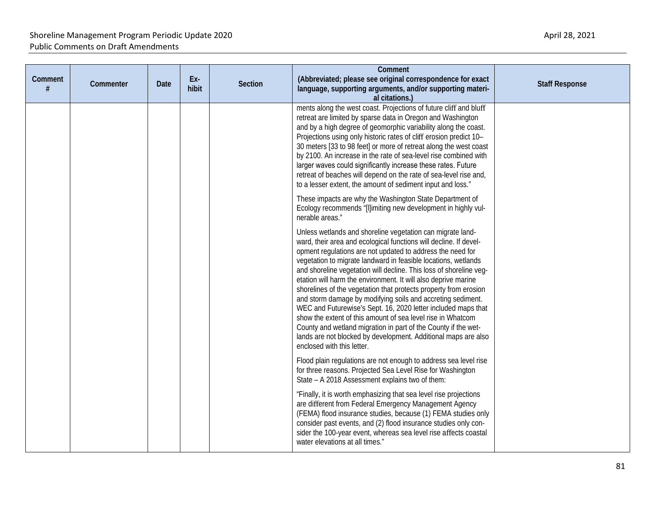| Comment<br># | Commenter | <b>Date</b> | Ex-<br>hibit | <b>Section</b> | Comment<br>(Abbreviated; please see original correspondence for exact<br>language, supporting arguments, and/or supporting materi-<br>al citations.)                                                                                                                                                                                                                                                                                                                                                                                                                                                                                                                                                                                                                                                                                         | <b>Staff Response</b> |
|--------------|-----------|-------------|--------------|----------------|----------------------------------------------------------------------------------------------------------------------------------------------------------------------------------------------------------------------------------------------------------------------------------------------------------------------------------------------------------------------------------------------------------------------------------------------------------------------------------------------------------------------------------------------------------------------------------------------------------------------------------------------------------------------------------------------------------------------------------------------------------------------------------------------------------------------------------------------|-----------------------|
|              |           |             |              |                | ments along the west coast. Projections of future cliff and bluff<br>retreat are limited by sparse data in Oregon and Washington<br>and by a high degree of geomorphic variability along the coast.<br>Projections using only historic rates of cliff erosion predict 10-<br>30 meters [33 to 98 feet] or more of retreat along the west coast<br>by 2100. An increase in the rate of sea-level rise combined with<br>larger waves could significantly increase these rates. Future<br>retreat of beaches will depend on the rate of sea-level rise and,<br>to a lesser extent, the amount of sediment input and loss."                                                                                                                                                                                                                      |                       |
|              |           |             |              |                | These impacts are why the Washington State Department of<br>Ecology recommends "[I]imiting new development in highly vul-<br>nerable areas."                                                                                                                                                                                                                                                                                                                                                                                                                                                                                                                                                                                                                                                                                                 |                       |
|              |           |             |              |                | Unless wetlands and shoreline vegetation can migrate land-<br>ward, their area and ecological functions will decline. If devel-<br>opment regulations are not updated to address the need for<br>vegetation to migrate landward in feasible locations, wetlands<br>and shoreline vegetation will decline. This loss of shoreline veg-<br>etation will harm the environment. It will also deprive marine<br>shorelines of the vegetation that protects property from erosion<br>and storm damage by modifying soils and accreting sediment.<br>WEC and Futurewise's Sept. 16, 2020 letter included maps that<br>show the extent of this amount of sea level rise in Whatcom<br>County and wetland migration in part of the County if the wet-<br>lands are not blocked by development. Additional maps are also<br>enclosed with this letter. |                       |
|              |           |             |              |                | Flood plain regulations are not enough to address sea level rise<br>for three reasons. Projected Sea Level Rise for Washington<br>State - A 2018 Assessment explains two of them:                                                                                                                                                                                                                                                                                                                                                                                                                                                                                                                                                                                                                                                            |                       |
|              |           |             |              |                | "Finally, it is worth emphasizing that sea level rise projections<br>are different from Federal Emergency Management Agency<br>(FEMA) flood insurance studies, because (1) FEMA studies only<br>consider past events, and (2) flood insurance studies only con-<br>sider the 100-year event, whereas sea level rise affects coastal<br>water elevations at all times."                                                                                                                                                                                                                                                                                                                                                                                                                                                                       |                       |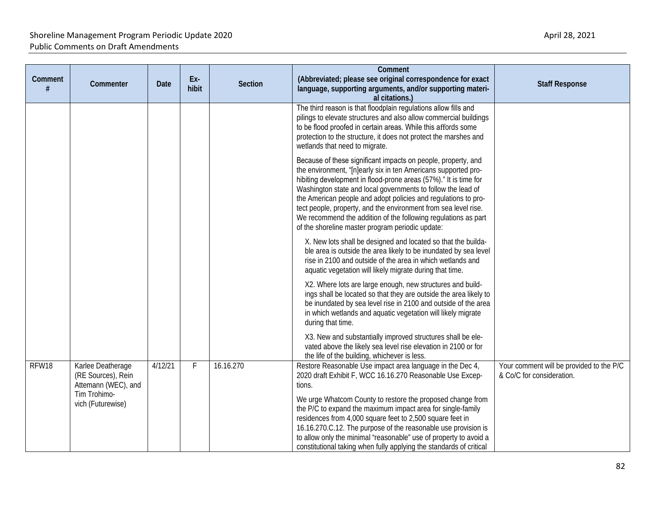| Comment<br>#                      | Commenter                                                      | Date    | Ex-<br>hibit | <b>Section</b>                                                                                                                                                                                                                                                                                                                                                                                       | Comment<br>(Abbreviated; please see original correspondence for exact<br>language, supporting arguments, and/or supporting materi-<br>al citations.)                                                                                                                                                                                                                                                                                                                                                                           | <b>Staff Response</b>                                                 |
|-----------------------------------|----------------------------------------------------------------|---------|--------------|------------------------------------------------------------------------------------------------------------------------------------------------------------------------------------------------------------------------------------------------------------------------------------------------------------------------------------------------------------------------------------------------------|--------------------------------------------------------------------------------------------------------------------------------------------------------------------------------------------------------------------------------------------------------------------------------------------------------------------------------------------------------------------------------------------------------------------------------------------------------------------------------------------------------------------------------|-----------------------------------------------------------------------|
|                                   |                                                                |         |              |                                                                                                                                                                                                                                                                                                                                                                                                      | The third reason is that floodplain regulations allow fills and<br>pilings to elevate structures and also allow commercial buildings<br>to be flood proofed in certain areas. While this affords some<br>protection to the structure, it does not protect the marshes and<br>wetlands that need to migrate.                                                                                                                                                                                                                    |                                                                       |
|                                   |                                                                |         |              |                                                                                                                                                                                                                                                                                                                                                                                                      | Because of these significant impacts on people, property, and<br>the environment, "[n]early six in ten Americans supported pro-<br>hibiting development in flood-prone areas (57%)." It is time for<br>Washington state and local governments to follow the lead of<br>the American people and adopt policies and regulations to pro-<br>tect people, property, and the environment from sea level rise.<br>We recommend the addition of the following regulations as part<br>of the shoreline master program periodic update: |                                                                       |
|                                   |                                                                |         |              |                                                                                                                                                                                                                                                                                                                                                                                                      | X. New lots shall be designed and located so that the builda-<br>ble area is outside the area likely to be inundated by sea level<br>rise in 2100 and outside of the area in which wetlands and<br>aquatic vegetation will likely migrate during that time.                                                                                                                                                                                                                                                                    |                                                                       |
|                                   |                                                                |         |              |                                                                                                                                                                                                                                                                                                                                                                                                      | X2. Where lots are large enough, new structures and build-<br>ings shall be located so that they are outside the area likely to<br>be inundated by sea level rise in 2100 and outside of the area<br>in which wetlands and aquatic vegetation will likely migrate<br>during that time.                                                                                                                                                                                                                                         |                                                                       |
|                                   |                                                                |         |              |                                                                                                                                                                                                                                                                                                                                                                                                      | X3. New and substantially improved structures shall be ele-<br>vated above the likely sea level rise elevation in 2100 or for<br>the life of the building, whichever is less.                                                                                                                                                                                                                                                                                                                                                  |                                                                       |
| RFW18                             | Karlee Deatherage<br>(RE Sources), Rein<br>Attemann (WEC), and | 4/12/21 | F            | 16.16.270                                                                                                                                                                                                                                                                                                                                                                                            | Restore Reasonable Use impact area language in the Dec 4,<br>2020 draft Exhibit F, WCC 16.16.270 Reasonable Use Excep-<br>tions.                                                                                                                                                                                                                                                                                                                                                                                               | Your comment will be provided to the P/C<br>& Co/C for consideration. |
| Tim Trohimo-<br>vich (Futurewise) |                                                                |         |              | We urge Whatcom County to restore the proposed change from<br>the P/C to expand the maximum impact area for single-family<br>residences from 4,000 square feet to 2,500 square feet in<br>16.16.270.C.12. The purpose of the reasonable use provision is<br>to allow only the minimal "reasonable" use of property to avoid a<br>constitutional taking when fully applying the standards of critical |                                                                                                                                                                                                                                                                                                                                                                                                                                                                                                                                |                                                                       |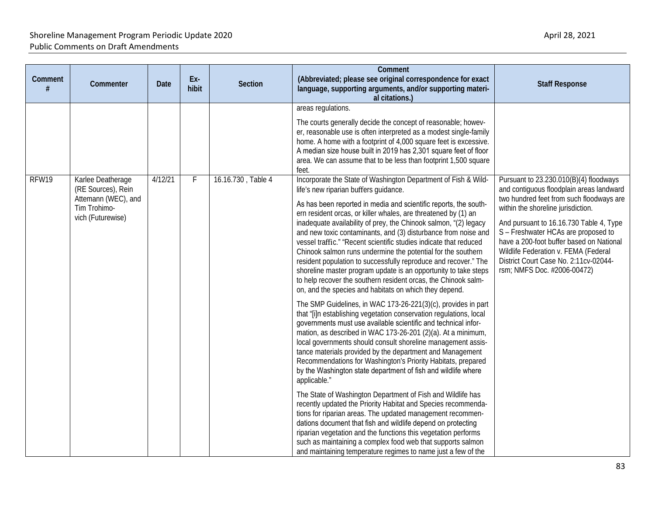| Comment<br># | Commenter                                                                      | Date    | Ex-<br>hibit | Section            | Comment<br>(Abbreviated; please see original correspondence for exact<br>language, supporting arguments, and/or supporting materi-<br>al citations.)                                                                                                                                                                                                                                                                                                                                                                                                                                                                                                                                                                                                                                                                                                                                                                                                                                                                                                                                                                                                                                                                                                                                                                                                                                                                                                                                                                                                                                                                                                                                                                                            | <b>Staff Response</b>                                                                                                                                                                                                                                                                                                                                                    |
|--------------|--------------------------------------------------------------------------------|---------|--------------|--------------------|-------------------------------------------------------------------------------------------------------------------------------------------------------------------------------------------------------------------------------------------------------------------------------------------------------------------------------------------------------------------------------------------------------------------------------------------------------------------------------------------------------------------------------------------------------------------------------------------------------------------------------------------------------------------------------------------------------------------------------------------------------------------------------------------------------------------------------------------------------------------------------------------------------------------------------------------------------------------------------------------------------------------------------------------------------------------------------------------------------------------------------------------------------------------------------------------------------------------------------------------------------------------------------------------------------------------------------------------------------------------------------------------------------------------------------------------------------------------------------------------------------------------------------------------------------------------------------------------------------------------------------------------------------------------------------------------------------------------------------------------------|--------------------------------------------------------------------------------------------------------------------------------------------------------------------------------------------------------------------------------------------------------------------------------------------------------------------------------------------------------------------------|
| RFW19        | Karlee Deatherage                                                              | 4/12/21 | F.           | 16.16.730, Table 4 | areas regulations.<br>The courts generally decide the concept of reasonable; howev-<br>er, reasonable use is often interpreted as a modest single-family<br>home. A home with a footprint of 4,000 square feet is excessive.<br>A median size house built in 2019 has 2,301 square feet of floor<br>area. We can assume that to be less than footprint 1,500 square<br>feet.<br>Incorporate the State of Washington Department of Fish & Wild-                                                                                                                                                                                                                                                                                                                                                                                                                                                                                                                                                                                                                                                                                                                                                                                                                                                                                                                                                                                                                                                                                                                                                                                                                                                                                                  | Pursuant to 23.230.010(B)(4) floodways                                                                                                                                                                                                                                                                                                                                   |
|              | (RE Sources), Rein<br>Attemann (WEC), and<br>Tim Trohimo-<br>vich (Futurewise) |         |              |                    | life's new riparian buffers guidance.<br>As has been reported in media and scientific reports, the south-<br>ern resident orcas, or killer whales, are threatened by (1) an<br>inadequate availability of prey, the Chinook salmon, "(2) legacy<br>and new toxic contaminants, and (3) disturbance from noise and<br>vessel traffic." "Recent scientific studies indicate that reduced<br>Chinook salmon runs undermine the potential for the southern<br>resident population to successfully reproduce and recover." The<br>shoreline master program update is an opportunity to take steps<br>to help recover the southern resident orcas, the Chinook salm-<br>on, and the species and habitats on which they depend.<br>The SMP Guidelines, in WAC 173-26-221(3)(c), provides in part<br>that "[i]n establishing vegetation conservation regulations, local<br>governments must use available scientific and technical infor-<br>mation, as described in WAC 173-26-201 (2)(a). At a minimum,<br>local governments should consult shoreline management assis-<br>tance materials provided by the department and Management<br>Recommendations for Washington's Priority Habitats, prepared<br>by the Washington state department of fish and wildlife where<br>applicable."<br>The State of Washington Department of Fish and Wildlife has<br>recently updated the Priority Habitat and Species recommenda-<br>tions for riparian areas. The updated management recommen-<br>dations document that fish and wildlife depend on protecting<br>riparian vegetation and the functions this vegetation performs<br>such as maintaining a complex food web that supports salmon<br>and maintaining temperature regimes to name just a few of the | and contiguous floodplain areas landward<br>two hundred feet from such floodways are<br>within the shoreline jurisdiction.<br>And pursuant to 16.16.730 Table 4, Type<br>S - Freshwater HCAs are proposed to<br>have a 200-foot buffer based on National<br>Wildlife Federation v. FEMA (Federal<br>District Court Case No. 2:11cv-02044-<br>rsm; NMFS Doc. #2006-00472) |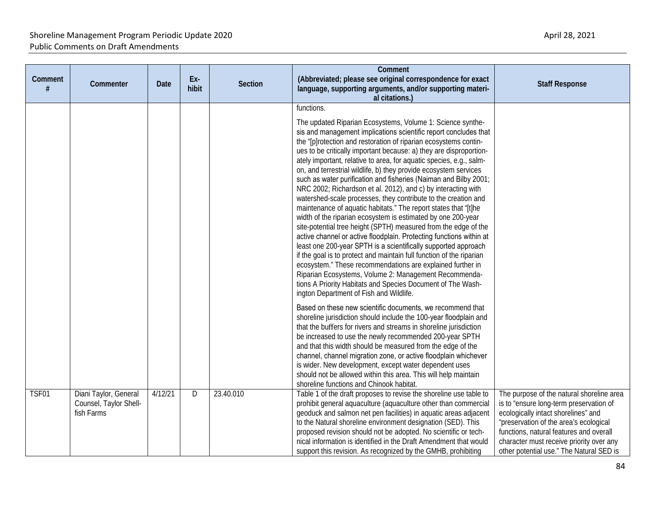| Comment | Commenter                                                     | <b>Date</b> | Ex-<br>hibit | <b>Section</b> | Comment<br>(Abbreviated; please see original correspondence for exact<br>language, supporting arguments, and/or supporting materi-<br>al citations.)                                                                                                                                                                                                                                                                                                                                                                                                                                                                                                                                                                                                                                                                                                                                                                                                                                                                                                                                                                                                                                                                                                                                                                                                                                                                                                                                                                                                                                                                                                                                                                                                                                                                                                                           | <b>Staff Response</b>                                                                                                                                                                                                                                                                                    |
|---------|---------------------------------------------------------------|-------------|--------------|----------------|--------------------------------------------------------------------------------------------------------------------------------------------------------------------------------------------------------------------------------------------------------------------------------------------------------------------------------------------------------------------------------------------------------------------------------------------------------------------------------------------------------------------------------------------------------------------------------------------------------------------------------------------------------------------------------------------------------------------------------------------------------------------------------------------------------------------------------------------------------------------------------------------------------------------------------------------------------------------------------------------------------------------------------------------------------------------------------------------------------------------------------------------------------------------------------------------------------------------------------------------------------------------------------------------------------------------------------------------------------------------------------------------------------------------------------------------------------------------------------------------------------------------------------------------------------------------------------------------------------------------------------------------------------------------------------------------------------------------------------------------------------------------------------------------------------------------------------------------------------------------------------|----------------------------------------------------------------------------------------------------------------------------------------------------------------------------------------------------------------------------------------------------------------------------------------------------------|
|         |                                                               |             |              |                | functions.<br>The updated Riparian Ecosystems, Volume 1: Science synthe-<br>sis and management implications scientific report concludes that<br>the "[p]rotection and restoration of riparian ecosystems contin-<br>ues to be critically important because: a) they are disproportion-<br>ately important, relative to area, for aquatic species, e.g., salm-<br>on, and terrestrial wildlife, b) they provide ecosystem services<br>such as water purification and fisheries (Naiman and Bilby 2001;<br>NRC 2002; Richardson et al. 2012), and c) by interacting with<br>watershed-scale processes, they contribute to the creation and<br>maintenance of aquatic habitats." The report states that "[t]he<br>width of the riparian ecosystem is estimated by one 200-year<br>site-potential tree height (SPTH) measured from the edge of the<br>active channel or active floodplain. Protecting functions within at<br>least one 200-year SPTH is a scientifically supported approach<br>if the goal is to protect and maintain full function of the riparian<br>ecosystem." These recommendations are explained further in<br>Riparian Ecosystems, Volume 2: Management Recommenda-<br>tions A Priority Habitats and Species Document of The Wash-<br>ington Department of Fish and Wildlife.<br>Based on these new scientific documents, we recommend that<br>shoreline jurisdiction should include the 100-year floodplain and<br>that the buffers for rivers and streams in shoreline jurisdiction<br>be increased to use the newly recommended 200-year SPTH<br>and that this width should be measured from the edge of the<br>channel, channel migration zone, or active floodplain whichever<br>is wider. New development, except water dependent uses<br>should not be allowed within this area. This will help maintain<br>shoreline functions and Chinook habitat. |                                                                                                                                                                                                                                                                                                          |
| TSF01   | Diani Taylor, General<br>Counsel, Taylor Shell-<br>fish Farms | 4/12/21     | D            | 23.40.010      | Table 1 of the draft proposes to revise the shoreline use table to<br>prohibit general aquaculture (aquaculture other than commercial<br>geoduck and salmon net pen facilities) in aquatic areas adjacent<br>to the Natural shoreline environment designation (SED). This<br>proposed revision should not be adopted. No scientific or tech-<br>nical information is identified in the Draft Amendment that would<br>support this revision. As recognized by the GMHB, prohibiting                                                                                                                                                                                                                                                                                                                                                                                                                                                                                                                                                                                                                                                                                                                                                                                                                                                                                                                                                                                                                                                                                                                                                                                                                                                                                                                                                                                             | The purpose of the natural shoreline area<br>is to "ensure long-term preservation of<br>ecologically intact shorelines" and<br>"preservation of the area's ecological<br>functions, natural features and overall<br>character must receive priority over any<br>other potential use." The Natural SED is |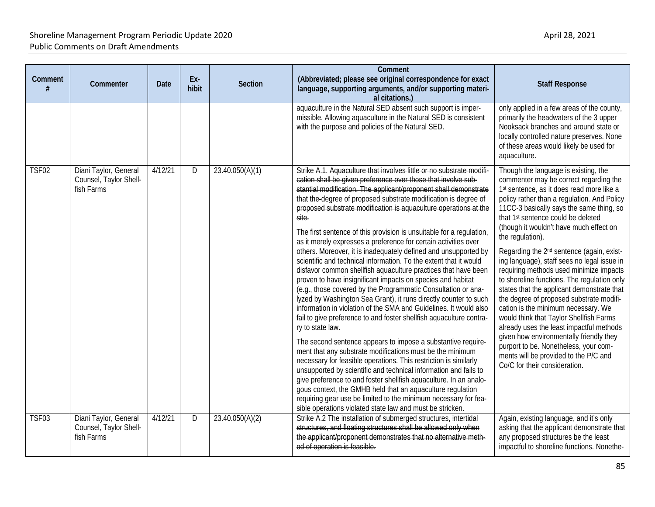| Comment      | Commenter                                                     | <b>Date</b> | Ex-<br>hibit | <b>Section</b>  | Comment<br>(Abbreviated; please see original correspondence for exact<br>language, supporting arguments, and/or supporting materi-<br>al citations.)                                                                                                                                                                                                                                                                                                                                                                                                                                                                                                                                                                                                                                                                                                                                                                                                                                                                                                                                                                                                                                                                                                                                                                                                                                                                                                                                                                                                                                                                       | <b>Staff Response</b>                                                                                                                                                                                                                                                                                                                                                                                                                                                                                                                                                                                                                                                                                                                                                                                                                                                                                                           |
|--------------|---------------------------------------------------------------|-------------|--------------|-----------------|----------------------------------------------------------------------------------------------------------------------------------------------------------------------------------------------------------------------------------------------------------------------------------------------------------------------------------------------------------------------------------------------------------------------------------------------------------------------------------------------------------------------------------------------------------------------------------------------------------------------------------------------------------------------------------------------------------------------------------------------------------------------------------------------------------------------------------------------------------------------------------------------------------------------------------------------------------------------------------------------------------------------------------------------------------------------------------------------------------------------------------------------------------------------------------------------------------------------------------------------------------------------------------------------------------------------------------------------------------------------------------------------------------------------------------------------------------------------------------------------------------------------------------------------------------------------------------------------------------------------------|---------------------------------------------------------------------------------------------------------------------------------------------------------------------------------------------------------------------------------------------------------------------------------------------------------------------------------------------------------------------------------------------------------------------------------------------------------------------------------------------------------------------------------------------------------------------------------------------------------------------------------------------------------------------------------------------------------------------------------------------------------------------------------------------------------------------------------------------------------------------------------------------------------------------------------|
|              |                                                               |             |              |                 | aquaculture in the Natural SED absent such support is imper-<br>missible. Allowing aquaculture in the Natural SED is consistent<br>with the purpose and policies of the Natural SED.                                                                                                                                                                                                                                                                                                                                                                                                                                                                                                                                                                                                                                                                                                                                                                                                                                                                                                                                                                                                                                                                                                                                                                                                                                                                                                                                                                                                                                       | only applied in a few areas of the county,<br>primarily the headwaters of the 3 upper<br>Nooksack branches and around state or<br>locally controlled nature preserves. None<br>of these areas would likely be used for<br>aquaculture.                                                                                                                                                                                                                                                                                                                                                                                                                                                                                                                                                                                                                                                                                          |
| <b>TSF02</b> | Diani Taylor, General<br>Counsel, Taylor Shell-<br>fish Farms | 4/12/21     | D            | 23.40.050(A)(1) | Strike A.1. Aquaculture that involves little or no substrate modifi-<br>cation shall be given preference over those that involve sub-<br>stantial modification. The applicant/proponent shall demonstrate<br>that the degree of proposed substrate modification is degree of<br>proposed substrate modification is aquaculture operations at the<br>site.<br>The first sentence of this provision is unsuitable for a regulation,<br>as it merely expresses a preference for certain activities over<br>others. Moreover, it is inadequately defined and unsupported by<br>scientific and technical information. To the extent that it would<br>disfavor common shellfish aquaculture practices that have been<br>proven to have insignificant impacts on species and habitat<br>(e.g., those covered by the Programmatic Consultation or ana-<br>lyzed by Washington Sea Grant), it runs directly counter to such<br>information in violation of the SMA and Guidelines. It would also<br>fail to give preference to and foster shellfish aquaculture contra-<br>ry to state law.<br>The second sentence appears to impose a substantive require-<br>ment that any substrate modifications must be the minimum<br>necessary for feasible operations. This restriction is similarly<br>unsupported by scientific and technical information and fails to<br>give preference to and foster shellfish aquaculture. In an analo-<br>gous context, the GMHB held that an aquaculture regulation<br>requiring gear use be limited to the minimum necessary for fea-<br>sible operations violated state law and must be stricken. | Though the language is existing, the<br>commenter may be correct regarding the<br>1st sentence, as it does read more like a<br>policy rather than a regulation. And Policy<br>11CC-3 basically says the same thing, so<br>that 1 <sup>st</sup> sentence could be deleted<br>(though it wouldn't have much effect on<br>the regulation).<br>Regarding the 2 <sup>nd</sup> sentence (again, exist-<br>ing language), staff sees no legal issue in<br>requiring methods used minimize impacts<br>to shoreline functions. The regulation only<br>states that the applicant demonstrate that<br>the degree of proposed substrate modifi-<br>cation is the minimum necessary. We<br>would think that Taylor Shellfish Farms<br>already uses the least impactful methods<br>given how environmentally friendly they<br>purport to be. Nonetheless, your com-<br>ments will be provided to the P/C and<br>Co/C for their consideration. |
| <b>TSF03</b> | Diani Taylor, General<br>Counsel, Taylor Shell-<br>fish Farms | 4/12/21     | D            | 23.40.050(A)(2) | Strike A.2 The installation of submerged structures, intertidal<br>structures, and floating structures shall be allowed only when<br>the applicant/proponent demonstrates that no alternative meth-<br>od of operation is feasible.                                                                                                                                                                                                                                                                                                                                                                                                                                                                                                                                                                                                                                                                                                                                                                                                                                                                                                                                                                                                                                                                                                                                                                                                                                                                                                                                                                                        | Again, existing language, and it's only<br>asking that the applicant demonstrate that<br>any proposed structures be the least<br>impactful to shoreline functions. Nonethe-                                                                                                                                                                                                                                                                                                                                                                                                                                                                                                                                                                                                                                                                                                                                                     |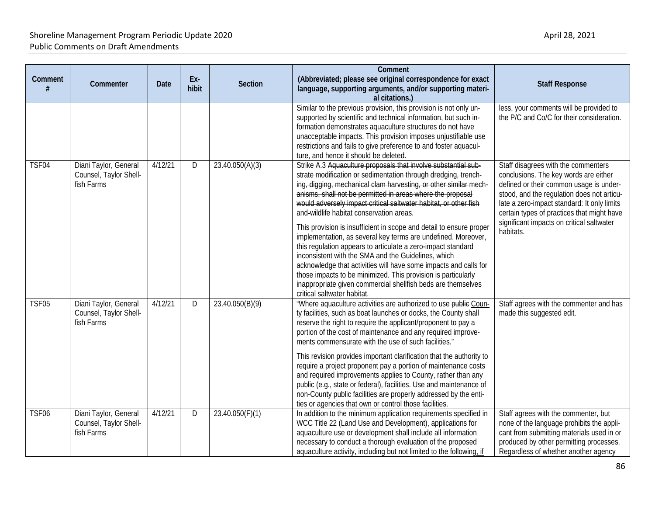| Comment      | Commenter                                                     | <b>Date</b> | Ex-<br>hibit | <b>Section</b>  | Comment<br>(Abbreviated; please see original correspondence for exact<br>language, supporting arguments, and/or supporting materi-<br>al citations.)                                                                                                                                                                                                                                                                                                                                                                                                                                                                                                                                                                                                                                                                                                                                  | <b>Staff Response</b>                                                                                                                                                                                                                                                                                                        |
|--------------|---------------------------------------------------------------|-------------|--------------|-----------------|---------------------------------------------------------------------------------------------------------------------------------------------------------------------------------------------------------------------------------------------------------------------------------------------------------------------------------------------------------------------------------------------------------------------------------------------------------------------------------------------------------------------------------------------------------------------------------------------------------------------------------------------------------------------------------------------------------------------------------------------------------------------------------------------------------------------------------------------------------------------------------------|------------------------------------------------------------------------------------------------------------------------------------------------------------------------------------------------------------------------------------------------------------------------------------------------------------------------------|
|              |                                                               |             |              |                 | Similar to the previous provision, this provision is not only un-<br>supported by scientific and technical information, but such in-<br>formation demonstrates aquaculture structures do not have<br>unacceptable impacts. This provision imposes unjustifiable use<br>restrictions and fails to give preference to and foster aquacul-<br>ture, and hence it should be deleted.                                                                                                                                                                                                                                                                                                                                                                                                                                                                                                      | less, your comments will be provided to<br>the P/C and Co/C for their consideration.                                                                                                                                                                                                                                         |
| TSF04        | Diani Taylor, General<br>Counsel, Taylor Shell-<br>fish Farms | 4/12/21     | D            | 23.40.050(A)(3) | Strike A.3 Aquaculture proposals that involve substantial sub-<br>strate modification or sedimentation through dredging, trench-<br>ing, digging, mechanical clam harvesting, or other similar mech-<br>anisms, shall not be permitted in areas where the proposal<br>would adversely impact critical saltwater habitat, or other fish<br>and wildlife habitat conservation areas.<br>This provision is insufficient in scope and detail to ensure proper<br>implementation, as several key terms are undefined. Moreover,<br>this regulation appears to articulate a zero-impact standard<br>inconsistent with the SMA and the Guidelines, which<br>acknowledge that activities will have some impacts and calls for<br>those impacts to be minimized. This provision is particularly<br>inappropriate given commercial shellfish beds are themselves<br>critical saltwater habitat. | Staff disagrees with the commenters<br>conclusions. The key words are either<br>defined or their common usage is under-<br>stood, and the regulation does not articu-<br>late a zero-impact standard: It only limits<br>certain types of practices that might have<br>significant impacts on critical saltwater<br>habitats. |
| <b>TSF05</b> | Diani Taylor, General<br>Counsel, Taylor Shell-<br>fish Farms | 4/12/21     | D            | 23.40.050(B)(9) | "Where aquaculture activities are authorized to use public Coun-<br>ty facilities, such as boat launches or docks, the County shall<br>reserve the right to require the applicant/proponent to pay a<br>portion of the cost of maintenance and any required improve-<br>ments commensurate with the use of such facilities."<br>This revision provides important clarification that the authority to<br>require a project proponent pay a portion of maintenance costs<br>and required improvements applies to County, rather than any<br>public (e.g., state or federal), facilities. Use and maintenance of<br>non-County public facilities are properly addressed by the enti-<br>ties or agencies that own or control those facilities.                                                                                                                                           | Staff agrees with the commenter and has<br>made this suggested edit.                                                                                                                                                                                                                                                         |
| <b>TSF06</b> | Diani Taylor, General<br>Counsel, Taylor Shell-<br>fish Farms | 4/12/21     | D            | 23.40.050(F)(1) | In addition to the minimum application requirements specified in<br>WCC Title 22 (Land Use and Development), applications for<br>aquaculture use or development shall include all information<br>necessary to conduct a thorough evaluation of the proposed<br>aquaculture activity, including but not limited to the following, if                                                                                                                                                                                                                                                                                                                                                                                                                                                                                                                                                   | Staff agrees with the commenter, but<br>none of the language prohibits the appli-<br>cant from submitting materials used in or<br>produced by other permitting processes.<br>Regardless of whether another agency                                                                                                            |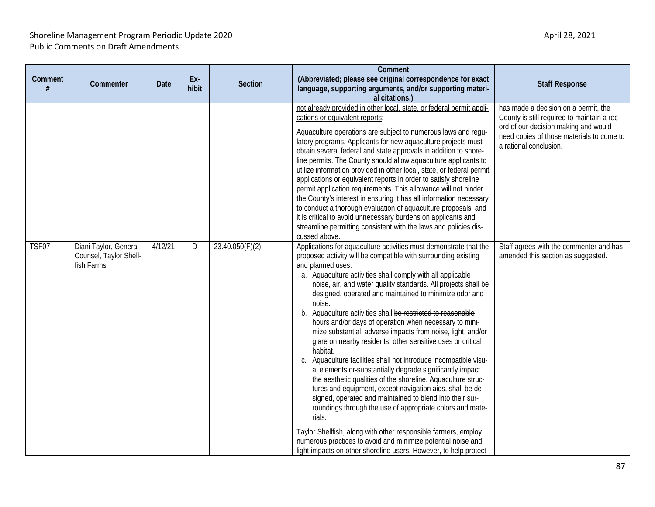| Comment | Commenter                                                     | Date    | Ex-<br>hibit | <b>Section</b>  | Comment<br>(Abbreviated; please see original correspondence for exact<br>language, supporting arguments, and/or supporting materi-<br>al citations.)                                                                                                                                                                                                                                                                                                                                                                                                                                                                                                                                                                                                                                                                                                                                                                                                                                                                                                                                                                                                                                                                                   | <b>Staff Response</b>                                                                                                                                                                              |
|---------|---------------------------------------------------------------|---------|--------------|-----------------|----------------------------------------------------------------------------------------------------------------------------------------------------------------------------------------------------------------------------------------------------------------------------------------------------------------------------------------------------------------------------------------------------------------------------------------------------------------------------------------------------------------------------------------------------------------------------------------------------------------------------------------------------------------------------------------------------------------------------------------------------------------------------------------------------------------------------------------------------------------------------------------------------------------------------------------------------------------------------------------------------------------------------------------------------------------------------------------------------------------------------------------------------------------------------------------------------------------------------------------|----------------------------------------------------------------------------------------------------------------------------------------------------------------------------------------------------|
|         |                                                               |         |              |                 | not already provided in other local, state, or federal permit appli-<br>cations or equivalent reports:<br>Aquaculture operations are subject to numerous laws and regu-<br>latory programs. Applicants for new aquaculture projects must<br>obtain several federal and state approvals in addition to shore-<br>line permits. The County should allow aquaculture applicants to<br>utilize information provided in other local, state, or federal permit<br>applications or equivalent reports in order to satisfy shoreline<br>permit application requirements. This allowance will not hinder<br>the County's interest in ensuring it has all information necessary<br>to conduct a thorough evaluation of aquaculture proposals, and<br>it is critical to avoid unnecessary burdens on applicants and<br>streamline permitting consistent with the laws and policies dis-<br>cussed above.                                                                                                                                                                                                                                                                                                                                          | has made a decision on a permit, the<br>County is still required to maintain a rec-<br>ord of our decision making and would<br>need copies of those materials to come to<br>a rational conclusion. |
| TSF07   | Diani Taylor, General<br>Counsel, Taylor Shell-<br>fish Farms | 4/12/21 | D            | 23.40.050(F)(2) | Applications for aquaculture activities must demonstrate that the<br>proposed activity will be compatible with surrounding existing<br>and planned uses.<br>a. Aquaculture activities shall comply with all applicable<br>noise, air, and water quality standards. All projects shall be<br>designed, operated and maintained to minimize odor and<br>noise.<br>b. Aquaculture activities shall be restricted to reasonable<br>hours and/or days of operation when necessary to mini-<br>mize substantial, adverse impacts from noise, light, and/or<br>glare on nearby residents, other sensitive uses or critical<br>habitat.<br>c. Aquaculture facilities shall not introduce incompatible visu-<br>al elements or substantially degrade significantly impact<br>the aesthetic qualities of the shoreline. Aquaculture struc-<br>tures and equipment, except navigation aids, shall be de-<br>signed, operated and maintained to blend into their sur-<br>roundings through the use of appropriate colors and mate-<br>rials.<br>Taylor Shellfish, along with other responsible farmers, employ<br>numerous practices to avoid and minimize potential noise and<br>light impacts on other shoreline users. However, to help protect | Staff agrees with the commenter and has<br>amended this section as suggested.                                                                                                                      |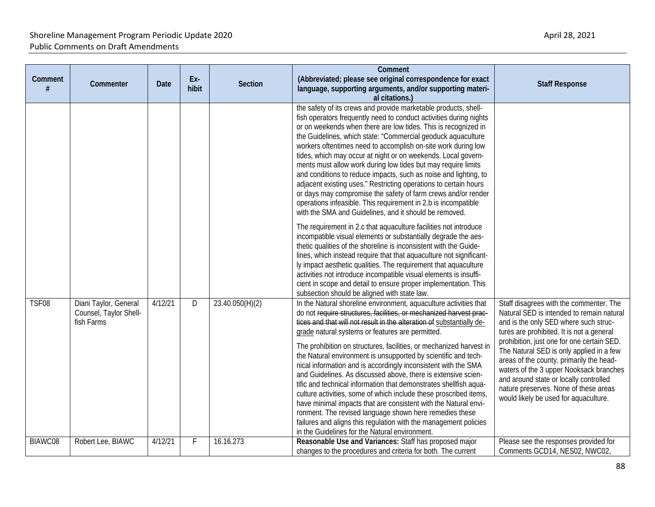| Comment | Commenter                                                     | <b>Date</b> | Ex-<br>hibit | Section         | Comment<br>(Abbreviated; please see original correspondence for exact<br>language, supporting arguments, and/or supporting materi-<br>al citations.)                                                                                                                                                                                                                                                                                                                                                                                                                                                                                                                                                                                                                                                                                                                                                                                          | <b>Staff Response</b>                                                                                                                                                                                                                                                                                                                                                                                                                                                                   |
|---------|---------------------------------------------------------------|-------------|--------------|-----------------|-----------------------------------------------------------------------------------------------------------------------------------------------------------------------------------------------------------------------------------------------------------------------------------------------------------------------------------------------------------------------------------------------------------------------------------------------------------------------------------------------------------------------------------------------------------------------------------------------------------------------------------------------------------------------------------------------------------------------------------------------------------------------------------------------------------------------------------------------------------------------------------------------------------------------------------------------|-----------------------------------------------------------------------------------------------------------------------------------------------------------------------------------------------------------------------------------------------------------------------------------------------------------------------------------------------------------------------------------------------------------------------------------------------------------------------------------------|
|         |                                                               |             |              |                 | the safety of its crews and provide marketable products, shell-<br>fish operators frequently need to conduct activities during nights<br>or on weekends when there are low tides. This is recognized in<br>the Guidelines, which state: "Commercial geoduck aquaculture<br>workers oftentimes need to accomplish on-site work during low<br>tides, which may occur at night or on weekends. Local govern-<br>ments must allow work during low tides but may require limits<br>and conditions to reduce impacts, such as noise and lighting, to<br>adjacent existing uses." Restricting operations to certain hours<br>or days may compromise the safety of farm crews and/or render<br>operations infeasible. This requirement in 2.b is incompatible<br>with the SMA and Guidelines, and it should be removed.                                                                                                                               |                                                                                                                                                                                                                                                                                                                                                                                                                                                                                         |
|         |                                                               |             |              |                 | The requirement in 2.c that aquaculture facilities not introduce<br>incompatible visual elements or substantially degrade the aes-<br>thetic qualities of the shoreline is inconsistent with the Guide-<br>lines, which instead require that that aquaculture not significant-<br>ly impact aesthetic qualities. The requirement that aquaculture<br>activities not introduce incompatible visual elements is insuffi-<br>cient in scope and detail to ensure proper implementation. This<br>subsection should be aligned with state law.                                                                                                                                                                                                                                                                                                                                                                                                     |                                                                                                                                                                                                                                                                                                                                                                                                                                                                                         |
| TSF08   | Diani Taylor, General<br>Counsel, Taylor Shell-<br>fish Farms | 4/12/21     | D            | 23.40.050(H)(2) | In the Natural shoreline environment, aquaculture activities that<br>do not require structures, facilities, or mechanized harvest prac-<br>tices and that will not result in the alteration of substantially de-<br>grade natural systems or features are permitted.<br>The prohibition on structures, facilities, or mechanized harvest in<br>the Natural environment is unsupported by scientific and tech-<br>nical information and is accordingly inconsistent with the SMA<br>and Guidelines. As discussed above, there is extensive scien-<br>tific and technical information that demonstrates shellfish aqua-<br>culture activities, some of which include these proscribed items<br>have minimal impacts that are consistent with the Natural envi-<br>ronment. The revised language shown here remedies these<br>failures and aligns this regulation with the management policies<br>in the Guidelines for the Natural environment. | Staff disagrees with the commenter. The<br>Natural SED is intended to remain natural<br>and is the only SED where such struc-<br>tures are prohibited. It is not a general<br>prohibition, just one for one certain SED.<br>The Natural SED is only applied in a few<br>areas of the county, primarily the head-<br>waters of the 3 upper Nooksack branches<br>and around state or locally controlled<br>nature preserves. None of these areas<br>would likely be used for aquaculture. |
| BIAWC08 | Robert Lee, BIAWC                                             | 4/12/21     | F.           | 16.16.273       | Reasonable Use and Variances: Staff has proposed major<br>changes to the procedures and criteria for both. The current                                                                                                                                                                                                                                                                                                                                                                                                                                                                                                                                                                                                                                                                                                                                                                                                                        | Please see the responses provided for<br>Comments GCD14, NES02, NWC02,                                                                                                                                                                                                                                                                                                                                                                                                                  |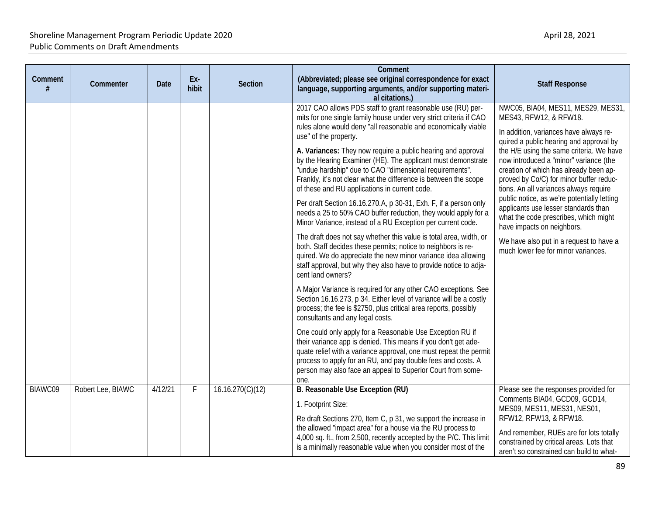| Comment | Commenter         | <b>Date</b> | Ex-<br>hibit | <b>Section</b>   | Comment<br>(Abbreviated; please see original correspondence for exact<br>language, supporting arguments, and/or supporting materi-<br>al citations.)                                                                                                                                                                                                                                                                                                                                                                                                                                                                                                                                                                                                                                                                                                                                                                                                                                                                                                                                                                                                                                                                                                                                                                                                                                                                                                                                                                                                                                                                                           | <b>Staff Response</b>                                                                                                                                                                                                                                                                                                                                                                                                                                                                                                                                                                                                  |
|---------|-------------------|-------------|--------------|------------------|------------------------------------------------------------------------------------------------------------------------------------------------------------------------------------------------------------------------------------------------------------------------------------------------------------------------------------------------------------------------------------------------------------------------------------------------------------------------------------------------------------------------------------------------------------------------------------------------------------------------------------------------------------------------------------------------------------------------------------------------------------------------------------------------------------------------------------------------------------------------------------------------------------------------------------------------------------------------------------------------------------------------------------------------------------------------------------------------------------------------------------------------------------------------------------------------------------------------------------------------------------------------------------------------------------------------------------------------------------------------------------------------------------------------------------------------------------------------------------------------------------------------------------------------------------------------------------------------------------------------------------------------|------------------------------------------------------------------------------------------------------------------------------------------------------------------------------------------------------------------------------------------------------------------------------------------------------------------------------------------------------------------------------------------------------------------------------------------------------------------------------------------------------------------------------------------------------------------------------------------------------------------------|
|         |                   |             |              |                  | 2017 CAO allows PDS staff to grant reasonable use (RU) per-<br>mits for one single family house under very strict criteria if CAO<br>rules alone would deny "all reasonable and economically viable<br>use" of the property.<br>A. Variances: They now require a public hearing and approval<br>by the Hearing Examiner (HE). The applicant must demonstrate<br>"undue hardship" due to CAO "dimensional requirements".<br>Frankly, it's not clear what the difference is between the scope<br>of these and RU applications in current code.<br>Per draft Section 16.16.270.A, p 30-31, Exh. F, if a person only<br>needs a 25 to 50% CAO buffer reduction, they would apply for a<br>Minor Variance, instead of a RU Exception per current code.<br>The draft does not say whether this value is total area, width, or<br>both. Staff decides these permits; notice to neighbors is re-<br>quired. We do appreciate the new minor variance idea allowing<br>staff approval, but why they also have to provide notice to adja-<br>cent land owners?<br>A Major Variance is required for any other CAO exceptions. See<br>Section 16.16.273, p 34. Either level of variance will be a costly<br>process; the fee is \$2750, plus critical area reports, possibly<br>consultants and any legal costs.<br>One could only apply for a Reasonable Use Exception RU if<br>their variance app is denied. This means if you don't get ade-<br>quate relief with a variance approval, one must repeat the permit<br>process to apply for an RU, and pay double fees and costs. A<br>person may also face an appeal to Superior Court from some-<br>one. | NWC05, BIA04, MES11, MES29, MES31,<br>MES43, RFW12, & RFW18.<br>In addition, variances have always re-<br>quired a public hearing and approval by<br>the H/E using the same criteria. We have<br>now introduced a "minor" variance (the<br>creation of which has already been ap-<br>proved by Co/C) for minor buffer reduc-<br>tions. An all variances always require<br>public notice, as we're potentially letting<br>applicants use lesser standards than<br>what the code prescribes, which might<br>have impacts on neighbors.<br>We have also put in a request to have a<br>much lower fee for minor variances. |
| BIAWC09 | Robert Lee, BIAWC | 4/12/21     | F            | 16.16.270(C)(12) | B. Reasonable Use Exception (RU)<br>1. Footprint Size:<br>Re draft Sections 270, Item C, p 31, we support the increase in<br>the allowed "impact area" for a house via the RU process to<br>4,000 sq. ft., from 2,500, recently accepted by the P/C. This limit<br>is a minimally reasonable value when you consider most of the                                                                                                                                                                                                                                                                                                                                                                                                                                                                                                                                                                                                                                                                                                                                                                                                                                                                                                                                                                                                                                                                                                                                                                                                                                                                                                               | Please see the responses provided for<br>Comments BIA04, GCD09, GCD14,<br>MES09, MES11, MES31, NES01,<br>RFW12, RFW13, & RFW18.<br>And remember, RUEs are for lots totally<br>constrained by critical areas. Lots that<br>aren't so constrained can build to what-                                                                                                                                                                                                                                                                                                                                                     |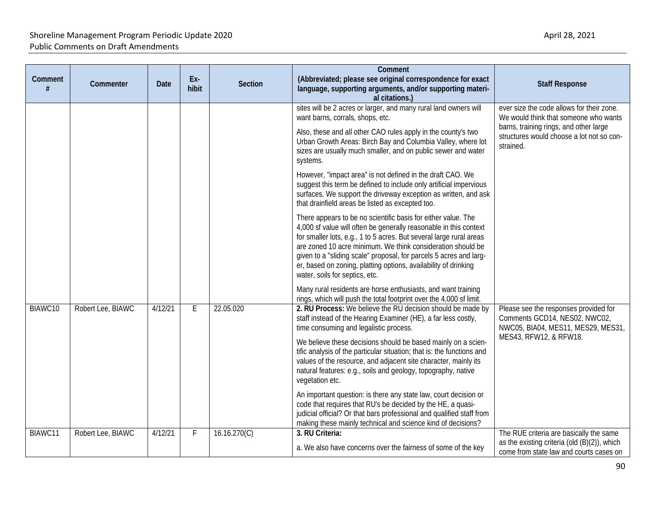| Comment<br># | Commenter         | <b>Date</b> | Ex-<br>hibit | <b>Section</b> | Comment<br>(Abbreviated; please see original correspondence for exact<br>language, supporting arguments, and/or supporting materi-<br>al citations.)                                                                                                                                                                                                                                                                                                | <b>Staff Response</b>                                                                                                                                                                  |
|--------------|-------------------|-------------|--------------|----------------|-----------------------------------------------------------------------------------------------------------------------------------------------------------------------------------------------------------------------------------------------------------------------------------------------------------------------------------------------------------------------------------------------------------------------------------------------------|----------------------------------------------------------------------------------------------------------------------------------------------------------------------------------------|
|              |                   |             |              |                | sites will be 2 acres or larger, and many rural land owners will<br>want barns, corrals, shops, etc.<br>Also, these and all other CAO rules apply in the county's two<br>Urban Growth Areas: Birch Bay and Columbia Valley, where lot<br>sizes are usually much smaller, and on public sewer and water<br>systems.                                                                                                                                  | ever size the code allows for their zone.<br>We would think that someone who wants<br>barns, training rings, and other large<br>structures would choose a lot not so con-<br>strained. |
|              |                   |             |              |                | However, "impact area" is not defined in the draft CAO. We<br>suggest this term be defined to include only artificial impervious<br>surfaces. We support the driveway exception as written, and ask<br>that drainfield areas be listed as excepted too.                                                                                                                                                                                             |                                                                                                                                                                                        |
|              |                   |             |              |                | There appears to be no scientific basis for either value. The<br>4,000 sf value will often be generally reasonable in this context<br>for smaller lots, e.g., 1 to 5 acres. But several large rural areas<br>are zoned 10 acre minimum. We think consideration should be<br>given to a "sliding scale" proposal, for parcels 5 acres and larg-<br>er, based on zoning, platting options, availability of drinking<br>water, soils for septics, etc. |                                                                                                                                                                                        |
|              |                   |             |              |                | Many rural residents are horse enthusiasts, and want training<br>rings, which will push the total footprint over the 4,000 sf limit.                                                                                                                                                                                                                                                                                                                |                                                                                                                                                                                        |
| BIAWC10      | Robert Lee, BIAWC | 4/12/21     | E            | 22.05.020      | 2. RU Process: We believe the RU decision should be made by<br>staff instead of the Hearing Examiner (HE), a far less costly,<br>time consuming and legalistic process.                                                                                                                                                                                                                                                                             | Please see the responses provided for<br>Comments GCD14, NES02, NWC02,<br>NWC05, BIA04, MES11, MES29, MES31,                                                                           |
|              |                   |             |              |                | We believe these decisions should be based mainly on a scien-<br>tific analysis of the particular situation; that is: the functions and<br>values of the resource, and adjacent site character, mainly its<br>natural features: e.g., soils and geology, topography, native<br>vegetation etc.                                                                                                                                                      | MES43, RFW12, & RFW18.                                                                                                                                                                 |
|              |                   |             |              |                | An important question: is there any state law, court decision or<br>code that requires that RU's be decided by the HE, a quasi-<br>judicial official? Or that bars professional and qualified staff from<br>making these mainly technical and science kind of decisions?                                                                                                                                                                            |                                                                                                                                                                                        |
| BIAWC11      | Robert Lee, BIAWC | 4/12/21     | F            | 16.16.270(C)   | 3. RU Criteria:<br>a. We also have concerns over the fairness of some of the key                                                                                                                                                                                                                                                                                                                                                                    | The RUE criteria are basically the same<br>as the existing criteria (old $(B)(2)$ ), which<br>come from state law and courts cases on                                                  |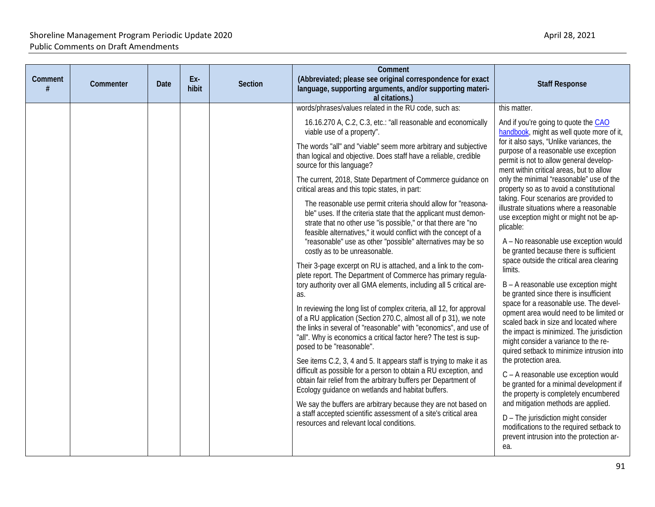| Comment<br>(Abbreviated; please see original correspondence for exact<br>Ex-<br>Comment<br>Commenter<br><b>Section</b><br>Date<br>#<br>hibit<br>language, supporting arguments, and/or supporting materi-<br>al citations.)                                                                                                                                                                                                                                                                                                                                                                                                                                                                                                                                                                                                                                                                                                                                                                                                                                                                                                                                                                                                                                                                                                                                                                                                                                                                                                                                                                                                                                                                                                                                                                              | <b>Staff Response</b>                                                                                                                                                                                                                                                                                                                                                                                                                                                                                                                                                                                                                                                                                                                                                                                                                                                                                                                                                                                                                                                                                                                                                                                                                                                                                                                             |
|----------------------------------------------------------------------------------------------------------------------------------------------------------------------------------------------------------------------------------------------------------------------------------------------------------------------------------------------------------------------------------------------------------------------------------------------------------------------------------------------------------------------------------------------------------------------------------------------------------------------------------------------------------------------------------------------------------------------------------------------------------------------------------------------------------------------------------------------------------------------------------------------------------------------------------------------------------------------------------------------------------------------------------------------------------------------------------------------------------------------------------------------------------------------------------------------------------------------------------------------------------------------------------------------------------------------------------------------------------------------------------------------------------------------------------------------------------------------------------------------------------------------------------------------------------------------------------------------------------------------------------------------------------------------------------------------------------------------------------------------------------------------------------------------------------|---------------------------------------------------------------------------------------------------------------------------------------------------------------------------------------------------------------------------------------------------------------------------------------------------------------------------------------------------------------------------------------------------------------------------------------------------------------------------------------------------------------------------------------------------------------------------------------------------------------------------------------------------------------------------------------------------------------------------------------------------------------------------------------------------------------------------------------------------------------------------------------------------------------------------------------------------------------------------------------------------------------------------------------------------------------------------------------------------------------------------------------------------------------------------------------------------------------------------------------------------------------------------------------------------------------------------------------------------|
| words/phrases/values related in the RU code, such as:<br>16.16.270 A, C.2, C.3, etc.: "all reasonable and economically<br>viable use of a property".<br>The words "all" and "viable" seem more arbitrary and subjective<br>than logical and objective. Does staff have a reliable, credible<br>source for this language?<br>The current, 2018, State Department of Commerce guidance on<br>critical areas and this topic states, in part:<br>The reasonable use permit criteria should allow for "reasona-<br>ble" uses. If the criteria state that the applicant must demon-<br>strate that no other use "is possible," or that there are "no<br>feasible alternatives," it would conflict with the concept of a<br>"reasonable" use as other "possible" alternatives may be so<br>costly as to be unreasonable.<br>Their 3-page excerpt on RU is attached, and a link to the com-<br>plete report. The Department of Commerce has primary regula-<br>tory authority over all GMA elements, including all 5 critical are-<br>as.<br>In reviewing the long list of complex criteria, all 12, for approval<br>of a RU application (Section 270.C, almost all of p 31), we note<br>the links in several of "reasonable" with "economics", and use of<br>"all". Why is economics a critical factor here? The test is sup-<br>posed to be "reasonable".<br>See items C.2, 3, 4 and 5. It appears staff is trying to make it as<br>difficult as possible for a person to obtain a RU exception, and<br>obtain fair relief from the arbitrary buffers per Department of<br>Ecology guidance on wetlands and habitat buffers.<br>We say the buffers are arbitrary because they are not based on<br>a staff accepted scientific assessment of a site's critical area<br>resources and relevant local conditions. | this matter.<br>And if you're going to quote the CAO<br>handbook, might as well quote more of it,<br>for it also says, "Unlike variances, the<br>purpose of a reasonable use exception<br>permit is not to allow general develop-<br>ment within critical areas, but to allow<br>only the minimal "reasonable" use of the<br>property so as to avoid a constitutional<br>taking. Four scenarios are provided to<br>illustrate situations where a reasonable<br>use exception might or might not be ap-<br>plicable:<br>A - No reasonable use exception would<br>be granted because there is sufficient<br>space outside the critical area clearing<br>limits.<br>B - A reasonable use exception might<br>be granted since there is insufficient<br>space for a reasonable use. The devel-<br>opment area would need to be limited or<br>scaled back in size and located where<br>the impact is minimized. The jurisdiction<br>might consider a variance to the re-<br>quired setback to minimize intrusion into<br>the protection area.<br>C - A reasonable use exception would<br>be granted for a minimal development if<br>the property is completely encumbered<br>and mitigation methods are applied.<br>D - The jurisdiction might consider<br>modifications to the required setback to<br>prevent intrusion into the protection ar-<br>ea. |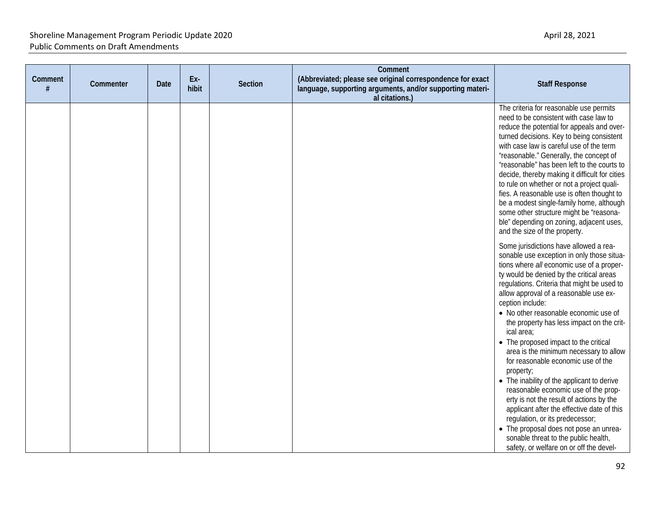| Comment<br># | Commenter | Date | Ex-<br>hibit | Section | Comment<br>(Abbreviated; please see original correspondence for exact<br>language, supporting arguments, and/or supporting materi-<br>al citations.) | <b>Staff Response</b>                                                                                                                                                                                                                                                                                                                                                                                                                                                                                                                                                                                                                                                                                                                                                                                                                                                                |
|--------------|-----------|------|--------------|---------|------------------------------------------------------------------------------------------------------------------------------------------------------|--------------------------------------------------------------------------------------------------------------------------------------------------------------------------------------------------------------------------------------------------------------------------------------------------------------------------------------------------------------------------------------------------------------------------------------------------------------------------------------------------------------------------------------------------------------------------------------------------------------------------------------------------------------------------------------------------------------------------------------------------------------------------------------------------------------------------------------------------------------------------------------|
|              |           |      |              |         |                                                                                                                                                      | The criteria for reasonable use permits<br>need to be consistent with case law to<br>reduce the potential for appeals and over-<br>turned decisions. Key to being consistent<br>with case law is careful use of the term<br>"reasonable." Generally, the concept of<br>"reasonable" has been left to the courts to<br>decide, thereby making it difficult for cities<br>to rule on whether or not a project quali-<br>fies. A reasonable use is often thought to<br>be a modest single-family home, although<br>some other structure might be "reasona-<br>ble" depending on zoning, adjacent uses,<br>and the size of the property.                                                                                                                                                                                                                                                 |
|              |           |      |              |         |                                                                                                                                                      | Some jurisdictions have allowed a rea-<br>sonable use exception in only those situa-<br>tions where all economic use of a proper-<br>ty would be denied by the critical areas<br>regulations. Criteria that might be used to<br>allow approval of a reasonable use ex-<br>ception include:<br>• No other reasonable economic use of<br>the property has less impact on the crit-<br>ical area;<br>• The proposed impact to the critical<br>area is the minimum necessary to allow<br>for reasonable economic use of the<br>property;<br>• The inability of the applicant to derive<br>reasonable economic use of the prop-<br>erty is not the result of actions by the<br>applicant after the effective date of this<br>regulation, or its predecessor;<br>• The proposal does not pose an unrea-<br>sonable threat to the public health,<br>safety, or welfare on or off the devel- |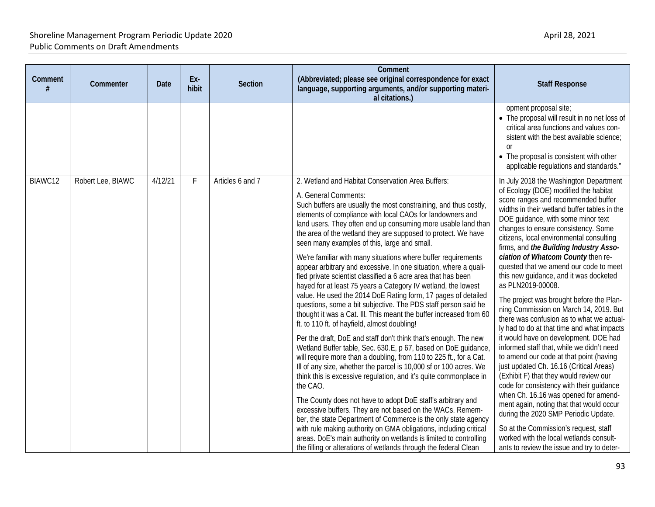| Comment<br># | Commenter         | Date    | Ex-<br>hibit | Section          | Comment<br>(Abbreviated; please see original correspondence for exact<br>language, supporting arguments, and/or supporting materi-<br>al citations.)                                                                                                                                                                                                                                                                                                                                                                                                                                                                                                                                                                                                                                                                                                                                                                                                                                                                                                                                                                                                                                                                                                                                                                                                                                                                                                                                                                                                                                                                                                                                                     | <b>Staff Response</b>                                                                                                                                                                                                                                                                                                                                                                                                                                                                                                                                                                                                                                                                                                                                                                                                                                                                                                                                                                                                                                                                                                                                                                                     |
|--------------|-------------------|---------|--------------|------------------|----------------------------------------------------------------------------------------------------------------------------------------------------------------------------------------------------------------------------------------------------------------------------------------------------------------------------------------------------------------------------------------------------------------------------------------------------------------------------------------------------------------------------------------------------------------------------------------------------------------------------------------------------------------------------------------------------------------------------------------------------------------------------------------------------------------------------------------------------------------------------------------------------------------------------------------------------------------------------------------------------------------------------------------------------------------------------------------------------------------------------------------------------------------------------------------------------------------------------------------------------------------------------------------------------------------------------------------------------------------------------------------------------------------------------------------------------------------------------------------------------------------------------------------------------------------------------------------------------------------------------------------------------------------------------------------------------------|-----------------------------------------------------------------------------------------------------------------------------------------------------------------------------------------------------------------------------------------------------------------------------------------------------------------------------------------------------------------------------------------------------------------------------------------------------------------------------------------------------------------------------------------------------------------------------------------------------------------------------------------------------------------------------------------------------------------------------------------------------------------------------------------------------------------------------------------------------------------------------------------------------------------------------------------------------------------------------------------------------------------------------------------------------------------------------------------------------------------------------------------------------------------------------------------------------------|
|              |                   |         |              |                  |                                                                                                                                                                                                                                                                                                                                                                                                                                                                                                                                                                                                                                                                                                                                                                                                                                                                                                                                                                                                                                                                                                                                                                                                                                                                                                                                                                                                                                                                                                                                                                                                                                                                                                          | opment proposal site;<br>• The proposal will result in no net loss of<br>critical area functions and values con-<br>sistent with the best available science;<br><sub>0r</sub><br>• The proposal is consistent with other<br>applicable regulations and standards."                                                                                                                                                                                                                                                                                                                                                                                                                                                                                                                                                                                                                                                                                                                                                                                                                                                                                                                                        |
| BIAWC12      | Robert Lee, BIAWC | 4/12/21 | F            | Articles 6 and 7 | 2. Wetland and Habitat Conservation Area Buffers:<br>A. General Comments:<br>Such buffers are usually the most constraining, and thus costly,<br>elements of compliance with local CAOs for landowners and<br>land users. They often end up consuming more usable land than<br>the area of the wetland they are supposed to protect. We have<br>seen many examples of this, large and small.<br>We're familiar with many situations where buffer requirements<br>appear arbitrary and excessive. In one situation, where a quali-<br>fied private scientist classified a 6 acre area that has been<br>hayed for at least 75 years a Category IV wetland, the lowest<br>value. He used the 2014 DoE Rating form, 17 pages of detailed<br>questions, some a bit subjective. The PDS staff person said he<br>thought it was a Cat. III. This meant the buffer increased from 60<br>ft. to 110 ft. of hayfield, almost doubling!<br>Per the draft, DoE and staff don't think that's enough. The new<br>Wetland Buffer table, Sec. 630.E, p 67, based on DoE guidance<br>will require more than a doubling, from 110 to 225 ft., for a Cat.<br>III of any size, whether the parcel is 10,000 sf or 100 acres. We<br>think this is excessive regulation, and it's quite commonplace in<br>the CAO.<br>The County does not have to adopt DoE staff's arbitrary and<br>excessive buffers. They are not based on the WACs. Remem-<br>ber, the state Department of Commerce is the only state agency<br>with rule making authority on GMA obligations, including critical<br>areas. DoE's main authority on wetlands is limited to controlling<br>the filling or alterations of wetlands through the federal Clean | In July 2018 the Washington Department<br>of Ecology (DOE) modified the habitat<br>score ranges and recommended buffer<br>widths in their wetland buffer tables in the<br>DOE guidance, with some minor text<br>changes to ensure consistency. Some<br>citizens, local environmental consulting<br>firms, and the Building Industry Asso-<br>ciation of Whatcom County then re-<br>quested that we amend our code to meet<br>this new guidance, and it was docketed<br>as PLN2019-00008.<br>The project was brought before the Plan-<br>ning Commission on March 14, 2019. But<br>there was confusion as to what we actual-<br>ly had to do at that time and what impacts<br>it would have on development. DOE had<br>informed staff that, while we didn't need<br>to amend our code at that point (having<br>just updated Ch. 16.16 (Critical Areas)<br>(Exhibit F) that they would review our<br>code for consistency with their guidance<br>when Ch. 16.16 was opened for amend-<br>ment again, noting that that would occur<br>during the 2020 SMP Periodic Update.<br>So at the Commission's request, staff<br>worked with the local wetlands consult-<br>ants to review the issue and try to deter- |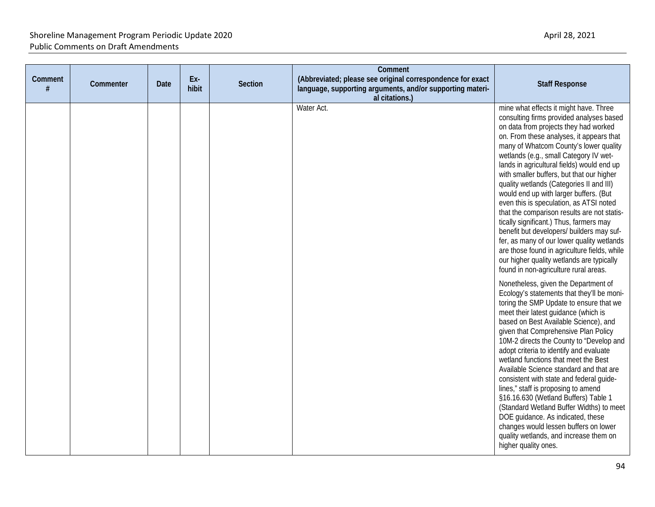| Comment<br># | Commenter | <b>Date</b> | Ex-<br>hibit | <b>Section</b> | Comment<br>(Abbreviated; please see original correspondence for exact<br>language, supporting arguments, and/or supporting materi-<br>al citations.) | <b>Staff Response</b>                                                                                                                                                                                                                                                                                                                                                                                                                                                                                                                                                                                                                                                                                                                                                                                              |
|--------------|-----------|-------------|--------------|----------------|------------------------------------------------------------------------------------------------------------------------------------------------------|--------------------------------------------------------------------------------------------------------------------------------------------------------------------------------------------------------------------------------------------------------------------------------------------------------------------------------------------------------------------------------------------------------------------------------------------------------------------------------------------------------------------------------------------------------------------------------------------------------------------------------------------------------------------------------------------------------------------------------------------------------------------------------------------------------------------|
|              |           |             |              |                | Water Act.                                                                                                                                           | mine what effects it might have. Three<br>consulting firms provided analyses based<br>on data from projects they had worked<br>on. From these analyses, it appears that<br>many of Whatcom County's lower quality<br>wetlands (e.g., small Category IV wet-<br>lands in agricultural fields) would end up<br>with smaller buffers, but that our higher<br>quality wetlands (Categories II and III)<br>would end up with larger buffers. (But<br>even this is speculation, as ATSI noted<br>that the comparison results are not statis-<br>tically significant.) Thus, farmers may<br>benefit but developers/ builders may suf-<br>fer, as many of our lower quality wetlands<br>are those found in agriculture fields, while<br>our higher quality wetlands are typically<br>found in non-agriculture rural areas. |
|              |           |             |              |                |                                                                                                                                                      | Nonetheless, given the Department of<br>Ecology's statements that they'll be moni-<br>toring the SMP Update to ensure that we<br>meet their latest guidance (which is<br>based on Best Available Science), and<br>given that Comprehensive Plan Policy<br>10M-2 directs the County to "Develop and<br>adopt criteria to identify and evaluate<br>wetland functions that meet the Best<br>Available Science standard and that are<br>consistent with state and federal guide-<br>lines," staff is proposing to amend<br>§16.16.630 (Wetland Buffers) Table 1<br>(Standard Wetland Buffer Widths) to meet<br>DOE guidance. As indicated, these<br>changes would lessen buffers on lower<br>quality wetlands, and increase them on<br>higher quality ones.                                                            |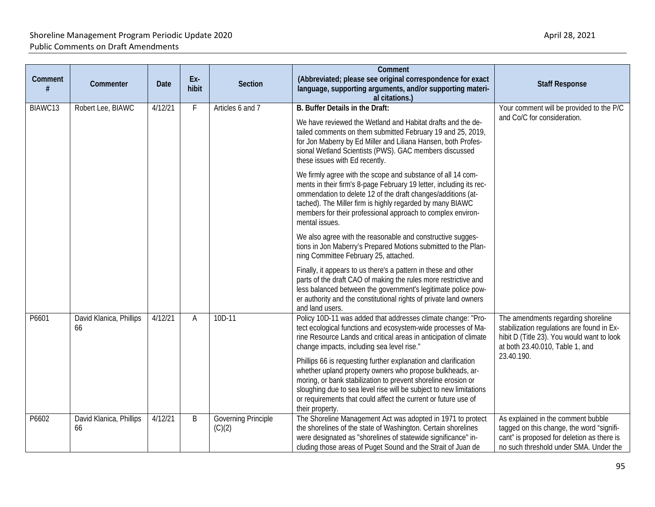| Comment | Commenter                                     | <b>Date</b> | Ex-<br>hibit                                                                                                                                                                                                                                     | <b>Section</b>                                                                                                                                                                                                                                                                                                                                   | Comment<br>(Abbreviated; please see original correspondence for exact<br>language, supporting arguments, and/or supporting materi-<br>al citations.)                                                                                                                                                                                                     | <b>Staff Response</b>                                                                                                                                                   |
|---------|-----------------------------------------------|-------------|--------------------------------------------------------------------------------------------------------------------------------------------------------------------------------------------------------------------------------------------------|--------------------------------------------------------------------------------------------------------------------------------------------------------------------------------------------------------------------------------------------------------------------------------------------------------------------------------------------------|----------------------------------------------------------------------------------------------------------------------------------------------------------------------------------------------------------------------------------------------------------------------------------------------------------------------------------------------------------|-------------------------------------------------------------------------------------------------------------------------------------------------------------------------|
| BIAWC13 | Robert Lee, BIAWC                             | 4/12/21     | F                                                                                                                                                                                                                                                | Articles 6 and 7                                                                                                                                                                                                                                                                                                                                 | B. Buffer Details in the Draft:<br>We have reviewed the Wetland and Habitat drafts and the de-<br>tailed comments on them submitted February 19 and 25, 2019,<br>for Jon Maberry by Ed Miller and Liliana Hansen, both Profes-<br>sional Wetland Scientists (PWS). GAC members discussed<br>these issues with Ed recently.                               | Your comment will be provided to the P/C<br>and Co/C for consideration.                                                                                                 |
|         |                                               |             |                                                                                                                                                                                                                                                  | We firmly agree with the scope and substance of all 14 com-<br>ments in their firm's 8-page February 19 letter, including its rec-<br>ommendation to delete 12 of the draft changes/additions (at-<br>tached). The Miller firm is highly regarded by many BIAWC<br>members for their professional approach to complex environ-<br>mental issues. |                                                                                                                                                                                                                                                                                                                                                          |                                                                                                                                                                         |
|         |                                               |             |                                                                                                                                                                                                                                                  |                                                                                                                                                                                                                                                                                                                                                  | We also agree with the reasonable and constructive sugges-<br>tions in Jon Maberry's Prepared Motions submitted to the Plan-<br>ning Committee February 25, attached.                                                                                                                                                                                    |                                                                                                                                                                         |
|         |                                               |             |                                                                                                                                                                                                                                                  |                                                                                                                                                                                                                                                                                                                                                  | Finally, it appears to us there's a pattern in these and other<br>parts of the draft CAO of making the rules more restrictive and<br>less balanced between the government's legitimate police pow-<br>er authority and the constitutional rights of private land owners<br>and land users.                                                               |                                                                                                                                                                         |
| P6601   | David Klanica, Phillips<br>4/12/21<br>Α<br>66 | 10D-11      | Policy 10D-11 was added that addresses climate change: "Pro-<br>tect ecological functions and ecosystem-wide processes of Ma-<br>rine Resource Lands and critical areas in anticipation of climate<br>change impacts, including sea level rise." | The amendments regarding shoreline<br>stabilization regulations are found in Ex-<br>hibit D (Title 23). You would want to look<br>at both 23.40.010, Table 1, and                                                                                                                                                                                |                                                                                                                                                                                                                                                                                                                                                          |                                                                                                                                                                         |
|         |                                               |             |                                                                                                                                                                                                                                                  |                                                                                                                                                                                                                                                                                                                                                  | Phillips 66 is requesting further explanation and clarification<br>whether upland property owners who propose bulkheads, ar-<br>moring, or bank stabilization to prevent shoreline erosion or<br>sloughing due to sea level rise will be subject to new limitations<br>or requirements that could affect the current or future use of<br>their property. | 23.40.190.                                                                                                                                                              |
| P6602   | David Klanica, Phillips<br>66                 | 4/12/21     | B                                                                                                                                                                                                                                                | Governing Principle<br>(C)(2)                                                                                                                                                                                                                                                                                                                    | The Shoreline Management Act was adopted in 1971 to protect<br>the shorelines of the state of Washington. Certain shorelines<br>were designated as "shorelines of statewide significance" in-<br>cluding those areas of Puget Sound and the Strait of Juan de                                                                                            | As explained in the comment bubble<br>tagged on this change, the word "signifi-<br>cant" is proposed for deletion as there is<br>no such threshold under SMA. Under the |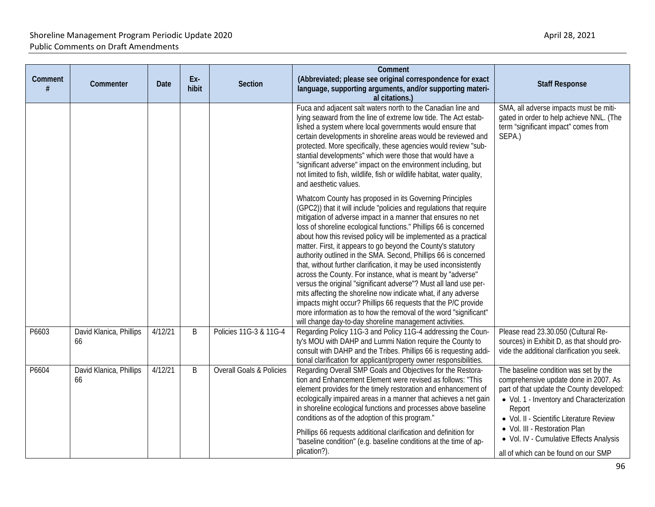| Comment | Commenter                     | Date    | Ex-<br>hibit | <b>Section</b>                      | Comment<br>(Abbreviated; please see original correspondence for exact<br>language, supporting arguments, and/or supporting materi-<br>al citations.)                                                                                                                                                                                                                                                                                                                                                                                                                                                                                                                                                                                                                                                                                                                                                                                                                                                                                                                                                                                                                                                                                                                                                                                                                                                                                                                 | <b>Staff Response</b>                                                                                                                                                                                                                                                                                                                              |
|---------|-------------------------------|---------|--------------|-------------------------------------|----------------------------------------------------------------------------------------------------------------------------------------------------------------------------------------------------------------------------------------------------------------------------------------------------------------------------------------------------------------------------------------------------------------------------------------------------------------------------------------------------------------------------------------------------------------------------------------------------------------------------------------------------------------------------------------------------------------------------------------------------------------------------------------------------------------------------------------------------------------------------------------------------------------------------------------------------------------------------------------------------------------------------------------------------------------------------------------------------------------------------------------------------------------------------------------------------------------------------------------------------------------------------------------------------------------------------------------------------------------------------------------------------------------------------------------------------------------------|----------------------------------------------------------------------------------------------------------------------------------------------------------------------------------------------------------------------------------------------------------------------------------------------------------------------------------------------------|
|         |                               |         |              |                                     | Fuca and adjacent salt waters north to the Canadian line and<br>lying seaward from the line of extreme low tide. The Act estab-<br>lished a system where local governments would ensure that<br>certain developments in shoreline areas would be reviewed and<br>protected. More specifically, these agencies would review "sub-<br>stantial developments" which were those that would have a<br>"significant adverse" impact on the environment including, but<br>not limited to fish, wildlife, fish or wildlife habitat, water quality,<br>and aesthetic values.<br>Whatcom County has proposed in its Governing Principles<br>(GPC2)) that it will include "policies and regulations that require<br>mitigation of adverse impact in a manner that ensures no net<br>loss of shoreline ecological functions." Phillips 66 is concerned<br>about how this revised policy will be implemented as a practical<br>matter. First, it appears to go beyond the County's statutory<br>authority outlined in the SMA. Second, Phillips 66 is concerned<br>that, without further clarification, it may be used inconsistently<br>across the County. For instance, what is meant by "adverse"<br>versus the original "significant adverse"? Must all land use per-<br>mits affecting the shoreline now indicate what, if any adverse<br>impacts might occur? Phillips 66 requests that the P/C provide<br>more information as to how the removal of the word "significant" | SMA, all adverse impacts must be miti-<br>gated in order to help achieve NNL. (The<br>term "significant impact" comes from<br>SEPA.)                                                                                                                                                                                                               |
| P6603   | David Klanica, Phillips<br>66 | 4/12/21 | B            | Policies 11G-3 & 11G-4              | will change day-to-day shoreline management activities.<br>Regarding Policy 11G-3 and Policy 11G-4 addressing the Coun-<br>ty's MOU with DAHP and Lummi Nation require the County to<br>consult with DAHP and the Tribes. Phillips 66 is requesting addi-<br>tional clarification for applicant/property owner responsibilities.                                                                                                                                                                                                                                                                                                                                                                                                                                                                                                                                                                                                                                                                                                                                                                                                                                                                                                                                                                                                                                                                                                                                     | Please read 23.30.050 (Cultural Re-<br>sources) in Exhibit D, as that should pro-<br>vide the additional clarification you seek.                                                                                                                                                                                                                   |
| P6604   | David Klanica, Phillips<br>66 | 4/12/21 | B            | <b>Overall Goals &amp; Policies</b> | Regarding Overall SMP Goals and Objectives for the Restora-<br>tion and Enhancement Element were revised as follows: "This<br>element provides for the timely restoration and enhancement of<br>ecologically impaired areas in a manner that achieves a net gain<br>in shoreline ecological functions and processes above baseline<br>conditions as of the adoption of this program."<br>Phillips 66 requests additional clarification and definition for<br>"baseline condition" (e.g. baseline conditions at the time of ap-<br>plication?).                                                                                                                                                                                                                                                                                                                                                                                                                                                                                                                                                                                                                                                                                                                                                                                                                                                                                                                       | The baseline condition was set by the<br>comprehensive update done in 2007. As<br>part of that update the County developed:<br>• Vol. 1 - Inventory and Characterization<br>Report<br>• Vol. II - Scientific Literature Review<br>· Vol. III - Restoration Plan<br>• Vol. IV - Cumulative Effects Analysis<br>all of which can be found on our SMP |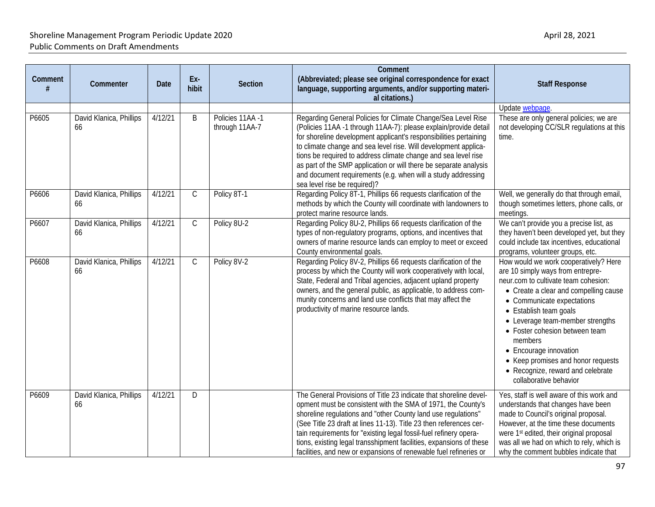| Comment | Commenter                     | Date    | Ex-<br>hibit | Section                            | <b>Comment</b><br>(Abbreviated; please see original correspondence for exact<br>language, supporting arguments, and/or supporting materi-<br>al citations.)                                                                                                                                                                                                                                                                                                                                                     | <b>Staff Response</b>                                                                                                                                                                                                                                                                                                                                                                                                               |
|---------|-------------------------------|---------|--------------|------------------------------------|-----------------------------------------------------------------------------------------------------------------------------------------------------------------------------------------------------------------------------------------------------------------------------------------------------------------------------------------------------------------------------------------------------------------------------------------------------------------------------------------------------------------|-------------------------------------------------------------------------------------------------------------------------------------------------------------------------------------------------------------------------------------------------------------------------------------------------------------------------------------------------------------------------------------------------------------------------------------|
|         |                               |         |              |                                    |                                                                                                                                                                                                                                                                                                                                                                                                                                                                                                                 | Update webpage.                                                                                                                                                                                                                                                                                                                                                                                                                     |
| P6605   | David Klanica, Phillips<br>66 | 4/12/21 | B            | Policies 11AA -1<br>through 11AA-7 | Regarding General Policies for Climate Change/Sea Level Rise<br>(Policies 11AA -1 through 11AA-7): please explain/provide detail<br>for shoreline development applicant's responsibilities pertaining<br>to climate change and sea level rise. Will development applica-<br>tions be required to address climate change and sea level rise<br>as part of the SMP application or will there be separate analysis<br>and document requirements (e.g. when will a study addressing<br>sea level rise be required)? | These are only general policies; we are<br>not developing CC/SLR regulations at this<br>time.                                                                                                                                                                                                                                                                                                                                       |
| P6606   | David Klanica, Phillips<br>66 | 4/12/21 | $\mathsf C$  | Policy 8T-1                        | Regarding Policy 8T-1, Phillips 66 requests clarification of the<br>methods by which the County will coordinate with landowners to<br>protect marine resource lands.                                                                                                                                                                                                                                                                                                                                            | Well, we generally do that through email,<br>though sometimes letters, phone calls, or<br>meetings.                                                                                                                                                                                                                                                                                                                                 |
| P6607   | David Klanica, Phillips<br>66 | 4/12/21 | $\mathsf C$  | Policy 8U-2                        | Regarding Policy 8U-2, Phillips 66 requests clarification of the<br>types of non-regulatory programs, options, and incentives that<br>owners of marine resource lands can employ to meet or exceed<br>County environmental goals.                                                                                                                                                                                                                                                                               | We can't provide you a precise list, as<br>they haven't been developed yet, but they<br>could include tax incentives, educational<br>programs, volunteer groups, etc.                                                                                                                                                                                                                                                               |
| P6608   | David Klanica, Phillips<br>66 | 4/12/21 | $\mathsf C$  | Policy 8V-2                        | Regarding Policy 8V-2, Phillips 66 requests clarification of the<br>process by which the County will work cooperatively with local,<br>State, Federal and Tribal agencies, adjacent upland property<br>owners, and the general public, as applicable, to address com-<br>munity concerns and land use conflicts that may affect the<br>productivity of marine resource lands.                                                                                                                                   | How would we work cooperatively? Here<br>are 10 simply ways from entrepre-<br>neur.com to cultivate team cohesion:<br>• Create a clear and compelling cause<br>• Communicate expectations<br>• Establish team goals<br>• Leverage team-member strengths<br>• Foster cohesion between team<br>members<br>• Encourage innovation<br>• Keep promises and honor requests<br>• Recognize, reward and celebrate<br>collaborative behavior |
| P6609   | David Klanica, Phillips<br>66 | 4/12/21 | D            |                                    | The General Provisions of Title 23 indicate that shoreline devel-<br>opment must be consistent with the SMA of 1971, the County's<br>shoreline regulations and "other County land use regulations"<br>(See Title 23 draft at lines 11-13). Title 23 then references cer-<br>tain requirements for "existing legal fossil-fuel refinery opera-<br>tions, existing legal transshipment facilities, expansions of these<br>facilities, and new or expansions of renewable fuel refineries or                       | Yes, staff is well aware of this work and<br>understands that changes have been<br>made to Council's original proposal.<br>However, at the time these documents<br>were 1 <sup>st</sup> edited, their original proposal<br>was all we had on which to rely, which is<br>why the comment bubbles indicate that                                                                                                                       |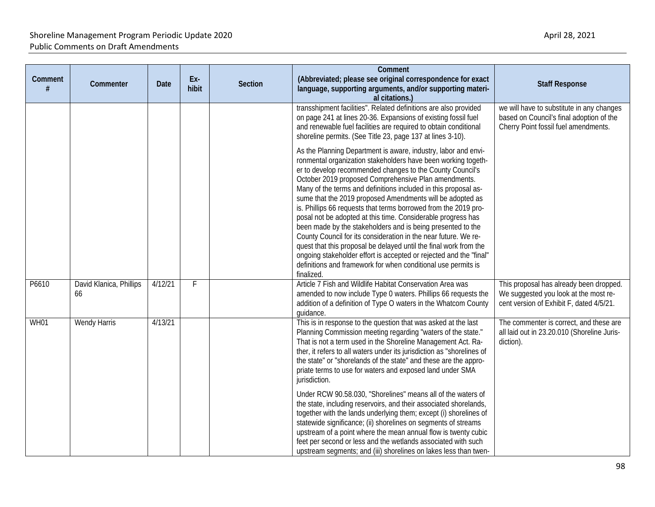| Comment<br># | Commenter                     | <b>Date</b> | Ex-<br>hibit | <b>Section</b> | Comment<br>(Abbreviated; please see original correspondence for exact<br>language, supporting arguments, and/or supporting materi-<br>al citations.)                                                                                                                                                                                                                                                                                                                                                                                                                                                                                                                                                                                                                                                                                                                                | <b>Staff Response</b>                                                                                                         |
|--------------|-------------------------------|-------------|--------------|----------------|-------------------------------------------------------------------------------------------------------------------------------------------------------------------------------------------------------------------------------------------------------------------------------------------------------------------------------------------------------------------------------------------------------------------------------------------------------------------------------------------------------------------------------------------------------------------------------------------------------------------------------------------------------------------------------------------------------------------------------------------------------------------------------------------------------------------------------------------------------------------------------------|-------------------------------------------------------------------------------------------------------------------------------|
|              |                               |             |              |                | transshipment facilities". Related definitions are also provided<br>on page 241 at lines 20-36. Expansions of existing fossil fuel<br>and renewable fuel facilities are required to obtain conditional<br>shoreline permits. (See Title 23, page 137 at lines 3-10).                                                                                                                                                                                                                                                                                                                                                                                                                                                                                                                                                                                                                | we will have to substitute in any changes<br>based on Council's final adoption of the<br>Cherry Point fossil fuel amendments. |
|              |                               |             |              |                | As the Planning Department is aware, industry, labor and envi-<br>ronmental organization stakeholders have been working togeth-<br>er to develop recommended changes to the County Council's<br>October 2019 proposed Comprehensive Plan amendments.<br>Many of the terms and definitions included in this proposal as-<br>sume that the 2019 proposed Amendments will be adopted as<br>is. Phillips 66 requests that terms borrowed from the 2019 pro-<br>posal not be adopted at this time. Considerable progress has<br>been made by the stakeholders and is being presented to the<br>County Council for its consideration in the near future. We re-<br>quest that this proposal be delayed until the final work from the<br>ongoing stakeholder effort is accepted or rejected and the "final"<br>definitions and framework for when conditional use permits is<br>finalized. |                                                                                                                               |
| P6610        | David Klanica, Phillips<br>66 | 4/12/21     | F            |                | Article 7 Fish and Wildlife Habitat Conservation Area was<br>amended to now include Type 0 waters. Phillips 66 requests the<br>addition of a definition of Type O waters in the Whatcom County<br>guidance.                                                                                                                                                                                                                                                                                                                                                                                                                                                                                                                                                                                                                                                                         | This proposal has already been dropped.<br>We suggested you look at the most re-<br>cent version of Exhibit F, dated 4/5/21.  |
| <b>WH01</b>  | <b>Wendy Harris</b>           | 4/13/21     |              |                | This is in response to the question that was asked at the last<br>Planning Commission meeting regarding "waters of the state."<br>That is not a term used in the Shoreline Management Act. Ra-<br>ther, it refers to all waters under its jurisdiction as "shorelines of<br>the state" or "shorelands of the state" and these are the appro-<br>priate terms to use for waters and exposed land under SMA<br>jurisdiction.                                                                                                                                                                                                                                                                                                                                                                                                                                                          | The commenter is correct, and these are<br>all laid out in 23.20.010 (Shoreline Juris-<br>diction).                           |
|              |                               |             |              |                | Under RCW 90.58.030, "Shorelines" means all of the waters of<br>the state, including reservoirs, and their associated shorelands,<br>together with the lands underlying them; except (i) shorelines of<br>statewide significance; (ii) shorelines on segments of streams<br>upstream of a point where the mean annual flow is twenty cubic<br>feet per second or less and the wetlands associated with such<br>upstream segments; and (iii) shorelines on lakes less than twen-                                                                                                                                                                                                                                                                                                                                                                                                     |                                                                                                                               |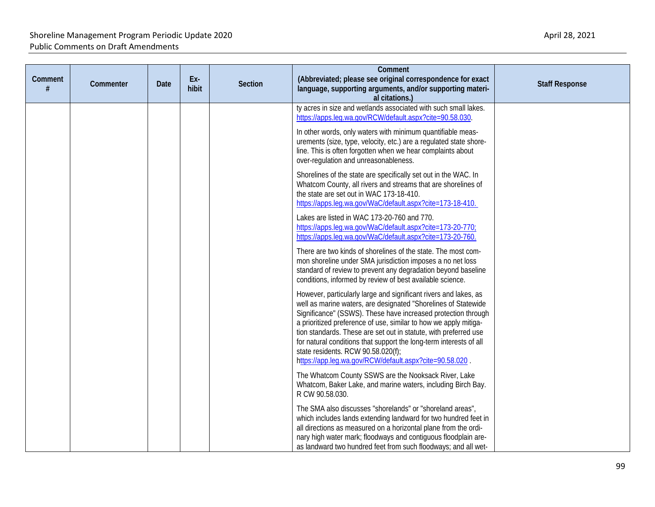| Comment<br># | Commenter | Date | Ex-<br>hibit | Section | Comment<br>(Abbreviated; please see original correspondence for exact<br>language, supporting arguments, and/or supporting materi-<br>al citations.)                                                                                                                                                                                                                                                                                                                                                               | <b>Staff Response</b> |
|--------------|-----------|------|--------------|---------|--------------------------------------------------------------------------------------------------------------------------------------------------------------------------------------------------------------------------------------------------------------------------------------------------------------------------------------------------------------------------------------------------------------------------------------------------------------------------------------------------------------------|-----------------------|
|              |           |      |              |         | ty acres in size and wetlands associated with such small lakes.<br>https://apps.leg.wa.gov/RCW/default.aspx?cite=90.58.030.                                                                                                                                                                                                                                                                                                                                                                                        |                       |
|              |           |      |              |         | In other words, only waters with minimum quantifiable meas-<br>urements (size, type, velocity, etc.) are a regulated state shore-<br>line. This is often forgotten when we hear complaints about<br>over-regulation and unreasonableness.                                                                                                                                                                                                                                                                          |                       |
|              |           |      |              |         | Shorelines of the state are specifically set out in the WAC. In<br>Whatcom County, all rivers and streams that are shorelines of<br>the state are set out in WAC 173-18-410.<br>https://apps.leg.wa.gov/WaC/default.aspx?cite=173-18-410.                                                                                                                                                                                                                                                                          |                       |
|              |           |      |              |         | Lakes are listed in WAC 173-20-760 and 770.<br>https://apps.leg.wa.gov/WaC/default.aspx?cite=173-20-770;<br>https://apps.leg.wa.gov/WaC/default.aspx?cite=173-20-760.                                                                                                                                                                                                                                                                                                                                              |                       |
|              |           |      |              |         | There are two kinds of shorelines of the state. The most com-<br>mon shoreline under SMA jurisdiction imposes a no net loss<br>standard of review to prevent any degradation beyond baseline<br>conditions, informed by review of best available science.                                                                                                                                                                                                                                                          |                       |
|              |           |      |              |         | However, particularly large and significant rivers and lakes, as<br>well as marine waters, are designated "Shorelines of Statewide<br>Significance" (SSWS). These have increased protection through<br>a prioritized preference of use, similar to how we apply mitiga-<br>tion standards. These are set out in statute, with preferred use<br>for natural conditions that support the long-term interests of all<br>state residents. RCW 90.58.020(f);<br>https://app.leg.wa.gov/RCW/default.aspx?cite=90.58.020. |                       |
|              |           |      |              |         | The Whatcom County SSWS are the Nooksack River, Lake<br>Whatcom, Baker Lake, and marine waters, including Birch Bay.<br>R CW 90.58.030.                                                                                                                                                                                                                                                                                                                                                                            |                       |
|              |           |      |              |         | The SMA also discusses "shorelands" or "shoreland areas",<br>which includes lands extending landward for two hundred feet in<br>all directions as measured on a horizontal plane from the ordi-<br>nary high water mark; floodways and contiguous floodplain are-<br>as landward two hundred feet from such floodways; and all wet-                                                                                                                                                                                |                       |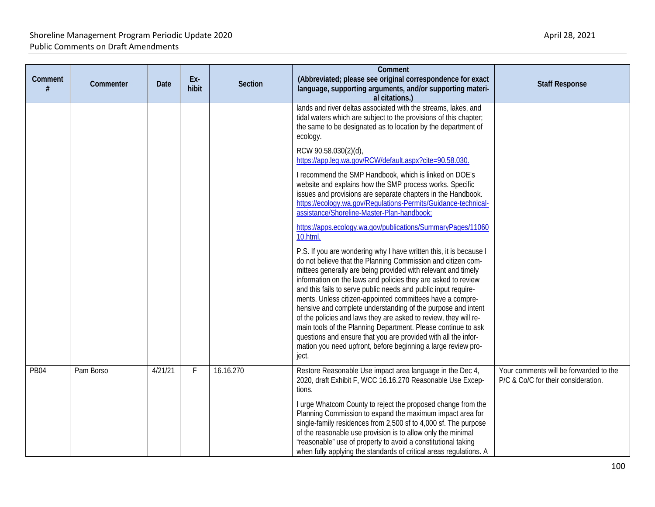| Comment     | Commenter | <b>Date</b> | Ex-<br>hibit | <b>Section</b> | Comment<br>(Abbreviated; please see original correspondence for exact<br>language, supporting arguments, and/or supporting materi-<br>al citations.)                                                                                                                                                                                                                                                                                                                                                                                                                                                                                                                                                                                                 | <b>Staff Response</b>                                                         |
|-------------|-----------|-------------|--------------|----------------|------------------------------------------------------------------------------------------------------------------------------------------------------------------------------------------------------------------------------------------------------------------------------------------------------------------------------------------------------------------------------------------------------------------------------------------------------------------------------------------------------------------------------------------------------------------------------------------------------------------------------------------------------------------------------------------------------------------------------------------------------|-------------------------------------------------------------------------------|
|             |           |             |              |                | lands and river deltas associated with the streams, lakes, and<br>tidal waters which are subject to the provisions of this chapter;<br>the same to be designated as to location by the department of<br>ecology.                                                                                                                                                                                                                                                                                                                                                                                                                                                                                                                                     |                                                                               |
|             |           |             |              |                | RCW 90.58.030(2)(d),<br>https://app.leg.wa.gov/RCW/default.aspx?cite=90.58.030.                                                                                                                                                                                                                                                                                                                                                                                                                                                                                                                                                                                                                                                                      |                                                                               |
|             |           |             |              |                | I recommend the SMP Handbook, which is linked on DOE's<br>website and explains how the SMP process works. Specific<br>issues and provisions are separate chapters in the Handbook.<br>https://ecology.wa.gov/Regulations-Permits/Guidance-technical-<br>assistance/Shoreline-Master-Plan-handbook;                                                                                                                                                                                                                                                                                                                                                                                                                                                   |                                                                               |
|             |           |             |              |                | https://apps.ecology.wa.gov/publications/SummaryPages/11060<br>10.html.                                                                                                                                                                                                                                                                                                                                                                                                                                                                                                                                                                                                                                                                              |                                                                               |
|             |           |             |              |                | P.S. If you are wondering why I have written this, it is because I<br>do not believe that the Planning Commission and citizen com-<br>mittees generally are being provided with relevant and timely<br>information on the laws and policies they are asked to review<br>and this fails to serve public needs and public input require-<br>ments. Unless citizen-appointed committees have a compre-<br>hensive and complete understanding of the purpose and intent<br>of the policies and laws they are asked to review, they will re-<br>main tools of the Planning Department. Please continue to ask<br>questions and ensure that you are provided with all the infor-<br>mation you need upfront, before beginning a large review pro-<br>ject. |                                                                               |
| <b>PB04</b> | Pam Borso | 4/21/21     | F            | 16.16.270      | Restore Reasonable Use impact area language in the Dec 4,<br>2020, draft Exhibit F, WCC 16.16.270 Reasonable Use Excep-<br>tions.                                                                                                                                                                                                                                                                                                                                                                                                                                                                                                                                                                                                                    | Your comments will be forwarded to the<br>P/C & Co/C for their consideration. |
|             |           |             |              |                | I urge Whatcom County to reject the proposed change from the<br>Planning Commission to expand the maximum impact area for<br>single-family residences from 2,500 sf to 4,000 sf. The purpose<br>of the reasonable use provision is to allow only the minimal<br>"reasonable" use of property to avoid a constitutional taking<br>when fully applying the standards of critical areas regulations. A                                                                                                                                                                                                                                                                                                                                                  |                                                                               |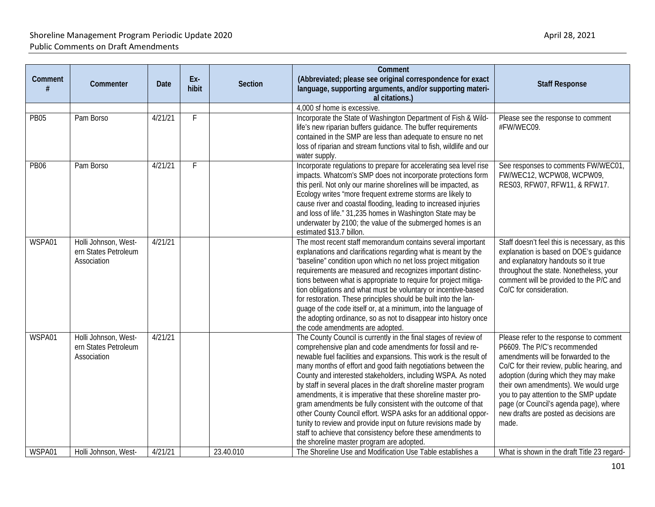| Comment     | Commenter                                                   | <b>Date</b> | Ex-<br>hibit | <b>Section</b> | Comment<br>(Abbreviated; please see original correspondence for exact<br>language, supporting arguments, and/or supporting materi-<br>al citations.)                                                                                                                                                                                                                                                                                                                                                                                                                                                                                                                                                                                                                                        | <b>Staff Response</b>                                                                                                                                                                                                                                                                                                                                                               |
|-------------|-------------------------------------------------------------|-------------|--------------|----------------|---------------------------------------------------------------------------------------------------------------------------------------------------------------------------------------------------------------------------------------------------------------------------------------------------------------------------------------------------------------------------------------------------------------------------------------------------------------------------------------------------------------------------------------------------------------------------------------------------------------------------------------------------------------------------------------------------------------------------------------------------------------------------------------------|-------------------------------------------------------------------------------------------------------------------------------------------------------------------------------------------------------------------------------------------------------------------------------------------------------------------------------------------------------------------------------------|
|             |                                                             |             |              |                | 4,000 sf home is excessive.                                                                                                                                                                                                                                                                                                                                                                                                                                                                                                                                                                                                                                                                                                                                                                 |                                                                                                                                                                                                                                                                                                                                                                                     |
| <b>PB05</b> | Pam Borso                                                   | 4/21/21     | F.           |                | Incorporate the State of Washington Department of Fish & Wild-<br>life's new riparian buffers guidance. The buffer requirements<br>contained in the SMP are less than adequate to ensure no net<br>loss of riparian and stream functions vital to fish, wildlife and our<br>water supply.                                                                                                                                                                                                                                                                                                                                                                                                                                                                                                   | Please see the response to comment<br>#FW/WEC09.                                                                                                                                                                                                                                                                                                                                    |
| <b>PB06</b> | Pam Borso                                                   | 4/21/21     | F.           |                | Incorporate regulations to prepare for accelerating sea level rise<br>impacts. Whatcom's SMP does not incorporate protections form<br>this peril. Not only our marine shorelines will be impacted, as<br>Ecology writes "more frequent extreme storms are likely to<br>cause river and coastal flooding, leading to increased injuries<br>and loss of life." 31,235 homes in Washington State may be<br>underwater by 2100; the value of the submerged homes is an<br>estimated \$13.7 billon.                                                                                                                                                                                                                                                                                              | See responses to comments FW/WEC01,<br>FW/WEC12, WCPW08, WCPW09,<br>RES03, RFW07, RFW11, & RFW17.                                                                                                                                                                                                                                                                                   |
| WSPA01      | Holli Johnson, West-<br>ern States Petroleum<br>Association | 4/21/21     |              |                | The most recent staff memorandum contains several important<br>explanations and clarifications regarding what is meant by the<br>"baseline" condition upon which no net loss project mitigation<br>requirements are measured and recognizes important distinc-<br>tions between what is appropriate to require for project mitiga-<br>tion obligations and what must be voluntary or incentive-based<br>for restoration. These principles should be built into the lan-<br>guage of the code itself or, at a minimum, into the language of<br>the adopting ordinance, so as not to disappear into history once<br>the code amendments are adopted.                                                                                                                                          | Staff doesn't feel this is necessary, as this<br>explanation is based on DOE's guidance<br>and explanatory handouts so it true<br>throughout the state. Nonetheless, your<br>comment will be provided to the P/C and<br>Co/C for consideration.                                                                                                                                     |
| WSPA01      | Holli Johnson, West-<br>ern States Petroleum<br>Association | 4/21/21     |              |                | The County Council is currently in the final stages of review of<br>comprehensive plan and code amendments for fossil and re-<br>newable fuel facilities and expansions. This work is the result of<br>many months of effort and good faith negotiations between the<br>County and interested stakeholders, including WSPA. As noted<br>by staff in several places in the draft shoreline master program<br>amendments, it is imperative that these shoreline master pro-<br>gram amendments be fully consistent with the outcome of that<br>other County Council effort. WSPA asks for an additional oppor-<br>tunity to review and provide input on future revisions made by<br>staff to achieve that consistency before these amendments to<br>the shoreline master program are adopted. | Please refer to the response to comment<br>P6609. The P/C's recommended<br>amendments will be forwarded to the<br>Co/C for their review, public hearing, and<br>adoption (during which they may make<br>their own amendments). We would urge<br>you to pay attention to the SMP update<br>page (or Council's agenda page), where<br>new drafts are posted as decisions are<br>made. |
| WSPA01      | Holli Johnson, West-                                        | 4/21/21     |              | 23.40.010      | The Shoreline Use and Modification Use Table establishes a                                                                                                                                                                                                                                                                                                                                                                                                                                                                                                                                                                                                                                                                                                                                  | What is shown in the draft Title 23 regard-                                                                                                                                                                                                                                                                                                                                         |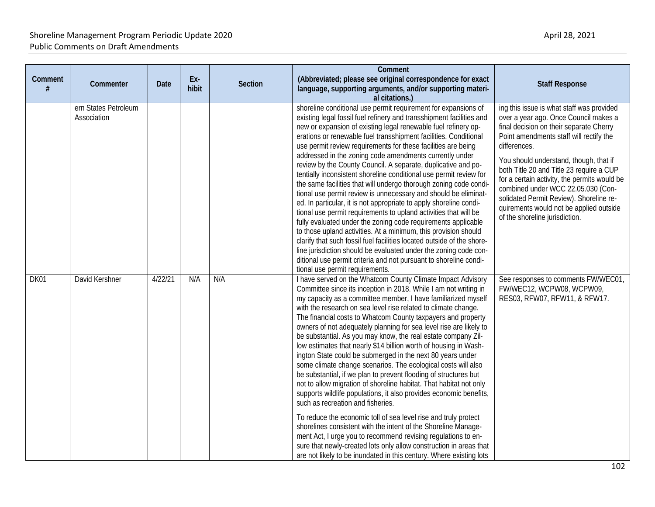| Comment<br># | Commenter                           | Date    | Ex-<br>hibit | <b>Section</b> | Comment<br>(Abbreviated; please see original correspondence for exact<br>language, supporting arguments, and/or supporting materi-<br>al citations.)                                                                                                                                                                                                                                                                                                                                                                                                                                                                                                                                                                                                                                                                                                                                                                                                                                                                                                                                                                                                                                                                                                                                 | <b>Staff Response</b>                                                                                                                                                                                                                                                                                                                                                                                                                                                                        |
|--------------|-------------------------------------|---------|--------------|----------------|--------------------------------------------------------------------------------------------------------------------------------------------------------------------------------------------------------------------------------------------------------------------------------------------------------------------------------------------------------------------------------------------------------------------------------------------------------------------------------------------------------------------------------------------------------------------------------------------------------------------------------------------------------------------------------------------------------------------------------------------------------------------------------------------------------------------------------------------------------------------------------------------------------------------------------------------------------------------------------------------------------------------------------------------------------------------------------------------------------------------------------------------------------------------------------------------------------------------------------------------------------------------------------------|----------------------------------------------------------------------------------------------------------------------------------------------------------------------------------------------------------------------------------------------------------------------------------------------------------------------------------------------------------------------------------------------------------------------------------------------------------------------------------------------|
|              | ern States Petroleum<br>Association |         |              |                | shoreline conditional use permit requirement for expansions of<br>existing legal fossil fuel refinery and transshipment facilities and<br>new or expansion of existing legal renewable fuel refinery op-<br>erations or renewable fuel transshipment facilities. Conditional<br>use permit review requirements for these facilities are being<br>addressed in the zoning code amendments currently under<br>review by the County Council. A separate, duplicative and po-<br>tentially inconsistent shoreline conditional use permit review for<br>the same facilities that will undergo thorough zoning code condi-<br>tional use permit review is unnecessary and should be eliminat-<br>ed. In particular, it is not appropriate to apply shoreline condi-<br>tional use permit requirements to upland activities that will be<br>fully evaluated under the zoning code requirements applicable<br>to those upland activities. At a minimum, this provision should<br>clarify that such fossil fuel facilities located outside of the shore-<br>line jurisdiction should be evaluated under the zoning code con-<br>ditional use permit criteria and not pursuant to shoreline condi-<br>tional use permit requirements.                                                          | ing this issue is what staff was provided<br>over a year ago. Once Council makes a<br>final decision on their separate Cherry<br>Point amendments staff will rectify the<br>differences.<br>You should understand, though, that if<br>both Title 20 and Title 23 require a CUP<br>for a certain activity, the permits would be<br>combined under WCC 22.05.030 (Con-<br>solidated Permit Review). Shoreline re-<br>quirements would not be applied outside<br>of the shoreline jurisdiction. |
| DK01         | David Kershner                      | 4/22/21 | N/A          | N/A            | I have served on the Whatcom County Climate Impact Advisory<br>Committee since its inception in 2018. While I am not writing in<br>my capacity as a committee member, I have familiarized myself<br>with the research on sea level rise related to climate change.<br>The financial costs to Whatcom County taxpayers and property<br>owners of not adequately planning for sea level rise are likely to<br>be substantial. As you may know, the real estate company Zil-<br>low estimates that nearly \$14 billion worth of housing in Wash-<br>ington State could be submerged in the next 80 years under<br>some climate change scenarios. The ecological costs will also<br>be substantial, if we plan to prevent flooding of structures but<br>not to allow migration of shoreline habitat. That habitat not only<br>supports wildlife populations, it also provides economic benefits,<br>such as recreation and fisheries.<br>To reduce the economic toll of sea level rise and truly protect<br>shorelines consistent with the intent of the Shoreline Manage-<br>ment Act, I urge you to recommend revising regulations to en-<br>sure that newly-created lots only allow construction in areas that<br>are not likely to be inundated in this century. Where existing lots | See responses to comments FW/WEC01,<br>FW/WEC12, WCPW08, WCPW09,<br>RES03, RFW07, RFW11, & RFW17.                                                                                                                                                                                                                                                                                                                                                                                            |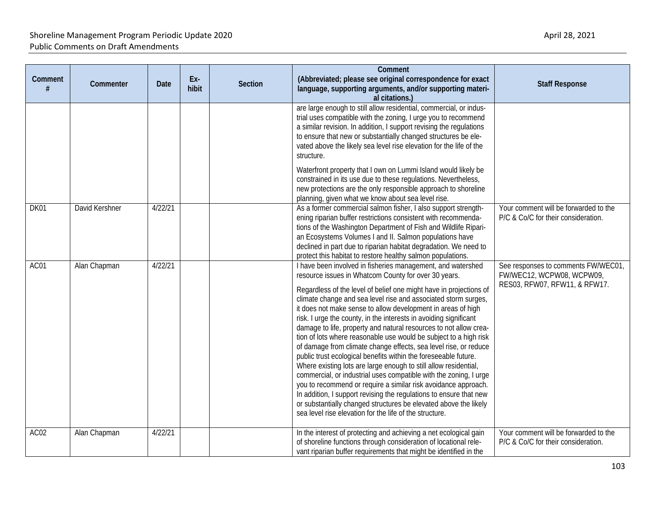| Comment | Commenter      | Date    | Ex-<br>hibit | <b>Section</b> | Comment<br>(Abbreviated; please see original correspondence for exact<br>language, supporting arguments, and/or supporting materi-<br>al citations.)                                                                                                                                                                                                                                                                                                                                                                                                                                                                                                                                                                                                                                                                                                                                                                                                                                                                                                                                              | <b>Staff Response</b>                                                                             |
|---------|----------------|---------|--------------|----------------|---------------------------------------------------------------------------------------------------------------------------------------------------------------------------------------------------------------------------------------------------------------------------------------------------------------------------------------------------------------------------------------------------------------------------------------------------------------------------------------------------------------------------------------------------------------------------------------------------------------------------------------------------------------------------------------------------------------------------------------------------------------------------------------------------------------------------------------------------------------------------------------------------------------------------------------------------------------------------------------------------------------------------------------------------------------------------------------------------|---------------------------------------------------------------------------------------------------|
|         |                |         |              |                | are large enough to still allow residential, commercial, or indus-<br>trial uses compatible with the zoning, I urge you to recommend<br>a similar revision. In addition, I support revising the regulations<br>to ensure that new or substantially changed structures be ele-<br>vated above the likely sea level rise elevation for the life of the<br>structure.                                                                                                                                                                                                                                                                                                                                                                                                                                                                                                                                                                                                                                                                                                                                |                                                                                                   |
|         |                |         |              |                | Waterfront property that I own on Lummi Island would likely be<br>constrained in its use due to these regulations. Nevertheless,<br>new protections are the only responsible approach to shoreline<br>planning, given what we know about sea level rise.                                                                                                                                                                                                                                                                                                                                                                                                                                                                                                                                                                                                                                                                                                                                                                                                                                          |                                                                                                   |
| DK01    | David Kershner | 4/22/21 |              |                | As a former commercial salmon fisher, I also support strength-<br>ening riparian buffer restrictions consistent with recommenda-<br>tions of the Washington Department of Fish and Wildlife Ripari-<br>an Ecosystems Volumes I and II. Salmon populations have<br>declined in part due to riparian habitat degradation. We need to<br>protect this habitat to restore healthy salmon populations.                                                                                                                                                                                                                                                                                                                                                                                                                                                                                                                                                                                                                                                                                                 | Your comment will be forwarded to the<br>P/C & Co/C for their consideration.                      |
| AC01    | Alan Chapman   | 4/22/21 |              |                | I have been involved in fisheries management, and watershed<br>resource issues in Whatcom County for over 30 years.<br>Regardless of the level of belief one might have in projections of<br>climate change and sea level rise and associated storm surges,<br>it does not make sense to allow development in areas of high<br>risk. I urge the county, in the interests in avoiding significant<br>damage to life, property and natural resources to not allow crea-<br>tion of lots where reasonable use would be subject to a high risk<br>of damage from climate change effects, sea level rise, or reduce<br>public trust ecological benefits within the foreseeable future.<br>Where existing lots are large enough to still allow residential,<br>commercial, or industrial uses compatible with the zoning, I urge<br>you to recommend or require a similar risk avoidance approach.<br>In addition, I support revising the regulations to ensure that new<br>or substantially changed structures be elevated above the likely<br>sea level rise elevation for the life of the structure. | See responses to comments FW/WEC01,<br>FW/WEC12, WCPW08, WCPW09,<br>RES03, RFW07, RFW11, & RFW17. |
| AC02    | Alan Chapman   | 4/22/21 |              |                | In the interest of protecting and achieving a net ecological gain<br>of shoreline functions through consideration of locational rele-<br>vant riparian buffer requirements that might be identified in the                                                                                                                                                                                                                                                                                                                                                                                                                                                                                                                                                                                                                                                                                                                                                                                                                                                                                        | Your comment will be forwarded to the<br>P/C & Co/C for their consideration.                      |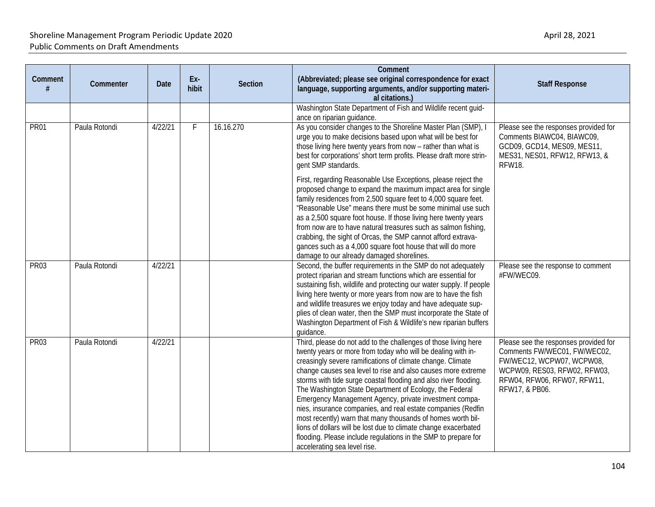| Comment<br># | Commenter     | Date    | Ex-<br>hibit | <b>Section</b> | Comment<br>(Abbreviated; please see original correspondence for exact<br>language, supporting arguments, and/or supporting materi-<br>al citations.)                                                                                                                                                                                                                                                                                                                                                                                                                                                                                                                                                                                                       | <b>Staff Response</b>                                                                                                                                                               |
|--------------|---------------|---------|--------------|----------------|------------------------------------------------------------------------------------------------------------------------------------------------------------------------------------------------------------------------------------------------------------------------------------------------------------------------------------------------------------------------------------------------------------------------------------------------------------------------------------------------------------------------------------------------------------------------------------------------------------------------------------------------------------------------------------------------------------------------------------------------------------|-------------------------------------------------------------------------------------------------------------------------------------------------------------------------------------|
|              |               |         |              |                | Washington State Department of Fish and Wildlife recent guid-<br>ance on riparian guidance.                                                                                                                                                                                                                                                                                                                                                                                                                                                                                                                                                                                                                                                                |                                                                                                                                                                                     |
| <b>PR01</b>  | Paula Rotondi | 4/22/21 | F            | 16.16.270      | As you consider changes to the Shoreline Master Plan (SMP), I<br>urge you to make decisions based upon what will be best for<br>those living here twenty years from now - rather than what is<br>best for corporations' short term profits. Please draft more strin-<br>gent SMP standards.                                                                                                                                                                                                                                                                                                                                                                                                                                                                | Please see the responses provided for<br>Comments BIAWC04, BIAWC09,<br>GCD09, GCD14, MES09, MES11,<br>MES31, NES01, RFW12, RFW13, &<br><b>RFW18.</b>                                |
|              |               |         |              |                | First, regarding Reasonable Use Exceptions, please reject the<br>proposed change to expand the maximum impact area for single<br>family residences from 2,500 square feet to 4,000 square feet.<br>"Reasonable Use" means there must be some minimal use such<br>as a 2,500 square foot house. If those living here twenty years<br>from now are to have natural treasures such as salmon fishing,<br>crabbing, the sight of Orcas, the SMP cannot afford extrava-<br>gances such as a 4,000 square foot house that will do more<br>damage to our already damaged shorelines.                                                                                                                                                                              |                                                                                                                                                                                     |
| <b>PR03</b>  | Paula Rotondi | 4/22/21 |              |                | Second, the buffer requirements in the SMP do not adequately<br>protect riparian and stream functions which are essential for<br>sustaining fish, wildlife and protecting our water supply. If people<br>living here twenty or more years from now are to have the fish<br>and wildlife treasures we enjoy today and have adequate sup-<br>plies of clean water, then the SMP must incorporate the State of<br>Washington Department of Fish & Wildlife's new riparian buffers<br>guidance.                                                                                                                                                                                                                                                                | Please see the response to comment<br>#FW/WEC09.                                                                                                                                    |
| <b>PR03</b>  | Paula Rotondi | 4/22/21 |              |                | Third, please do not add to the challenges of those living here<br>twenty years or more from today who will be dealing with in-<br>creasingly severe ramifications of climate change. Climate<br>change causes sea level to rise and also causes more extreme<br>storms with tide surge coastal flooding and also river flooding.<br>The Washington State Department of Ecology, the Federal<br>Emergency Management Agency, private investment compa-<br>nies, insurance companies, and real estate companies (Redfin<br>most recently) warn that many thousands of homes worth bil-<br>lions of dollars will be lost due to climate change exacerbated<br>flooding. Please include regulations in the SMP to prepare for<br>accelerating sea level rise. | Please see the responses provided for<br>Comments FW/WEC01, FW/WEC02,<br>FW/WEC12, WCPW07, WCPW08,<br>WCPW09, RES03, RFW02, RFW03,<br>RFW04, RFW06, RFW07, RFW11,<br>RFW17, & PB06. |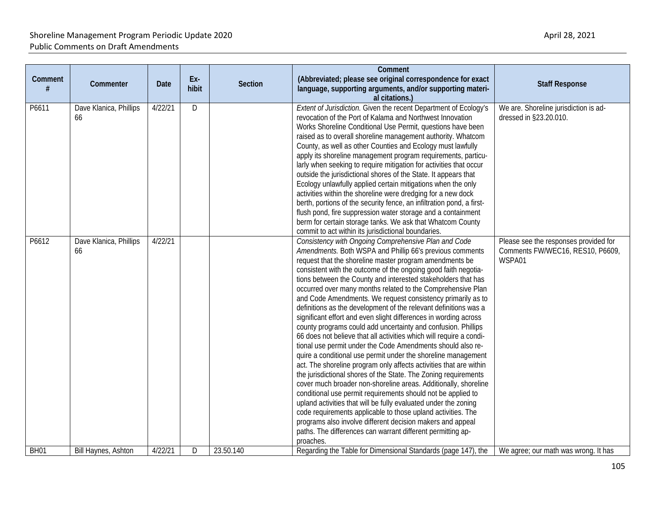| Comment     | Commenter                    | <b>Date</b> | Ex-<br>hibit | <b>Section</b> | Comment<br>(Abbreviated; please see original correspondence for exact<br>language, supporting arguments, and/or supporting materi-<br>al citations.)                                                                                                                                                                                                                                                                                                                                                                                                                                                                                                                                                                                                                                                                                                                                                                                                                                                                                                                                                                                                                                                                                                                                                                                                                                                                  | <b>Staff Response</b>                                                               |
|-------------|------------------------------|-------------|--------------|----------------|-----------------------------------------------------------------------------------------------------------------------------------------------------------------------------------------------------------------------------------------------------------------------------------------------------------------------------------------------------------------------------------------------------------------------------------------------------------------------------------------------------------------------------------------------------------------------------------------------------------------------------------------------------------------------------------------------------------------------------------------------------------------------------------------------------------------------------------------------------------------------------------------------------------------------------------------------------------------------------------------------------------------------------------------------------------------------------------------------------------------------------------------------------------------------------------------------------------------------------------------------------------------------------------------------------------------------------------------------------------------------------------------------------------------------|-------------------------------------------------------------------------------------|
| P6611       | Dave Klanica, Phillips<br>66 | 4/22/21     | D            |                | Extent of Jurisdiction. Given the recent Department of Ecology's<br>revocation of the Port of Kalama and Northwest Innovation<br>Works Shoreline Conditional Use Permit, questions have been<br>raised as to overall shoreline management authority. Whatcom<br>County, as well as other Counties and Ecology must lawfully<br>apply its shoreline management program requirements, particu-<br>larly when seeking to require mitigation for activities that occur<br>outside the jurisdictional shores of the State. It appears that<br>Ecology unlawfully applied certain mitigations when the only<br>activities within the shoreline were dredging for a new dock<br>berth, portions of the security fence, an infiltration pond, a first-<br>flush pond, fire suppression water storage and a containment<br>berm for certain storage tanks. We ask that Whatcom County<br>commit to act within its jurisdictional boundaries.                                                                                                                                                                                                                                                                                                                                                                                                                                                                                   | We are. Shoreline jurisdiction is ad-<br>dressed in §23.20.010.                     |
| P6612       | Dave Klanica, Phillips<br>66 | 4/22/21     |              |                | Consistency with Ongoing Comprehensive Plan and Code<br>Amendments. Both WSPA and Phillip 66's previous comments<br>request that the shoreline master program amendments be<br>consistent with the outcome of the ongoing good faith negotia-<br>tions between the County and interested stakeholders that has<br>occurred over many months related to the Comprehensive Plan<br>and Code Amendments. We request consistency primarily as to<br>definitions as the development of the relevant definitions was a<br>significant effort and even slight differences in wording across<br>county programs could add uncertainty and confusion. Phillips<br>66 does not believe that all activities which will require a condi-<br>tional use permit under the Code Amendments should also re-<br>quire a conditional use permit under the shoreline management<br>act. The shoreline program only affects activities that are within<br>the jurisdictional shores of the State. The Zoning requirements<br>cover much broader non-shoreline areas. Additionally, shoreline<br>conditional use permit requirements should not be applied to<br>upland activities that will be fully evaluated under the zoning<br>code requirements applicable to those upland activities. The<br>programs also involve different decision makers and appeal<br>paths. The differences can warrant different permitting ap-<br>proaches. | Please see the responses provided for<br>Comments FW/WEC16, RES10, P6609,<br>WSPA01 |
| <b>BH01</b> | Bill Haynes, Ashton          | 4/22/21     | D            | 23.50.140      | Regarding the Table for Dimensional Standards (page 147), the                                                                                                                                                                                                                                                                                                                                                                                                                                                                                                                                                                                                                                                                                                                                                                                                                                                                                                                                                                                                                                                                                                                                                                                                                                                                                                                                                         | We agree; our math was wrong. It has                                                |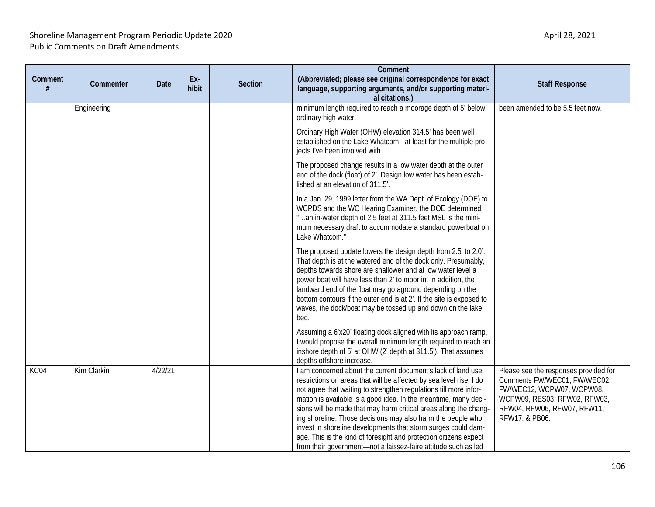| Comment<br># | Commenter   | <b>Date</b> | Ex-<br>hibit | Section | Comment<br>(Abbreviated; please see original correspondence for exact<br>language, supporting arguments, and/or supporting materi-                                                                                                                                                                                                                                                                                                                                                                                                                                                                                     | <b>Staff Response</b>                                                                                                                                                               |
|--------------|-------------|-------------|--------------|---------|------------------------------------------------------------------------------------------------------------------------------------------------------------------------------------------------------------------------------------------------------------------------------------------------------------------------------------------------------------------------------------------------------------------------------------------------------------------------------------------------------------------------------------------------------------------------------------------------------------------------|-------------------------------------------------------------------------------------------------------------------------------------------------------------------------------------|
|              | Engineering |             |              |         | al citations.)<br>minimum length required to reach a moorage depth of 5' below<br>ordinary high water.                                                                                                                                                                                                                                                                                                                                                                                                                                                                                                                 | been amended to be 5.5 feet now.                                                                                                                                                    |
|              |             |             |              |         | Ordinary High Water (OHW) elevation 314.5' has been well<br>established on the Lake Whatcom - at least for the multiple pro-<br>jects I've been involved with.                                                                                                                                                                                                                                                                                                                                                                                                                                                         |                                                                                                                                                                                     |
|              |             |             |              |         | The proposed change results in a low water depth at the outer<br>end of the dock (float) of 2'. Design low water has been estab-<br>lished at an elevation of 311.5'.                                                                                                                                                                                                                                                                                                                                                                                                                                                  |                                                                                                                                                                                     |
|              |             |             |              |         | In a Jan. 29, 1999 letter from the WA Dept. of Ecology (DOE) to<br>WCPDS and the WC Hearing Examiner, the DOE determined<br>"an in-water depth of 2.5 feet at 311.5 feet MSL is the mini-<br>mum necessary draft to accommodate a standard powerboat on<br>Lake Whatcom."                                                                                                                                                                                                                                                                                                                                              |                                                                                                                                                                                     |
|              |             |             |              |         | The proposed update lowers the design depth from 2.5' to 2.0'.<br>That depth is at the watered end of the dock only. Presumably,<br>depths towards shore are shallower and at low water level a<br>power boat will have less than 2' to moor in. In addition, the<br>landward end of the float may go aground depending on the<br>bottom contours if the outer end is at 2'. If the site is exposed to<br>waves, the dock/boat may be tossed up and down on the lake<br>bed.                                                                                                                                           |                                                                                                                                                                                     |
|              |             |             |              |         | Assuming a 6'x20' floating dock aligned with its approach ramp,<br>I would propose the overall minimum length required to reach an<br>inshore depth of 5' at OHW (2' depth at 311.5'). That assumes<br>depths offshore increase.                                                                                                                                                                                                                                                                                                                                                                                       |                                                                                                                                                                                     |
| KC04         | Kim Clarkin | 4/22/21     |              |         | I am concerned about the current document's lack of land use<br>restrictions on areas that will be affected by sea level rise. I do<br>not agree that waiting to strengthen regulations till more infor-<br>mation is available is a good idea. In the meantime, many deci-<br>sions will be made that may harm critical areas along the chang-<br>ing shoreline. Those decisions may also harm the people who<br>invest in shoreline developments that storm surges could dam-<br>age. This is the kind of foresight and protection citizens expect<br>from their government-not a laissez-faire attitude such as led | Please see the responses provided for<br>Comments FW/WEC01, FW/WEC02,<br>FW/WEC12, WCPW07, WCPW08,<br>WCPW09, RES03, RFW02, RFW03,<br>RFW04, RFW06, RFW07, RFW11,<br>RFW17, & PB06. |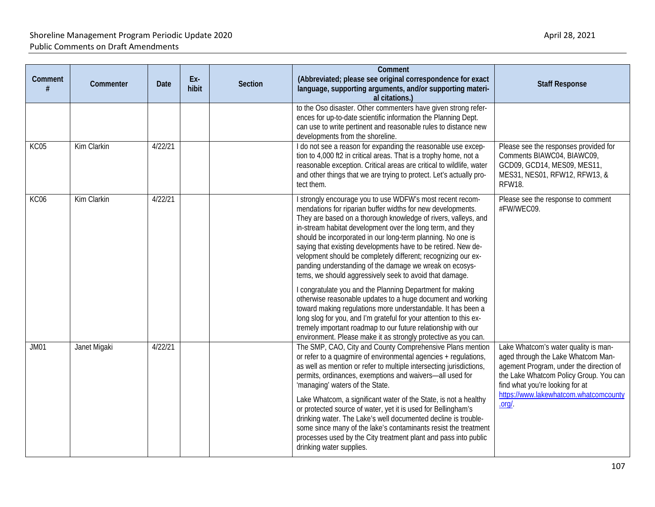| Comment     | Commenter    | <b>Date</b> | Ex-<br>hibit | <b>Section</b> | Comment<br>(Abbreviated; please see original correspondence for exact<br>language, supporting arguments, and/or supporting materi-<br>al citations.)                                                                                                                                                                                                                                                                                                                                                                                                                                                                                                                                                                                                                                                                                                                                                                                                                                 | <b>Staff Response</b>                                                                                                                                                                                                                                       |
|-------------|--------------|-------------|--------------|----------------|--------------------------------------------------------------------------------------------------------------------------------------------------------------------------------------------------------------------------------------------------------------------------------------------------------------------------------------------------------------------------------------------------------------------------------------------------------------------------------------------------------------------------------------------------------------------------------------------------------------------------------------------------------------------------------------------------------------------------------------------------------------------------------------------------------------------------------------------------------------------------------------------------------------------------------------------------------------------------------------|-------------------------------------------------------------------------------------------------------------------------------------------------------------------------------------------------------------------------------------------------------------|
|             |              |             |              |                | to the Oso disaster. Other commenters have given strong refer-<br>ences for up-to-date scientific information the Planning Dept.<br>can use to write pertinent and reasonable rules to distance new<br>developments from the shoreline.                                                                                                                                                                                                                                                                                                                                                                                                                                                                                                                                                                                                                                                                                                                                              |                                                                                                                                                                                                                                                             |
| <b>KC05</b> | Kim Clarkin  | 4/22/21     |              |                | I do not see a reason for expanding the reasonable use excep-<br>tion to 4,000 ft2 in critical areas. That is a trophy home, not a<br>reasonable exception. Critical areas are critical to wildlife, water<br>and other things that we are trying to protect. Let's actually pro-<br>tect them.                                                                                                                                                                                                                                                                                                                                                                                                                                                                                                                                                                                                                                                                                      | Please see the responses provided for<br>Comments BIAWC04, BIAWC09,<br>GCD09, GCD14, MES09, MES11,<br>MES31, NES01, RFW12, RFW13, &<br><b>RFW18.</b>                                                                                                        |
| KC06        | Kim Clarkin  | 4/22/21     |              |                | I strongly encourage you to use WDFW's most recent recom-<br>mendations for riparian buffer widths for new developments.<br>They are based on a thorough knowledge of rivers, valleys, and<br>in-stream habitat development over the long term, and they<br>should be incorporated in our long-term planning. No one is<br>saying that existing developments have to be retired. New de-<br>velopment should be completely different; recognizing our ex-<br>panding understanding of the damage we wreak on ecosys-<br>tems, we should aggressively seek to avoid that damage.<br>I congratulate you and the Planning Department for making<br>otherwise reasonable updates to a huge document and working<br>toward making regulations more understandable. It has been a<br>long slog for you, and I'm grateful for your attention to this ex-<br>tremely important roadmap to our future relationship with our<br>environment. Please make it as strongly protective as you can. | Please see the response to comment<br>#FW/WEC09.                                                                                                                                                                                                            |
| <b>JM01</b> | Janet Migaki | 4/22/21     |              |                | The SMP, CAO, City and County Comprehensive Plans mention<br>or refer to a quagmire of environmental agencies + regulations,<br>as well as mention or refer to multiple intersecting jurisdictions,<br>permits, ordinances, exemptions and waivers-all used for<br>'managing' waters of the State.<br>Lake Whatcom, a significant water of the State, is not a healthy<br>or protected source of water, yet it is used for Bellingham's<br>drinking water. The Lake's well documented decline is trouble-<br>some since many of the lake's contaminants resist the treatment<br>processes used by the City treatment plant and pass into public<br>drinking water supplies.                                                                                                                                                                                                                                                                                                          | Lake Whatcom's water quality is man-<br>aged through the Lake Whatcom Man-<br>agement Program, under the direction of<br>the Lake Whatcom Policy Group. You can<br>find what you're looking for at<br>https://www.lakewhatcom.whatcomcounty<br>$.$ org/ $.$ |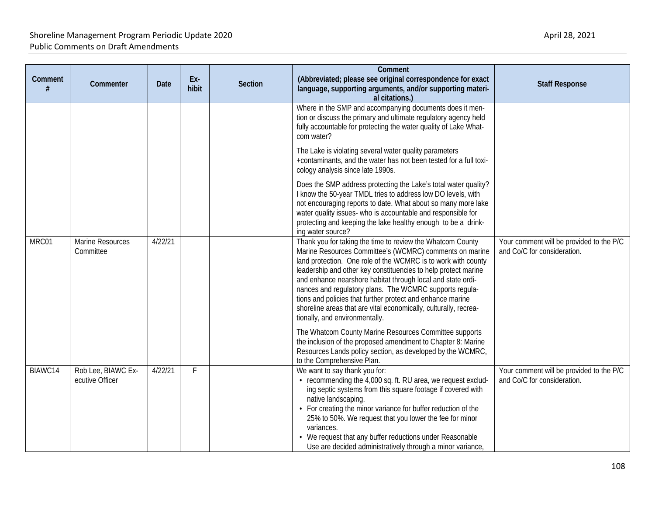| Comment<br># | Commenter                             | Date    | Ex-<br>hibit | <b>Section</b> | Comment<br>(Abbreviated; please see original correspondence for exact<br>language, supporting arguments, and/or supporting materi-<br>al citations.)                                                                                                                                                                                                                                                                                                                                                                                                   | <b>Staff Response</b>                                                   |
|--------------|---------------------------------------|---------|--------------|----------------|--------------------------------------------------------------------------------------------------------------------------------------------------------------------------------------------------------------------------------------------------------------------------------------------------------------------------------------------------------------------------------------------------------------------------------------------------------------------------------------------------------------------------------------------------------|-------------------------------------------------------------------------|
|              |                                       |         |              |                | Where in the SMP and accompanying documents does it men-<br>tion or discuss the primary and ultimate regulatory agency held<br>fully accountable for protecting the water quality of Lake What-<br>com water?                                                                                                                                                                                                                                                                                                                                          |                                                                         |
|              |                                       |         |              |                | The Lake is violating several water quality parameters<br>+contaminants, and the water has not been tested for a full toxi-<br>cology analysis since late 1990s.                                                                                                                                                                                                                                                                                                                                                                                       |                                                                         |
|              |                                       |         |              |                | Does the SMP address protecting the Lake's total water quality?<br>I know the 50-year TMDL tries to address low DO levels, with<br>not encouraging reports to date. What about so many more lake<br>water quality issues- who is accountable and responsible for<br>protecting and keeping the lake healthy enough to be a drink-<br>ing water source?                                                                                                                                                                                                 |                                                                         |
| MRC01        | Marine Resources<br>Committee         | 4/22/21 |              |                | Thank you for taking the time to review the Whatcom County<br>Marine Resources Committee's (WCMRC) comments on marine<br>land protection. One role of the WCMRC is to work with county<br>leadership and other key constituencies to help protect marine<br>and enhance nearshore habitat through local and state ordi-<br>nances and regulatory plans. The WCMRC supports regula-<br>tions and policies that further protect and enhance marine<br>shoreline areas that are vital economically, culturally, recrea-<br>tionally, and environmentally. | Your comment will be provided to the P/C<br>and Co/C for consideration. |
|              |                                       |         |              |                | The Whatcom County Marine Resources Committee supports<br>the inclusion of the proposed amendment to Chapter 8: Marine<br>Resources Lands policy section, as developed by the WCMRC,<br>to the Comprehensive Plan.                                                                                                                                                                                                                                                                                                                                     |                                                                         |
| BIAWC14      | Rob Lee, BIAWC Ex-<br>ecutive Officer | 4/22/21 | F            |                | We want to say thank you for:<br>• recommending the 4,000 sq. ft. RU area, we request exclud-<br>ing septic systems from this square footage if covered with<br>native landscaping.<br>• For creating the minor variance for buffer reduction of the<br>25% to 50%. We request that you lower the fee for minor<br>variances.<br>We request that any buffer reductions under Reasonable<br>Use are decided administratively through a minor variance,                                                                                                  | Your comment will be provided to the P/C<br>and Co/C for consideration. |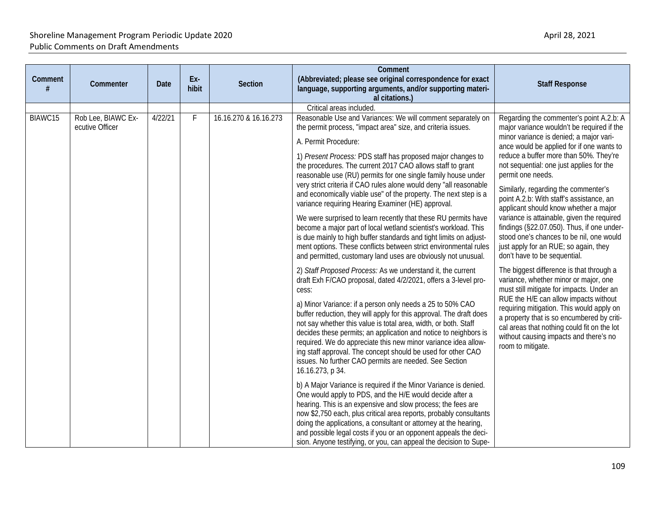| Comment | Commenter                             | Date    | Ex-<br>hibit | Section               | Comment<br>(Abbreviated; please see original correspondence for exact<br>language, supporting arguments, and/or supporting materi-<br>al citations.)                                                                                                                                                                                                                                                                                                                                                                                                                                                                                                                                                                                                                                                                                                                                                                                                                                                                                                                                                                                                                                                                                                                                                                                                                                                                                                                                                                                                                                                                                                                                                                                                                                                                                                                                                                                                                                                                       | <b>Staff Response</b>                                                                                                                                                                                                                                                                                                                                                                                                                                                                                                                                                                                                                                                                                                                                                                                                                                                                                                                                                                                                       |
|---------|---------------------------------------|---------|--------------|-----------------------|----------------------------------------------------------------------------------------------------------------------------------------------------------------------------------------------------------------------------------------------------------------------------------------------------------------------------------------------------------------------------------------------------------------------------------------------------------------------------------------------------------------------------------------------------------------------------------------------------------------------------------------------------------------------------------------------------------------------------------------------------------------------------------------------------------------------------------------------------------------------------------------------------------------------------------------------------------------------------------------------------------------------------------------------------------------------------------------------------------------------------------------------------------------------------------------------------------------------------------------------------------------------------------------------------------------------------------------------------------------------------------------------------------------------------------------------------------------------------------------------------------------------------------------------------------------------------------------------------------------------------------------------------------------------------------------------------------------------------------------------------------------------------------------------------------------------------------------------------------------------------------------------------------------------------------------------------------------------------------------------------------------------------|-----------------------------------------------------------------------------------------------------------------------------------------------------------------------------------------------------------------------------------------------------------------------------------------------------------------------------------------------------------------------------------------------------------------------------------------------------------------------------------------------------------------------------------------------------------------------------------------------------------------------------------------------------------------------------------------------------------------------------------------------------------------------------------------------------------------------------------------------------------------------------------------------------------------------------------------------------------------------------------------------------------------------------|
|         |                                       |         |              |                       | Critical areas included.                                                                                                                                                                                                                                                                                                                                                                                                                                                                                                                                                                                                                                                                                                                                                                                                                                                                                                                                                                                                                                                                                                                                                                                                                                                                                                                                                                                                                                                                                                                                                                                                                                                                                                                                                                                                                                                                                                                                                                                                   |                                                                                                                                                                                                                                                                                                                                                                                                                                                                                                                                                                                                                                                                                                                                                                                                                                                                                                                                                                                                                             |
| BIAWC15 | Rob Lee, BIAWC Ex-<br>ecutive Officer | 4/22/21 | F.           | 16.16.270 & 16.16.273 | Reasonable Use and Variances: We will comment separately on<br>the permit process, "impact area" size, and criteria issues.<br>A. Permit Procedure:<br>1) Present Process: PDS staff has proposed major changes to<br>the procedures. The current 2017 CAO allows staff to grant<br>reasonable use (RU) permits for one single family house under<br>very strict criteria if CAO rules alone would deny "all reasonable<br>and economically viable use" of the property. The next step is a<br>variance requiring Hearing Examiner (HE) approval.<br>We were surprised to learn recently that these RU permits have<br>become a major part of local wetland scientist's workload. This<br>is due mainly to high buffer standards and tight limits on adjust-<br>ment options. These conflicts between strict environmental rules<br>and permitted, customary land uses are obviously not unusual.<br>2) Staff Proposed Process: As we understand it, the current<br>draft Exh F/CAO proposal, dated 4/2/2021, offers a 3-level pro-<br>cess:<br>a) Minor Variance: if a person only needs a 25 to 50% CAO<br>buffer reduction, they will apply for this approval. The draft does<br>not say whether this value is total area, width, or both. Staff<br>decides these permits; an application and notice to neighbors is<br>required. We do appreciate this new minor variance idea allow-<br>ing staff approval. The concept should be used for other CAO<br>issues. No further CAO permits are needed. See Section<br>16.16.273, p 34.<br>b) A Major Variance is required if the Minor Variance is denied.<br>One would apply to PDS, and the H/E would decide after a<br>hearing. This is an expensive and slow process; the fees are<br>now \$2,750 each, plus critical area reports, probably consultants<br>doing the applications, a consultant or attorney at the hearing,<br>and possible legal costs if you or an opponent appeals the deci-<br>sion. Anyone testifying, or you, can appeal the decision to Supe- | Regarding the commenter's point A.2.b: A<br>major variance wouldn't be required if the<br>minor variance is denied; a major vari-<br>ance would be applied for if one wants to<br>reduce a buffer more than 50%. They're<br>not sequential: one just applies for the<br>permit one needs.<br>Similarly, regarding the commenter's<br>point A.2.b: With staff's assistance, an<br>applicant should know whether a major<br>variance is attainable, given the required<br>findings (§22.07.050). Thus, if one under-<br>stood one's chances to be nil, one would<br>just apply for an RUE; so again, they<br>don't have to be sequential.<br>The biggest difference is that through a<br>variance, whether minor or major, one<br>must still mitigate for impacts. Under an<br>RUE the H/E can allow impacts without<br>requiring mitigation. This would apply on<br>a property that is so encumbered by criti-<br>cal areas that nothing could fit on the lot<br>without causing impacts and there's no<br>room to mitigate. |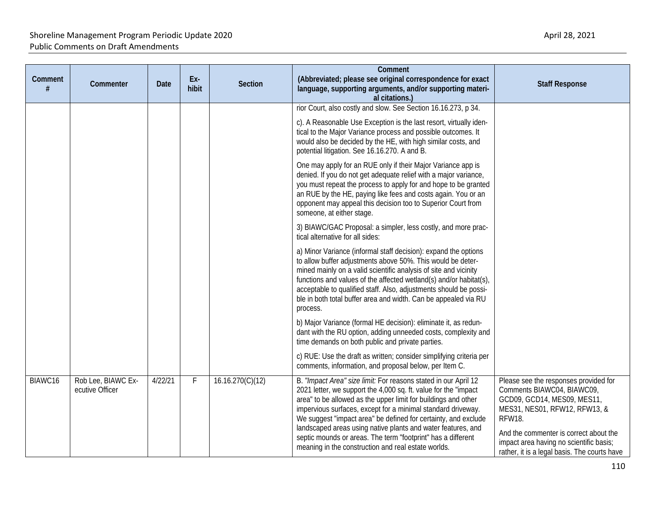| Comment<br># | Commenter                             | Date    | Ex-<br>hibit | Section          | Comment<br>(Abbreviated; please see original correspondence for exact<br>language, supporting arguments, and/or supporting materi-<br>al citations.)                                                                                                                                                                                                                                                                                                                                                                          | <b>Staff Response</b>                                                                                                                                                                                                                                                                     |
|--------------|---------------------------------------|---------|--------------|------------------|-------------------------------------------------------------------------------------------------------------------------------------------------------------------------------------------------------------------------------------------------------------------------------------------------------------------------------------------------------------------------------------------------------------------------------------------------------------------------------------------------------------------------------|-------------------------------------------------------------------------------------------------------------------------------------------------------------------------------------------------------------------------------------------------------------------------------------------|
|              |                                       |         |              |                  | rior Court, also costly and slow. See Section 16.16.273, p 34.<br>c). A Reasonable Use Exception is the last resort, virtually iden-<br>tical to the Major Variance process and possible outcomes. It<br>would also be decided by the HE, with high similar costs, and<br>potential litigation. See 16.16.270. A and B.                                                                                                                                                                                                       |                                                                                                                                                                                                                                                                                           |
|              |                                       |         |              |                  | One may apply for an RUE only if their Major Variance app is<br>denied. If you do not get adequate relief with a major variance,<br>you must repeat the process to apply for and hope to be granted<br>an RUE by the HE, paying like fees and costs again. You or an<br>opponent may appeal this decision too to Superior Court from<br>someone, at either stage.                                                                                                                                                             |                                                                                                                                                                                                                                                                                           |
|              |                                       |         |              |                  | 3) BIAWC/GAC Proposal: a simpler, less costly, and more prac-<br>tical alternative for all sides:                                                                                                                                                                                                                                                                                                                                                                                                                             |                                                                                                                                                                                                                                                                                           |
|              |                                       |         |              |                  | a) Minor Variance (informal staff decision): expand the options<br>to allow buffer adjustments above 50%. This would be deter-<br>mined mainly on a valid scientific analysis of site and vicinity<br>functions and values of the affected wetland(s) and/or habitat(s),<br>acceptable to qualified staff. Also, adjustments should be possi-<br>ble in both total buffer area and width. Can be appealed via RU<br>process.                                                                                                  |                                                                                                                                                                                                                                                                                           |
|              |                                       |         |              |                  | b) Major Variance (formal HE decision): eliminate it, as redun-<br>dant with the RU option, adding unneeded costs, complexity and<br>time demands on both public and private parties.                                                                                                                                                                                                                                                                                                                                         |                                                                                                                                                                                                                                                                                           |
|              |                                       |         |              |                  | c) RUE: Use the draft as written; consider simplifying criteria per<br>comments, information, and proposal below, per Item C.                                                                                                                                                                                                                                                                                                                                                                                                 |                                                                                                                                                                                                                                                                                           |
| BIAWC16      | Rob Lee, BIAWC Ex-<br>ecutive Officer | 4/22/21 | F            | 16.16.270(C)(12) | B. "Impact Area" size limit: For reasons stated in our April 12<br>2021 letter, we support the 4,000 sq. ft. value for the "impact<br>area" to be allowed as the upper limit for buildings and other<br>impervious surfaces, except for a minimal standard driveway.<br>We suggest "impact area" be defined for certainty, and exclude<br>landscaped areas using native plants and water features, and<br>septic mounds or areas. The term "footprint" has a different<br>meaning in the construction and real estate worlds. | Please see the responses provided for<br>Comments BIAWC04, BIAWC09,<br>GCD09, GCD14, MES09, MES11,<br>MES31, NES01, RFW12, RFW13, &<br><b>RFW18.</b><br>And the commenter is correct about the<br>impact area having no scientific basis;<br>rather, it is a legal basis. The courts have |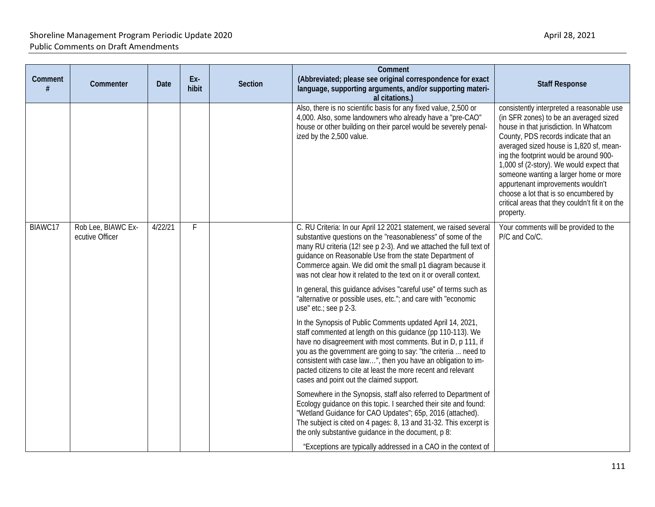| Comment | Commenter                             | <b>Date</b> | Ex-<br>hibit | Section | Comment<br>(Abbreviated; please see original correspondence for exact<br>language, supporting arguments, and/or supporting materi-<br>al citations.)                                                                                                                                                                                                                                                                                      | <b>Staff Response</b>                                                                                                                                                                                                                                                                                                                                                                                                                                                                         |
|---------|---------------------------------------|-------------|--------------|---------|-------------------------------------------------------------------------------------------------------------------------------------------------------------------------------------------------------------------------------------------------------------------------------------------------------------------------------------------------------------------------------------------------------------------------------------------|-----------------------------------------------------------------------------------------------------------------------------------------------------------------------------------------------------------------------------------------------------------------------------------------------------------------------------------------------------------------------------------------------------------------------------------------------------------------------------------------------|
|         |                                       |             |              |         | Also, there is no scientific basis for any fixed value, 2,500 or<br>4,000. Also, some landowners who already have a "pre-CAO"<br>house or other building on their parcel would be severely penal-<br>ized by the 2,500 value.                                                                                                                                                                                                             | consistently interpreted a reasonable use<br>(in SFR zones) to be an averaged sized<br>house in that jurisdiction. In Whatcom<br>County, PDS records indicate that an<br>averaged sized house is 1,820 sf, mean-<br>ing the footprint would be around 900-<br>1,000 sf (2-story). We would expect that<br>someone wanting a larger home or more<br>appurtenant improvements wouldn't<br>choose a lot that is so encumbered by<br>critical areas that they couldn't fit it on the<br>property. |
| BIAWC17 | Rob Lee, BIAWC Ex-<br>ecutive Officer | 4/22/21     | F            |         | C. RU Criteria: In our April 12 2021 statement, we raised several<br>substantive questions on the "reasonableness" of some of the<br>many RU criteria (12! see p 2-3). And we attached the full text of<br>guidance on Reasonable Use from the state Department of<br>Commerce again. We did omit the small p1 diagram because it<br>was not clear how it related to the text on it or overall context.                                   | Your comments will be provided to the<br>P/C and Co/C.                                                                                                                                                                                                                                                                                                                                                                                                                                        |
|         |                                       |             |              |         | In general, this guidance advises "careful use" of terms such as<br>"alternative or possible uses, etc."; and care with "economic<br>use" etc.; see p 2-3.                                                                                                                                                                                                                                                                                |                                                                                                                                                                                                                                                                                                                                                                                                                                                                                               |
|         |                                       |             |              |         | In the Synopsis of Public Comments updated April 14, 2021,<br>staff commented at length on this guidance (pp 110-113). We<br>have no disagreement with most comments. But in D, p 111, if<br>you as the government are going to say: "the criteria  need to<br>consistent with case law", then you have an obligation to im-<br>pacted citizens to cite at least the more recent and relevant<br>cases and point out the claimed support. |                                                                                                                                                                                                                                                                                                                                                                                                                                                                                               |
|         |                                       |             |              |         | Somewhere in the Synopsis, staff also referred to Department of<br>Ecology guidance on this topic. I searched their site and found:<br>"Wetland Guidance for CAO Updates"; 65p, 2016 (attached).<br>The subject is cited on 4 pages: 8, 13 and 31-32. This excerpt is<br>the only substantive guidance in the document, p 8:<br>"Exceptions are typically addressed in a CAO in the context of                                            |                                                                                                                                                                                                                                                                                                                                                                                                                                                                                               |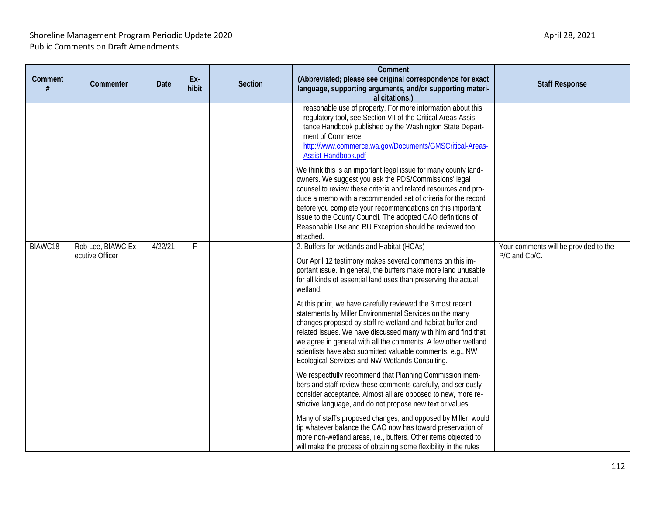| Comment<br># | Commenter                             | Date    | Ex-<br>hibit | Section | Comment<br>(Abbreviated; please see original correspondence for exact<br>language, supporting arguments, and/or supporting materi-<br>al citations.)                                                                                                                                                                                                                                                                                                                                                                                                                                                                                                                                                                                                    | <b>Staff Response</b>                                  |
|--------------|---------------------------------------|---------|--------------|---------|---------------------------------------------------------------------------------------------------------------------------------------------------------------------------------------------------------------------------------------------------------------------------------------------------------------------------------------------------------------------------------------------------------------------------------------------------------------------------------------------------------------------------------------------------------------------------------------------------------------------------------------------------------------------------------------------------------------------------------------------------------|--------------------------------------------------------|
|              |                                       |         |              |         | reasonable use of property. For more information about this<br>regulatory tool, see Section VII of the Critical Areas Assis-<br>tance Handbook published by the Washington State Depart-<br>ment of Commerce:<br>http://www.commerce.wa.gov/Documents/GMSCritical-Areas-<br>Assist-Handbook.pdf<br>We think this is an important legal issue for many county land-<br>owners. We suggest you ask the PDS/Commissions' legal<br>counsel to review these criteria and related resources and pro-<br>duce a memo with a recommended set of criteria for the record<br>before you complete your recommendations on this important<br>issue to the County Council. The adopted CAO definitions of<br>Reasonable Use and RU Exception should be reviewed too; |                                                        |
| BIAWC18      | Rob Lee, BIAWC Ex-<br>ecutive Officer | 4/22/21 | F            |         | attached.<br>2. Buffers for wetlands and Habitat (HCAs)<br>Our April 12 testimony makes several comments on this im-<br>portant issue. In general, the buffers make more land unusable<br>for all kinds of essential land uses than preserving the actual<br>wetland.<br>At this point, we have carefully reviewed the 3 most recent<br>statements by Miller Environmental Services on the many<br>changes proposed by staff re wetland and habitat buffer and<br>related issues. We have discussed many with him and find that<br>we agree in general with all the comments. A few other wetland<br>scientists have also submitted valuable comments, e.g., NW<br>Ecological Services and NW Wetlands Consulting.                                      | Your comments will be provided to the<br>P/C and Co/C. |
|              |                                       |         |              |         | We respectfully recommend that Planning Commission mem-<br>bers and staff review these comments carefully, and seriously<br>consider acceptance. Almost all are opposed to new, more re-<br>strictive language, and do not propose new text or values.<br>Many of staff's proposed changes, and opposed by Miller, would<br>tip whatever balance the CAO now has toward preservation of<br>more non-wetland areas, i.e., buffers. Other items objected to<br>will make the process of obtaining some flexibility in the rules                                                                                                                                                                                                                           |                                                        |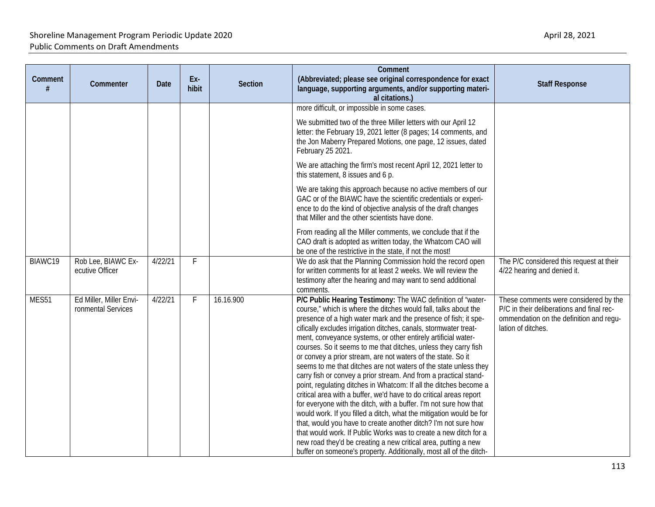| Comment | Commenter                                     | <b>Date</b> | Ex-<br>hibit | <b>Section</b> | Comment<br>(Abbreviated; please see original correspondence for exact<br>language, supporting arguments, and/or supporting materi-<br>al citations.)                                                                                                                                                                                                                                                                                                                                                                                                                                                                                                                                                                                                                                                                                                                                                                                                                                                                                                                                                                                                                                   | <b>Staff Response</b>                                                                                                                               |
|---------|-----------------------------------------------|-------------|--------------|----------------|----------------------------------------------------------------------------------------------------------------------------------------------------------------------------------------------------------------------------------------------------------------------------------------------------------------------------------------------------------------------------------------------------------------------------------------------------------------------------------------------------------------------------------------------------------------------------------------------------------------------------------------------------------------------------------------------------------------------------------------------------------------------------------------------------------------------------------------------------------------------------------------------------------------------------------------------------------------------------------------------------------------------------------------------------------------------------------------------------------------------------------------------------------------------------------------|-----------------------------------------------------------------------------------------------------------------------------------------------------|
|         |                                               |             |              |                | more difficult, or impossible in some cases.<br>We submitted two of the three Miller letters with our April 12<br>letter: the February 19, 2021 letter (8 pages; 14 comments, and<br>the Jon Maberry Prepared Motions, one page, 12 issues, dated                                                                                                                                                                                                                                                                                                                                                                                                                                                                                                                                                                                                                                                                                                                                                                                                                                                                                                                                      |                                                                                                                                                     |
|         |                                               |             |              |                | February 25 2021.<br>We are attaching the firm's most recent April 12, 2021 letter to<br>this statement, 8 issues and 6 p.                                                                                                                                                                                                                                                                                                                                                                                                                                                                                                                                                                                                                                                                                                                                                                                                                                                                                                                                                                                                                                                             |                                                                                                                                                     |
|         |                                               |             |              |                | We are taking this approach because no active members of our<br>GAC or of the BIAWC have the scientific credentials or experi-<br>ence to do the kind of objective analysis of the draft changes<br>that Miller and the other scientists have done.                                                                                                                                                                                                                                                                                                                                                                                                                                                                                                                                                                                                                                                                                                                                                                                                                                                                                                                                    |                                                                                                                                                     |
|         |                                               |             |              |                | From reading all the Miller comments, we conclude that if the<br>CAO draft is adopted as written today, the Whatcom CAO will<br>be one of the restrictive in the state, if not the most!                                                                                                                                                                                                                                                                                                                                                                                                                                                                                                                                                                                                                                                                                                                                                                                                                                                                                                                                                                                               |                                                                                                                                                     |
| BIAWC19 | Rob Lee, BIAWC Ex-<br>ecutive Officer         | 4/22/21     | F.           |                | We do ask that the Planning Commission hold the record open<br>for written comments for at least 2 weeks. We will review the<br>testimony after the hearing and may want to send additional<br>comments.                                                                                                                                                                                                                                                                                                                                                                                                                                                                                                                                                                                                                                                                                                                                                                                                                                                                                                                                                                               | The P/C considered this request at their<br>4/22 hearing and denied it.                                                                             |
| MES51   | Ed Miller, Miller Envi-<br>ronmental Services | 4/22/21     | F            | 16.16.900      | P/C Public Hearing Testimony: The WAC definition of "water-<br>course," which is where the ditches would fall, talks about the<br>presence of a high water mark and the presence of fish; it spe-<br>cifically excludes irrigation ditches, canals, stormwater treat-<br>ment, conveyance systems, or other entirely artificial water-<br>courses. So it seems to me that ditches, unless they carry fish<br>or convey a prior stream, are not waters of the state. So it<br>seems to me that ditches are not waters of the state unless they<br>carry fish or convey a prior stream. And from a practical stand-<br>point, regulating ditches in Whatcom: If all the ditches become a<br>critical area with a buffer, we'd have to do critical areas report<br>for everyone with the ditch, with a buffer. I'm not sure how that<br>would work. If you filled a ditch, what the mitigation would be for<br>that, would you have to create another ditch? I'm not sure how<br>that would work. If Public Works was to create a new ditch for a<br>new road they'd be creating a new critical area, putting a new<br>buffer on someone's property. Additionally, most all of the ditch- | These comments were considered by the<br>P/C in their deliberations and final rec-<br>ommendation on the definition and regu-<br>lation of ditches. |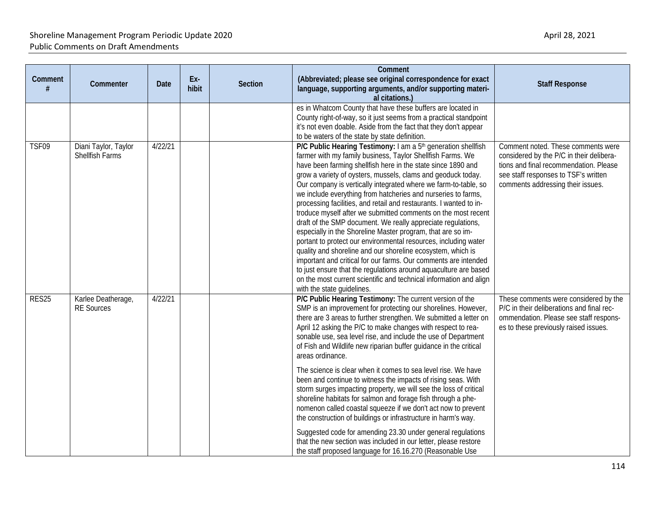| Comment | Commenter                               | <b>Date</b> | Ex-<br>hibit | <b>Section</b> | Comment<br>(Abbreviated; please see original correspondence for exact<br>language, supporting arguments, and/or supporting materi-<br>al citations.)                                                                                                                                                                                                                                                                                                                                                                                                                                                                                                                                                                                                                                                                                                                                                                                                                                                                                                           | <b>Staff Response</b>                                                                                                                                                                                 |
|---------|-----------------------------------------|-------------|--------------|----------------|----------------------------------------------------------------------------------------------------------------------------------------------------------------------------------------------------------------------------------------------------------------------------------------------------------------------------------------------------------------------------------------------------------------------------------------------------------------------------------------------------------------------------------------------------------------------------------------------------------------------------------------------------------------------------------------------------------------------------------------------------------------------------------------------------------------------------------------------------------------------------------------------------------------------------------------------------------------------------------------------------------------------------------------------------------------|-------------------------------------------------------------------------------------------------------------------------------------------------------------------------------------------------------|
|         |                                         |             |              |                | es in Whatcom County that have these buffers are located in<br>County right-of-way, so it just seems from a practical standpoint<br>it's not even doable. Aside from the fact that they don't appear<br>to be waters of the state by state definition.                                                                                                                                                                                                                                                                                                                                                                                                                                                                                                                                                                                                                                                                                                                                                                                                         |                                                                                                                                                                                                       |
| TSF09   | Diani Taylor, Taylor<br>Shellfish Farms | 4/22/21     |              |                | P/C Public Hearing Testimony: I am a 5 <sup>th</sup> generation shellfish<br>farmer with my family business, Taylor Shellfish Farms. We<br>have been farming shellfish here in the state since 1890 and<br>grow a variety of oysters, mussels, clams and geoduck today.<br>Our company is vertically integrated where we farm-to-table, so<br>we include everything from hatcheries and nurseries to farms,<br>processing facilities, and retail and restaurants. I wanted to in-<br>troduce myself after we submitted comments on the most recent<br>draft of the SMP document. We really appreciate regulations,<br>especially in the Shoreline Master program, that are so im-<br>portant to protect our environmental resources, including water<br>quality and shoreline and our shoreline ecosystem, which is<br>important and critical for our farms. Our comments are intended<br>to just ensure that the regulations around aquaculture are based<br>on the most current scientific and technical information and align<br>with the state guidelines. | Comment noted. These comments were<br>considered by the P/C in their delibera-<br>tions and final recommendation. Please<br>see staff responses to TSF's written<br>comments addressing their issues. |
| RES25   | Karlee Deatherage,<br><b>RE</b> Sources | 4/22/21     |              |                | P/C Public Hearing Testimony: The current version of the<br>SMP is an improvement for protecting our shorelines. However,<br>there are 3 areas to further strengthen. We submitted a letter on<br>April 12 asking the P/C to make changes with respect to rea-<br>sonable use, sea level rise, and include the use of Department<br>of Fish and Wildlife new riparian buffer guidance in the critical<br>areas ordinance.<br>The science is clear when it comes to sea level rise. We have<br>been and continue to witness the impacts of rising seas. With<br>storm surges impacting property, we will see the loss of critical<br>shoreline habitats for salmon and forage fish through a phe-<br>nomenon called coastal squeeze if we don't act now to prevent<br>the construction of buildings or infrastructure in harm's way.<br>Suggested code for amending 23.30 under general regulations<br>that the new section was included in our letter, please restore<br>the staff proposed language for 16.16.270 (Reasonable Use                             | These comments were considered by the<br>P/C in their deliberations and final rec-<br>ommendation. Please see staff respons-<br>es to these previously raised issues.                                 |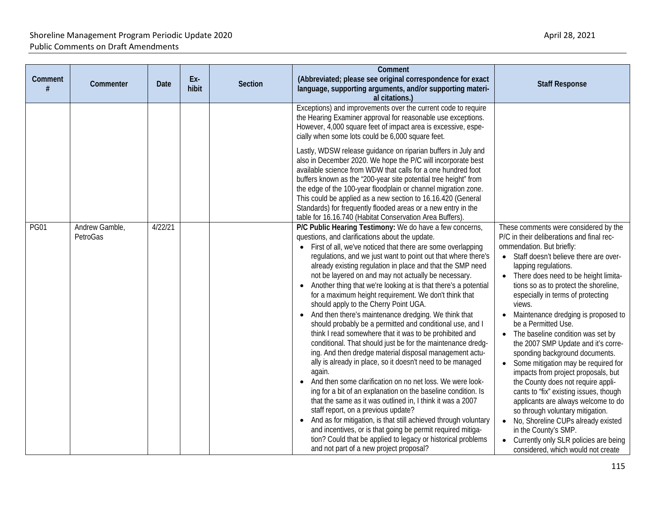| Comment<br>(Abbreviated; please see original correspondence for exact<br>Ex-<br>Comment<br><b>Section</b><br>Commenter<br>Date<br><b>Staff Response</b><br>hibit<br>language, supporting arguments, and/or supporting materi-                                                                                                                                                                                                                                                                                                                                                                                                                                                                                                                                                                                                                                                                                                                                                                                                                                                                                                                                                                                                                                                                                                                                                                                                                                                                                                                                                                                                                                                                                                                                                                                                                                                                                                                                                                                                                                                                                                                                                                                                                                                                                                                                                                                                                                                                                                                                                                                                 |                                                                              |
|-------------------------------------------------------------------------------------------------------------------------------------------------------------------------------------------------------------------------------------------------------------------------------------------------------------------------------------------------------------------------------------------------------------------------------------------------------------------------------------------------------------------------------------------------------------------------------------------------------------------------------------------------------------------------------------------------------------------------------------------------------------------------------------------------------------------------------------------------------------------------------------------------------------------------------------------------------------------------------------------------------------------------------------------------------------------------------------------------------------------------------------------------------------------------------------------------------------------------------------------------------------------------------------------------------------------------------------------------------------------------------------------------------------------------------------------------------------------------------------------------------------------------------------------------------------------------------------------------------------------------------------------------------------------------------------------------------------------------------------------------------------------------------------------------------------------------------------------------------------------------------------------------------------------------------------------------------------------------------------------------------------------------------------------------------------------------------------------------------------------------------------------------------------------------------------------------------------------------------------------------------------------------------------------------------------------------------------------------------------------------------------------------------------------------------------------------------------------------------------------------------------------------------------------------------------------------------------------------------------------------------|------------------------------------------------------------------------------|
| al citations.)<br>Exceptions) and improvements over the current code to require<br>the Hearing Examiner approval for reasonable use exceptions.<br>However, 4,000 square feet of impact area is excessive, espe-<br>cially when some lots could be 6,000 square feet.<br>Lastly, WDSW release guidance on riparian buffers in July and<br>also in December 2020. We hope the P/C will incorporate best<br>available science from WDW that calls for a one hundred foot<br>buffers known as the "200-year site potential tree height" from<br>the edge of the 100-year floodplain or channel migration zone.<br>This could be applied as a new section to 16.16.420 (General<br>Standards) for frequently flooded areas or a new entry in the<br>table for 16.16.740 (Habitat Conservation Area Buffers).<br><b>PG01</b><br>4/22/21<br>P/C Public Hearing Testimony: We do have a few concerns,<br>These comments were considered by the<br>Andrew Gamble,<br>PetroGas<br>questions, and clarifications about the update.<br>P/C in their deliberations and final rec-<br>• First of all, we've noticed that there are some overlapping<br>ommendation. But briefly:<br>• Staff doesn't believe there are over-<br>regulations, and we just want to point out that where there's<br>already existing regulation in place and that the SMP need<br>lapping regulations.<br>not be layered on and may not actually be necessary.<br>• There does need to be height limita-<br>• Another thing that we're looking at is that there's a potential<br>for a maximum height requirement. We don't think that<br>especially in terms of protecting<br>should apply to the Cherry Point UGA.<br>views.<br>• And then there's maintenance dredging. We think that<br>should probably be a permitted and conditional use, and I<br>be a Permitted Use.<br>think I read somewhere that it was to be prohibited and<br>• The baseline condition was set by<br>conditional. That should just be for the maintenance dredg-<br>the 2007 SMP Update and it's corre-<br>ing. And then dredge material disposal management actu-<br>sponding background documents.<br>ally is already in place, so it doesn't need to be managed<br>• Some mitigation may be required for<br>again.<br>impacts from project proposals, but<br>• And then some clarification on no net loss. We were look-<br>the County does not require appli-<br>ing for a bit of an explanation on the baseline condition. Is<br>cants to "fix" existing issues, though<br>that the same as it was outlined in, I think it was a 2007<br>applicants are always welcome to do | tions so as to protect the shoreline,<br>Maintenance dredging is proposed to |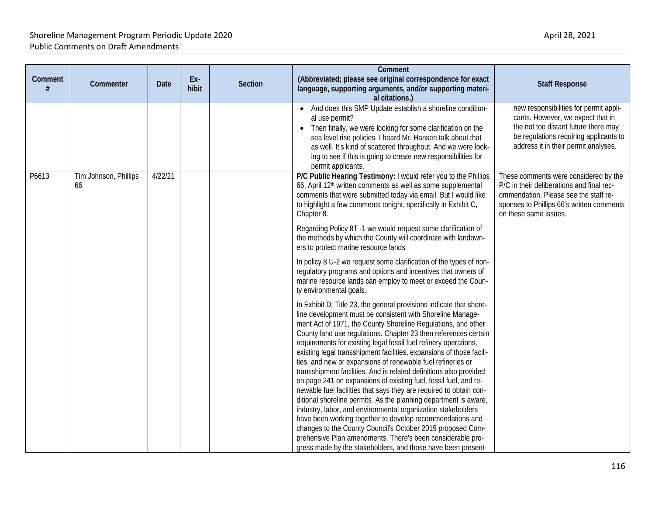| Comment<br># | Commenter                   | <b>Date</b> | Ex-<br>hibit | Section | Comment<br>(Abbreviated; please see original correspondence for exact<br>language, supporting arguments, and/or supporting materi-<br>al citations.)                                                                                                                                                                                                                                                                                                                                                                                                                                                                                                                                                                                                                                                                                                                                                                                                                                                                                                                                                                     | <b>Staff Response</b>                                                                                                                                                                                 |
|--------------|-----------------------------|-------------|--------------|---------|--------------------------------------------------------------------------------------------------------------------------------------------------------------------------------------------------------------------------------------------------------------------------------------------------------------------------------------------------------------------------------------------------------------------------------------------------------------------------------------------------------------------------------------------------------------------------------------------------------------------------------------------------------------------------------------------------------------------------------------------------------------------------------------------------------------------------------------------------------------------------------------------------------------------------------------------------------------------------------------------------------------------------------------------------------------------------------------------------------------------------|-------------------------------------------------------------------------------------------------------------------------------------------------------------------------------------------------------|
|              |                             |             |              |         | • And does this SMP Update establish a shoreline condition-<br>al use permit?<br>• Then finally, we were looking for some clarification on the<br>sea level rise policies. I heard Mr. Hansen talk about that<br>as well. It's kind of scattered throughout. And we were look-<br>ing to see if this is going to create new responsibilities for<br>permit applicants.                                                                                                                                                                                                                                                                                                                                                                                                                                                                                                                                                                                                                                                                                                                                                   | new responsibilities for permit appli-<br>cants. However, we expect that in<br>the not too distant future there may<br>be regulations requiring applicants to<br>address it in their permit analyses. |
| P6613        | Tim Johnson, Phillips<br>66 | 4/22/21     |              |         | P/C Public Hearing Testimony: I would refer you to the Phillips<br>66, April 12 <sup>th</sup> written comments as well as some supplemental<br>comments that were submitted today via email. But I would like<br>to highlight a few comments tonight, specifically in Exhibit C,<br>Chapter 8.<br>Regarding Policy 8T -1 we would request some clarification of                                                                                                                                                                                                                                                                                                                                                                                                                                                                                                                                                                                                                                                                                                                                                          | These comments were considered by the<br>P/C in their deliberations and final rec-<br>ommendation. Please see the staff re-<br>sponses to Phillips 66's written comments<br>on these same issues.     |
|              |                             |             |              |         | the methods by which the County will coordinate with landown-<br>ers to protect marine resource lands<br>In policy 8 U-2 we request some clarification of the types of non-<br>regulatory programs and options and incentives that owners of<br>marine resource lands can employ to meet or exceed the Coun-                                                                                                                                                                                                                                                                                                                                                                                                                                                                                                                                                                                                                                                                                                                                                                                                             |                                                                                                                                                                                                       |
|              |                             |             |              |         | ty environmental goals.<br>In Exhibit D, Title 23, the general provisions indicate that shore-<br>line development must be consistent with Shoreline Manage-<br>ment Act of 1971, the County Shoreline Regulations, and other<br>County land use regulations. Chapter 23 then references certain<br>requirements for existing legal fossil fuel refinery operations,<br>existing legal transshipment facilities, expansions of those facili-<br>ties, and new or expansions of renewable fuel refineries or<br>transshipment facilities. And is related definitions also provided<br>on page 241 on expansions of existing fuel, fossil fuel, and re-<br>newable fuel facilities that says they are required to obtain con-<br>ditional shoreline permits. As the planning department is aware,<br>industry, labor, and environmental organization stakeholders<br>have been working together to develop recommendations and<br>changes to the County Council's October 2019 proposed Com-<br>prehensive Plan amendments. There's been considerable pro-<br>gress made by the stakeholders, and those have been present- |                                                                                                                                                                                                       |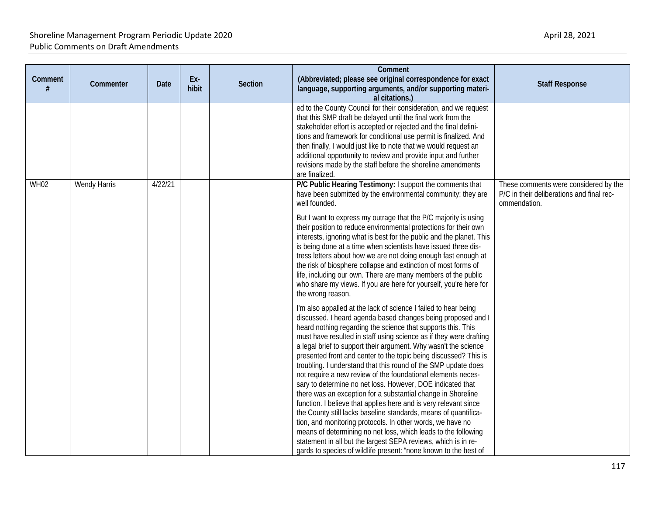| Comment<br># | Commenter    | Date    | Ex-<br>hibit | <b>Section</b> | Comment<br>(Abbreviated; please see original correspondence for exact<br>language, supporting arguments, and/or supporting materi-<br>al citations.)                                                                                                                                                                                                                                                                                                                                                                                                                                                                                                                                                                                                                                                                                                                                                                                                | <b>Staff Response</b>                                                                              |
|--------------|--------------|---------|--------------|----------------|-----------------------------------------------------------------------------------------------------------------------------------------------------------------------------------------------------------------------------------------------------------------------------------------------------------------------------------------------------------------------------------------------------------------------------------------------------------------------------------------------------------------------------------------------------------------------------------------------------------------------------------------------------------------------------------------------------------------------------------------------------------------------------------------------------------------------------------------------------------------------------------------------------------------------------------------------------|----------------------------------------------------------------------------------------------------|
|              |              |         |              |                | ed to the County Council for their consideration, and we request<br>that this SMP draft be delayed until the final work from the<br>stakeholder effort is accepted or rejected and the final defini-<br>tions and framework for conditional use permit is finalized. And<br>then finally, I would just like to note that we would request an<br>additional opportunity to review and provide input and further<br>revisions made by the staff before the shoreline amendments<br>are finalized.                                                                                                                                                                                                                                                                                                                                                                                                                                                     |                                                                                                    |
| <b>WH02</b>  | Wendy Harris | 4/22/21 |              |                | P/C Public Hearing Testimony: I support the comments that<br>have been submitted by the environmental community; they are<br>well founded.                                                                                                                                                                                                                                                                                                                                                                                                                                                                                                                                                                                                                                                                                                                                                                                                          | These comments were considered by the<br>P/C in their deliberations and final rec-<br>ommendation. |
|              |              |         |              |                | But I want to express my outrage that the P/C majority is using<br>their position to reduce environmental protections for their own<br>interests, ignoring what is best for the public and the planet. This<br>is being done at a time when scientists have issued three dis-<br>tress letters about how we are not doing enough fast enough at<br>the risk of biosphere collapse and extinction of most forms of<br>life, including our own. There are many members of the public<br>who share my views. If you are here for yourself, you're here for<br>the wrong reason.                                                                                                                                                                                                                                                                                                                                                                        |                                                                                                    |
|              |              |         |              |                | I'm also appalled at the lack of science I failed to hear being<br>discussed. I heard agenda based changes being proposed and I<br>heard nothing regarding the science that supports this. This<br>must have resulted in staff using science as if they were drafting<br>a legal brief to support their argument. Why wasn't the science<br>presented front and center to the topic being discussed? This is<br>troubling. I understand that this round of the SMP update does<br>not require a new review of the foundational elements neces-<br>sary to determine no net loss. However, DOE indicated that<br>there was an exception for a substantial change in Shoreline<br>function. I believe that applies here and is very relevant since<br>the County still lacks baseline standards, means of quantifica-<br>tion, and monitoring protocols. In other words, we have no<br>means of determining no net loss, which leads to the following |                                                                                                    |
|              |              |         |              |                | statement in all but the largest SEPA reviews, which is in re-<br>gards to species of wildlife present: "none known to the best of                                                                                                                                                                                                                                                                                                                                                                                                                                                                                                                                                                                                                                                                                                                                                                                                                  |                                                                                                    |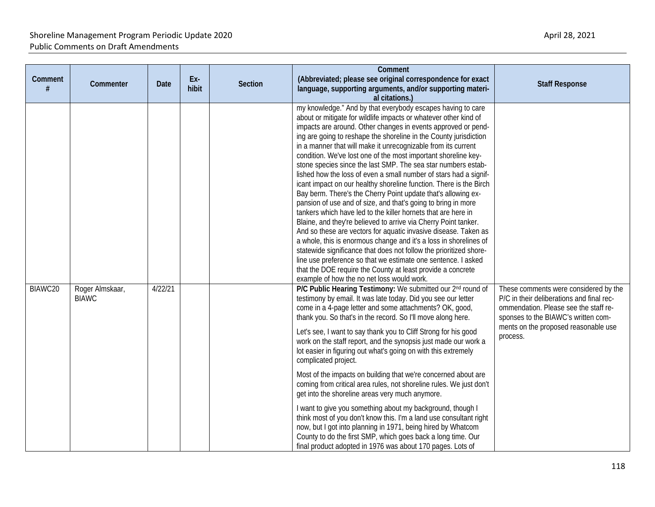| Comment<br># | Commenter                       | <b>Date</b> | Ex-<br>hibit | <b>Section</b> | Comment<br>(Abbreviated; please see original correspondence for exact<br>language, supporting arguments, and/or supporting materi-<br>al citations.)                                                                                                                                                                                                                                                                                                                                                                                                                                                                                                                                                                                                                                                                                                                                                                                                                                                                                                                                                                                                                                                                                                                                   | <b>Staff Response</b>                                                                                                                                                                                                  |
|--------------|---------------------------------|-------------|--------------|----------------|----------------------------------------------------------------------------------------------------------------------------------------------------------------------------------------------------------------------------------------------------------------------------------------------------------------------------------------------------------------------------------------------------------------------------------------------------------------------------------------------------------------------------------------------------------------------------------------------------------------------------------------------------------------------------------------------------------------------------------------------------------------------------------------------------------------------------------------------------------------------------------------------------------------------------------------------------------------------------------------------------------------------------------------------------------------------------------------------------------------------------------------------------------------------------------------------------------------------------------------------------------------------------------------|------------------------------------------------------------------------------------------------------------------------------------------------------------------------------------------------------------------------|
|              |                                 |             |              |                | my knowledge." And by that everybody escapes having to care<br>about or mitigate for wildlife impacts or whatever other kind of<br>impacts are around. Other changes in events approved or pend-<br>ing are going to reshape the shoreline in the County jurisdiction<br>in a manner that will make it unrecognizable from its current<br>condition. We've lost one of the most important shoreline key-<br>stone species since the last SMP. The sea star numbers estab-<br>lished how the loss of even a small number of stars had a signif-<br>icant impact on our healthy shoreline function. There is the Birch<br>Bay berm. There's the Cherry Point update that's allowing ex-<br>pansion of use and of size, and that's going to bring in more<br>tankers which have led to the killer hornets that are here in<br>Blaine, and they're believed to arrive via Cherry Point tanker.<br>And so these are vectors for aquatic invasive disease. Taken as<br>a whole, this is enormous change and it's a loss in shorelines of<br>statewide significance that does not follow the prioritized shore-<br>line use preference so that we estimate one sentence. I asked<br>that the DOE require the County at least provide a concrete<br>example of how the no net loss would work. |                                                                                                                                                                                                                        |
| BIAWC20      | Roger Almskaar,<br><b>BIAWC</b> | 4/22/21     |              |                | P/C Public Hearing Testimony: We submitted our 2nd round of<br>testimony by email. It was late today. Did you see our letter<br>come in a 4-page letter and some attachments? OK, good,<br>thank you. So that's in the record. So I'll move along here.<br>Let's see, I want to say thank you to Cliff Strong for his good<br>work on the staff report, and the synopsis just made our work a<br>lot easier in figuring out what's going on with this extremely<br>complicated project.<br>Most of the impacts on building that we're concerned about are<br>coming from critical area rules, not shoreline rules. We just don't<br>get into the shoreline areas very much anymore.<br>I want to give you something about my background, though I<br>think most of you don't know this. I'm a land use consultant right<br>now, but I got into planning in 1971, being hired by Whatcom<br>County to do the first SMP, which goes back a long time. Our                                                                                                                                                                                                                                                                                                                                | These comments were considered by the<br>P/C in their deliberations and final rec-<br>ommendation. Please see the staff re-<br>sponses to the BIAWC's written com-<br>ments on the proposed reasonable use<br>process. |